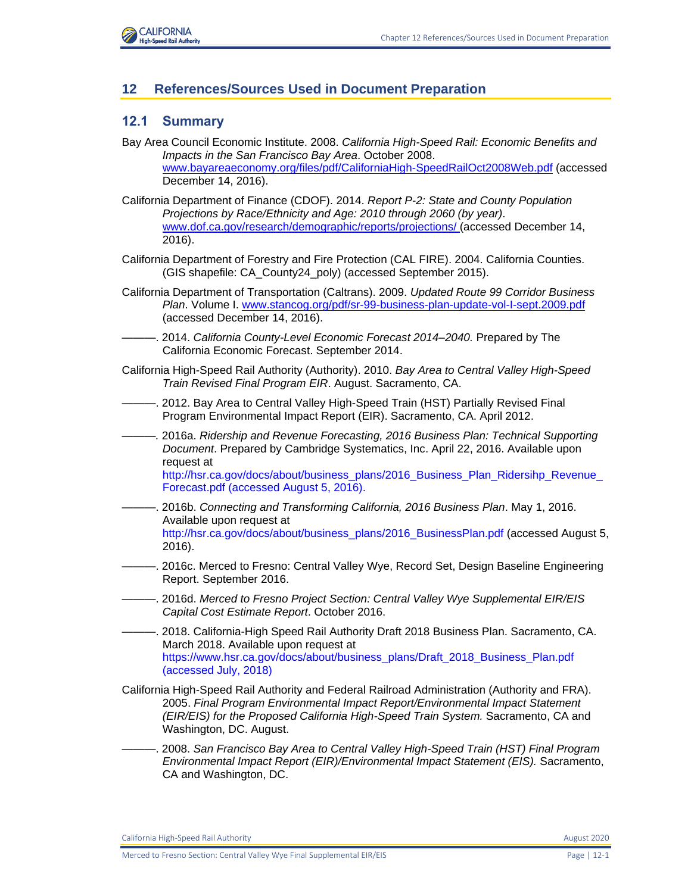

# **12 References/Sources Used in Document Preparation**

# **12.1 Summary**

- Bay Area Council Economic Institute. 2008. *California High-Speed Rail: Economic Benefits and Impacts in the San Francisco Bay Area*. October 2008. [www.bayareaeconomy.org/files/pdf/CaliforniaHigh-SpeedRailOct2008Web.pdf](http://www.bayareaeconomy.org/files/pdf/CaliforniaHigh-SpeedRailOct2008Web.pdf) (accessed December 14, 2016).
- California Department of Finance (CDOF). 2014. *Report P-2: State and County Population Projections by Race/Ethnicity and Age: 2010 through 2060 (by year)*. [www.dof.ca.gov/research/demographic/reports/projections/ \(](http://www.dof.ca.gov/research/demographic/reports/projections/)accessed December 14, 2016).
- California Department of Forestry and Fire Protection (CAL FIRE). 2004. California Counties. (GIS shapefile: CA\_County24\_poly) (accessed September 2015).
- California Department of Transportation (Caltrans). 2009. *Updated Route 99 Corridor Business Plan*. Volume I. [www.stancog.org/pdf/sr-99-business-plan-update-vol-I-sept.2009.pdf](http://www.stancog.org/pdf/sr-99-business-plan-update-vol-I-sept.2009.pdf) (accessed December 14, 2016).
- ———. 2014. *California County-Level Economic Forecast 2014–2040.* Prepared by The California Economic Forecast. September 2014.
- California High-Speed Rail Authority (Authority). 2010. *Bay Area to Central Valley High-Speed Train Revised Final Program EIR*. August. Sacramento, CA.
- . 2012. Bay Area to Central Valley High-Speed Train (HST) Partially Revised Final Program Environmental Impact Report (EIR). Sacramento, CA. April 2012.
- *———.* 2016a. *Ridership and Revenue Forecasting, 2016 Business Plan: Technical Supporting Document*. Prepared by Cambridge Systematics, Inc. April 22, 2016. Available upon request at

http://hsr.ca.gov/docs/about/business\_plans/2016\_Business\_Plan\_Ridersihp\_Revenue [Forecast.pdf \(accessed August 5, 2016\).](http://hsr.ca.gov/docs/about/business_plans/2016_Business_Plan_Ridersihp_Revenue_Forecast.pdf%20(accessed%20August%205,%202016).)

- *———*. 2016b. *Connecting and Transforming California, 2016 Business Plan*. May 1, 2016. Available upon request at [http://hsr.ca.gov/docs/about/business\\_plans/2016\\_BusinessPlan.pdf](http://hsr.ca.gov/docs/about/business_plans/2016_BusinessPlan.pdf) (accessed August 5, 2016).
- *———*. 2016c. Merced to Fresno: Central Valley Wye, Record Set, Design Baseline Engineering Report. September 2016.
- ———. 2016d. *Merced to Fresno Project Section: Central Valley Wye Supplemental EIR/EIS Capital Cost Estimate Report*. October 2016.
- ———. 2018. California-High Speed Rail Authority Draft 2018 Business Plan. Sacramento, CA. March 2018. Available upon request at [https://www.hsr.ca.gov/docs/about/business\\_plans/Draft\\_2018\\_Business\\_Plan.pdf](https://www.hsr.ca.gov/docs/about/business_plans/Draft_2018_Business_Plan.pdf%20(accessed%20July,%202018))  [\(accessed July, 2018\)](https://www.hsr.ca.gov/docs/about/business_plans/Draft_2018_Business_Plan.pdf%20(accessed%20July,%202018))
- California High-Speed Rail Authority and Federal Railroad Administration (Authority and FRA). 2005. *Final Program Environmental Impact Report/Environmental Impact Statement (EIR/EIS) for the Proposed California High-Speed Train System. Sacramento, CA and* Washington, DC. August.
- ———. 2008. *San Francisco Bay Area to Central Valley High-Speed Train (HST) Final Program Environmental Impact Report (EIR)/Environmental Impact Statement (EIS).* Sacramento, CA and Washington, DC.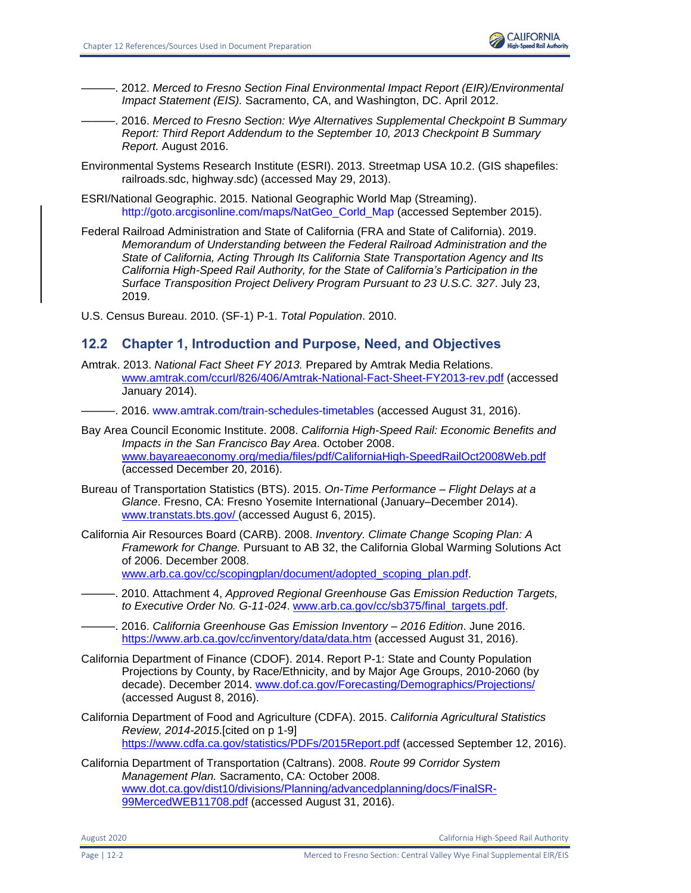

- ———. 2012. *Merced to Fresno Section Final Environmental Impact Report (EIR)/Environmental Impact Statement (EIS).* Sacramento, CA, and Washington, DC. April 2012.
	- ———. 2016. *Merced to Fresno Section: Wye Alternatives Supplemental Checkpoint B Summary Report: Third Report Addendum to the September 10, 2013 Checkpoint B Summary Report.* August 2016.
- Environmental Systems Research Institute (ESRI). 2013. Streetmap USA 10.2. (GIS shapefiles: railroads.sdc, highway.sdc) (accessed May 29, 2013).
- ESRI/National Geographic. 2015. National Geographic World Map (Streaming). http://goto.arcgisonline.com/maps/NatGeo\_Corld\_Map (accessed September 2015).
- Federal Railroad Administration and State of California (FRA and State of California). 2019. *Memorandum of Understanding between the Federal Railroad Administration and the State of California, Acting Through Its California State Transportation Agency and Its California High-Speed Rail Authority, for the State of California's Participation in the Surface Transposition Project Delivery Program Pursuant to 23 U.S.C. 327*. July 23, 2019.

U.S. Census Bureau. 2010. (SF-1) P-1. *Total Population*. 2010.

# **12.2 Chapter 1, Introduction and Purpose, Need, and Objectives**

- Amtrak. 2013. *National Fact Sheet FY 2013.* Prepared by Amtrak Media Relations. [www.amtrak.com/ccurl/826/406/Amtrak-National-Fact-Sheet-FY2013-rev.pdf](http://www.amtrak.com/ccurl/826/406/Amtrak-National-Fact-Sheet-FY2013-rev.pdf) (accessed January 2014).
- ———. 2016. [www.amtrak.com/train-schedules-timetables](http://www.amtrak.com/train-schedules-timetables) (accessed August 31, 2016).
- Bay Area Council Economic Institute. 2008. *California High-Speed Rail: Economic Benefits and Impacts in the San Francisco Bay Area*. October 2008. [www.bayareaeconomy.org/media/files/pdf/CaliforniaHigh-SpeedRailOct2008Web.pdf](http://www.bayareaeconomy.org/media/files/pdf/CaliforniaHigh-SpeedRailOct2008Web.pdf) (accessed December 20, 2016).
- Bureau of Transportation Statistics (BTS). 2015. *On-Time Performance – Flight Delays at a Glance*. Fresno, CA: Fresno Yosemite International (January–December 2014). [www.transtats.bts.gov/ \(](http://www.transtats.bts.gov/)accessed August 6, 2015).
- California Air Resources Board (CARB). 2008. *Inventory. Climate Change Scoping Plan: A Framework for Change.* Pursuant to AB 32, the California Global Warming Solutions Act of 2006. December 2008. [www.arb.ca.gov/cc/scopingplan/document/adopted\\_scoping\\_plan.pdf.](http://www.arb.ca.gov/cc/scopingplan/document/adopted_scoping_plan.pdf)
- ———. 2010. Attachment 4, *Approved Regional Greenhouse Gas Emission Reduction Targets, to Executive Order No. G-11-024*[. www.arb.ca.gov/cc/sb375/final\\_targets.pdf.](http://www.arb.ca.gov/cc/sb375/final_targets.pdf)
- ———. 2016. *California Greenhouse Gas Emission Inventory – 2016 Edition*. June 2016. <https://www.arb.ca.gov/cc/inventory/data/data.htm> (accessed August 31, 2016).
- California Department of Finance (CDOF). 2014. Report P-1: State and County Population Projections by County, by Race/Ethnicity, and by Major Age Groups, 2010-2060 (by decade). December 2014. [www.dof.ca.gov/Forecasting/Demographics/Projections/](http://www.dof.ca.gov/Forecasting/Demographics/Projections/) (accessed August 8, 2016).
- California Department of Food and Agriculture (CDFA). 2015. *California Agricultural Statistics Review, 2014-2015*.[cited on p 1-9] <https://www.cdfa.ca.gov/statistics/PDFs/2015Report.pdf> (accessed September 12, 2016).
- California Department of Transportation (Caltrans). 2008. *Route 99 Corridor System Management Plan.* Sacramento, CA: October 2008. [www.dot.ca.gov/dist10/divisions/Planning/advancedplanning/docs/FinalSR-](https://projectspace.icfi.com/bis/ep-CaHSRA/EnvProgram/00533.15/Shared%20Documents/00_BACK%20MATTER_Distribution-Preparers-Refs-Glossary-Index-Acros/12%20References/www.dot.ca.gov/dist10/divisions/Planning/advancedplanning/docs/FinalSR-99MercedWEB11708.pdf)[99MercedWEB11708.pdf](https://projectspace.icfi.com/bis/ep-CaHSRA/EnvProgram/00533.15/Shared%20Documents/00_BACK%20MATTER_Distribution-Preparers-Refs-Glossary-Index-Acros/12%20References/www.dot.ca.gov/dist10/divisions/Planning/advancedplanning/docs/FinalSR-99MercedWEB11708.pdf) (accessed August 31, 2016).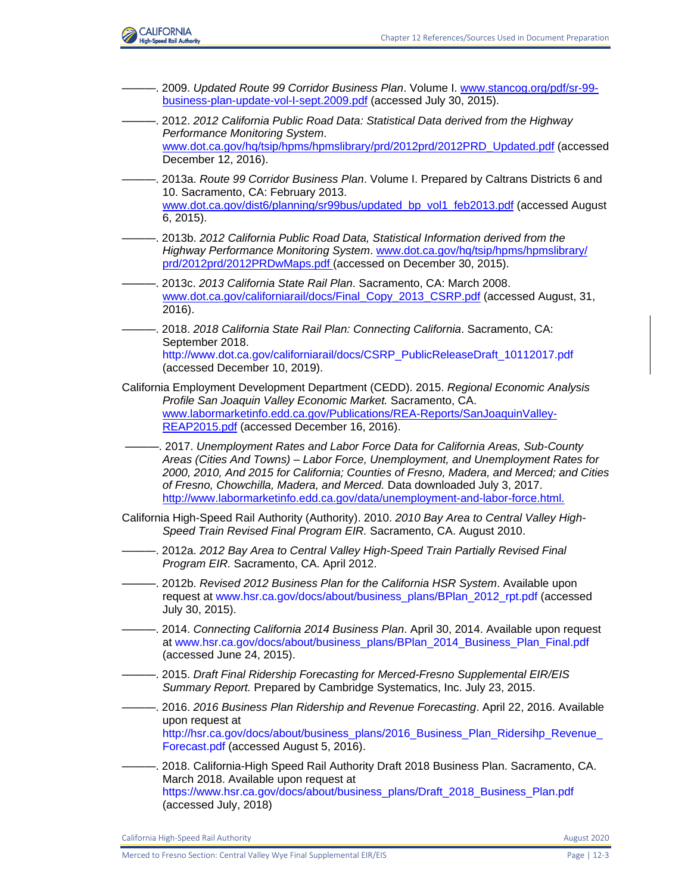

———. 2009. *Updated Route 99 Corridor Business Plan*. Volume I. [www.stancog.org/pdf/sr-99](http://www.stancog.org/pdf/sr-99-business-plan-update-vol-I-sept.2009.pdf) [business-plan-update-vol-I-sept.2009.pdf](http://www.stancog.org/pdf/sr-99-business-plan-update-vol-I-sept.2009.pdf) (accessed July 30, 2015). ———. 2012. *2012 California Public Road Data: Statistical Data derived from the Highway Performance Monitoring System*. [www.dot.ca.gov/hq/tsip/hpms/hpmslibrary/prd/2012prd/2012PRD\\_Updated.pdf](http://www.dot.ca.gov/hq/tsip/hpms/hpmslibrary/prd/2012prd/2012PRD_Updated.pdf) (accessed December 12, 2016). ———. 2013a. *Route 99 Corridor Business Plan*. Volume I. Prepared by Caltrans Districts 6 and 10. Sacramento, CA: February 2013. [www.dot.ca.gov/dist6/planning/sr99bus/updated\\_bp\\_vol1\\_feb2013.pdf](http://www.dot.ca.gov/dist6/planning/sr99bus/updated_bp_vol1_feb2013.pdf) (accessed August 6, 2015). ———. 2013b. *2012 California Public Road Data, Statistical Information derived from the Highway Performance Monitoring System*. [www.dot.ca.gov/hq/tsip/hpms/hpmslibrary/](http://www.dot.ca.gov/‌hq/tsip/‌hpms/‌hpmslibrary/‌prd/2012prd/‌2012PRDwMaps.pdf) [prd/2012prd/2012PRDwMaps.pdf \(](http://www.dot.ca.gov/‌hq/tsip/‌hpms/‌hpmslibrary/‌prd/2012prd/‌2012PRDwMaps.pdf)accessed on December 30, 2015). ———. 2013c. *2013 California State Rail Plan*. Sacramento, CA: March 2008. [www.dot.ca.gov/californiarail/docs/Final\\_Copy\\_2013\\_CSRP.pdf](http://www.dot.ca.gov/californiarail/docs/Final_Copy_2013_CSRP.pdf) (accessed August, 31, 2016). ———. 2018. *2018 California State Rail Plan: Connecting California*. Sacramento, CA: September 2018. [http://www.dot.ca.gov/californiarail/docs/CSRP\\_PublicReleaseDraft\\_10112017.pdf](http://www.dot.ca.gov/californiarail/docs/CSRP_PublicReleaseDraft_10112017.pdf) (accessed December 10, 2019). California Employment Development Department (CEDD). 2015. *Regional Economic Analysis Profile San Joaquin Valley Economic Market.* Sacramento, CA. [www.labormarketinfo.edd.ca.gov/Publications/REA-Reports/SanJoaquinValley-](https://projectspace.icfi.com/bis/ep-CaHSRA/EnvProgram/00533.15/Shared%20Documents/00_BACK%20MATTER_Distribution-Preparers-Refs-Glossary-Index-Acros/12%20References/www.labormarketinfo.edd.ca.gov/Publications/REA-Reports/SanJoaquinValley-REAP2015.pdf)[REAP2015.pdf](https://projectspace.icfi.com/bis/ep-CaHSRA/EnvProgram/00533.15/Shared%20Documents/00_BACK%20MATTER_Distribution-Preparers-Refs-Glossary-Index-Acros/12%20References/www.labormarketinfo.edd.ca.gov/Publications/REA-Reports/SanJoaquinValley-REAP2015.pdf) (accessed December 16, 2016). ———. 2017. *Unemployment Rates and Labor Force Data for California Areas, Sub-County Areas (Cities And Towns) – Labor Force, Unemployment, and Unemployment Rates for 2000, 2010, And 2015 for California; Counties of Fresno, Madera, and Merced; and Cities of Fresno, Chowchilla, Madera, and Merced.* Data downloaded July 3, 2017. [http://www.labormarketinfo.edd.ca.gov/data/unemployment-and-labor-force.html.](http://www.labormarketinfo.edd.ca.gov/data/unemployment-and-labor-force.html) California High-Speed Rail Authority (Authority). 2010. *2010 Bay Area to Central Valley High-Speed Train Revised Final Program EIR.* Sacramento, CA. August 2010. ———. 2012a. *2012 Bay Area to Central Valley High-Speed Train Partially Revised Final Program EIR.* Sacramento, CA. April 2012. ———. 2012b. *Revised 2012 Business Plan for the California HSR System*. Available upon request at [www.hsr.ca.gov/docs/about/business\\_plans/BPlan\\_2012\\_rpt.pdf](http://www.hsr.ca.gov/docs/about/business_plans/BPlan_2012_rpt.pdf) (accessed July 30, 2015). ———. 2014. *Connecting California 2014 Business Plan*. April 30, 2014. Available upon request at [www.hsr.ca.gov/docs/about/business\\_plans/BPlan\\_2014\\_Business\\_Plan\\_Final.pdf](http://www.hsr.ca.gov/docs/about/business_plans/BPlan_2014_Business_Plan_Final.pdf) (accessed June 24, 2015). ———. 2015. *Draft Final Ridership Forecasting for Merced-Fresno Supplemental EIR/EIS Summary Report.* Prepared by Cambridge Systematics, Inc. July 23, 2015. ———. 2016. *2016 Business Plan Ridership and Revenue Forecasting*. April 22, 2016. Available upon request at http://hsr.ca.gov/docs/about/business\_plans/2016\_Business\_Plan\_Ridersihp\_Revenue [Forecast.pdf](http://hsr.ca.gov/docs/about/business_plans/2016_Business_Plan_Ridersihp_Revenue_Forecast.pdf) (accessed August 5, 2016). ———. 2018. California-High Speed Rail Authority Draft 2018 Business Plan. Sacramento, CA. March 2018. Available upon request at [https://www.hsr.ca.gov/docs/about/business\\_plans/Draft\\_2018\\_Business\\_Plan.pdf](https://www.hsr.ca.gov/docs/about/business_plans/Draft_2018_Business_Plan.pdf) (accessed July, 2018)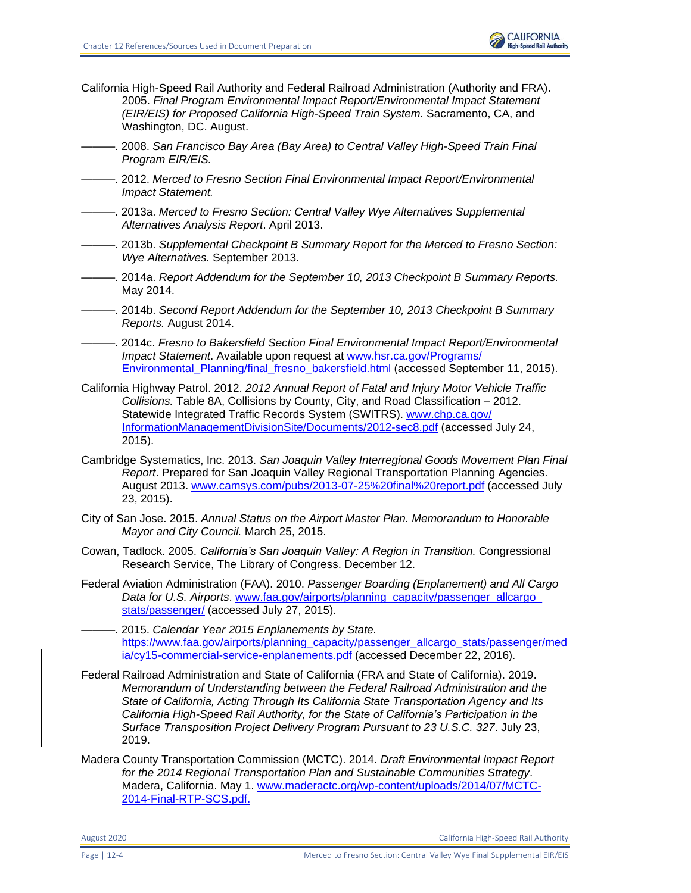- California High-Speed Rail Authority and Federal Railroad Administration (Authority and FRA). 2005. *Final Program Environmental Impact Report/Environmental Impact Statement (EIR/EIS) for Proposed California High-Speed Train System.* Sacramento, CA, and Washington, DC. August.
	- . 2008. San Francisco Bay Area (Bay Area) to Central Valley High-Speed Train Final *Program EIR/EIS.*
- ———. 2012. *Merced to Fresno Section Final Environmental Impact Report/Environmental Impact Statement.*
- ———. 2013a. *Merced to Fresno Section: Central Valley Wye Alternatives Supplemental Alternatives Analysis Report*. April 2013.
- ———. 2013b. *Supplemental Checkpoint B Summary Report for the Merced to Fresno Section: Wye Alternatives.* September 2013.
- ———. 2014a. *Report Addendum for the September 10, 2013 Checkpoint B Summary Reports.* May 2014.
- ———. 2014b. *Second Report Addendum for the September 10, 2013 Checkpoint B Summary Reports.* August 2014.
- ———. 2014c. *Fresno to Bakersfield Section Final Environmental Impact Report/Environmental Impact Statement*. Available upon request at [www.hsr.ca.gov/Programs/](http://www.hsr.ca.gov/‌Programs/‌Environmental_Planning/‌final_fresno_‌bakersfield.html) [Environmental\\_Planning/final\\_fresno\\_bakersfield.html](http://www.hsr.ca.gov/‌Programs/‌Environmental_Planning/‌final_fresno_‌bakersfield.html) (accessed September 11, 2015).
- California Highway Patrol. 2012. *2012 Annual Report of Fatal and Injury Motor Vehicle Traffic Collisions.* Table 8A, Collisions by County, City, and Road Classification – 2012. Statewide Integrated Traffic Records System (SWITRS). [www.chp.ca.gov/](https://www.chp.ca.gov/InformationManagementDivisionSite/Documents/2012-sec8.pdf%20(accessed%20July%2024) [InformationManagementDivisionSite/Documents/2012-sec8.pdf](https://www.chp.ca.gov/InformationManagementDivisionSite/Documents/2012-sec8.pdf%20(accessed%20July%2024) (accessed July 24, 2015).
- Cambridge Systematics, Inc. 2013. *San Joaquin Valley Interregional Goods Movement Plan Final Report*. Prepared for San Joaquin Valley Regional Transportation Planning Agencies. August 2013. [www.camsys.com/pubs/2013-07-25%20final%20report.pdf](http://www.camsys.com/pubs/2013-07-25%20final%20report.pdf) (accessed July 23, 2015).
- City of San Jose. 2015. *Annual Status on the Airport Master Plan. Memorandum to Honorable Mayor and City Council.* March 25, 2015.
- Cowan, Tadlock. 2005. *California's San Joaquin Valley: A Region in Transition.* Congressional Research Service, The Library of Congress. December 12.
- Federal Aviation Administration (FAA). 2010. *Passenger Boarding (Enplanement) and All Cargo Data for U.S. Airports*. [www.faa.gov/airports/planning\\_capacity/passenger\\_allcargo\\_](http://www.faa.gov/airports/planning_capacity/passenger_allcargo_stats/passenger/) [stats/passenger/](http://www.faa.gov/airports/planning_capacity/passenger_allcargo_stats/passenger/) (accessed July 27, 2015).
	- ———. 2015. *Calendar Year 2015 Enplanements by State.*  [https://www.faa.gov/airports/planning\\_capacity/passenger\\_allcargo\\_stats/passenger/med](https://www.faa.gov/airports/planning_capacity/passenger_allcargo_stats/passenger/media/cy15-commercial-service-enplanements.pdf) [ia/cy15-commercial-service-enplanements.pdf](https://www.faa.gov/airports/planning_capacity/passenger_allcargo_stats/passenger/media/cy15-commercial-service-enplanements.pdf) (accessed December 22, 2016).
- Federal Railroad Administration and State of California (FRA and State of California). 2019. *Memorandum of Understanding between the Federal Railroad Administration and the State of California, Acting Through Its California State Transportation Agency and Its California High-Speed Rail Authority, for the State of California's Participation in the Surface Transposition Project Delivery Program Pursuant to 23 U.S.C. 327*. July 23, 2019.
- Madera County Transportation Commission (MCTC). 2014. *Draft Environmental Impact Report for the 2014 Regional Transportation Plan and Sustainable Communities Strategy*. Madera, California. May 1. [www.maderactc.org/wp-content/uploads/2014/07/MCTC-](http://www.maderactc.org/wp-content/uploads/2014/07/MCTC-2014-Final-RTP-SCS.pdf.)[2014-Final-RTP-SCS.pdf.](http://www.maderactc.org/wp-content/uploads/2014/07/MCTC-2014-Final-RTP-SCS.pdf.)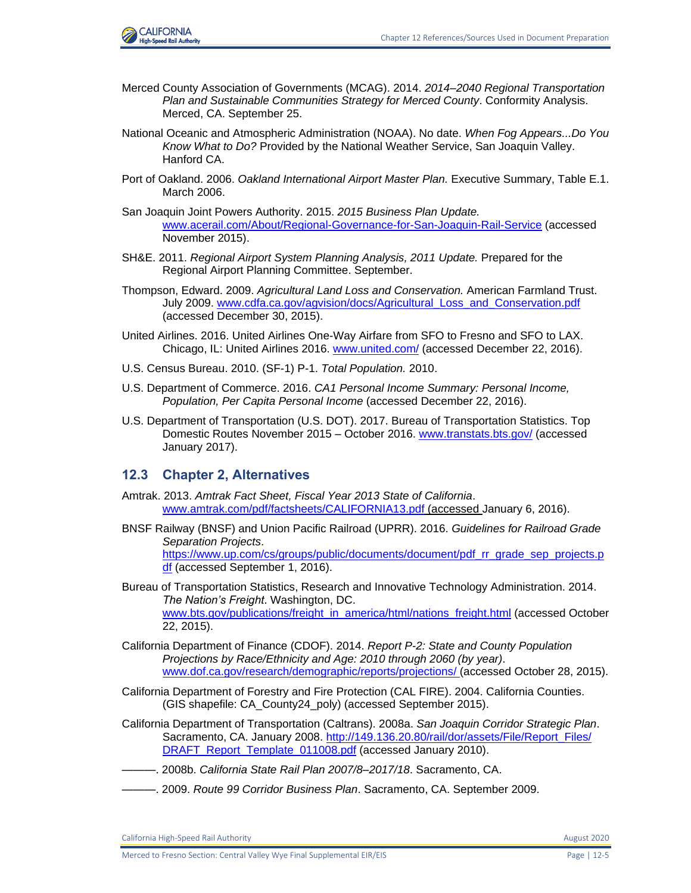

- Merced County Association of Governments (MCAG). 2014. *2014–2040 Regional Transportation Plan and Sustainable Communities Strategy for Merced County*. Conformity Analysis. Merced, CA. September 25.
- National Oceanic and Atmospheric Administration (NOAA). No date. *When Fog Appears...Do You Know What to Do?* Provided by the National Weather Service, San Joaquin Valley. Hanford CA.
- Port of Oakland. 2006. *Oakland International Airport Master Plan.* Executive Summary, Table E.1. March 2006.
- San Joaquin Joint Powers Authority. 2015. *2015 Business Plan Update.* [www.acerail.com/About/Regional-Governance-for-San-Joaquin-Rail-Service](file:///C:/Users/19339/Downloads/www.acerail.com/About/Regional-Governance-for-San-Joaquin-Rail-Service) (accessed November 2015).
- SH&E. 2011. *Regional Airport System Planning Analysis, 2011 Update.* Prepared for the Regional Airport Planning Committee. September.
- Thompson, Edward. 2009. *Agricultural Land Loss and Conservation.* American Farmland Trust. July 2009. [www.cdfa.ca.gov/agvision/docs/Agricultural\\_Loss\\_and\\_Conservation.pdf](https://www.cdfa.ca.gov/agvision/docs/Agricultural_Loss_and_Conservation.pdf) (accessed December 30, 2015).
- United Airlines. 2016. United Airlines One-Way Airfare from SFO to Fresno and SFO to LAX. Chicago, IL: United Airlines 2016. [www.united.com/](http://www.united.com/) (accessed December 22, 2016).
- U.S. Census Bureau. 2010. (SF-1) P-1. *Total Population.* 2010.
- U.S. Department of Commerce. 2016. *CA1 Personal Income Summary: Personal Income, Population, Per Capita Personal Income* (accessed December 22, 2016).
- U.S. Department of Transportation (U.S. DOT). 2017. Bureau of Transportation Statistics. Top Domestic Routes November 2015 – October 2016. [www.transtats.bts.gov/](https://projectspace.icfi.com/bis/ep-CaHSRA/EnvProgram/00533.15/Shared%20Documents/00_BACK%20MATTER_Distribution-Preparers-Refs-Glossary-Index-Acros/12%20References/www.transtats.bts.gov) (accessed January 2017).

# **12.3 Chapter 2, Alternatives**

- Amtrak. 2013. *Amtrak Fact Sheet, Fiscal Year 2013 State of California*. [www.amtrak.com/pdf/factsheets/CALIFORNIA13.pdf](http://www.amtrak.com/pdf/factsheets/CALIFORNIA13.pdf) (accessed January 6, 2016).
- BNSF Railway (BNSF) and Union Pacific Railroad (UPRR). 2016. *Guidelines for Railroad Grade Separation Projects*. [https://www.up.com/cs/groups/public/documents/document/pdf\\_rr\\_grade\\_sep\\_projects.p](https://www.up.com/cs/groups/public/documents/document/pdf_rr_grade_sep_projects.pdf) [df](https://www.up.com/cs/groups/public/documents/document/pdf_rr_grade_sep_projects.pdf) (accessed September 1, 2016).

Bureau of Transportation Statistics, Research and Innovative Technology Administration. 2014. *The Nation's Freight*. Washington, DC. [www.bts.gov/publications/freight\\_in\\_america/html/nations\\_freight.html](http://www.bts.gov/publications/freight_in_america/html/nations_freight.html) (accessed October 22, 2015).

- California Department of Finance (CDOF). 2014. *Report P-2: State and County Population Projections by Race/Ethnicity and Age: 2010 through 2060 (by year)*. [www.dof.ca.gov/research/demographic/reports/projections/ \(](http://www.dof.ca.gov/research/demographic/reports/projections/)accessed October 28, 2015).
- California Department of Forestry and Fire Protection (CAL FIRE). 2004. California Counties. (GIS shapefile: CA\_County24\_poly) (accessed September 2015).
- California Department of Transportation (Caltrans). 2008a. *San Joaquin Corridor Strategic Plan*. Sacramento, CA. January 2008. [http://149.136.20.80/rail/dor/assets/File/Report\\_Files/](http://149.136.20.80/rail/dor/assets/File/Report_Files/DRAFT_Report_Template_011008.pdf.%20Accessed%20July%202010) [DRAFT\\_Report\\_Template\\_011008.pdf](http://149.136.20.80/rail/dor/assets/File/Report_Files/DRAFT_Report_Template_011008.pdf.%20Accessed%20July%202010) (accessed January 2010).
- ———. 2008b. *California State Rail Plan 2007/8–2017/18*. Sacramento, CA.
- ———. 2009. *Route 99 Corridor Business Plan*. Sacramento, CA. September 2009.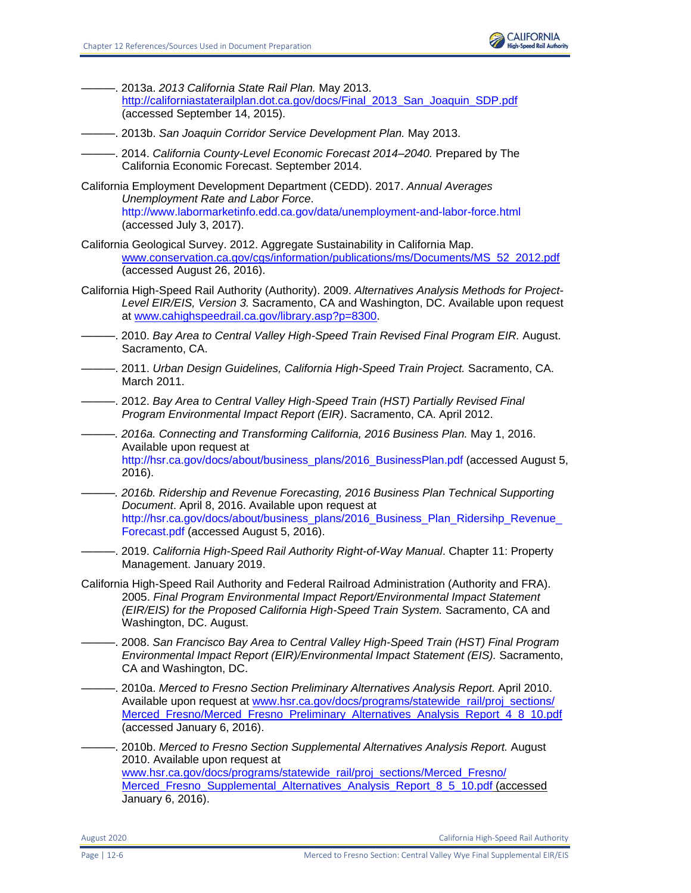

- ———. 2013a. *2013 California State Rail Plan.* May 2013. [http://californiastaterailplan.dot.ca.gov/docs/Final\\_2013\\_San\\_Joaquin\\_SDP.pdf](http://californiastaterailplan.dot.ca.gov/docs/Final_2013_San_Joaquin_SDP.pdf) (accessed September 14, 2015).
- ———. 2013b. *San Joaquin Corridor Service Development Plan.* May 2013.
- ———. 2014. *California County-Level Economic Forecast 2014–2040.* Prepared by The California Economic Forecast. September 2014.
- California Employment Development Department (CEDD). 2017. *Annual Averages Unemployment Rate and Labor Force*. <http://www.labormarketinfo.edd.ca.gov/data/unemployment-and-labor-force.html> (accessed July 3, 2017).
- California Geological Survey. 2012. Aggregate Sustainability in California Map. [www.conservation.ca.gov/cgs/information/publications/ms/Documents/MS\\_52\\_2012.pdf](http://www.conservation.ca.gov/cgs/information/publications/ms/Documents/MS_52_2012.pdf) (accessed August 26, 2016).
- California High-Speed Rail Authority (Authority). 2009. *Alternatives Analysis Methods for Project-Level EIR/EIS, Version 3.* Sacramento, CA and Washington, DC. Available upon request at [www.cahighspeedrail.ca.gov/library.asp?p=8300.](http://www.cahighspeedrail.ca.gov/library.asp?p=8300)
- ———. 2010. *Bay Area to Central Valley High-Speed Train Revised Final Program EIR.* August. Sacramento, CA.
- ———. 2011. *Urban Design Guidelines, California High-Speed Train Project.* Sacramento, CA. March 2011.
- ———. 2012. *Bay Area to Central Valley High-Speed Train (HST) Partially Revised Final Program Environmental Impact Report (EIR)*. Sacramento, CA. April 2012.
- *———. 2016a. Connecting and Transforming California, 2016 Business Plan.* May 1, 2016. Available upon request at [http://hsr.ca.gov/docs/about/business\\_plans/2016\\_BusinessPlan.pdf](http://hsr.ca.gov/docs/about/business_plans/2016_BusinessPlan.pdf) (accessed August 5, 2016).
- *———. 2016b. Ridership and Revenue Forecasting, 2016 Business Plan Technical Supporting Document*. April 8, 2016. Available upon request at [http://hsr.ca.gov/docs/about/business\\_plans/2016\\_Business\\_Plan\\_Ridersihp\\_Revenue\\_](http://hsr.ca.gov/docs/about/business_plans/2016_Business_Plan_Ridersihp_Revenue_Forecast.pdf) [Forecast.pdf](http://hsr.ca.gov/docs/about/business_plans/2016_Business_Plan_Ridersihp_Revenue_Forecast.pdf) (accessed August 5, 2016).
- ———. 2019. *California High-Speed Rail Authority Right-of-Way Manual*. Chapter 11: Property Management. January 2019.
- California High-Speed Rail Authority and Federal Railroad Administration (Authority and FRA). 2005. *Final Program Environmental Impact Report/Environmental Impact Statement (EIR/EIS) for the Proposed California High-Speed Train System.* Sacramento, CA and Washington, DC. August.
- ———. 2008. *San Francisco Bay Area to Central Valley High-Speed Train (HST) Final Program Environmental Impact Report (EIR)/Environmental Impact Statement (EIS).* Sacramento, CA and Washington, DC.
- ———. 2010a. *Merced to Fresno Section Preliminary Alternatives Analysis Report.* April 2010. Available upon request at [www.hsr.ca.gov/docs/programs/statewide\\_rail/proj\\_sections/](http://www.hsr.ca.gov/docs/programs/statewide_rail/proj_sections/Merced_Fresno/Merced_Fresno_Preliminary_Alternatives_Analysis_Report_4_8_10.pdf) [Merced\\_Fresno/Merced\\_Fresno\\_Preliminary\\_Alternatives\\_Analysis\\_Report\\_4\\_8\\_10.pdf](http://www.hsr.ca.gov/docs/programs/statewide_rail/proj_sections/Merced_Fresno/Merced_Fresno_Preliminary_Alternatives_Analysis_Report_4_8_10.pdf) (accessed January 6, 2016).
- ———. 2010b. *Merced to Fresno Section Supplemental Alternatives Analysis Report.* August 2010. Available upon request at [www.hsr.ca.gov/docs/programs/statewide\\_rail/proj\\_sections/Merced\\_Fresno/](http://www.hsr.ca.gov/docs/programs/statewide_rail/proj_sections/Merced_Fresno/Merced_Fresno_Supplemental_Alternatives_Analysis_Report_8_5_10.pdf) Merced Fresno\_Supplemental\_Alternatives\_Analysis\_Report\_8\_5\_10.pdf (accessed January 6, 2016).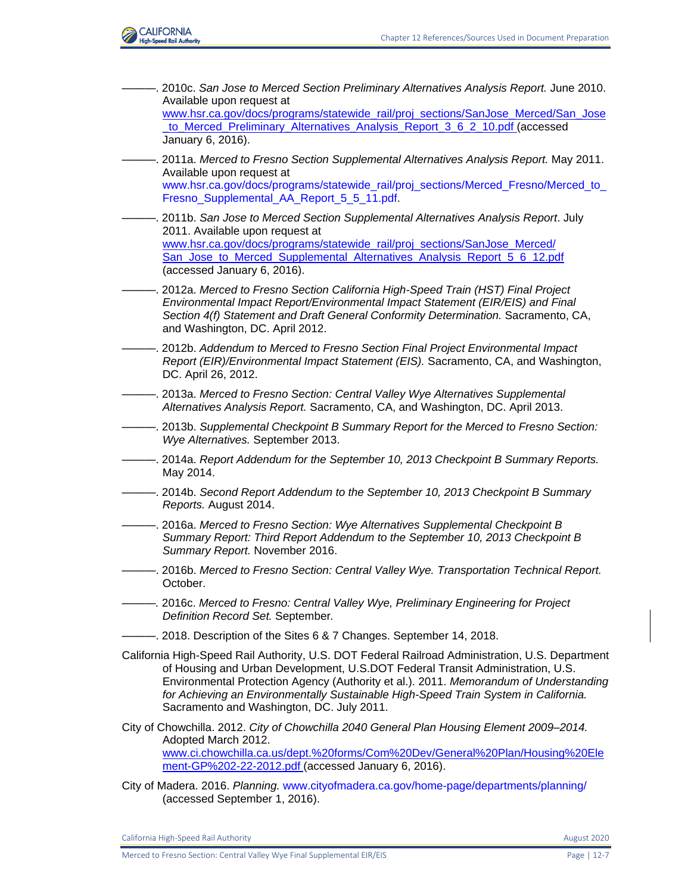

———. 2010c. *San Jose to Merced Section Preliminary Alternatives Analysis Report.* June 2010. Available upon request at [www.hsr.ca.gov/docs/programs/statewide\\_rail/proj\\_sections/SanJose\\_Merced/San\\_Jose](http://www.hsr.ca.gov/docs/programs/statewide_rail/proj_sections/SanJose_Merced/San_Jose_to_Merced_Preliminary_Alternatives_Analysis_Report_3_6_2_10.pdf) [\\_to\\_Merced\\_Preliminary\\_Alternatives\\_Analysis\\_Report\\_3\\_6\\_2\\_10.pdf \(](http://www.hsr.ca.gov/docs/programs/statewide_rail/proj_sections/SanJose_Merced/San_Jose_to_Merced_Preliminary_Alternatives_Analysis_Report_3_6_2_10.pdf)accessed January 6, 2016). ———. 2011a. *Merced to Fresno Section Supplemental Alternatives Analysis Report.* May 2011. Available upon request at [www.hsr.ca.gov/docs/programs/statewide\\_rail/proj\\_sections/Merced\\_Fresno/Merced\\_to\\_](http://www.hsr.ca.gov/docs/programs/statewide_rail/proj_sections/Merced_Fresno/Merced_to_Fresno_Supplemental_AA_Report_5_5_11.pdf) [Fresno\\_Supplemental\\_AA\\_Report\\_5\\_5\\_11.pdf.](http://www.hsr.ca.gov/docs/programs/statewide_rail/proj_sections/Merced_Fresno/Merced_to_Fresno_Supplemental_AA_Report_5_5_11.pdf) ———. 2011b. *San Jose to Merced Section Supplemental Alternatives Analysis Report*. July 2011. Available upon request at [www.hsr.ca.gov/docs/programs/statewide\\_rail/proj\\_sections/SanJose\\_Merced/](http://www.hsr.ca.gov/docs/programs/statewide_rail/proj_sections/SanJose_Merced/San_Jose_to_Merced_Supplemental_Alternatives_Analysis_Report_5_6_12.pdf) [San\\_Jose\\_to\\_Merced\\_Supplemental\\_Alternatives\\_Analysis\\_Report\\_5\\_6\\_12.pdf](http://www.hsr.ca.gov/docs/programs/statewide_rail/proj_sections/SanJose_Merced/San_Jose_to_Merced_Supplemental_Alternatives_Analysis_Report_5_6_12.pdf) (accessed January 6, 2016). ———. 2012a. *Merced to Fresno Section California High-Speed Train (HST) Final Project Environmental Impact Report/Environmental Impact Statement (EIR/EIS) and Final Section 4(f) Statement and Draft General Conformity Determination.* Sacramento, CA, and Washington, DC. April 2012. ———. 2012b. *Addendum to Merced to Fresno Section Final Project Environmental Impact Report (EIR)/Environmental Impact Statement (EIS).* Sacramento, CA, and Washington, DC. April 26, 2012. ———. 2013a. *Merced to Fresno Section: Central Valley Wye Alternatives Supplemental Alternatives Analysis Report.* Sacramento, CA, and Washington, DC. April 2013. ———. 2013b. *Supplemental Checkpoint B Summary Report for the Merced to Fresno Section: Wye Alternatives.* September 2013. ———. 2014a. *Report Addendum for the September 10, 2013 Checkpoint B Summary Reports.* May 2014. ———. 2014b. *Second Report Addendum to the September 10, 2013 Checkpoint B Summary Reports.* August 2014. ———. 2016a. *Merced to Fresno Section: Wye Alternatives Supplemental Checkpoint B Summary Report: Third Report Addendum to the September 10, 2013 Checkpoint B Summary Report.* November 2016. ———. 2016b. *Merced to Fresno Section: Central Valley Wye. Transportation Technical Report.* October. *———.* 2016c. *Merced to Fresno: Central Valley Wye, Preliminary Engineering for Project Definition Record Set.* September*.* ———. 2018. Description of the Sites 6 & 7 Changes. September 14, 2018. California High-Speed Rail Authority, U.S. DOT Federal Railroad Administration, U.S. Department of Housing and Urban Development, U.S.DOT Federal Transit Administration, U.S. Environmental Protection Agency (Authority et al.). 2011. *Memorandum of Understanding for Achieving an Environmentally Sustainable High-Speed Train System in California.*  Sacramento and Washington, DC. July 2011. City of Chowchilla. 2012. *City of Chowchilla 2040 General Plan Housing Element 2009–2014.*  Adopted March 2012. [www.ci.chowchilla.ca.us/dept.%20forms/Com%20Dev/General%20Plan/Housing%20Ele](http://www.ci.chowchilla.ca.us/dept.%20forms/Com%20Dev/General%20Plan/Housing%20Element-GP%202-22-2012.pdf) [ment-GP%202-22-2012.pdf](http://www.ci.chowchilla.ca.us/dept.%20forms/Com%20Dev/General%20Plan/Housing%20Element-GP%202-22-2012.pdf) (accessed January 6, 2016). City of Madera. 2016. *Planning.* [www.cityofmadera.ca.gov/home-page/departments/planning/](file:///C:/Users/19339/Downloads/www.cityofmadera.ca.gov/home-page/departments/planning) (accessed September 1, 2016).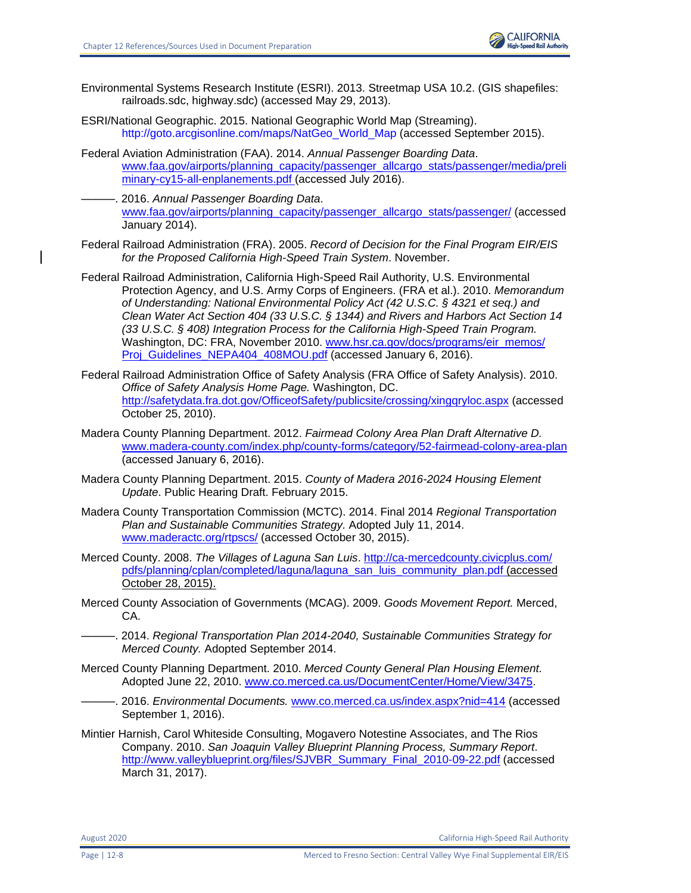

- Environmental Systems Research Institute (ESRI). 2013. Streetmap USA 10.2. (GIS shapefiles: railroads.sdc, highway.sdc) (accessed May 29, 2013).
- ESRI/National Geographic. 2015. National Geographic World Map (Streaming). [http://goto.arcgisonline.com/maps/NatGeo\\_World\\_Map](http://goto.arcgisonline.com/maps/NatGeo_World_Map) (accessed September 2015).
- Federal Aviation Administration (FAA). 2014. *Annual Passenger Boarding Data*. www.faa.gov/airports/planning\_capacity/passenger\_allcargo\_stats/passenger/media/preli minary-cy15-all-enplanements.pdf (accessed July 2016).
	- ———. 2016. *Annual Passenger Boarding Data*. [www.faa.gov/airports/planning\\_capacity/passenger\\_allcargo\\_stats/passenger/](http://www.faa.gov/airports/planning_capacity/passenger_allcargo_stats/passenger/) (accessed January 2014).
- Federal Railroad Administration (FRA). 2005. *Record of Decision for the Final Program EIR/EIS for the Proposed California High-Speed Train System*. November.
- Federal Railroad Administration, California High-Speed Rail Authority, U.S. Environmental Protection Agency, and U.S. Army Corps of Engineers. (FRA et al.). 2010. *Memorandum of Understanding: National Environmental Policy Act (42 U.S.C. § 4321 et seq.) and Clean Water Act Section 404 (33 U.S.C. § 1344) and Rivers and Harbors Act Section 14 (33 U.S.C. § 408) Integration Process for the California High-Speed Train Program.*  Washington, DC: FRA, November 2010. [www.hsr.ca.gov/docs/programs/eir\\_memos/](http://www.hsr.ca.gov/docs/programs/eir_memos/Proj_Guidelines_NEPA404_408MOU.pdf) [Proj\\_Guidelines\\_NEPA404\\_408MOU.pdf](http://www.hsr.ca.gov/docs/programs/eir_memos/Proj_Guidelines_NEPA404_408MOU.pdf) (accessed January 6, 2016).
- Federal Railroad Administration Office of Safety Analysis (FRA Office of Safety Analysis). 2010. *Office of Safety Analysis Home Page.* Washington, DC. <http://safetydata.fra.dot.gov/OfficeofSafety/publicsite/crossing/xingqryloc.aspx> (accessed October 25, 2010).
- Madera County Planning Department. 2012. *Fairmead Colony Area Plan Draft Alternative D.*  [www.madera-county.com/index.php/county-forms/category/52-fairmead-colony-area-plan](http://www.madera-county.com/index.php/county-forms/category/52-fairmead-colony-area-plan) (accessed January 6, 2016).
- Madera County Planning Department. 2015. *County of Madera 2016-2024 Housing Element Update*. Public Hearing Draft. February 2015.
- Madera County Transportation Commission (MCTC). 2014. Final 2014 *Regional Transportation Plan and Sustainable Communities Strategy.* Adopted July 11, 2014. [www.maderactc.org/rtpscs/](http://www.maderactc.org/rtpscs/) (accessed October 30, 2015).
- Merced County. 2008. *The Villages of Laguna San Luis*. [http://ca-mercedcounty.civicplus.com/](http://ca-mercedcounty.civicplus.com/pdfs/planning/cplan/completed/laguna/laguna_san_luis_community_plan.pdf) [pdfs/planning/cplan/completed/laguna/laguna\\_san\\_luis\\_community\\_plan.pdf](http://ca-mercedcounty.civicplus.com/pdfs/planning/cplan/completed/laguna/laguna_san_luis_community_plan.pdf) (accessed October 28, 2015).
- Merced County Association of Governments (MCAG). 2009. *Goods Movement Report.* Merced, CA.
- ———. 2014. *Regional Transportation Plan 2014-2040, Sustainable Communities Strategy for Merced County.* Adopted September 2014.
- Merced County Planning Department. 2010. *Merced County General Plan Housing Element.*  Adopted June 22, 2010. [www.co.merced.ca.us/DocumentCenter/Home/View/3475.](http://www.co.merced.ca.us/DocumentCenter/Home/View/3475)
- ———. 2016. *Environmental Documents.* [www.co.merced.ca.us/index.aspx?nid=414](http://www.co.merced.ca.us/index.aspx?nid=414) (accessed September 1, 2016).
- Mintier Harnish, Carol Whiteside Consulting, Mogavero Notestine Associates, and The Rios Company. 2010. *San Joaquin Valley Blueprint Planning Process, Summary Report*. [http://www.valleyblueprint.org/files/SJVBR\\_Summary\\_Final\\_2010-09-22.pdf](http://www.valleyblueprint.org/files/SJVBR_Summary_Final_2010-09-22.pdf) (accessed March 31, 2017).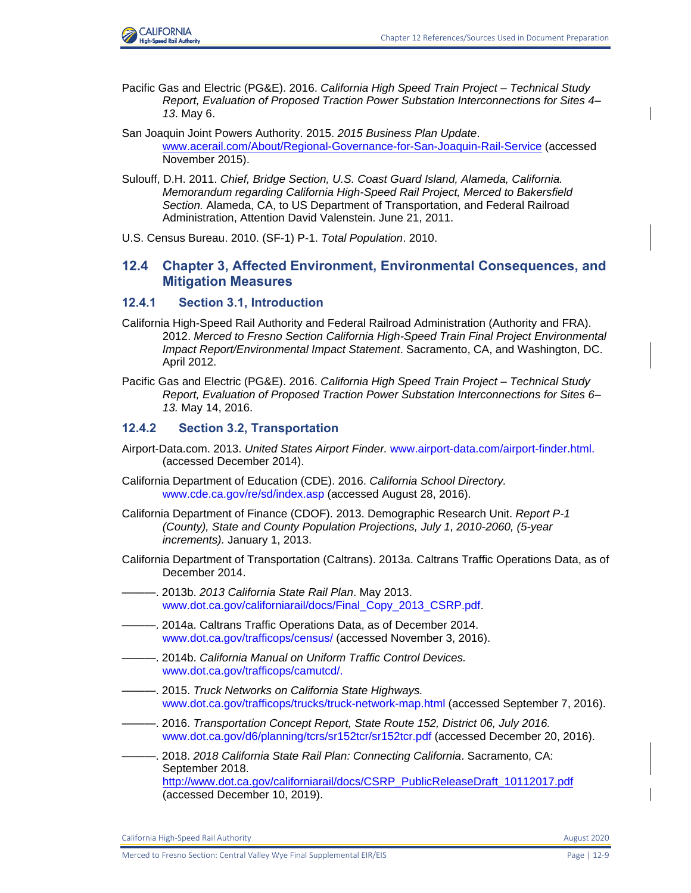

- Pacific Gas and Electric (PG&E). 2016. *California High Speed Train Project – Technical Study Report, Evaluation of Proposed Traction Power Substation Interconnections for Sites 4– 13*. May 6.
- San Joaquin Joint Powers Authority. 2015. *2015 Business Plan Update*. [www.acerail.com/About/Regional-Governance-for-San-Joaquin-Rail-Service](http://www.acerail.com/About/Regional-Governance-for-San-Joaquin-Rail-Service) (accessed November 2015).
- Sulouff, D.H. 2011. *Chief, Bridge Section, U.S. Coast Guard Island, Alameda, California. Memorandum regarding California High-Speed Rail Project, Merced to Bakersfield Section.* Alameda, CA, to US Department of Transportation, and Federal Railroad Administration, Attention David Valenstein. June 21, 2011.
- U.S. Census Bureau. 2010. (SF-1) P-1. *Total Population*. 2010.

# **12.4 Chapter 3, Affected Environment, Environmental Consequences, and Mitigation Measures**

# **12.4.1 Section 3.1, Introduction**

- California High-Speed Rail Authority and Federal Railroad Administration (Authority and FRA). 2012. *Merced to Fresno Section California High-Speed Train Final Project Environmental Impact Report/Environmental Impact Statement*. Sacramento, CA, and Washington, DC. April 2012.
- Pacific Gas and Electric (PG&E). 2016. *California High Speed Train Project – Technical Study Report, Evaluation of Proposed Traction Power Substation Interconnections for Sites 6– 13.* May 14, 2016.

#### **12.4.2 Section 3.2, Transportation**

- Airport-Data.com. 2013. *United States Airport Finder.* [www.airport-data.com/airport-finder.html.](file:///C:/Users/19339/Downloads/www.airport-data.com/airport-finder.html) (accessed December 2014).
- California Department of Education (CDE). 2016. *California School Directory.* [www.cde.ca.gov/re/sd/index.asp](http://www.cde.ca.gov/re/sd/index.asp) (accessed August 28, 2016).
- California Department of Finance (CDOF). 2013. Demographic Research Unit. *Report P-1 (County), State and County Population Projections, July 1, 2010-2060, (5-year increments).* January 1, 2013.
- California Department of Transportation (Caltrans). 2013a. Caltrans Traffic Operations Data, as of December 2014.
- ———. 2013b. *2013 California State Rail Plan*. May 2013. [www.dot.ca.gov/californiarail/docs/Final\\_Copy\\_2013\\_CSRP.pdf.](http://www.dot.ca.gov/californiarail/docs/Final_Copy_2013_CSRP.pdf)
- ———. 2014a. Caltrans Traffic Operations Data, as of December 2014. [www.dot.ca.gov/trafficops/census/](http://www.dot.ca.gov/trafficops/census/) (accessed November 3, 2016).
- ———. 2014b. *California Manual on Uniform Traffic Control Devices.*  www.dot.ca.gov/trafficops/camutcd/.
- ———. 2015. *Truck Networks on California State Highways.*  [www.dot.ca.gov/trafficops/trucks/truck-network-map.html](http://www.dot.ca.gov/trafficops/trucks/truck-network-map.html) (accessed September 7, 2016).
- ———. 2016. *Transportation Concept Report, State Route 152, District 06, July 2016.*  [www.dot.ca.gov/d6/planning/tcrs/sr152tcr/sr152tcr.pdf](http://www.dot.ca.gov/d6/planning/tcrs/sr152tcr/sr152tcr.pdf) (accessed December 20, 2016).
- ———. 2018. *2018 California State Rail Plan: Connecting California*. Sacramento, CA: September 2018. [http://www.dot.ca.gov/californiarail/docs/CSRP\\_PublicReleaseDraft\\_10112017.pdf](http://www.dot.ca.gov/californiarail/docs/CSRP_PublicReleaseDraft_10112017.pdf) (accessed December 10, 2019).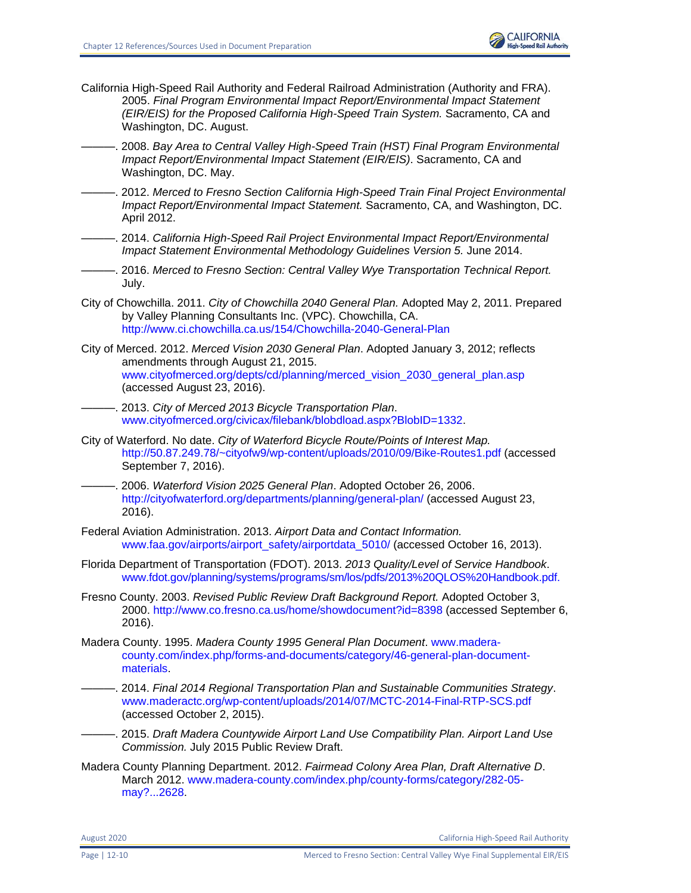

- California High-Speed Rail Authority and Federal Railroad Administration (Authority and FRA). 2005. *Final Program Environmental Impact Report/Environmental Impact Statement (EIR/EIS) for the Proposed California High-Speed Train System.* Sacramento, CA and Washington, DC. August.
- ———. 2008. *Bay Area to Central Valley High-Speed Train (HST) Final Program Environmental Impact Report/Environmental Impact Statement (EIR/EIS)*. Sacramento, CA and Washington, DC. May.
- ———. 2012. *Merced to Fresno Section California High-Speed Train Final Project Environmental Impact Report/Environmental Impact Statement.* Sacramento, CA, and Washington, DC. April 2012.
	- ———. 2014. *California High-Speed Rail Project Environmental Impact Report/Environmental Impact Statement Environmental Methodology Guidelines Version 5.* June 2014.
- ———. 2016. *Merced to Fresno Section: Central Valley Wye Transportation Technical Report.*  July.
- City of Chowchilla. 2011. *City of Chowchilla 2040 General Plan.* Adopted May 2, 2011. Prepared by Valley Planning Consultants Inc. (VPC). Chowchilla, CA. <http://www.ci.chowchilla.ca.us/154/Chowchilla-2040-General-Plan>
- City of Merced. 2012. *Merced Vision 2030 General Plan*. Adopted January 3, 2012; reflects amendments through August 21, 2015. [www.cityofmerced.org/depts/cd/planning/merced\\_vision\\_2030\\_general\\_plan.asp](http://www.cityofmerced.org/depts/cd/planning/merced_vision_2030_general_plan.asp) (accessed August 23, 2016).
	- ———. 2013. *City of Merced 2013 Bicycle Transportation Plan*. [www.cityofmerced.org/civicax/filebank/blobdload.aspx?BlobID=1332.](http://www.cityofmerced.org/civicax/filebank/blobdload.aspx?BlobID=1332)
- City of Waterford. No date. *City of Waterford Bicycle Route/Points of Interest Map.* <http://50.87.249.78/~cityofw9/wp-content/uploads/2010/09/Bike-Routes1.pdf> (accessed September 7, 2016).
- ———. 2006. *Waterford Vision 2025 General Plan*. Adopted October 26, 2006. <http://cityofwaterford.org/departments/planning/general-plan/> (accessed August 23, 2016).
- Federal Aviation Administration. 2013. *Airport Data and Contact Information.*  [www.faa.gov/airports/airport\\_safety/airportdata\\_5010/](http://www.faa.gov/airports/airport_safety/airportdata_5010/) (accessed October 16, 2013).
- Florida Department of Transportation (FDOT). 2013. *2013 Quality/Level of Service Handbook*. [www.fdot.gov/planning/systems/programs/sm/los/pdfs/2013%20QLOS%20Handbook.pdf.](http://www.fdot.gov/planning/systems/programs/sm/los/pdfs/2013%20QLOS%20Handbook.pdf)
- Fresno County. 2003. *Revised Public Review Draft Background Report.* Adopted October 3, 2000.<http://www.co.fresno.ca.us/home/showdocument?id=8398> (accessed September 6, 2016).
- Madera County. 1995. *Madera County 1995 General Plan Document*. [www.madera](http://www.madera-county.com/index.php/forms-and-documents/category/46-general-plan-document-materials)[county.com/index.php/forms-and-documents/category/46-general-plan-document](http://www.madera-county.com/index.php/forms-and-documents/category/46-general-plan-document-materials)[materials.](http://www.madera-county.com/index.php/forms-and-documents/category/46-general-plan-document-materials)
- ———. 2014. *Final 2014 Regional Transportation Plan and Sustainable Communities Strategy*. [www.maderactc.org/wp-content/uploads/2014/07/MCTC-2014-Final-RTP-SCS.pdf](http://www.maderactc.org/wp-content/uploads/2014/07/MCTC-2014-Final-RTP-SCS.pdf) (accessed October 2, 2015).
- ———. 2015. *Draft Madera Countywide Airport Land Use Compatibility Plan. Airport Land Use Commission.* July 2015 Public Review Draft.
- Madera County Planning Department. 2012. *Fairmead Colony Area Plan, Draft Alternative D*. March 2012. [www.madera-county.com/index.php/county-forms/category/282-05](http://www.madera-county.com/index.php/county-forms/category/282-05-may?...2628) [may?...2628.](http://www.madera-county.com/index.php/county-forms/category/282-05-may?...2628)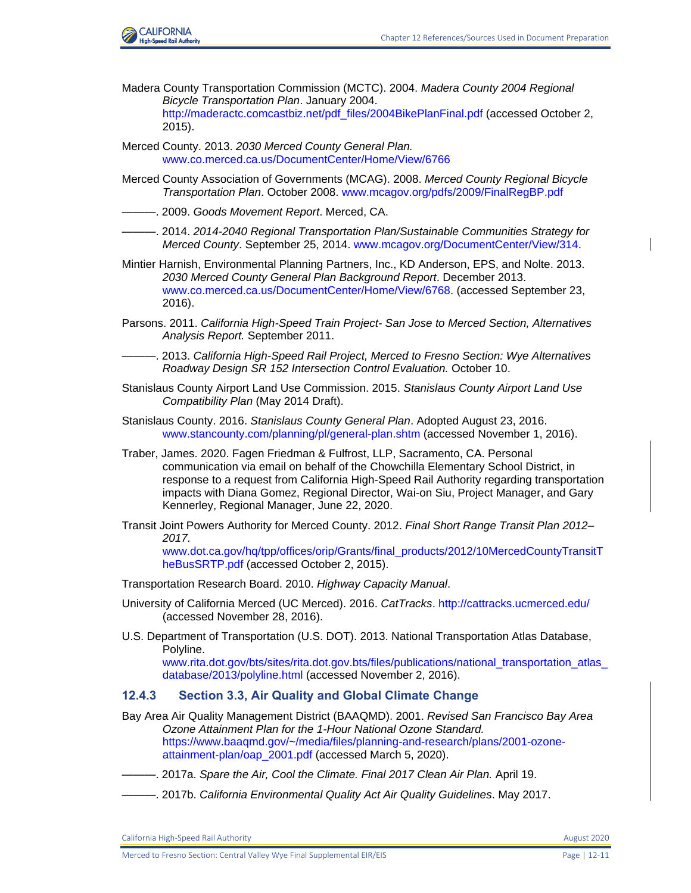

- Madera County Transportation Commission (MCTC). 2004. *Madera County 2004 Regional Bicycle Transportation Plan*. January 2004. [http://maderactc.comcastbiz.net/pdf\\_files/2004BikePlanFinal.pdf](http://maderactc.comcastbiz.net/pdf_files/2004BikePlanFinal.pdf) (accessed October 2, 2015).
- Merced County. 2013. *2030 Merced County General Plan.*  [www.co.merced.ca.us/DocumentCenter/Home/View/6766](http://www.co.merced.ca.us/DocumentCenter/Home/View/6766)
- Merced County Association of Governments (MCAG). 2008. *Merced County Regional Bicycle Transportation Plan*. October 2008. [www.mcagov.org/pdfs/2009/FinalRegBP.pdf](http://www.mcagov.org/pdfs/2009/FinalRegBP.pdf)
- ———. 2009. *Goods Movement Report*. Merced, CA.
- ———. 2014. *2014-2040 Regional Transportation Plan/Sustainable Communities Strategy for Merced County*. September 25, 2014. [www.mcagov.org/DocumentCenter/View/314.](file:///C:/Users/19339/Downloads/www.mcagov.org/DocumentCenter/View/314)
- Mintier Harnish, Environmental Planning Partners, Inc., KD Anderson, EPS, and Nolte. 2013. *2030 Merced County General Plan Background Report*. December 2013. [www.co.merced.ca.us/DocumentCenter/Home/View/6768.](file:///C:/Users/p005442A/Downloads/www.co.merced.ca.us/DocumentCenter/Home/View/6768) (accessed September 23, 2016).
- Parsons. 2011. *California High-Speed Train Project- San Jose to Merced Section, Alternatives Analysis Report.* September 2011.
- ———. 2013. *California High-Speed Rail Project, Merced to Fresno Section: Wye Alternatives Roadway Design SR 152 Intersection Control Evaluation.* October 10.
- Stanislaus County Airport Land Use Commission. 2015. *Stanislaus County Airport Land Use Compatibility Plan* (May 2014 Draft).
- Stanislaus County. 2016. *Stanislaus County General Plan*. Adopted August 23, 2016. [www.stancounty.com/planning/pl/general-plan.shtm](file:///C:/Users/Reynolds/AppData/Local/Microsoft/Windows/Temporary%20Internet%20Files/IE/7P8Q5C3Q/www.stancounty.com/planning/pl/general-plan.shtm) (accessed November 1, 2016).
- Traber, James. 2020. Fagen Friedman & Fulfrost, LLP, Sacramento, CA. Personal communication via email on behalf of the Chowchilla Elementary School District, in response to a request from California High-Speed Rail Authority regarding transportation impacts with Diana Gomez, Regional Director, Wai-on Siu, Project Manager, and Gary Kennerley, Regional Manager, June 22, 2020.
- Transit Joint Powers Authority for Merced County. 2012. *Final Short Range Transit Plan 2012– 2017.*

[www.dot.ca.gov/hq/tpp/offices/orip/Grants/final\\_products/2012/10MercedCountyTransitT](http://www.dot.ca.gov/hq/tpp/offices/orip/Grants/final_products/2012/10MercedCountyTransitTheBusSRTP.pdf) [heBusSRTP.pdf](http://www.dot.ca.gov/hq/tpp/offices/orip/Grants/final_products/2012/10MercedCountyTransitTheBusSRTP.pdf) (accessed October 2, 2015).

Transportation Research Board. 2010. *Highway Capacity Manual*.

- University of California Merced (UC Merced). 2016. *CatTracks*.<http://cattracks.ucmerced.edu/> (accessed November 28, 2016).
- U.S. Department of Transportation (U.S. DOT). 2013. National Transportation Atlas Database, Polyline. [www.rita.dot.gov/bts/sites/rita.dot.gov.bts/files/publications/national\\_transportation\\_atlas\\_](http://www.rita.dot.gov/bts/sites/rita.dot.gov.bts/files/publications/national_transportation_atlas_database/2013/polyline.html)

[database/2013/polyline.html](http://www.rita.dot.gov/bts/sites/rita.dot.gov.bts/files/publications/national_transportation_atlas_database/2013/polyline.html) (accessed November 2, 2016).

#### **12.4.3 Section 3.3, Air Quality and Global Climate Change**

Bay Area Air Quality Management District (BAAQMD). 2001. *Revised San Francisco Bay Area Ozone Attainment Plan for the 1-Hour National Ozone Standard.* [https://www.baaqmd.gov/~/media/files/planning-and-research/plans/2001-ozone](https://www.baaqmd.gov/~/media/files/planning-and-research/plans/2001-ozone-attainment-plan/oap_2001.pdf)[attainment-plan/oap\\_2001.pdf](https://www.baaqmd.gov/~/media/files/planning-and-research/plans/2001-ozone-attainment-plan/oap_2001.pdf) (accessed March 5, 2020).

- ———. 2017a. *Spare the Air, Cool the Climate. Final 2017 Clean Air Plan.* April 19.
- ———. 2017b. *California Environmental Quality Act Air Quality Guidelines*. May 2017.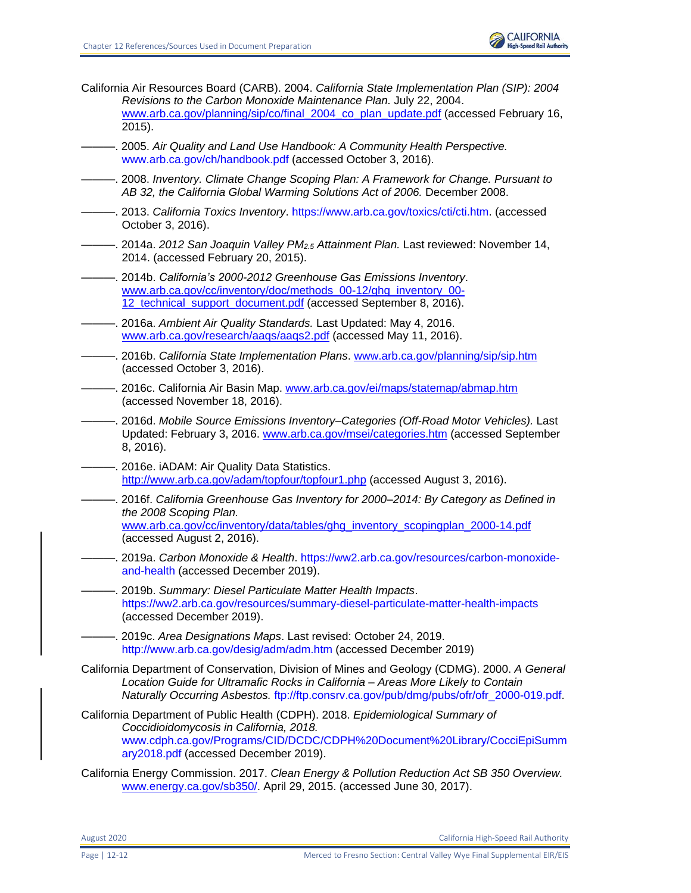

- California Air Resources Board (CARB). 2004. *California State Implementation Plan (SIP): 2004 Revisions to the Carbon Monoxide Maintenance Plan.* July 22, 2004. www.arb.ca.gov/planning/sip/co/final 2004 co\_plan\_update.pdf (accessed February 16, 2015).
- ———. 2005. *Air Quality and Land Use Handbook: A Community Health Perspective.* [www.arb.ca.gov/ch/handbook.pdf](file:///C:/Users/19339/Downloads/www.arb.ca.gov/ch/handbook.pdf) (accessed October 3, 2016).
- ———. 2008. *Inventory. Climate Change Scoping Plan: A Framework for Change. Pursuant to AB 32, the California Global Warming Solutions Act of 2006.* December 2008.
- ———. 2013. *California Toxics Inventory*[. https://www.arb.ca.gov/toxics/cti/cti.htm.](https://www.arb.ca.gov/toxics/cti/cti.htm) (accessed October 3, 2016).
- ———. 2014a. *2012 San Joaquin Valley PM2.5 Attainment Plan.* Last reviewed: November 14, 2014. (accessed February 20, 2015).
- ———. 2014b. *California's 2000-2012 Greenhouse Gas Emissions Inventory*. www.arb.ca.gov/cc/inventory/doc/methods\_00-12/ghg\_inventory\_00- 12 technical support document.pdf (accessed September 8, 2016).
- ———. 2016a. *Ambient Air Quality Standards.* Last Updated: May 4, 2016. www.arb.ca.gov/research/aaqs/aaqs2.pdf (accessed May 11, 2016).
- ———. 2016b. *California State Implementation Plans*. www.arb.ca.gov/planning/sip/sip.htm (accessed October 3, 2016).
- ———. 2016c. California Air Basin Map. www.arb.ca.gov/ei/maps/statemap/abmap.htm (accessed November 18, 2016).
- ———. 2016d. *Mobile Source Emissions Inventory–Categories (Off-Road Motor Vehicles).* Last Updated: February 3, 2016. www.arb.ca.gov/msei/categories.htm (accessed September 8, 2016).
- —. 2016e. iADAM: Air Quality Data Statistics. http://www.arb.ca.gov/adam/topfour/topfour1.php (accessed August 3, 2016).
- ———. 2016f. *California Greenhouse Gas Inventory for 2000–2014: By Category as Defined in the 2008 Scoping Plan.* www.arb.ca.gov/cc/inventory/data/tables/ghg\_inventory\_scopingplan\_2000-14.pdf (accessed August 2, 2016).
- ———. 2019a. *Carbon Monoxide & Health*. [https://ww2.arb.ca.gov/resources/carbon-monoxide](https://ww2.arb.ca.gov/resources/carbon-monoxide-and-health)[and-health](https://ww2.arb.ca.gov/resources/carbon-monoxide-and-health) (accessed December 2019).
- ———. 2019b. *Summary: Diesel Particulate Matter Health Impacts*. <https://ww2.arb.ca.gov/resources/summary-diesel-particulate-matter-health-impacts> (accessed December 2019).
- ———. 2019c. *Area Designations Maps*. Last revised: October 24, 2019. <http://www.arb.ca.gov/desig/adm/adm.htm> (accessed December 2019)
- California Department of Conservation, Division of Mines and Geology (CDMG). 2000. *A General Location Guide for Ultramafic Rocks in California – Areas More Likely to Contain Naturally Occurring Asbestos.* [ftp://ftp.consrv.ca.gov/pub/dmg/pubs/ofr/ofr\\_2000-019.pdf.](ftp://ftp.consrv.ca.gov/pub/dmg/pubs/ofr/ofr_2000-019.pdf)
- California Department of Public Health (CDPH). 2018. *Epidemiological Summary of Coccidioidomycosis in California, 2018.* [www.cdph.ca.gov/Programs/CID/DCDC/CDPH%20Document%20Library/CocciEpiSumm](file:///C:/Users/19339/Downloads/www.cdph.ca.gov/Programs/CID/DCDC/CDPH%20Document%20Library/CocciEpiSummary2018.pdf) [ary2018.pdf](file:///C:/Users/19339/Downloads/www.cdph.ca.gov/Programs/CID/DCDC/CDPH%20Document%20Library/CocciEpiSummary2018.pdf) (accessed December 2019).
- California Energy Commission. 2017. *Clean Energy & Pollution Reduction Act SB 350 Overview.* www.energy.ca.gov/sb350/. April 29, 2015. (accessed June 30, 2017).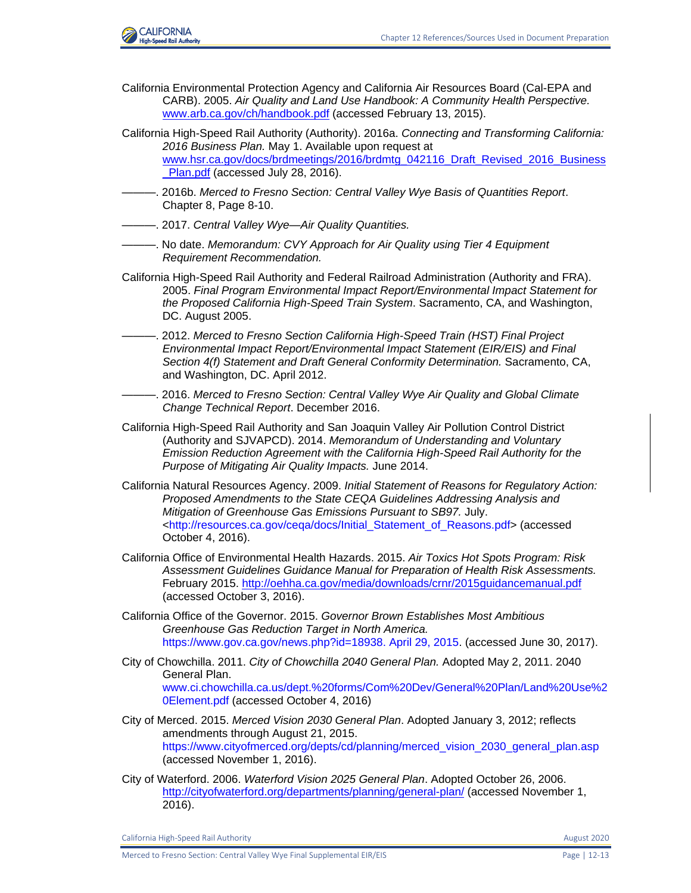

- California Environmental Protection Agency and California Air Resources Board (Cal-EPA and CARB). 2005. *Air Quality and Land Use Handbook: A Community Health Perspective.* www.arb.ca.gov/ch/handbook.pdf (accessed February 13, 2015).
- California High-Speed Rail Authority (Authority). 2016a. *Connecting and Transforming California: 2016 Business Plan.* May 1. Available upon request at www.hsr.ca.gov/docs/brdmeetings/2016/brdmtg\_042116\_Draft\_Revised\_2016\_Business Plan.pdf (accessed July 28, 2016).
- ———. 2016b. *Merced to Fresno Section: Central Valley Wye Basis of Quantities Report*. Chapter 8, Page 8-10.
- ———. 2017. *Central Valley Wye—Air Quality Quantities.*
- ———. No date. *Memorandum: CVY Approach for Air Quality using Tier 4 Equipment Requirement Recommendation.*
- California High-Speed Rail Authority and Federal Railroad Administration (Authority and FRA). 2005. *Final Program Environmental Impact Report/Environmental Impact Statement for the Proposed California High-Speed Train System*. Sacramento, CA, and Washington, DC. August 2005.
- ———. 2012. *Merced to Fresno Section California High-Speed Train (HST) Final Project Environmental Impact Report/Environmental Impact Statement (EIR/EIS) and Final Section 4(f) Statement and Draft General Conformity Determination.* Sacramento, CA, and Washington, DC. April 2012.
- -. 2016. Merced to Fresno Section: Central Valley Wye Air Quality and Global Climate *Change Technical Report*. December 2016.
- California High-Speed Rail Authority and San Joaquin Valley Air Pollution Control District (Authority and SJVAPCD). 2014. *Memorandum of Understanding and Voluntary Emission Reduction Agreement with the California High-Speed Rail Authority for the Purpose of Mitigating Air Quality Impacts.* June 2014.
- California Natural Resources Agency. 2009. *Initial Statement of Reasons for Regulatory Action: Proposed Amendments to the State CEQA Guidelines Addressing Analysis and Mitigation of Greenhouse Gas Emissions Pursuant to SB97.* July. [<http://resources.ca.gov/ceqa/docs/Initial\\_Statement\\_of\\_Reasons.pdf>](http://resources.ca.gov/ceqa/docs/Initial_Statement_of_Reasons.pdf) (accessed October 4, 2016).
- California Office of Environmental Health Hazards. 2015. *Air Toxics Hot Spots Program: Risk Assessment Guidelines Guidance Manual for Preparation of Health Risk Assessments.* February 2015. http://oehha.ca.gov/media/downloads/crnr/2015guidancemanual.pdf (accessed October 3, 2016).
- California Office of the Governor. 2015. *Governor Brown Establishes Most Ambitious Greenhouse Gas Reduction Target in North America.* [https://www.gov.ca.gov/news.php?id=18938. April 29, 2015.](https://www.gov.ca.gov/news.php?id=18938.%20April%2029,%202015) (accessed June 30, 2017).
- City of Chowchilla. 2011. *City of Chowchilla 2040 General Plan.* Adopted May 2, 2011. 2040 General Plan. [www.ci.chowchilla.ca.us/dept.%20forms/Com%20Dev/General%20Plan/Land%20Use%2](file:///C:/Users/19339/Downloads/www.ci.chowchilla.ca.us/dept.%20forms/Com%20Dev/General%20Plan/Land%20Use%20Element.pdf) [0Element.pdf](file:///C:/Users/19339/Downloads/www.ci.chowchilla.ca.us/dept.%20forms/Com%20Dev/General%20Plan/Land%20Use%20Element.pdf) (accessed October 4, 2016)
- City of Merced. 2015. *Merced Vision 2030 General Plan*. Adopted January 3, 2012; reflects amendments through August 21, 2015. [https://www.cityofmerced.org/depts/cd/planning/merced\\_vision\\_2030\\_general\\_plan.asp](https://www.cityofmerced.org/depts/cd/planning/merced_vision_2030_general_plan.asp) (accessed November 1, 2016).
- City of Waterford. 2006. *Waterford Vision 2025 General Plan*. Adopted October 26, 2006. http://cityofwaterford.org/departments/planning/general-plan/ (accessed November 1, 2016).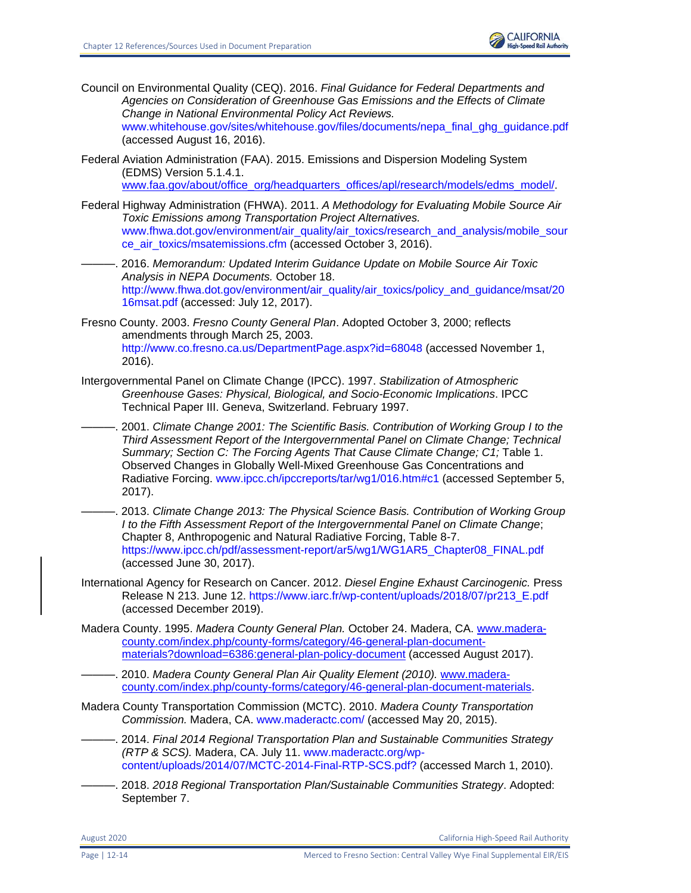

Council on Environmental Quality (CEQ). 2016. *Final Guidance for Federal Departments and Agencies on Consideration of Greenhouse Gas Emissions and the Effects of Climate Change in National Environmental Policy Act Reviews.* 

[www.whitehouse.gov/sites/whitehouse.gov/files/documents/nepa\\_final\\_ghg\\_guidance.pdf](file:///C:/Users/19339/Downloads/www.whitehouse.gov/sites/whitehouse.gov/files/documents/nepa_final_ghg_guidance.pdf) (accessed August 16, 2016).

Federal Aviation Administration (FAA). 2015. Emissions and Dispersion Modeling System (EDMS) Version 5.1.4.1.

www.faa.gov/about/office\_org/headquarters\_offices/apl/research/models/edms\_model/.

- Federal Highway Administration (FHWA). 2011. *A Methodology for Evaluating Mobile Source Air Toxic Emissions among Transportation Project Alternatives.* [www.fhwa.dot.gov/environment/air\\_quality/air\\_toxics/research\\_and\\_analysis/mobile\\_sour](file:///C:/Users/19339/Downloads/www.fhwa.dot.gov/environment/air_quality/air_toxics/research_and_analysis/mobile_source_air_toxics/msatemissions.cfm) [ce\\_air\\_toxics/msatemissions.cfm](file:///C:/Users/19339/Downloads/www.fhwa.dot.gov/environment/air_quality/air_toxics/research_and_analysis/mobile_source_air_toxics/msatemissions.cfm) (accessed October 3, 2016).
- ———. 2016. *Memorandum: Updated Interim Guidance Update on Mobile Source Air Toxic Analysis in NEPA Documents.* October 18. [http://www.fhwa.dot.gov/environment/air\\_quality/air\\_toxics/policy\\_and\\_guidance/msat/20](http://www.fhwa.dot.gov/environment/air_quality/air_toxics/policy_and_guidance/msat/2016msat.pdf) [16msat.pdf](http://www.fhwa.dot.gov/environment/air_quality/air_toxics/policy_and_guidance/msat/2016msat.pdf) (accessed: July 12, 2017).
- Fresno County. 2003. *Fresno County General Plan*. Adopted October 3, 2000; reflects amendments through March 25, 2003. <http://www.co.fresno.ca.us/DepartmentPage.aspx?id=68048> (accessed November 1, 2016).
- Intergovernmental Panel on Climate Change (IPCC). 1997. *Stabilization of Atmospheric Greenhouse Gases: Physical, Biological, and Socio-Economic Implications*. IPCC Technical Paper III. Geneva, Switzerland. February 1997.

———. 2001. *Climate Change 2001: The Scientific Basis. Contribution of Working Group I to the Third Assessment Report of the Intergovernmental Panel on Climate Change; Technical*  Summary; Section C: The Forcing Agents That Cause Climate Change; C1; Table 1. Observed Changes in Globally Well-Mixed Greenhouse Gas Concentrations and Radiative Forcing. [www.ipcc.ch/ipccreports/tar/wg1/016.htm#c1](file:///C:/Users/19339/Downloads/www.ipcc.ch/ipccreports/tar/wg1/016.htm%23c1) (accessed September 5, 2017).

———. 2013. *Climate Change 2013: The Physical Science Basis. Contribution of Working Group I to the Fifth Assessment Report of the Intergovernmental Panel on Climate Change*; Chapter 8, Anthropogenic and Natural Radiative Forcing, Table 8-7. [https://www.ipcc.ch/pdf/assessment-report/ar5/wg1/WG1AR5\\_Chapter08\\_FINAL.pdf](https://www.ipcc.ch/pdf/assessment-report/ar5/wg1/WG1AR5_Chapter08_FINAL.pdf) (accessed June 30, 2017).

International Agency for Research on Cancer. 2012. *Diesel Engine Exhaust Carcinogenic.* Press Release N 213. June 12. [https://www.iarc.fr/wp-content/uploads/2018/07/pr213\\_E.pdf](https://www.iarc.fr/wp-content/uploads/2018/07/pr213_E.pdf) (accessed December 2019).

- Madera County. 1995. *Madera County General Plan.* October 24. Madera, CA. www.maderacounty.com/index.php/county-forms/category/46-general-plan-documentmaterials?download=6386:general-plan-policy-document (accessed August 2017).
- ———. 2010. *Madera County General Plan Air Quality Element (2010).* www.maderacounty.com/index.php/county-forms/category/46-general-plan-document-materials.
- Madera County Transportation Commission (MCTC). 2010. *Madera County Transportation Commission.* Madera, CA. [www.maderactc.com/](file:///C:/Users/19339/Downloads/www.maderactc.com) (accessed May 20, 2015).
- ———. 2014. *Final 2014 Regional Transportation Plan and Sustainable Communities Strategy (RTP & SCS).* Madera, CA. July 11. [www.maderactc.org/wp](file:///C:/Users/19339/Downloads/www.maderactc.org/wp-content/uploads/2014/07/MCTC-2014-Final-RTP-SCS.pdf)[content/uploads/2014/07/MCTC-2014-Final-RTP-SCS.pdf?](file:///C:/Users/19339/Downloads/www.maderactc.org/wp-content/uploads/2014/07/MCTC-2014-Final-RTP-SCS.pdf) (accessed March 1, 2010).
- ———. 2018. *2018 Regional Transportation Plan/Sustainable Communities Strategy*. Adopted: September 7.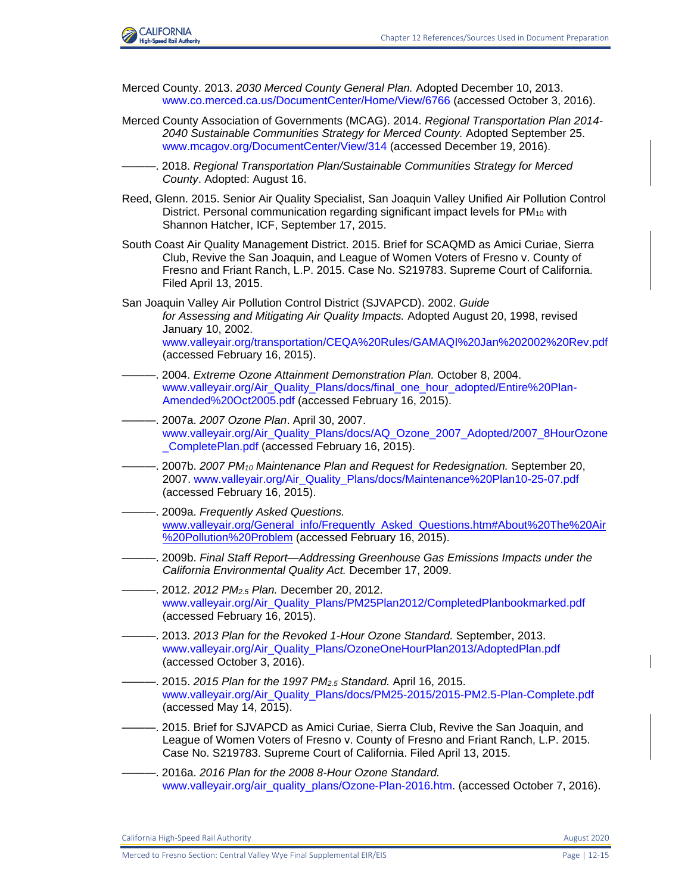

- Merced County. 2013. *2030 Merced County General Plan.* Adopted December 10, 2013. [www.co.merced.ca.us/DocumentCenter/Home/View/6766](file:///C:/Users/19339/Downloads/www.co.merced.ca.us/DocumentCenter/Home/View/6766) (accessed October 3, 2016).
- Merced County Association of Governments (MCAG). 2014. *Regional Transportation Plan 2014- 2040 Sustainable Communities Strategy for Merced County.* Adopted September 25. [www.mcagov.org/DocumentCenter/View/314](file:///C:/Users/19339/Downloads/www.mcagov.org/DocumentCenter/View/314) (accessed December 19, 2016).
	- ———. 2018. *Regional Transportation Plan/Sustainable Communities Strategy for Merced County*. Adopted: August 16.
- Reed, Glenn. 2015. Senior Air Quality Specialist, San Joaquin Valley Unified Air Pollution Control District. Personal communication regarding significant impact levels for  $PM_{10}$  with Shannon Hatcher, ICF, September 17, 2015.
- South Coast Air Quality Management District. 2015. Brief for SCAQMD as Amici Curiae, Sierra Club, Revive the San Joaquin, and League of Women Voters of Fresno v. County of Fresno and Friant Ranch, L.P. 2015. Case No. S219783. Supreme Court of California. Filed April 13, 2015.
- San Joaquin Valley Air Pollution Control District (SJVAPCD). 2002. *Guide for Assessing and Mitigating Air Quality Impacts.* Adopted August 20, 1998, revised January 10, 2002. [www.valleyair.org/transportation/CEQA%20Rules/GAMAQI%20Jan%202002%20Rev.pdf](https://icfonline.sharepoint.com/sites/EP_CAHSR_CVY/Shared%20Documents/00_BACK%20MATTER_Distribution-Preparers-Refs-Glossary-Index-Acros/12%20References/Coop%20Agency%20Review%20-%20Track%20Retained/V1-36_CVY_CH_12_References.docx) (accessed February 16, 2015).
- ———. 2004. *Extreme Ozone Attainment Demonstration Plan.* October 8, 2004. [www.valleyair.org/Air\\_Quality\\_Plans/docs/final\\_one\\_hour\\_adopted/Entire%20Plan-](file:///C:/Users/19339/Downloads/www.valleyair.org/Air_Quality_Plans/docs/final_one_hour_adopted/Entire%20Plan-Amended%20Oct2005.pdf)[Amended%20Oct2005.pdf](file:///C:/Users/19339/Downloads/www.valleyair.org/Air_Quality_Plans/docs/final_one_hour_adopted/Entire%20Plan-Amended%20Oct2005.pdf) (accessed February 16, 2015).
- ———. 2007a. *2007 Ozone Plan*. April 30, 2007. [www.valleyair.org/Air\\_Quality\\_Plans/docs/AQ\\_Ozone\\_2007\\_Adopted/2007\\_8HourOzone](file:///C:/Users/19339/Downloads/www.valleyair.org/Air_Quality_Plans/docs/AQ_Ozone_2007_Adopted/2007_8HourOzone_CompletePlan.pdf) [\\_CompletePlan.pdf](file:///C:/Users/19339/Downloads/www.valleyair.org/Air_Quality_Plans/docs/AQ_Ozone_2007_Adopted/2007_8HourOzone_CompletePlan.pdf) (accessed February 16, 2015).
- ———. 2007b. *2007 PM<sup>10</sup> Maintenance Plan and Request for Redesignation.* September 20, 2007. [www.valleyair.org/Air\\_Quality\\_Plans/docs/Maintenance%20Plan10-25-07.pdf](file:///C:/Users/19339/Downloads/www.valleyair.org/Air_Quality_Plans/docs/Maintenance%20Plan10-25-07.pdf) (accessed February 16, 2015).
- ———. 2009a. *Frequently Asked Questions.* www.valleyair.org/General\_info/Frequently\_Asked\_Questions.htm#About%20The%20Air %20Pollution%20Problem (accessed February 16, 2015).
- ———. 2009b. *Final Staff Report—Addressing Greenhouse Gas Emissions Impacts under the California Environmental Quality Act.* December 17, 2009.
- ———. 2012. *2012 PM2.5 Plan.* December 20, 2012. [www.valleyair.org/Air\\_Quality\\_Plans/PM25Plan2012/CompletedPlanbookmarked.pdf](file:///C:/Users/19339/Downloads/www.valleyair.org/Air_Quality_Plans/PM25Plan2012/CompletedPlanbookmarked.pdf) (accessed February 16, 2015).
- ———. 2013. *2013 Plan for the Revoked 1-Hour Ozone Standard.* September, 2013. [www.valleyair.org/Air\\_Quality\\_Plans/OzoneOneHourPlan2013/AdoptedPlan.pdf](file:///C:/Users/19339/Downloads/www.valleyair.org/Air_Quality_Plans/OzoneOneHourPlan2013/AdoptedPlan.pdf) (accessed October 3, 2016).
- ———. 2015. *2015 Plan for the 1997 PM2.5 Standard.* April 16, 2015. [www.valleyair.org/Air\\_Quality\\_Plans/docs/PM25-2015/2015-PM2.5-Plan-Complete.pdf](file:///C:/Users/19339/Downloads/www.valleyair.org/Air_Quality_Plans/docs/PM25-2015/2015-PM2.5-Plan-Complete.pdf) (accessed May 14, 2015).
- ———. 2015. Brief for SJVAPCD as Amici Curiae, Sierra Club, Revive the San Joaquin, and League of Women Voters of Fresno v. County of Fresno and Friant Ranch, L.P. 2015. Case No. S219783. Supreme Court of California. Filed April 13, 2015.
- ———. 2016a. *2016 Plan for the 2008 8-Hour Ozone Standard.*  [www.valleyair.org/air\\_quality\\_plans/Ozone-Plan-2016.htm.](file:///C:/Users/19339/Downloads/www.valleyair.org/air_quality_plans/Ozone-Plan-2016.htm) (accessed October 7, 2016).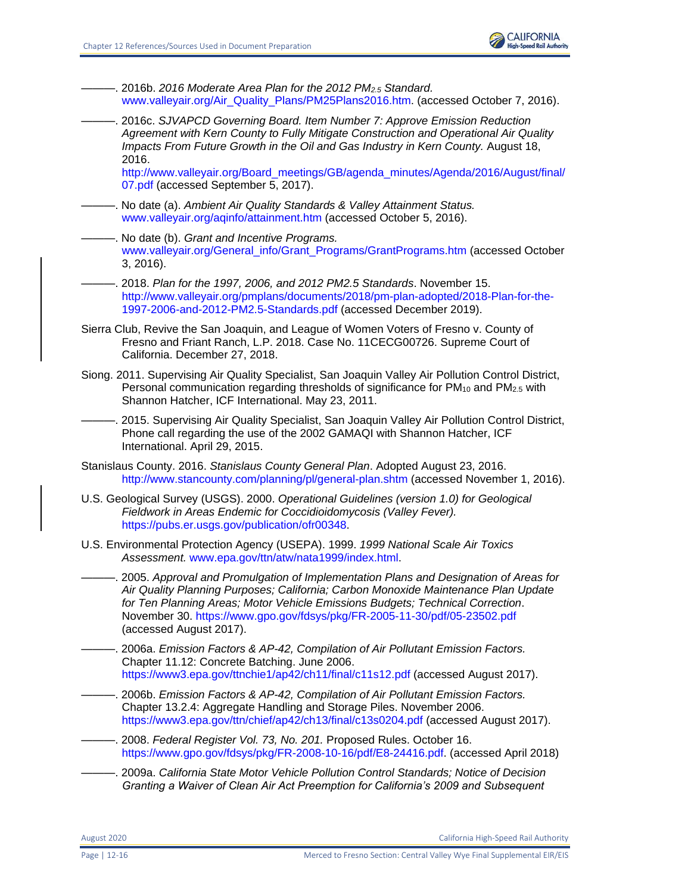

———. 2016b. *2016 Moderate Area Plan for the 2012 PM2.5 Standard.*  [www.valleyair.org/Air\\_Quality\\_Plans/PM25Plans2016.htm.](file:///C:/Users/19339/Downloads/www.valleyair.org/Air_Quality_Plans/PM25Plans2016.htm) (accessed October 7, 2016).

———. 2016c. *SJVAPCD Governing Board. Item Number 7: Approve Emission Reduction Agreement with Kern County to Fully Mitigate Construction and Operational Air Quality Impacts From Future Growth in the Oil and Gas Industry in Kern County.* August 18, 2016.

[http://www.valleyair.org/Board\\_meetings/GB/agenda\\_minutes/Agenda/2016/August/final/](http://www.valleyair.org/Board_meetings/GB/agenda_minutes/Agenda/2016/August/final/07.pdf) [07.pdf](http://www.valleyair.org/Board_meetings/GB/agenda_minutes/Agenda/2016/August/final/07.pdf) (accessed September 5, 2017).

- ———. No date (a). *Ambient Air Quality Standards & Valley Attainment Status.*  [www.valleyair.org/aqinfo/attainment.htm](https://icfonline.sharepoint.com/sites/EP_CAHSR_CVY/Shared%20Documents/00_BACK%20MATTER_Distribution-Preparers-Refs-Glossary-Index-Acros/12%20References/Coop%20Agency%20Review%20-%20Track%20Retained/V1-36_CVY_CH_12_References.docx) (accessed October 5, 2016).
	- ———. No date (b). *Grant and Incentive Programs.*  [www.valleyair.org/General\\_info/Grant\\_Programs/GrantPrograms.htm](file:///C:/Users/19339/Downloads/www.valleyair.org/General_info/Grant_Programs/GrantPrograms.htm) (accessed October 3, 2016).
- ———. 2018. *Plan for the 1997, 2006, and 2012 PM2.5 Standards*. November 15. [http://www.valleyair.org/pmplans/documents/2018/pm-plan-adopted/2018-Plan-for-the-](http://www.valleyair.org/pmplans/documents/2018/pm-plan-adopted/2018-Plan-for-the-1997-2006-and-2012-PM2.5-Standards.pdf)[1997-2006-and-2012-PM2.5-Standards.pdf](http://www.valleyair.org/pmplans/documents/2018/pm-plan-adopted/2018-Plan-for-the-1997-2006-and-2012-PM2.5-Standards.pdf) (accessed December 2019).
- Sierra Club, Revive the San Joaquin, and League of Women Voters of Fresno v. County of Fresno and Friant Ranch, L.P. 2018. Case No. 11CECG00726. Supreme Court of California. December 27, 2018.
- Siong. 2011. Supervising Air Quality Specialist, San Joaquin Valley Air Pollution Control District, Personal communication regarding thresholds of significance for  $PM_{10}$  and  $PM_{2.5}$  with Shannon Hatcher, ICF International. May 23, 2011.

———. 2015. Supervising Air Quality Specialist, San Joaquin Valley Air Pollution Control District, Phone call regarding the use of the 2002 GAMAQI with Shannon Hatcher, ICF International. April 29, 2015.

- Stanislaus County. 2016. *Stanislaus County General Plan*. Adopted August 23, 2016. <http://www.stancounty.com/planning/pl/general-plan.shtm> (accessed November 1, 2016).
- U.S. Geological Survey (USGS). 2000. *Operational Guidelines (version 1.0) for Geological Fieldwork in Areas Endemic for Coccidioidomycosis (Valley Fever).*  [https://pubs.er.usgs.gov/publication/ofr00348.](https://pubs.er.usgs.gov/publication/ofr00348)
- U.S. Environmental Protection Agency (USEPA). 1999. *1999 National Scale Air Toxics Assessment.* [www.epa.gov/ttn/atw/nata1999/index.html.](file:///C:/Users/19339/Downloads/www.epa.gov/ttn/atw/nata1999/index.html)
	- ———. 2005. *Approval and Promulgation of Implementation Plans and Designation of Areas for Air Quality Planning Purposes; California; Carbon Monoxide Maintenance Plan Update for Ten Planning Areas; Motor Vehicle Emissions Budgets; Technical Correction*. November 30.<https://www.gpo.gov/fdsys/pkg/FR-2005-11-30/pdf/05-23502.pdf> (accessed August 2017).
- ———. 2006a. *Emission Factors & AP-42, Compilation of Air Pollutant Emission Factors.* Chapter 11.12: Concrete Batching. June 2006. <https://www3.epa.gov/ttnchie1/ap42/ch11/final/c11s12.pdf> (accessed August 2017).
- . 2006b. *Emission Factors & AP-42, Compilation of Air Pollutant Emission Factors.* Chapter 13.2.4: Aggregate Handling and Storage Piles. November 2006. <https://www3.epa.gov/ttn/chief/ap42/ch13/final/c13s0204.pdf> (accessed August 2017).
- ———. 2008. *Federal Register Vol. 73, No. 201.* Proposed Rules. October 16. [https://www.gpo.gov/fdsys/pkg/FR-2008-10-16/pdf/E8-24416.pdf.](https://www.gpo.gov/fdsys/pkg/FR-2008-10-16/pdf/E8-24416.pdf) (accessed April 2018)
- ———. 2009a. *California State Motor Vehicle Pollution Control Standards; Notice of Decision Granting a Waiver of Clean Air Act Preemption for California's 2009 and Subsequent*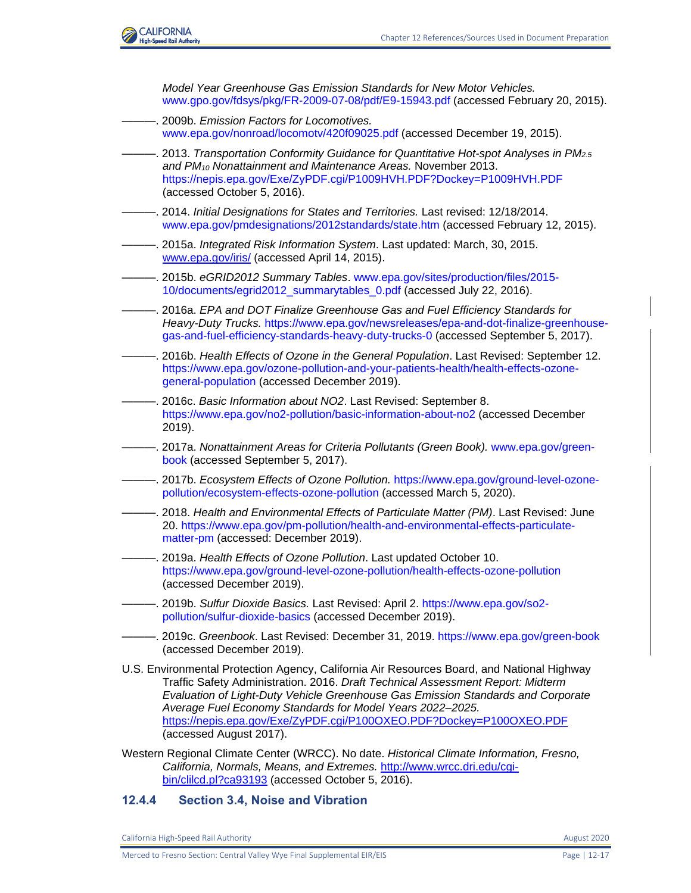

*Model Year Greenhouse Gas Emission Standards for New Motor Vehicles.* [www.gpo.gov/fdsys/pkg/FR-2009-07-08/pdf/E9-15943.pdf](file:///C:/Users/19339/Downloads/www.gpo.gov/fdsys/pkg/FR-2009-07-08/pdf/E9-15943.pdf) (accessed February 20, 2015).

- ———. 2009b. *Emission Factors for Locomotives.*  [www.epa.gov/nonroad/locomotv/420f09025.pdf \(](file:///C:/Users/19339/Downloads/www.epa.gov/nonroad/locomotv/420f09025.pdf)accessed December 19, 2015).
- ———. 2013. *Transportation Conformity Guidance for Quantitative Hot-spot Analyses in PM2.5 and PM<sup>10</sup> Nonattainment and Maintenance Areas.* November 2013. <https://nepis.epa.gov/Exe/ZyPDF.cgi/P1009HVH.PDF?Dockey=P1009HVH.PDF> (accessed October 5, 2016).
- ———. 2014. *Initial Designations for States and Territories.* Last revised: 12/18/2014. [www.epa.gov/pmdesignations/2012standards/state.htm](file:///C:/Users/19339/Downloads/www.epa.gov/pmdesignations/2012standards/state.htm) (accessed February 12, 2015).
- ———. 2015a. *Integrated Risk Information System*. Last updated: March, 30, 2015. www.epa.gov/iris/ (accessed April 14, 2015).
- ———. 2015b. *eGRID2012 Summary Tables*. [www.epa.gov/sites/production/files/2015-](file:///C:/Users/19339/Downloads/www.epa.gov/sites/production/files/2015-10/documents/egrid2012_summarytables_0.pdf) [10/documents/egrid2012\\_summarytables\\_0.pdf](file:///C:/Users/19339/Downloads/www.epa.gov/sites/production/files/2015-10/documents/egrid2012_summarytables_0.pdf) (accessed July 22, 2016).
- ———. 2016a. *EPA and DOT Finalize Greenhouse Gas and Fuel Efficiency Standards for Heavy-Duty Trucks.* [https://www.epa.gov/newsreleases/epa-and-dot-finalize-greenhouse](https://www.epa.gov/newsreleases/epa-and-dot-finalize-greenhouse-gas-and-fuel-efficiency-standards-heavy-duty-trucks-0)[gas-and-fuel-efficiency-standards-heavy-duty-trucks-0](https://www.epa.gov/newsreleases/epa-and-dot-finalize-greenhouse-gas-and-fuel-efficiency-standards-heavy-duty-trucks-0) (accessed September 5, 2017).
- ———. 2016b. *Health Effects of Ozone in the General Population*. Last Revised: September 12. [https://www.epa.gov/ozone-pollution-and-your-patients-health/health-effects-ozone](https://www.epa.gov/ozone-pollution-and-your-patients-health/health-effects-ozone-general-population)[general-population](https://www.epa.gov/ozone-pollution-and-your-patients-health/health-effects-ozone-general-population) (accessed December 2019).
- ———. 2016c. *Basic Information about NO2*. Last Revised: September 8. <https://www.epa.gov/no2-pollution/basic-information-about-no2> (accessed December 2019).
- ———. 2017a. *Nonattainment Areas for Criteria Pollutants (Green Book).* [www.epa.gov/green](file:///C:/Users/19339/Downloads/www.epa.gov/green-book)[book](file:///C:/Users/19339/Downloads/www.epa.gov/green-book) (accessed September 5, 2017).
- ———. 2017b. *Ecosystem Effects of Ozone Pollution.* [https://www.epa.gov/ground-level-ozone](https://www.epa.gov/ground-level-ozone-pollution/ecosystem-effects-ozone-pollution)[pollution/ecosystem-effects-ozone-pollution](https://www.epa.gov/ground-level-ozone-pollution/ecosystem-effects-ozone-pollution) (accessed March 5, 2020).
- ———. 2018. *Health and Environmental Effects of Particulate Matter (PM)*. Last Revised: June 20. [https://www.epa.gov/pm-pollution/health-and-environmental-effects-particulate](https://www.epa.gov/pm-pollution/health-and-environmental-effects-particulate-matter-pm)[matter-pm](https://www.epa.gov/pm-pollution/health-and-environmental-effects-particulate-matter-pm) (accessed: December 2019).
- ———. 2019a. *Health Effects of Ozone Pollution*. Last updated October 10. <https://www.epa.gov/ground-level-ozone-pollution/health-effects-ozone-pollution> (accessed December 2019).
- ———. 2019b. *Sulfur Dioxide Basics.* Last Revised: April 2. [https://www.epa.gov/so2](https://www.epa.gov/so2-pollution/sulfur-dioxide-basics) [pollution/sulfur-dioxide-basics](https://www.epa.gov/so2-pollution/sulfur-dioxide-basics) (accessed December 2019).
- ———. 2019c. *Greenbook*. Last Revised: December 31, 2019.<https://www.epa.gov/green-book> (accessed December 2019).
- U.S. Environmental Protection Agency, California Air Resources Board, and National Highway Traffic Safety Administration. 2016. *Draft Technical Assessment Report: Midterm Evaluation of Light-Duty Vehicle Greenhouse Gas Emission Standards and Corporate Average Fuel Economy Standards for Model Years 2022–2025.*  https://nepis.epa.gov/Exe/ZyPDF.cgi/P100OXEO.PDF?Dockey=P100OXEO.PDF (accessed August 2017).
- Western Regional Climate Center (WRCC). No date. *Historical Climate Information, Fresno, California, Normals, Means, and Extremes.* http://www.wrcc.dri.edu/cgibin/clilcd.pl?ca93193 (accessed October 5, 2016).

# **12.4.4 Section 3.4, Noise and Vibration**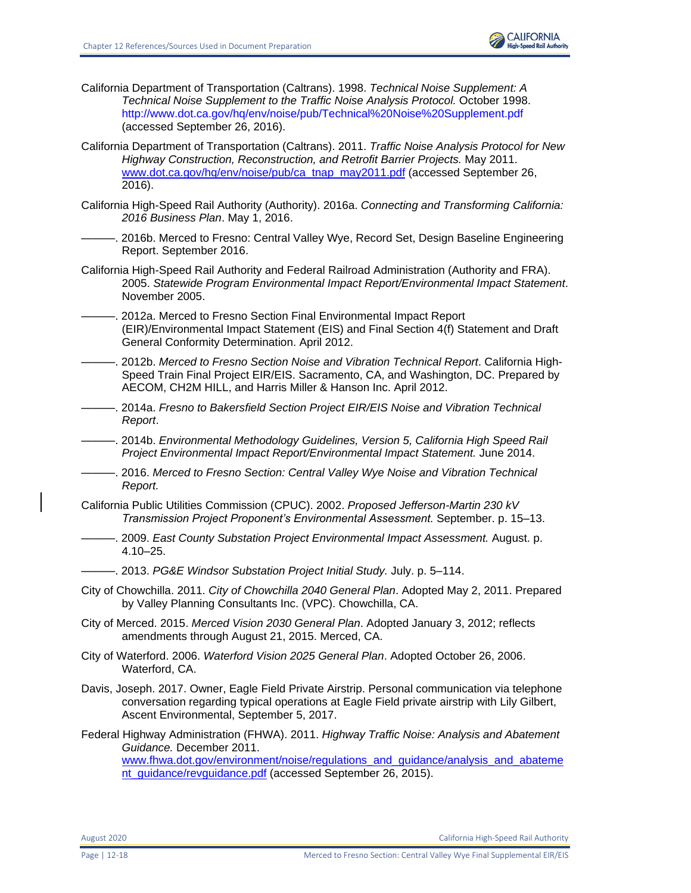

- California Department of Transportation (Caltrans). 1998. *Technical Noise Supplement: A Technical Noise Supplement to the Traffic Noise Analysis Protocol.* October 1998. <http://www.dot.ca.gov/hq/env/noise/pub/Technical%20Noise%20Supplement.pdf> (accessed September 26, 2016).
- California Department of Transportation (Caltrans). 2011. *Traffic Noise Analysis Protocol for New Highway Construction, Reconstruction, and Retrofit Barrier Projects.* May 2011. [www.dot.ca.gov/hq/env/noise/pub/ca\\_tnap\\_may2011.pdf](http://www.dot.ca.gov/hq/env/noise/pub/ca_tnap_may2011.pdf) (accessed September 26, 2016).
- California High-Speed Rail Authority (Authority). 2016a. *Connecting and Transforming California: 2016 Business Plan*. May 1, 2016.
	- -. 2016b. Merced to Fresno: Central Valley Wye, Record Set, Design Baseline Engineering Report. September 2016.
- California High-Speed Rail Authority and Federal Railroad Administration (Authority and FRA). 2005. *Statewide Program Environmental Impact Report/Environmental Impact Statement*. November 2005.
- -. 2012a. Merced to Fresno Section Final Environmental Impact Report (EIR)/Environmental Impact Statement (EIS) and Final Section 4(f) Statement and Draft General Conformity Determination. April 2012.
- ———. 2012b. *Merced to Fresno Section Noise and Vibration Technical Report*. California High-Speed Train Final Project EIR/EIS. Sacramento, CA, and Washington, DC. Prepared by AECOM, CH2M HILL, and Harris Miller & Hanson Inc. April 2012.
- ———. 2014a. *Fresno to Bakersfield Section Project EIR/EIS Noise and Vibration Technical Report*.

———. 2014b. *Environmental Methodology Guidelines, Version 5, California High Speed Rail Project Environmental Impact Report/Environmental Impact Statement.* June 2014.

- ———. 2016. *Merced to Fresno Section: Central Valley Wye Noise and Vibration Technical Report.*
- California Public Utilities Commission (CPUC). 2002. *Proposed Jefferson-Martin 230 kV Transmission Project Proponent's Environmental Assessment.* September. p. 15–13.
	- ———. 2009. *East County Substation Project Environmental Impact Assessment.* August. p. 4.10–25.
- ———. 2013. *PG&E Windsor Substation Project Initial Study.* July. p. 5–114.
- City of Chowchilla. 2011. *City of Chowchilla 2040 General Plan*. Adopted May 2, 2011. Prepared by Valley Planning Consultants Inc. (VPC). Chowchilla, CA.
- City of Merced. 2015. *Merced Vision 2030 General Plan*. Adopted January 3, 2012; reflects amendments through August 21, 2015. Merced, CA.
- City of Waterford. 2006. *Waterford Vision 2025 General Plan*. Adopted October 26, 2006. Waterford, CA.
- Davis, Joseph. 2017. Owner, Eagle Field Private Airstrip. Personal communication via telephone conversation regarding typical operations at Eagle Field private airstrip with Lily Gilbert, Ascent Environmental, September 5, 2017.
- Federal Highway Administration (FHWA). 2011. *Highway Traffic Noise: Analysis and Abatement Guidance.* December 2011.

[www.fhwa.dot.gov/environment/noise/regulations\\_and\\_guidance/analysis\\_and\\_abateme](http://www.fhwa.dot.gov/environment/noise/regulations_and_guidance/analysis_and_abatement_guidance/revguidance.pdf) [nt\\_guidance/revguidance.pdf](http://www.fhwa.dot.gov/environment/noise/regulations_and_guidance/analysis_and_abatement_guidance/revguidance.pdf) (accessed September 26, 2015).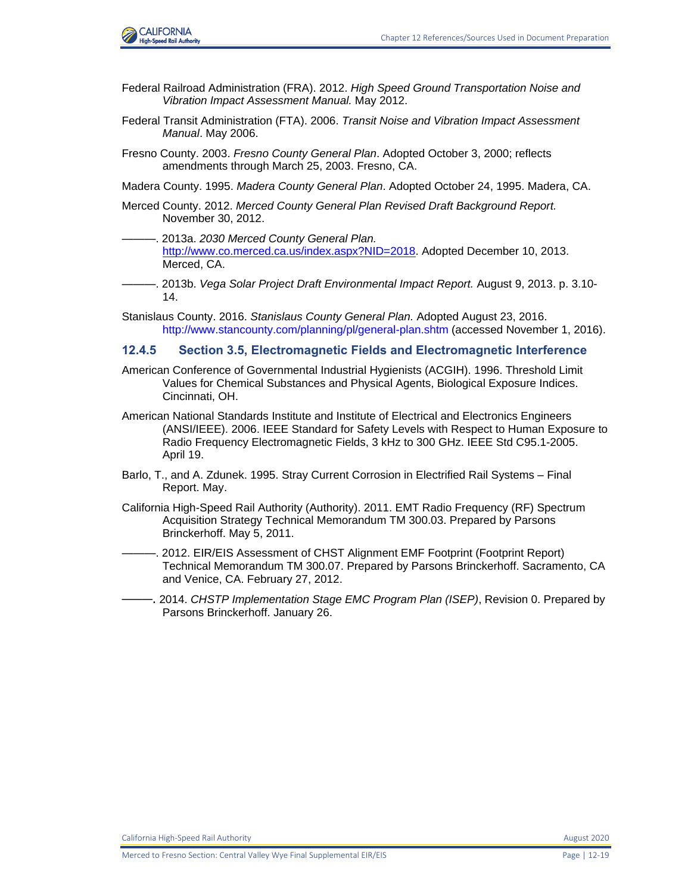

- Federal Railroad Administration (FRA). 2012. *High Speed Ground Transportation Noise and Vibration Impact Assessment Manual.* May 2012.
- Federal Transit Administration (FTA). 2006. *Transit Noise and Vibration Impact Assessment Manual*. May 2006.
- Fresno County. 2003. *Fresno County General Plan*. Adopted October 3, 2000; reflects amendments through March 25, 2003. Fresno, CA.
- Madera County. 1995. *Madera County General Plan*. Adopted October 24, 1995. Madera, CA.
- Merced County. 2012. *Merced County General Plan Revised Draft Background Report.*  November 30, 2012.
- ———. 2013a. *2030 Merced County General Plan.* [http://www.co.merced.ca.us/index.aspx?NID=2018.](http://www.co.merced.ca.us/index.aspx?NID=2018) Adopted December 10, 2013. Merced, CA.
- ———. 2013b. *Vega Solar Project Draft Environmental Impact Report.* August 9, 2013. p. 3.10- 14.
- Stanislaus County. 2016. *Stanislaus County General Plan.* Adopted August 23, 2016. <http://www.stancounty.com/planning/pl/general-plan.shtm> (accessed November 1, 2016).

#### **12.4.5 Section 3.5, Electromagnetic Fields and Electromagnetic Interference**

- American Conference of Governmental Industrial Hygienists (ACGIH). 1996. Threshold Limit Values for Chemical Substances and Physical Agents, Biological Exposure Indices. Cincinnati, OH.
- American National Standards Institute and Institute of Electrical and Electronics Engineers (ANSI/IEEE). 2006. IEEE Standard for Safety Levels with Respect to Human Exposure to Radio Frequency Electromagnetic Fields, 3 kHz to 300 GHz. IEEE Std C95.1-2005. April 19.
- Barlo, T., and A. Zdunek. 1995. Stray Current Corrosion in Electrified Rail Systems Final Report. May.
- California High-Speed Rail Authority (Authority). 2011. EMT Radio Frequency (RF) Spectrum Acquisition Strategy Technical Memorandum TM 300.03. Prepared by Parsons Brinckerhoff. May 5, 2011.
- -. 2012. EIR/EIS Assessment of CHST Alignment EMF Footprint (Footprint Report) Technical Memorandum TM 300.07. Prepared by Parsons Brinckerhoff. Sacramento, CA and Venice, CA. February 27, 2012.
- -. 2014. *CHSTP Implementation Stage EMC Program Plan (ISEP)*, Revision 0. Prepared by Parsons Brinckerhoff. January 26.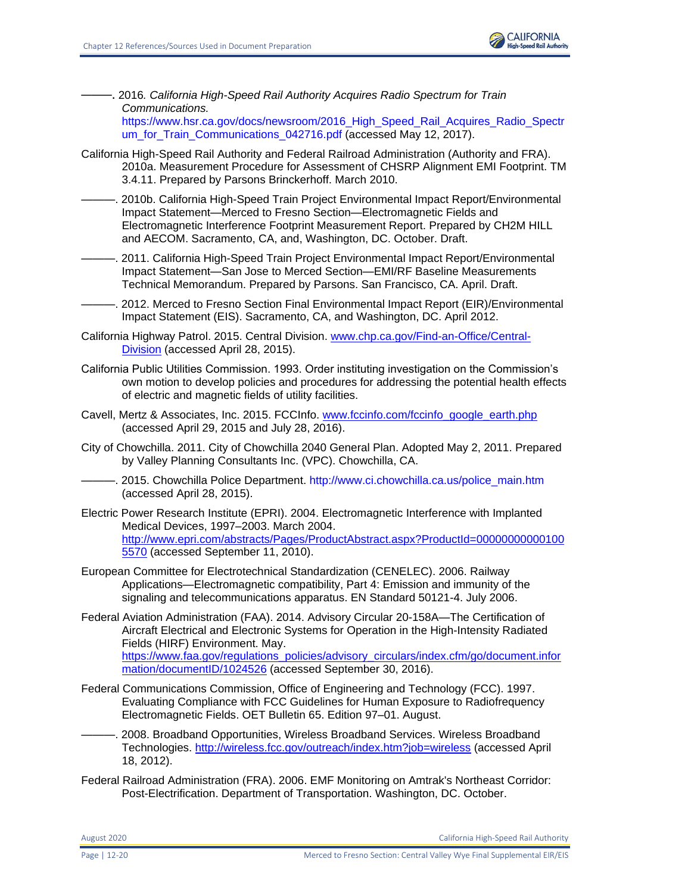

———. 2016*. California High-Speed Rail Authority Acquires Radio Spectrum for Train Communications.*

https://www.hsr.ca.gov/docs/newsroom/2016 High\_Speed\_Rail\_Acquires\_Radio\_Spectr um for Train Communications 042716.pdf (accessed May 12, 2017).

- California High-Speed Rail Authority and Federal Railroad Administration (Authority and FRA). 2010a. Measurement Procedure for Assessment of CHSRP Alignment EMI Footprint. TM 3.4.11. Prepared by Parsons Brinckerhoff. March 2010.
- ———. 2010b. California High-Speed Train Project Environmental Impact Report/Environmental Impact Statement—Merced to Fresno Section—Electromagnetic Fields and Electromagnetic Interference Footprint Measurement Report. Prepared by CH2M HILL and AECOM. Sacramento, CA, and, Washington, DC. October. Draft.

———. 2011. California High-Speed Train Project Environmental Impact Report/Environmental Impact Statement—San Jose to Merced Section—EMI/RF Baseline Measurements Technical Memorandum. Prepared by Parsons. San Francisco, CA. April. Draft.

-. 2012. Merced to Fresno Section Final Environmental Impact Report (EIR)/Environmental Impact Statement (EIS). Sacramento, CA, and Washington, DC. April 2012.

California Highway Patrol. 2015. Central Division. [www.chp.ca.gov/Find-an-Office/Central-](http://www.chp.ca.gov/Find-an-Office/Central-Division)[Division](http://www.chp.ca.gov/Find-an-Office/Central-Division) (accessed April 28, 2015).

California Public Utilities Commission. 1993. Order instituting investigation on the Commission's own motion to develop policies and procedures for addressing the potential health effects of electric and magnetic fields of utility facilities.

- Cavell, Mertz & Associates, Inc. 2015. FCCInfo. [www.fccinfo.com/fccinfo\\_google\\_earth.php](http://www.fccinfo.com/fccinfo_google_earth.php) (accessed April 29, 2015 and July 28, 2016).
- City of Chowchilla. 2011. City of Chowchilla 2040 General Plan. Adopted May 2, 2011. Prepared by Valley Planning Consultants Inc. (VPC). Chowchilla, CA.
- ———. 2015. Chowchilla Police Department. [http://www.ci.chowchilla.ca.us/police\\_main.htm](http://www.ci.chowchilla.ca.us/police_main.htm) (accessed April 28, 2015).
- Electric Power Research Institute (EPRI). 2004. Electromagnetic Interference with Implanted Medical Devices, 1997–2003. March 2004. [http://www.epri.com/abstracts/Pages/ProductAbstract.aspx?ProductId=00000000000100](http://www.epri.com/abstracts/Pages/ProductAbstract.aspx?ProductId=000000000001005570) [5570](http://www.epri.com/abstracts/Pages/ProductAbstract.aspx?ProductId=000000000001005570) (accessed September 11, 2010).
- European Committee for Electrotechnical Standardization (CENELEC). 2006. Railway Applications—Electromagnetic compatibility, Part 4: Emission and immunity of the signaling and telecommunications apparatus. EN Standard 50121-4. July 2006.
- Federal Aviation Administration (FAA). 2014. Advisory Circular 20-158A—The Certification of Aircraft Electrical and Electronic Systems for Operation in the High-Intensity Radiated Fields (HIRF) Environment. May. [https://www.faa.gov/regulations\\_policies/advisory\\_circulars/index.cfm/go/document.infor](https://www.faa.gov/regulations_policies/advisory_circulars/index.cfm/go/document.information/documentID/1024526) [mation/documentID/1024526](https://www.faa.gov/regulations_policies/advisory_circulars/index.cfm/go/document.information/documentID/1024526) (accessed September 30, 2016).
- Federal Communications Commission, Office of Engineering and Technology (FCC). 1997. Evaluating Compliance with FCC Guidelines for Human Exposure to Radiofrequency Electromagnetic Fields. OET Bulletin 65. Edition 97–01. August.

———. 2008. Broadband Opportunities, Wireless Broadband Services. Wireless Broadband Technologies.<http://wireless.fcc.gov/outreach/index.htm?job=wireless> (accessed April 18, 2012).

Federal Railroad Administration (FRA). 2006. EMF Monitoring on Amtrak's Northeast Corridor: Post-Electrification. Department of Transportation. Washington, DC. October.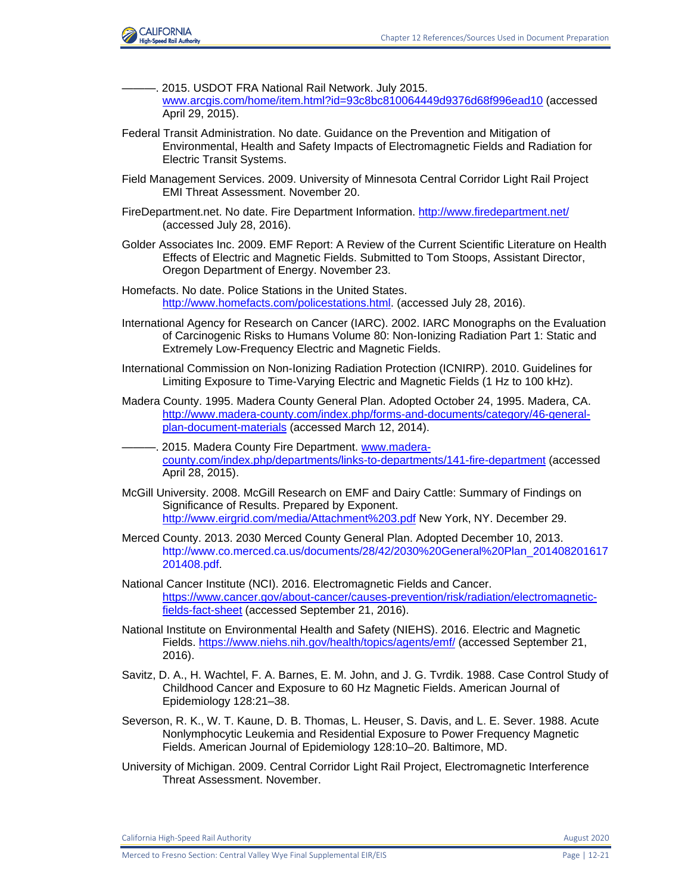

- ———. 2015. USDOT FRA National Rail Network. July 2015. [www.arcgis.com/home/item.html?id=93c8bc810064449d9376d68f996ead10](http://www.arcgis.com/home/item.html?id=93c8bc810064449d9376d68f996ead10) (accessed April 29, 2015).
- Federal Transit Administration. No date. Guidance on the Prevention and Mitigation of Environmental, Health and Safety Impacts of Electromagnetic Fields and Radiation for Electric Transit Systems.
- Field Management Services. 2009. University of Minnesota Central Corridor Light Rail Project EMI Threat Assessment. November 20.
- FireDepartment.net. No date. Fire Department Information.<http://www.firedepartment.net/> (accessed July 28, 2016).
- Golder Associates Inc. 2009. EMF Report: A Review of the Current Scientific Literature on Health Effects of Electric and Magnetic Fields. Submitted to Tom Stoops, Assistant Director, Oregon Department of Energy. November 23.
- Homefacts. No date. Police Stations in the United States. [http://www.homefacts.com/policestations.html.](http://www.homefacts.com/policestations.html) (accessed July 28, 2016).
- International Agency for Research on Cancer (IARC). 2002. IARC Monographs on the Evaluation of Carcinogenic Risks to Humans Volume 80: Non-Ionizing Radiation Part 1: Static and Extremely Low-Frequency Electric and Magnetic Fields.
- International Commission on Non-Ionizing Radiation Protection (ICNIRP). 2010. Guidelines for Limiting Exposure to Time-Varying Electric and Magnetic Fields (1 Hz to 100 kHz).
- Madera County. 1995. Madera County General Plan. Adopted October 24, 1995. Madera, CA. [http://www.madera-county.com/index.php/forms-and-documents/category/46-general](http://www.madera-county.com/index.php/forms-and-documents/category/46-general-plan-document-materials)[plan-document-materials](http://www.madera-county.com/index.php/forms-and-documents/category/46-general-plan-document-materials) (accessed March 12, 2014).
- -. 2015. Madera County Fire Department. [www.madera](http://www.madera-county.com/index.php/departments/links-to-departments/141-fire-department)[county.com/index.php/departments/links-to-departments/141-fire-department](http://www.madera-county.com/index.php/departments/links-to-departments/141-fire-department) (accessed April 28, 2015).
- McGill University. 2008. McGill Research on EMF and Dairy Cattle: Summary of Findings on Significance of Results. Prepared by Exponent. <http://www.eirgrid.com/media/Attachment%203.pdf> New York, NY. December 29.
- Merced County. 2013. 2030 Merced County General Plan. Adopted December 10, 2013. [http://www.co.merced.ca.us/documents/28/42/2030%20General%20Plan\\_201408201617](http://www.co.merced.ca.us/documents/28/42/2030%20General%20Plan_201408201617201408.pdf) [201408.pdf.](http://www.co.merced.ca.us/documents/28/42/2030%20General%20Plan_201408201617201408.pdf)
- National Cancer Institute (NCI). 2016. Electromagnetic Fields and Cancer. [https://www.cancer.gov/about-cancer/causes-prevention/risk/radiation/electromagnetic](https://www.cancer.gov/about-cancer/causes-prevention/risk/radiation/electromagnetic-fields-fact-sheet)[fields-fact-sheet](https://www.cancer.gov/about-cancer/causes-prevention/risk/radiation/electromagnetic-fields-fact-sheet) (accessed September 21, 2016).
- National Institute on Environmental Health and Safety (NIEHS). 2016. Electric and Magnetic Fields.<https://www.niehs.nih.gov/health/topics/agents/emf/> (accessed September 21, 2016).
- Savitz, D. A., H. Wachtel, F. A. Barnes, E. M. John, and J. G. Tvrdik. 1988. Case Control Study of Childhood Cancer and Exposure to 60 Hz Magnetic Fields. American Journal of Epidemiology 128:21–38.
- Severson, R. K., W. T. Kaune, D. B. Thomas, L. Heuser, S. Davis, and L. E. Sever. 1988. Acute Nonlymphocytic Leukemia and Residential Exposure to Power Frequency Magnetic Fields. American Journal of Epidemiology 128:10–20. Baltimore, MD.
- University of Michigan. 2009. Central Corridor Light Rail Project, Electromagnetic Interference Threat Assessment. November.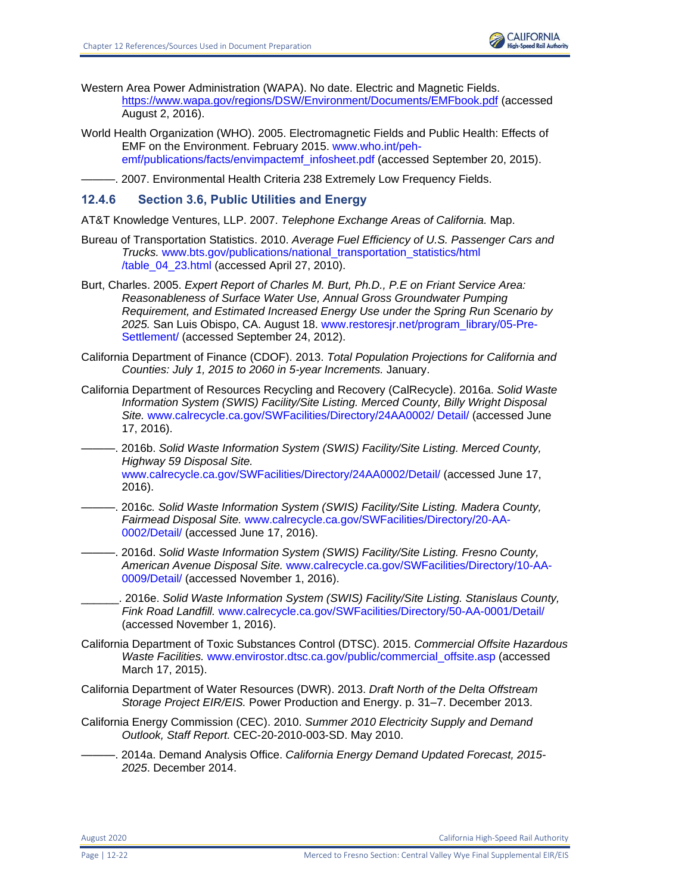- Western Area Power Administration (WAPA). No date. Electric and Magnetic Fields. <https://www.wapa.gov/regions/DSW/Environment/Documents/EMFbook.pdf> (accessed August 2, 2016).
- World Health Organization (WHO). 2005. Electromagnetic Fields and Public Health: Effects of EMF on the Environment. February 2015. [www.who.int/peh](file:///C:/Users/19339/Downloads/www.who.int/peh-emf/publications/facts/envimpactemf_infosheet.pdf)[emf/publications/facts/envimpactemf\\_infosheet.pdf](file:///C:/Users/19339/Downloads/www.who.int/peh-emf/publications/facts/envimpactemf_infosheet.pdf) (accessed September 20, 2015).

-. 2007. Environmental Health Criteria 238 Extremely Low Frequency Fields.

## **12.4.6 Section 3.6, Public Utilities and Energy**

AT&T Knowledge Ventures, LLP. 2007. *Telephone Exchange Areas of California.* Map.

- Bureau of Transportation Statistics. 2010. *Average Fuel Efficiency of U.S. Passenger Cars and Trucks.* [www.bts.gov/publications/national\\_transportation\\_statistics/html](https://icfonline.sharepoint.com/sites/EP_CAHSR_CVY/Shared%20Documents/00_BACK%20MATTER_Distribution-Preparers-Refs-Glossary-Index-Acros/12%20References/Coop%20Agency%20Review%20-%20Track%20Retained/V1-36_CVY_CH_12_References.docx)  [/table\\_04\\_23.html](https://icfonline.sharepoint.com/sites/EP_CAHSR_CVY/Shared%20Documents/00_BACK%20MATTER_Distribution-Preparers-Refs-Glossary-Index-Acros/12%20References/Coop%20Agency%20Review%20-%20Track%20Retained/V1-36_CVY_CH_12_References.docx) (accessed April 27, 2010).
- Burt, Charles. 2005. *Expert Report of Charles M. Burt, Ph.D., P.E on Friant Service Area: Reasonableness of Surface Water Use, Annual Gross Groundwater Pumping Requirement, and Estimated Increased Energy Use under the Spring Run Scenario by 2025.* San Luis Obispo, CA. August 18. [www.restoresjr.net/program\\_library/05-Pre-](file:///C:/Users/19339/Downloads/www.restoresjr.net/program_library/05-Pre-Settlement)[Settlement/](file:///C:/Users/19339/Downloads/www.restoresjr.net/program_library/05-Pre-Settlement) (accessed September 24, 2012).
- California Department of Finance (CDOF). 2013. *Total Population Projections for California and Counties: July 1, 2015 to 2060 in 5-year Increments.* January.
- California Department of Resources Recycling and Recovery (CalRecycle). 2016a. *Solid Waste Information System (SWIS) Facility/Site Listing. Merced County, Billy Wright Disposal Site.* [www.calrecycle.ca.gov/SWFacilities/Directory/24AA0002/ Detail/](file:///C:/Users/19339/Downloads/www.calrecycle.ca.gov/SWFacilities/Directory/24AA0002/%20Detail) (accessed June 17, 2016).
- ———. 2016b. *Solid Waste Information System (SWIS) Facility/Site Listing. Merced County, Highway 59 Disposal Site.* [www.calrecycle.ca.gov/SWFacilities/Directory/24AA0002/Detail/](file:///C:/Users/19339/Downloads/www.calrecycle.ca.gov/SWFacilities/Directory/24AA0002/Detail) (accessed June 17, 2016).
- ———. 2016c*. Solid Waste Information System (SWIS) Facility/Site Listing. Madera County, Fairmead Disposal Site.* [www.calrecycle.ca.gov/SWFacilities/Directory/20-AA-](file:///C:/Users/19339/Downloads/www.calrecycle.ca.gov/SWFacilities/Directory/20-AA-0002/Detail)[0002/Detail/](file:///C:/Users/19339/Downloads/www.calrecycle.ca.gov/SWFacilities/Directory/20-AA-0002/Detail) (accessed June 17, 2016).
- ———. 2016d. *Solid Waste Information System (SWIS) Facility/Site Listing. Fresno County, American Avenue Disposal Site.* [www.calrecycle.ca.gov/SWFacilities/Directory/10-AA-](file:///C:/Users/19339/Downloads/www.calrecycle.ca.gov/SWFacilities/Directory/10-AA-0009/Detail)[0009/Detail/](file:///C:/Users/19339/Downloads/www.calrecycle.ca.gov/SWFacilities/Directory/10-AA-0009/Detail) (accessed November 1, 2016).
- \_\_\_\_\_\_. 2016e. *Solid Waste Information System (SWIS) Facility/Site Listing. Stanislaus County, Fink Road Landfill.* [www.calrecycle.ca.gov/SWFacilities/Directory/50-AA-0001/Detail/](file:///C:/Users/19339/Downloads/www.calrecycle.ca.gov/SWFacilities/Directory/50-AA-0001/Detail) (accessed November 1, 2016).
- California Department of Toxic Substances Control (DTSC). 2015. *Commercial Offsite Hazardous Waste Facilities.* [www.envirostor.dtsc.ca.gov/public/commercial\\_offsite.asp](file:///C:/Users/19339/Downloads/www.envirostor.dtsc.ca.gov/public/commercial_offsite.asp) (accessed March 17, 2015).
- California Department of Water Resources (DWR). 2013. *Draft North of the Delta Offstream Storage Project EIR/EIS.* Power Production and Energy. p. 31–7. December 2013.
- California Energy Commission (CEC). 2010. *Summer 2010 Electricity Supply and Demand Outlook, Staff Report.* CEC-20-2010-003-SD. May 2010.
	- ———. 2014a. Demand Analysis Office. *California Energy Demand Updated Forecast, 2015- 2025*. December 2014.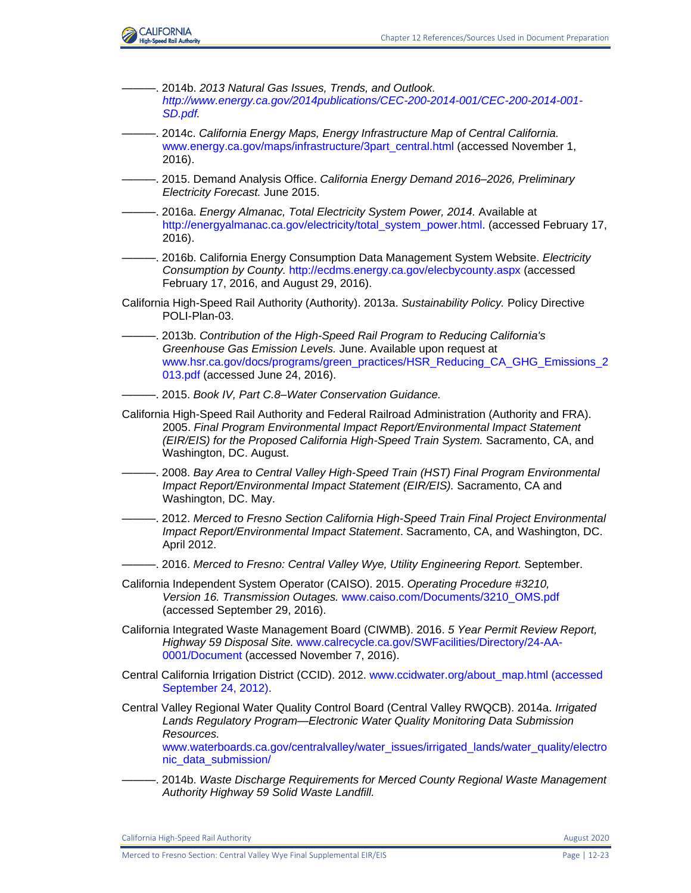

———. 2014b. *2013 Natural Gas Issues, Trends, and Outlook. [http://www.energy.ca.gov/2014publications/CEC-200-2014-001/CEC-200-2014-001-](http://www.energy.ca.gov/2014publications/CEC-200-2014-001/CEC-200-2014-001-SD.pdf) [SD.pdf.](http://www.energy.ca.gov/2014publications/CEC-200-2014-001/CEC-200-2014-001-SD.pdf)* ———. 2014c. *California Energy Maps, Energy Infrastructure Map of Central California.*  www.energy.ca.gov/maps/infrastructure/3part\_central.html (accessed November 1, 2016). ———. 2015. Demand Analysis Office. *California Energy Demand 2016–2026, Preliminary Electricity Forecast.* June 2015. ———. 2016a. *Energy Almanac, Total Electricity System Power, 2014.* Available at [http://energyalmanac.ca.gov/electricity/total\\_system\\_power.html.](http://energyalmanac.ca.gov/electricity/total_system_power.html) (accessed February 17, 2016). ———. 2016b. California Energy Consumption Data Management System Website. *Electricity Consumption by County.* [http://ecdms.energy.ca.gov/elecbycounty.aspx](https://icfonline.sharepoint.com/sites/EP_CAHSR_CVY/Shared%20Documents/00_BACK%20MATTER_Distribution-Preparers-Refs-Glossary-Index-Acros/12%20References/Coop%20Agency%20Review%20-%20Track%20Retained/V1-36_CVY_CH_12_References.docx) (accessed February 17, 2016, and August 29, 2016). California High-Speed Rail Authority (Authority). 2013a. *Sustainability Policy.* Policy Directive POLI-Plan-03. ———. 2013b. *Contribution of the High-Speed Rail Program to Reducing California's Greenhouse Gas Emission Levels.* June. Available upon request at [www.hsr.ca.gov/docs/programs/green\\_practices/HSR\\_Reducing\\_CA\\_GHG\\_Emissions\\_2](https://icfonline.sharepoint.com/sites/EP_CAHSR_CVY/Shared%20Documents/00_BACK%20MATTER_Distribution-Preparers-Refs-Glossary-Index-Acros/12%20References/Coop%20Agency%20Review%20-%20Track%20Retained/V1-36_CVY_CH_12_References.docx) [013.pdf](https://icfonline.sharepoint.com/sites/EP_CAHSR_CVY/Shared%20Documents/00_BACK%20MATTER_Distribution-Preparers-Refs-Glossary-Index-Acros/12%20References/Coop%20Agency%20Review%20-%20Track%20Retained/V1-36_CVY_CH_12_References.docx) (accessed June 24, 2016). ———. 2015. *Book IV, Part C.8–Water Conservation Guidance.*  California High-Speed Rail Authority and Federal Railroad Administration (Authority and FRA). 2005. *Final Program Environmental Impact Report/Environmental Impact Statement (EIR/EIS) for the Proposed California High-Speed Train System.* Sacramento, CA, and Washington, DC. August. ———. 2008. *Bay Area to Central Valley High-Speed Train (HST) Final Program Environmental Impact Report/Environmental Impact Statement (EIR/EIS).* Sacramento, CA and Washington, DC. May. ———. 2012. *Merced to Fresno Section California High-Speed Train Final Project Environmental Impact Report/Environmental Impact Statement*. Sacramento, CA, and Washington, DC. April 2012. ———. 2016. *Merced to Fresno: Central Valley Wye, Utility Engineering Report.* September. California Independent System Operator (CAISO). 2015. *Operating Procedure #3210, Version 16. Transmission Outages.* [www.caiso.com/Documents/3210\\_OMS.pdf](file:///C:/Users/19339/Downloads/www.caiso.com/Documents/3210_OMS.pdf) (accessed September 29, 2016). California Integrated Waste Management Board (CIWMB). 2016. *5 Year Permit Review Report, Highway 59 Disposal Site.* [www.calrecycle.ca.gov/SWFacilities/Directory/24-AA-](file:///C:/Users/19339/Downloads/www.calrecycle.ca.gov/SWFacilities/Directory/24-AA-0001/Document)[0001/Document](file:///C:/Users/19339/Downloads/www.calrecycle.ca.gov/SWFacilities/Directory/24-AA-0001/Document) (accessed November 7, 2016). Central California Irrigation District (CCID). 2012. [www.ccidwater.org/about\\_map.html \(accessed](file:///C:/Users/19339/Downloads/www.ccidwater.org/about_map.html%20(accessed%20September%2024,%202012))  [September 24, 2012\).](file:///C:/Users/19339/Downloads/www.ccidwater.org/about_map.html%20(accessed%20September%2024,%202012)) Central Valley Regional Water Quality Control Board (Central Valley RWQCB). 2014a. *Irrigated Lands Regulatory Program—Electronic Water Quality Monitoring Data Submission Resources.* [www.waterboards.ca.gov/centralvalley/water\\_issues/irrigated\\_lands/water\\_quality/electro](https://icfonline.sharepoint.com/sites/EP_CAHSR_CVY/Shared%20Documents/00_BACK%20MATTER_Distribution-Preparers-Refs-Glossary-Index-Acros/12%20References/Coop%20Agency%20Review%20-%20Track%20Retained/V1-36_CVY_CH_12_References.docx) [nic\\_data\\_submission/](https://icfonline.sharepoint.com/sites/EP_CAHSR_CVY/Shared%20Documents/00_BACK%20MATTER_Distribution-Preparers-Refs-Glossary-Index-Acros/12%20References/Coop%20Agency%20Review%20-%20Track%20Retained/V1-36_CVY_CH_12_References.docx) ———. 2014b. *Waste Discharge Requirements for Merced County Regional Waste Management Authority Highway 59 Solid Waste Landfill.*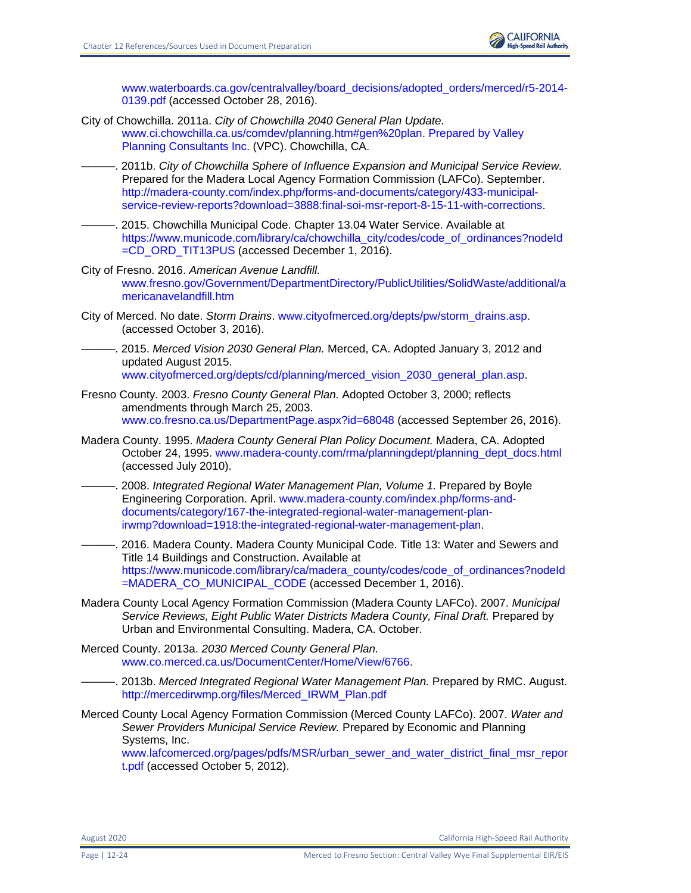

[www.waterboards.ca.gov/centralvalley/board\\_decisions/adopted\\_orders/merced/r5-2014-](http://www.waterboards.ca.gov/centralvalley/board_decisions/adopted_orders/merced/r5-2014-0139.pdf) [0139.pdf](http://www.waterboards.ca.gov/centralvalley/board_decisions/adopted_orders/merced/r5-2014-0139.pdf) (accessed October 28, 2016).

- City of Chowchilla. 2011a. *City of Chowchilla 2040 General Plan Update.* [www.ci.chowchilla.ca.us/comdev/planning.htm#gen%20plan. Prepared by Valley](file:///C:/Users/19339/Downloads/www.ci.chowchilla.ca.us/comdev/planning.htm%23gen%20plan.%20Prepared%20by%20Valley%20Planning%20Consultants%20Inc)  [Planning Consultants Inc.](file:///C:/Users/19339/Downloads/www.ci.chowchilla.ca.us/comdev/planning.htm%23gen%20plan.%20Prepared%20by%20Valley%20Planning%20Consultants%20Inc) (VPC). Chowchilla, CA.
	- ———. 2011b. *City of Chowchilla Sphere of Influence Expansion and Municipal Service Review.*  Prepared for the Madera Local Agency Formation Commission (LAFCo). September. [http://madera-county.com/index.php/forms-and-documents/category/433-municipal](http://madera-county.com/index.php/forms-and-documents/category/433-municipal-service-review-reports?download=3888:final-soi-msr-report-8-15-11-with-corrections)[service-review-reports?download=3888:final-soi-msr-report-8-15-11-with-corrections.](http://madera-county.com/index.php/forms-and-documents/category/433-municipal-service-review-reports?download=3888:final-soi-msr-report-8-15-11-with-corrections)
- ———. 2015. Chowchilla Municipal Code. Chapter 13.04 Water Service. Available at [https://www.municode.com/library/ca/chowchilla\\_city/codes/code\\_of\\_ordinances?nodeId](https://www.municode.com/library/ca/chowchilla_city/codes/code_of_ordinances?nodeId=CD_ORD_TIT13PUS) [=CD\\_ORD\\_TIT13PUS](https://www.municode.com/library/ca/chowchilla_city/codes/code_of_ordinances?nodeId=CD_ORD_TIT13PUS) (accessed December 1, 2016).
- City of Fresno. 2016. *American Avenue Landfill.* [www.fresno.gov/Government/DepartmentDirectory/PublicUtilities/SolidWaste/additional/a](file:///C:/Users/19339/Downloads/www.fresno.gov/Government/DepartmentDirectory/PublicUtilities/SolidWaste/additional/americanavelandfill.htm) [mericanavelandfill.htm](file:///C:/Users/19339/Downloads/www.fresno.gov/Government/DepartmentDirectory/PublicUtilities/SolidWaste/additional/americanavelandfill.htm)
- City of Merced. No date. *Storm Drains*. [www.cityofmerced.org/depts/pw/storm\\_drains.asp.](file:///C:/Users/19339/Downloads/www.cityofmerced.org/depts/pw/storm_drains.asp) (accessed October 3, 2016).
- ———. 2015. *Merced Vision 2030 General Plan.* Merced, CA. Adopted January 3, 2012 and updated August 2015. [www.cityofmerced.org/depts/cd/planning/merced\\_vision\\_2030\\_general\\_plan.asp.](file:///C:/Users/19339/Downloads/www.cityofmerced.org/depts/cd/planning/merced_vision_2030_general_plan.asp)
- Fresno County. 2003. *Fresno County General Plan.* Adopted October 3, 2000; reflects amendments through March 25, 2003. [www.co.fresno.ca.us/DepartmentPage.aspx?id=68048](file:///C:/Users/19339/Downloads/www.co.fresno.ca.us/DepartmentPage.aspx) (accessed September 26, 2016).
- Madera County. 1995. *Madera County General Plan Policy Document.* Madera, CA. Adopted October 24, 1995. [www.madera-county.com/rma/planningdept/planning\\_dept\\_docs.html](file:///C:/Users/19339/Downloads/www.madera-county.com/rma/planningdept/planning_dept_docs.html) (accessed July 2010).
- ———. 2008. *Integrated Regional Water Management Plan, Volume 1.* Prepared by Boyle Engineering Corporation. April. [www.madera-county.com/index.php/forms-and](http://www.madera-county.com/index.php/forms-and-documents/category/167-the-integrated-regional-water-management-plan-irwmp?download=1918:the-integrated-regional-water-management-plan)[documents/category/167-the-integrated-regional-water-management-plan](http://www.madera-county.com/index.php/forms-and-documents/category/167-the-integrated-regional-water-management-plan-irwmp?download=1918:the-integrated-regional-water-management-plan)[irwmp?download=1918:the-integrated-regional-water-management-plan.](http://www.madera-county.com/index.php/forms-and-documents/category/167-the-integrated-regional-water-management-plan-irwmp?download=1918:the-integrated-regional-water-management-plan)
- 2016. Madera County. Madera County Municipal Code. Title 13: Water and Sewers and Title 14 Buildings and Construction. Available at [https://www.municode.com/library/ca/madera\\_county/codes/code\\_of\\_ordinances?nodeId](https://www.municode.com/library/ca/madera_county/codes/code_of_ordinances?nodeId=MADERA_CO_MUNICIPAL_CODE) [=MADERA\\_CO\\_MUNICIPAL\\_CODE](https://www.municode.com/library/ca/madera_county/codes/code_of_ordinances?nodeId=MADERA_CO_MUNICIPAL_CODE) (accessed December 1, 2016).
- Madera County Local Agency Formation Commission (Madera County LAFCo). 2007. *Municipal Service Reviews, Eight Public Water Districts Madera County, Final Draft.* Prepared by Urban and Environmental Consulting. Madera, CA. October.
- Merced County. 2013a. *2030 Merced County General Plan.* [www.co.merced.ca.us/DocumentCenter/Home/View/6766.](file:///C:/Users/19339/Downloads/www.co.merced.ca.us/DocumentCenter/Home/View/6766)
	- ———. 2013b. *Merced Integrated Regional Water Management Plan.* Prepared by RMC. August. [http://mercedirwmp.org/files/Merced\\_IRWM\\_Plan.pdf](http://mercedirwmp.org/files/Merced_IRWM_Plan.pdf)
- Merced County Local Agency Formation Commission (Merced County LAFCo). 2007. *Water and Sewer Providers Municipal Service Review.* Prepared by Economic and Planning Systems, Inc.

[www.lafcomerced.org/pages/pdfs/MSR/urban\\_sewer\\_and\\_water\\_district\\_final\\_msr\\_repor](https://icfonline.sharepoint.com/sites/EP_CAHSR_CVY/Shared%20Documents/00_BACK%20MATTER_Distribution-Preparers-Refs-Glossary-Index-Acros/12%20References/Coop%20Agency%20Review%20-%20Track%20Retained/V1-36_CVY_CH_12_References.docx) [t.pdf](https://icfonline.sharepoint.com/sites/EP_CAHSR_CVY/Shared%20Documents/00_BACK%20MATTER_Distribution-Preparers-Refs-Glossary-Index-Acros/12%20References/Coop%20Agency%20Review%20-%20Track%20Retained/V1-36_CVY_CH_12_References.docx) (accessed October 5, 2012).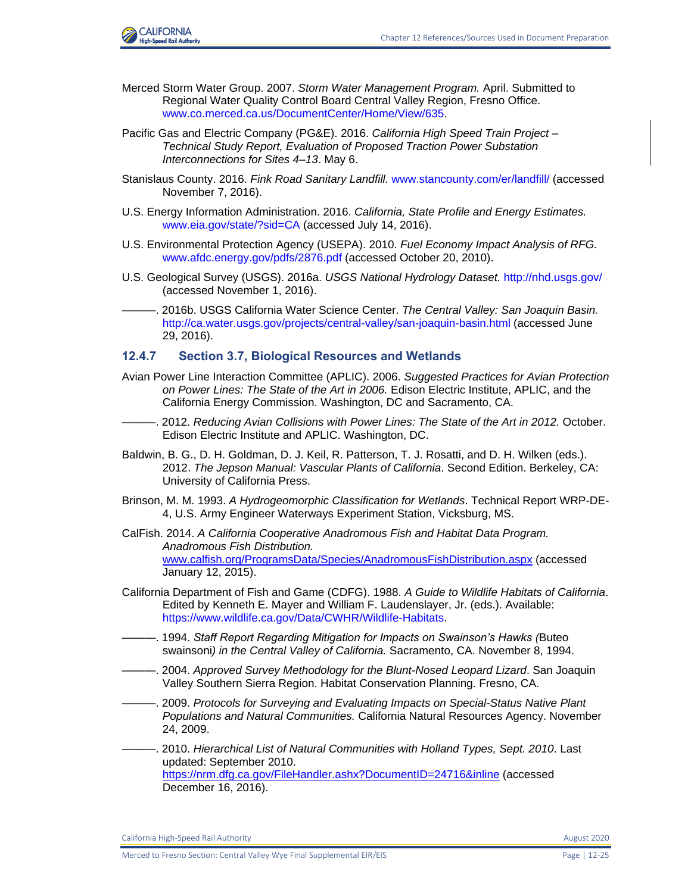

- Merced Storm Water Group. 2007. *Storm Water Management Program.* April. Submitted to Regional Water Quality Control Board Central Valley Region, Fresno Office. [www.co.merced.ca.us/DocumentCenter/Home/View/635.](file:///C:/Users/19339/Downloads/www.co.merced.ca.us/DocumentCenter/Home/View/635)
- Pacific Gas and Electric Company (PG&E). 2016. *California High Speed Train Project – Technical Study Report, Evaluation of Proposed Traction Power Substation Interconnections for Sites 4–13*. May 6.
- Stanislaus County. 2016. *Fink Road Sanitary Landfill.* [www.stancounty.com/er/landfill/](https://icfonline.sharepoint.com/sites/EP_CAHSR_CVY/Shared%20Documents/00_BACK%20MATTER_Distribution-Preparers-Refs-Glossary-Index-Acros/12%20References/Coop%20Agency%20Review%20-%20Track%20Retained/V1-36_CVY_CH_12_References.docx) (accessed November 7, 2016).
- U.S. Energy Information Administration. 2016. *California, State Profile and Energy Estimates.* [www.eia.gov/state/?sid=CA](file:///C:/Users/19339/Downloads/www.eia.gov/state) (accessed July 14, 2016).
- U.S. Environmental Protection Agency (USEPA). 2010. *Fuel Economy Impact Analysis of RFG.* [www.afdc.energy.gov/pdfs/2876.pdf](https://icfonline.sharepoint.com/sites/EP_CAHSR_CVY/Shared%20Documents/00_BACK%20MATTER_Distribution-Preparers-Refs-Glossary-Index-Acros/12%20References/Coop%20Agency%20Review%20-%20Track%20Retained/V1-36_CVY_CH_12_References.docx) (accessed October 20, 2010).
- U.S. Geological Survey (USGS). 2016a. *USGS National Hydrology Dataset.* <http://nhd.usgs.gov/> (accessed November 1, 2016).
- ———. 2016b. USGS California Water Science Center. *The Central Valley: San Joaquin Basin.* [http://ca.water.usgs.gov/projects/central-valley/san-joaquin-basin.html](https://icfonline.sharepoint.com/sites/EP_CAHSR_CVY/Shared%20Documents/00_BACK%20MATTER_Distribution-Preparers-Refs-Glossary-Index-Acros/12%20References/Archive) (accessed June 29, 2016).

### **12.4.7 Section 3.7, Biological Resources and Wetlands**

- Avian Power Line Interaction Committee (APLIC). 2006. *Suggested Practices for Avian Protection on Power Lines: The State of the Art in 2006.* Edison Electric Institute, APLIC, and the California Energy Commission. Washington, DC and Sacramento, CA.
- ———. 2012. *Reducing Avian Collisions with Power Lines: The State of the Art in 2012.* October. Edison Electric Institute and APLIC. Washington, DC.
- Baldwin, B. G., D. H. Goldman, D. J. Keil, R. Patterson, T. J. Rosatti, and D. H. Wilken (eds.). 2012. *The Jepson Manual: Vascular Plants of California*. Second Edition. Berkeley, CA: University of California Press.
- Brinson, M. M. 1993. *A Hydrogeomorphic Classification for Wetlands*. Technical Report WRP-DE-4, U.S. Army Engineer Waterways Experiment Station, Vicksburg, MS.
- CalFish. 2014. *A California Cooperative Anadromous Fish and Habitat Data Program. Anadromous Fish Distribution.*  [www.calfish.org/ProgramsData/Species/AnadromousFishDistribution.aspx](http://www.calfish.org/ProgramsData/Species/AnadromousFishDistribution.aspx) (accessed January 12, 2015).
- California Department of Fish and Game (CDFG). 1988. *A Guide to Wildlife Habitats of California*. Edited by Kenneth E. Mayer and William F. Laudenslayer, Jr. (eds.). Available: [https://www.wildlife.ca.gov/Data/CWHR/Wildlife-Habitats.](https://www.wildlife.ca.gov/Data/CWHR/Wildlife-Habitats)
- ———. 1994. *Staff Report Regarding Mitigation for Impacts on Swainson's Hawks (*Buteo swainsoni*) in the Central Valley of California.* Sacramento, CA. November 8, 1994.
- ———. 2004. *Approved Survey Methodology for the Blunt-Nosed Leopard Lizard*. San Joaquin Valley Southern Sierra Region. Habitat Conservation Planning. Fresno, CA.
- ———. 2009. *Protocols for Surveying and Evaluating Impacts on Special-Status Native Plant Populations and Natural Communities.* California Natural Resources Agency. November 24, 2009.
- ———. 2010. *Hierarchical List of Natural Communities with Holland Types, Sept. 2010*. Last updated: September 2010. https://nrm.dfg.ca.gov/FileHandler.ashx?DocumentID=24716&inline (accessed December 16, 2016).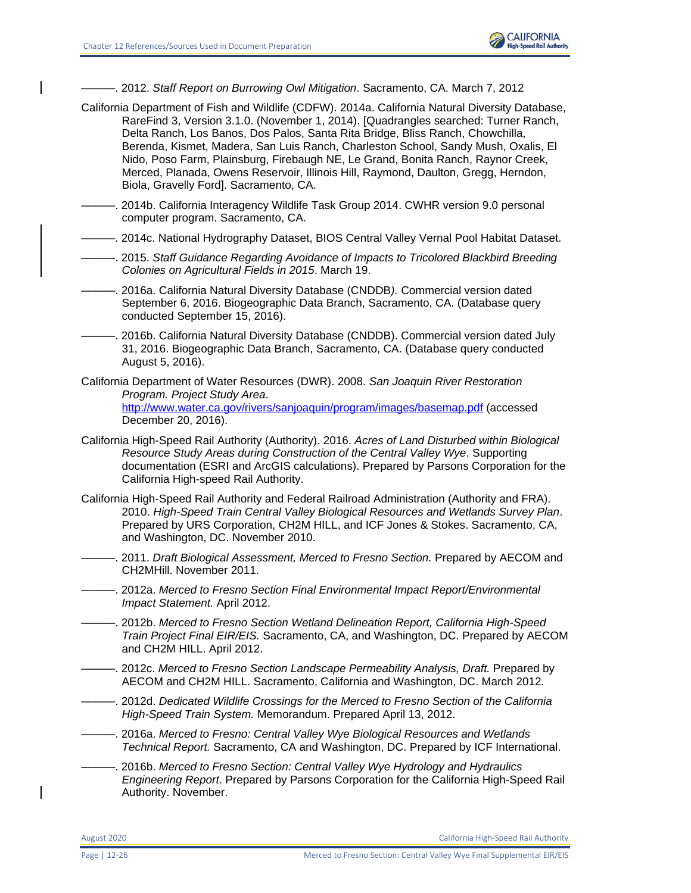

———. 2012. *Staff Report on Burrowing Owl Mitigation*. Sacramento, CA. March 7, 2012

- California Department of Fish and Wildlife (CDFW). 2014a. California Natural Diversity Database, RareFind 3, Version 3.1.0. (November 1, 2014). [Quadrangles searched: Turner Ranch, Delta Ranch, Los Banos, Dos Palos, Santa Rita Bridge, Bliss Ranch, Chowchilla, Berenda, Kismet, Madera, San Luis Ranch, Charleston School, Sandy Mush, Oxalis, El Nido, Poso Farm, Plainsburg, Firebaugh NE, Le Grand, Bonita Ranch, Raynor Creek, Merced, Planada, Owens Reservoir, Illinois Hill, Raymond, Daulton, Gregg, Herndon, Biola, Gravelly Ford]. Sacramento, CA.
- -. 2014b. California Interagency Wildlife Task Group 2014. CWHR version 9.0 personal computer program. Sacramento, CA.
- ———. 2014c. National Hydrography Dataset, BIOS Central Valley Vernal Pool Habitat Dataset.
- ———. 2015. *Staff Guidance Regarding Avoidance of Impacts to Tricolored Blackbird Breeding Colonies on Agricultural Fields in 2015*. March 19.
- ———. 2016a. California Natural Diversity Database (CNDDB*).* Commercial version dated September 6, 2016. Biogeographic Data Branch, Sacramento, CA. (Database query conducted September 15, 2016).
- . 2016b. California Natural Diversity Database (CNDDB). Commercial version dated July 31, 2016. Biogeographic Data Branch, Sacramento, CA. (Database query conducted August 5, 2016).
- California Department of Water Resources (DWR). 2008. *San Joaquin River Restoration Program. Project Study Area*. <http://www.water.ca.gov/rivers/sanjoaquin/program/images/basemap.pdf> (accessed December 20, 2016).
- California High-Speed Rail Authority (Authority). 2016. *Acres of Land Disturbed within Biological Resource Study Areas during Construction of the Central Valley Wye*. Supporting documentation (ESRI and ArcGIS calculations). Prepared by Parsons Corporation for the California High-speed Rail Authority.
- California High-Speed Rail Authority and Federal Railroad Administration (Authority and FRA). 2010. *High-Speed Train Central Valley Biological Resources and Wetlands Survey Plan*. Prepared by URS Corporation, CH2M HILL, and ICF Jones & Stokes. Sacramento, CA, and Washington, DC. November 2010.
- ———. 2011. *Draft Biological Assessment, Merced to Fresno Section.* Prepared by AECOM and CH2MHill. November 2011.
- ———. 2012a. *Merced to Fresno Section Final Environmental Impact Report/Environmental Impact Statement.* April 2012.
- ———. 2012b. *Merced to Fresno Section Wetland Delineation Report, California High-Speed Train Project Final EIR/EIS.* Sacramento, CA, and Washington, DC. Prepared by AECOM and CH2M HILL. April 2012.
- ———. 2012c. *Merced to Fresno Section Landscape Permeability Analysis, Draft.* Prepared by AECOM and CH2M HILL. Sacramento, California and Washington, DC. March 2012*.*
- ———. 2012d. *Dedicated Wildlife Crossings for the Merced to Fresno Section of the California High-Speed Train System.* Memorandum. Prepared April 13, 2012.
- ———. 2016a. *Merced to Fresno: Central Valley Wye Biological Resources and Wetlands Technical Report.* Sacramento, CA and Washington, DC. Prepared by ICF International.
- ———. 2016b. *Merced to Fresno Section: Central Valley Wye Hydrology and Hydraulics Engineering Report*. Prepared by Parsons Corporation for the California High-Speed Rail Authority. November.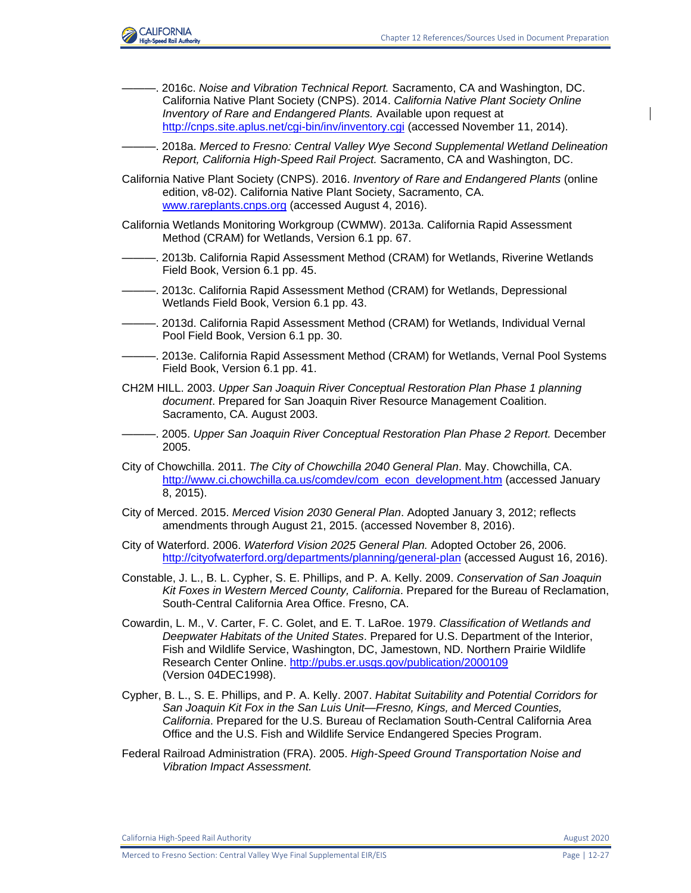

- ———. 2016c. *Noise and Vibration Technical Report.* Sacramento, CA and Washington, DC. California Native Plant Society (CNPS). 2014. *California Native Plant Society Online Inventory of Rare and Endangered Plants.* Available upon request at <http://cnps.site.aplus.net/cgi-bin/inv/inventory.cgi> (accessed November 11, 2014).
- ———. 2018a. *Merced to Fresno: Central Valley Wye Second Supplemental Wetland Delineation Report, California High-Speed Rail Project.* Sacramento, CA and Washington, DC.
- California Native Plant Society (CNPS). 2016. *Inventory of Rare and Endangered Plants* (online edition, v8-02). California Native Plant Society, Sacramento, CA. [www.rareplants.cnps.org](http://www.rareplants.cnps.org/) (accessed August 4, 2016).
- California Wetlands Monitoring Workgroup (CWMW). 2013a. California Rapid Assessment Method (CRAM) for Wetlands, Version 6.1 pp. 67.
- ———. 2013b. California Rapid Assessment Method (CRAM) for Wetlands, Riverine Wetlands Field Book, Version 6.1 pp. 45.
- ———. 2013c. California Rapid Assessment Method (CRAM) for Wetlands, Depressional Wetlands Field Book, Version 6.1 pp. 43.
- ———. 2013d. California Rapid Assessment Method (CRAM) for Wetlands, Individual Vernal Pool Field Book, Version 6.1 pp. 30.
- ———. 2013e. California Rapid Assessment Method (CRAM) for Wetlands, Vernal Pool Systems Field Book, Version 6.1 pp. 41.
- CH2M HILL. 2003. *Upper San Joaquin River Conceptual Restoration Plan Phase 1 planning document*. Prepared for San Joaquin River Resource Management Coalition. Sacramento, CA. August 2003.
- ———. 2005. *Upper San Joaquin River Conceptual Restoration Plan Phase 2 Report.* December 2005.
- City of Chowchilla. 2011. *The City of Chowchilla 2040 General Plan*. May. Chowchilla, CA. [http://www.ci.chowchilla.ca.us/comdev/com\\_econ\\_development.htm](http://www.ci.chowchilla.ca.us/comdev/com_econ_development.htm) (accessed January 8, 2015).
- City of Merced. 2015. *Merced Vision 2030 General Plan*. Adopted January 3, 2012; reflects amendments through August 21, 2015. (accessed November 8, 2016).
- City of Waterford. 2006. *Waterford Vision 2025 General Plan.* Adopted October 26, 2006. <http://cityofwaterford.org/departments/planning/general-plan> (accessed August 16, 2016).
- Constable, J. L., B. L. Cypher, S. E. Phillips, and P. A. Kelly. 2009. *Conservation of San Joaquin Kit Foxes in Western Merced County, California*. Prepared for the Bureau of Reclamation, South-Central California Area Office. Fresno, CA.
- Cowardin, L. M., V. Carter, F. C. Golet, and E. T. LaRoe. 1979. *Classification of Wetlands and Deepwater Habitats of the United States*. Prepared for U.S. Department of the Interior, Fish and Wildlife Service, Washington, DC, Jamestown, ND. Northern Prairie Wildlife Research Center Online.<http://pubs.er.usgs.gov/publication/2000109> (Version 04DEC1998).
- Cypher, B. L., S. E. Phillips, and P. A. Kelly. 2007. *Habitat Suitability and Potential Corridors for San Joaquin Kit Fox in the San Luis Unit—Fresno, Kings, and Merced Counties, California*. Prepared for the U.S. Bureau of Reclamation South-Central California Area Office and the U.S. Fish and Wildlife Service Endangered Species Program.
- Federal Railroad Administration (FRA). 2005. *High-Speed Ground Transportation Noise and Vibration Impact Assessment.*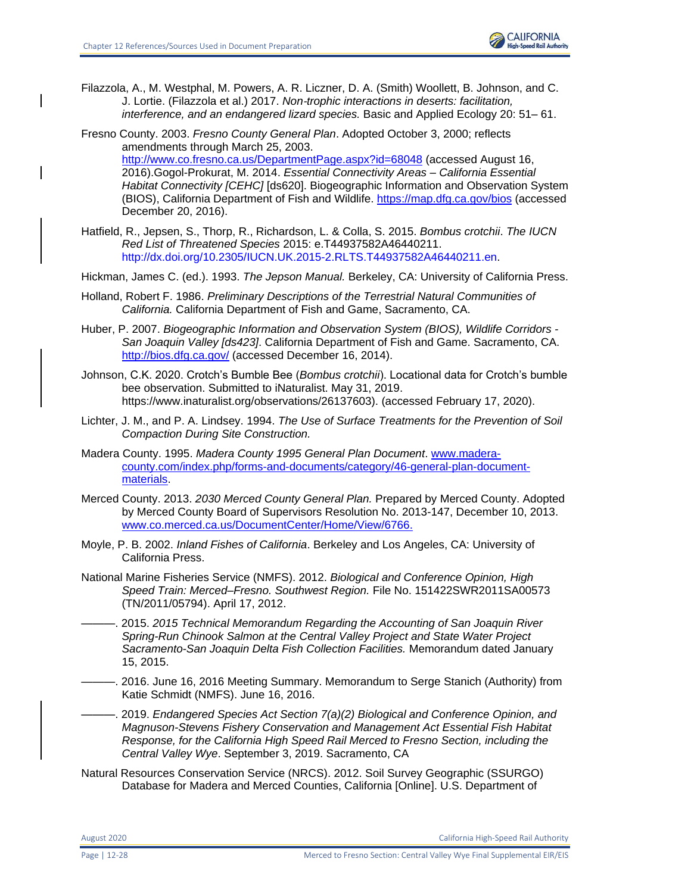

Filazzola, A., M. Westphal, M. Powers, A. R. Liczner, D. A. (Smith) Woollett, B. Johnson, and C. J. Lortie. (Filazzola et al.) 2017. *Non*‐*trophic interactions in deserts: facilitation, interference, and an endangered lizard species.* Basic and Applied Ecology 20: 51– 61.

Fresno County. 2003. *Fresno County General Plan*. Adopted October 3, 2000; reflects amendments through March 25, 2003. <http://www.co.fresno.ca.us/DepartmentPage.aspx?id=68048> (accessed August 16, 2016).Gogol-Prokurat, M. 2014. *Essential Connectivity Areas – California Essential Habitat Connectivity [CEHC]* [ds620]. Biogeographic Information and Observation System (BIOS), California Department of Fish and Wildlife.<https://map.dfg.ca.gov/bios> (accessed December 20, 2016).

Hatfield, R., Jepsen, S., Thorp, R., Richardson, L. & Colla, S. 2015. *Bombus crotchii*. *The IUCN Red List of Threatened Species* 2015: e.T44937582A46440211. [http://dx.doi.org/10.2305/IUCN.UK.2015-2.RLTS.T44937582A46440211.en.](http://dx.doi.org/10.2305/IUCN.UK.2015-2.RLTS.T44937582A46440211.en)

Hickman, James C. (ed.). 1993. *The Jepson Manual.* Berkeley, CA: University of California Press.

- Holland, Robert F. 1986. *Preliminary Descriptions of the Terrestrial Natural Communities of California.* California Department of Fish and Game, Sacramento, CA.
- Huber, P. 2007. *Biogeographic Information and Observation System (BIOS), Wildlife Corridors - San Joaquin Valley [ds423]*. California Department of Fish and Game. Sacramento, CA. <http://bios.dfg.ca.gov/> (accessed December 16, 2014).
- Johnson, C.K. 2020. Crotch's Bumble Bee (*Bombus crotchii*). Locational data for Crotch's bumble bee observation. Submitted to iNaturalist. May 31, 2019. https://www.inaturalist.org/observations/26137603). (accessed February 17, 2020).
- Lichter, J. M., and P. A. Lindsey. 1994. *The Use of Surface Treatments for the Prevention of Soil Compaction During Site Construction.*
- Madera County. 1995. *Madera County 1995 General Plan Document*. [www.madera](http://www.madera-county.com/index.php/forms-and-documents/category/46-general-plan-document-materials)[county.com/index.php/forms-and-documents/category/46-general-plan-document](http://www.madera-county.com/index.php/forms-and-documents/category/46-general-plan-document-materials)[materials.](http://www.madera-county.com/index.php/forms-and-documents/category/46-general-plan-document-materials)
- Merced County. 2013. *2030 Merced County General Plan.* Prepared by Merced County. Adopted by Merced County Board of Supervisors Resolution No. 2013-147, December 10, 2013. [www.co.merced.ca.us/DocumentCenter/Home/View/6766.](http://www.co.merced.ca.us/DocumentCenter/Home/View/6766)
- Moyle, P. B. 2002. *Inland Fishes of California*. Berkeley and Los Angeles, CA: University of California Press.
- National Marine Fisheries Service (NMFS). 2012. *Biological and Conference Opinion, High Speed Train: Merced–Fresno. Southwest Region.* File No. 151422SWR2011SA00573 (TN/2011/05794). April 17, 2012.
- ———. 2015. *2015 Technical Memorandum Regarding the Accounting of San Joaquin River Spring-Run Chinook Salmon at the Central Valley Project and State Water Project Sacramento-San Joaquin Delta Fish Collection Facilities.* Memorandum dated January 15, 2015.
- -. 2016. June 16, 2016 Meeting Summary. Memorandum to Serge Stanich (Authority) from Katie Schmidt (NMFS). June 16, 2016.

———. 2019. *Endangered Species Act Section 7(a)(2) Biological and Conference Opinion, and Magnuson-Stevens Fishery Conservation and Management Act Essential Fish Habitat Response, for the California High Speed Rail Merced to Fresno Section, including the Central Valley Wye*. September 3, 2019. Sacramento, CA

Natural Resources Conservation Service (NRCS). 2012. Soil Survey Geographic (SSURGO) Database for Madera and Merced Counties, California [Online]. U.S. Department of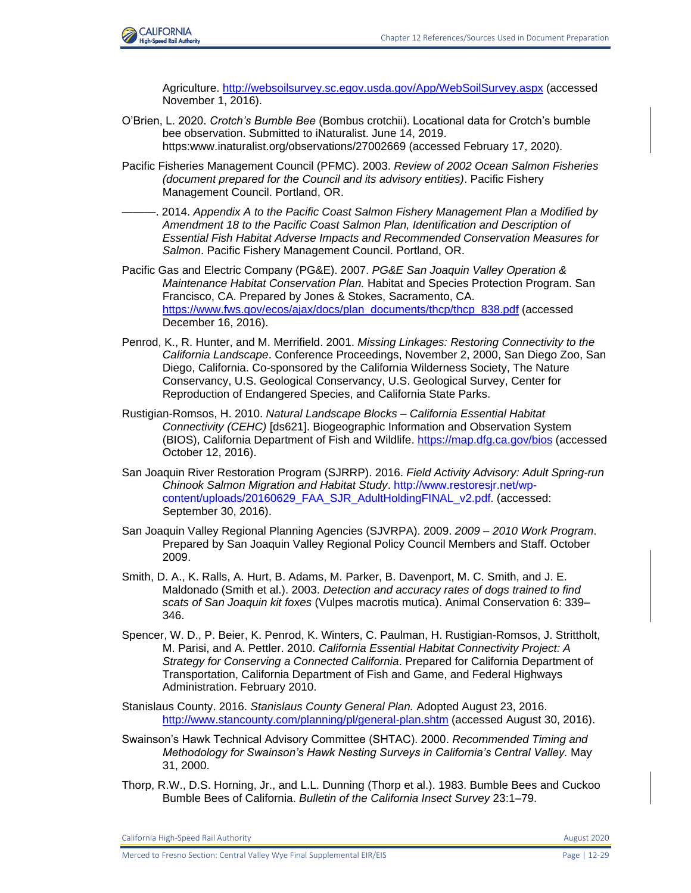

Agriculture.<http://websoilsurvey.sc.egov.usda.gov/App/WebSoilSurvey.aspx> (accessed November 1, 2016).

- O'Brien, L. 2020. *Crotch's Bumble Bee* (Bombus crotchii). Locational data for Crotch's bumble bee observation. Submitted to iNaturalist. June 14, 2019. https:www.inaturalist.org/observations/27002669 (accessed February 17, 2020).
- Pacific Fisheries Management Council (PFMC). 2003. *Review of 2002 Ocean Salmon Fisheries (document prepared for the Council and its advisory entities)*. Pacific Fishery Management Council. Portland, OR.
- ———. 2014. *Appendix A to the Pacific Coast Salmon Fishery Management Plan a Modified by Amendment 18 to the Pacific Coast Salmon Plan, Identification and Description of Essential Fish Habitat Adverse Impacts and Recommended Conservation Measures for Salmon*. Pacific Fishery Management Council. Portland, OR.
- Pacific Gas and Electric Company (PG&E). 2007. *PG&E San Joaquin Valley Operation & Maintenance Habitat Conservation Plan.* Habitat and Species Protection Program. San Francisco, CA. Prepared by Jones & Stokes, Sacramento, CA. [https://www.fws.gov/ecos/ajax/docs/plan\\_documents/thcp/thcp\\_838.pdf](https://www.fws.gov/ecos/ajax/docs/plan_documents/thcp/thcp_838.pdf) (accessed December 16, 2016).
- Penrod, K., R. Hunter, and M. Merrifield. 2001. *Missing Linkages: Restoring Connectivity to the California Landscape*. Conference Proceedings, November 2, 2000, San Diego Zoo, San Diego, California. Co-sponsored by the California Wilderness Society, The Nature Conservancy, U.S. Geological Conservancy, U.S. Geological Survey, Center for Reproduction of Endangered Species, and California State Parks.
- Rustigian-Romsos, H. 2010. *Natural Landscape Blocks – California Essential Habitat Connectivity (CEHC)* [ds621]. Biogeographic Information and Observation System (BIOS), California Department of Fish and Wildlife.<https://map.dfg.ca.gov/bios> (accessed October 12, 2016).
- San Joaquin River Restoration Program (SJRRP). 2016. *Field Activity Advisory: Adult Spring-run Chinook Salmon Migration and Habitat Study*. [http://www.restoresjr.net/wp](http://www.restoresjr.net/wp-content/uploads/20160629_FAA_SJR_AdultHoldingFINAL_v2.pdf)[content/uploads/20160629\\_FAA\\_SJR\\_AdultHoldingFINAL\\_v2.pdf.](http://www.restoresjr.net/wp-content/uploads/20160629_FAA_SJR_AdultHoldingFINAL_v2.pdf) (accessed: September 30, 2016).
- San Joaquin Valley Regional Planning Agencies (SJVRPA). 2009. *2009 – 2010 Work Program*. Prepared by San Joaquin Valley Regional Policy Council Members and Staff. October 2009.
- Smith, D. A., K. Ralls, A. Hurt, B. Adams, M. Parker, B. Davenport, M. C. Smith, and J. E. Maldonado (Smith et al.). 2003. *Detection and accuracy rates of dogs trained to find scats of San Joaquin kit foxes* (Vulpes macrotis mutica). Animal Conservation 6: 339– 346.
- Spencer, W. D., P. Beier, K. Penrod, K. Winters, C. Paulman, H. Rustigian-Romsos, J. Strittholt, M. Parisi, and A. Pettler. 2010. *California Essential Habitat Connectivity Project: A Strategy for Conserving a Connected California*. Prepared for California Department of Transportation, California Department of Fish and Game, and Federal Highways Administration. February 2010.

Stanislaus County. 2016. *Stanislaus County General Plan.* Adopted August 23, 2016. <http://www.stancounty.com/planning/pl/general-plan.shtm> (accessed August 30, 2016).

- Swainson's Hawk Technical Advisory Committee (SHTAC). 2000. *Recommended Timing and Methodology for Swainson's Hawk Nesting Surveys in California's Central Valley.* May 31, 2000.
- Thorp, R.W., D.S. Horning, Jr., and L.L. Dunning (Thorp et al.). 1983. Bumble Bees and Cuckoo Bumble Bees of California. *Bulletin of the California Insect Survey* 23:1–79.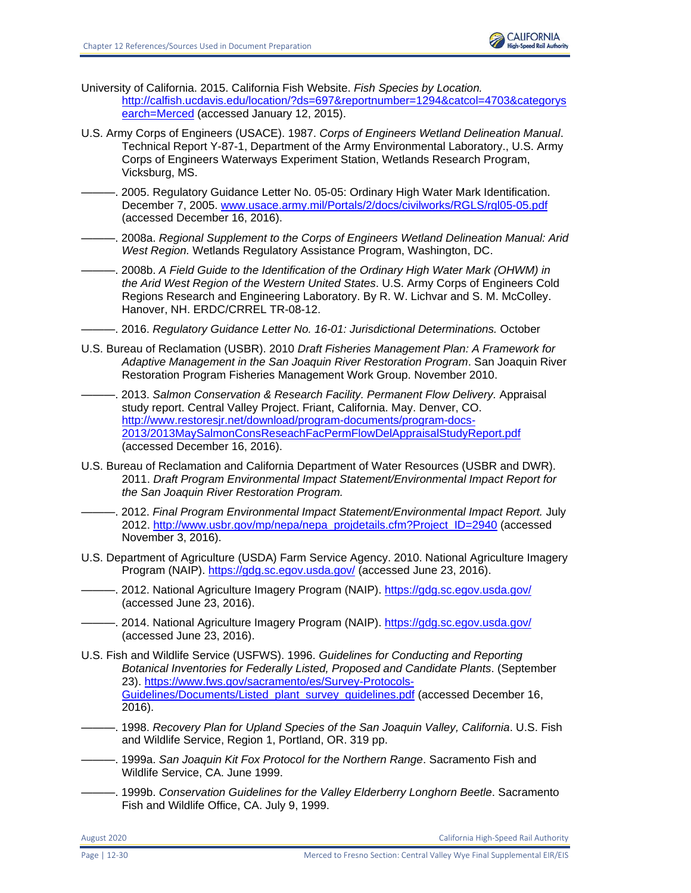University of California. 2015. California Fish Website. *Fish Species by Location.* [http://calfish.ucdavis.edu/location/?ds=697&reportnumber=1294&catcol=4703&categorys](http://calfish.ucdavis.edu/location/?ds=697&reportnumber=1294&catcol=4703&categorysearch=Merced) [earch=Merced](http://calfish.ucdavis.edu/location/?ds=697&reportnumber=1294&catcol=4703&categorysearch=Merced) (accessed January 12, 2015).

- U.S. Army Corps of Engineers (USACE). 1987. *Corps of Engineers Wetland Delineation Manual*. Technical Report Y-87-1, Department of the Army Environmental Laboratory., U.S. Army Corps of Engineers Waterways Experiment Station, Wetlands Research Program, Vicksburg, MS.
- ———. 2005. Regulatory Guidance Letter No. 05-05: Ordinary High Water Mark Identification. December 7, 2005. [www.usace.army.mil/Portals/2/docs/civilworks/RGLS/rgl05-05.pdf](http://www.usace.army.mil/Portals/2/docs/civilworks/RGLS/rgl05-05.pdf) (accessed December 16, 2016).
- ———. 2008a. *Regional Supplement to the Corps of Engineers Wetland Delineation Manual: Arid West Region.* Wetlands Regulatory Assistance Program, Washington, DC.
- ———. 2008b. *A Field Guide to the Identification of the Ordinary High Water Mark (OHWM) in the Arid West Region of the Western United States*. U.S. Army Corps of Engineers Cold Regions Research and Engineering Laboratory. By R. W. Lichvar and S. M. McColley. Hanover, NH. ERDC/CRREL TR-08-12.
- ———. 2016. *Regulatory Guidance Letter No. 16-01: Jurisdictional Determinations.* October
- U.S. Bureau of Reclamation (USBR). 2010 *Draft Fisheries Management Plan: A Framework for Adaptive Management in the San Joaquin River Restoration Program*. San Joaquin River Restoration Program Fisheries Management Work Group. November 2010.
- ———. 2013. *Salmon Conservation & Research Facility. Permanent Flow Delivery.* Appraisal study report. Central Valley Project. Friant, California. May. Denver, CO. [http://www.restoresjr.net/download/program-documents/program-docs-](http://www.restoresjr.net/download/program-documents/program-docs-2013/2013MaySalmonConsReseachFacPermFlowDelAppraisalStudyReport.pdf)[2013/2013MaySalmonConsReseachFacPermFlowDelAppraisalStudyReport.pdf](http://www.restoresjr.net/download/program-documents/program-docs-2013/2013MaySalmonConsReseachFacPermFlowDelAppraisalStudyReport.pdf) (accessed December 16, 2016).
- U.S. Bureau of Reclamation and California Department of Water Resources (USBR and DWR). 2011. *Draft Program Environmental Impact Statement/Environmental Impact Report for the San Joaquin River Restoration Program.*
- ———. 2012. *Final Program Environmental Impact Statement/Environmental Impact Report.* July 2012. [http://www.usbr.gov/mp/nepa/nepa\\_projdetails.cfm?Project\\_ID=2940](http://www.usbr.gov/mp/nepa/nepa_projdetails.cfm?Project_ID=2940) (accessed November 3, 2016).
- U.S. Department of Agriculture (USDA) Farm Service Agency. 2010. National Agriculture Imagery Program (NAIP).<https://gdg.sc.egov.usda.gov/> (accessed June 23, 2016).
- ———. 2012. National Agriculture Imagery Program (NAIP).<https://gdg.sc.egov.usda.gov/> (accessed June 23, 2016).
- -. 2014. National Agriculture Imagery Program (NAIP).<https://gdg.sc.egov.usda.gov/> (accessed June 23, 2016).
- U.S. Fish and Wildlife Service (USFWS). 1996. *Guidelines for Conducting and Reporting Botanical Inventories for Federally Listed, Proposed and Candidate Plants*. (September 23). [https://www.fws.gov/sacramento/es/Survey-Protocols-](https://www.fws.gov/sacramento/es/Survey-Protocols-Guidelines/Documents/Listed_plant_survey_guidelines.pdf)[Guidelines/Documents/Listed\\_plant\\_survey\\_guidelines.pdf](https://www.fws.gov/sacramento/es/Survey-Protocols-Guidelines/Documents/Listed_plant_survey_guidelines.pdf) (accessed December 16, 2016).
- ———. 1998. *Recovery Plan for Upland Species of the San Joaquin Valley, California*. U.S. Fish and Wildlife Service, Region 1, Portland, OR. 319 pp.
- ———. 1999a. *San Joaquin Kit Fox Protocol for the Northern Range*. Sacramento Fish and Wildlife Service, CA. June 1999.
- ———. 1999b. *Conservation Guidelines for the Valley Elderberry Longhorn Beetle*. Sacramento Fish and Wildlife Office, CA. July 9, 1999.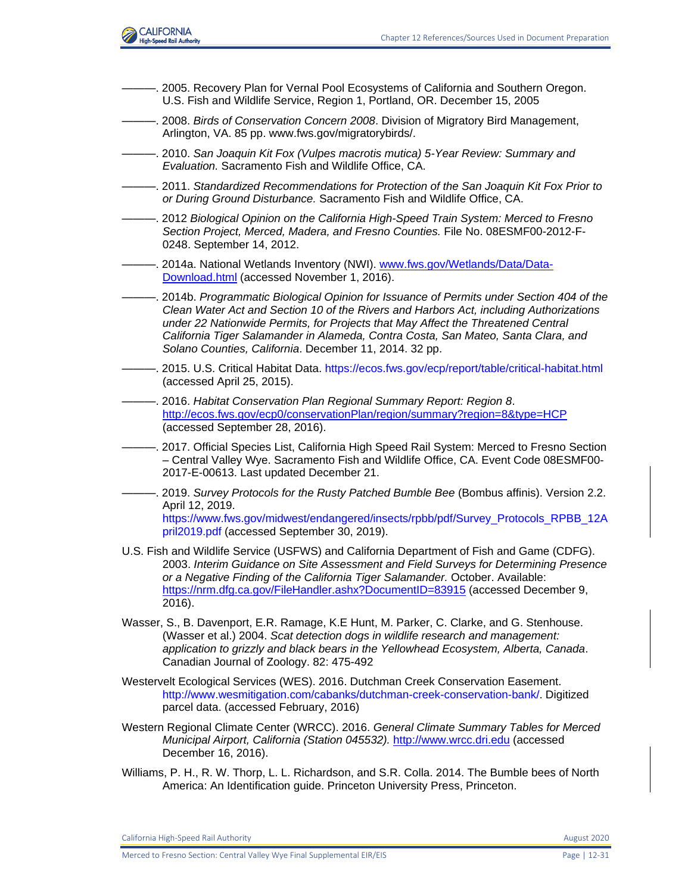

- ———. 2005. Recovery Plan for Vernal Pool Ecosystems of California and Southern Oregon. U.S. Fish and Wildlife Service, Region 1, Portland, OR. December 15, 2005
- ———. 2008. *Birds of Conservation Concern 2008*. Division of Migratory Bird Management, Arlington, VA. 85 pp. [www.fws.gov/migratorybirds/.](http://www.fws.gov/migratorybirds/)
- ———. 2010. *San Joaquin Kit Fox (Vulpes macrotis mutica) 5-Year Review: Summary and Evaluation.* Sacramento Fish and Wildlife Office, CA.
- ———. 2011. *Standardized Recommendations for Protection of the San Joaquin Kit Fox Prior to or During Ground Disturbance.* Sacramento Fish and Wildlife Office, CA.
- ———. 2012 *Biological Opinion on the California High-Speed Train System: Merced to Fresno Section Project, Merced, Madera, and Fresno Counties.* File No. 08ESMF00-2012-F-0248. September 14, 2012.
- ———. 2014a. National Wetlands Inventory (NWI). [www.fws.gov/Wetlands/Data/Data-](http://www.fws.gov/Wetlands/Data/Data-Download.html)[Download.html](http://www.fws.gov/Wetlands/Data/Data-Download.html) (accessed November 1, 2016).
- ———. 2014b. *Programmatic Biological Opinion for Issuance of Permits under Section 404 of the Clean Water Act and Section 10 of the Rivers and Harbors Act, including Authorizations under 22 Nationwide Permits, for Projects that May Affect the Threatened Central California Tiger Salamander in Alameda, Contra Costa, San Mateo, Santa Clara, and Solano Counties, California*. December 11, 2014. 32 pp.
- ———. 2015. U.S. Critical Habitat Data.<https://ecos.fws.gov/ecp/report/table/critical-habitat.html> (accessed April 25, 2015).
- ———. 2016. *Habitat Conservation Plan Regional Summary Report: Region 8*. <http://ecos.fws.gov/ecp0/conservationPlan/region/summary?region=8&type=HCP> (accessed September 28, 2016).
- -. 2017. Official Species List, California High Speed Rail System: Merced to Fresno Section – Central Valley Wye. Sacramento Fish and Wildlife Office, CA. Event Code 08ESMF00- 2017-E-00613. Last updated December 21.
- ———. 2019. *Survey Protocols for the Rusty Patched Bumble Bee* (Bombus affinis). Version 2.2. April 12, 2019. [https://www.fws.gov/midwest/endangered/insects/rpbb/pdf/Survey\\_Protocols\\_RPBB\\_12A](https://www.fws.gov/midwest/endangered/insects/rpbb/pdf/Survey_Protocols_RPBB_12April2019.pdf) [pril2019.pdf](https://www.fws.gov/midwest/endangered/insects/rpbb/pdf/Survey_Protocols_RPBB_12April2019.pdf) (accessed September 30, 2019).
- U.S. Fish and Wildlife Service (USFWS) and California Department of Fish and Game (CDFG). 2003. *Interim Guidance on Site Assessment and Field Surveys for Determining Presence or a Negative Finding of the California Tiger Salamander.* October. Available: <https://nrm.dfg.ca.gov/FileHandler.ashx?DocumentID=83915> (accessed December 9, 2016).
- Wasser, S., B. Davenport, E.R. Ramage, K.E Hunt, M. Parker, C. Clarke, and G. Stenhouse. (Wasser et al.) 2004. *Scat detection dogs in wildlife research and management: application to grizzly and black bears in the Yellowhead Ecosystem, Alberta, Canada*. Canadian Journal of Zoology. 82: 475-492
- Westervelt Ecological Services (WES). 2016. Dutchman Creek Conservation Easement. [http://www.wesmitigation.com/cabanks/dutchman-creek-conservation-bank/.](http://www.wesmitigation.com/cabanks/dutchman-creek-conservation-bank/) Digitized parcel data. (accessed February, 2016)
- Western Regional Climate Center (WRCC). 2016. *General Climate Summary Tables for Merced Municipal Airport, California (Station 045532).* [http://www.wrcc.dri.edu](http://www.wrcc.dri.edu/) (accessed December 16, 2016).
- Williams, P. H., R. W. Thorp, L. L. Richardson, and S.R. Colla. 2014. The Bumble bees of North America: An Identification guide. Princeton University Press, Princeton.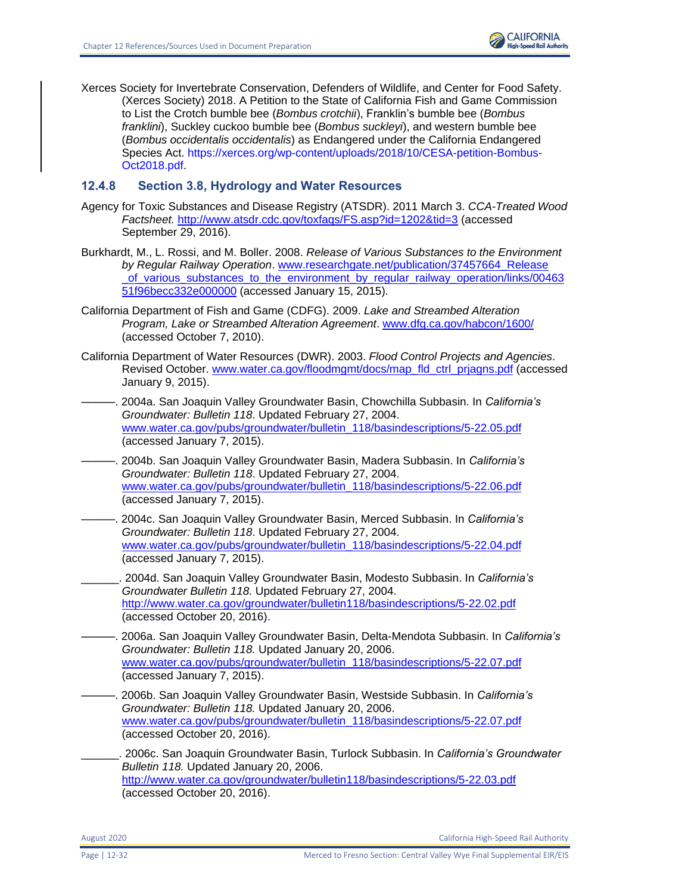

Xerces Society for Invertebrate Conservation, Defenders of Wildlife, and Center for Food Safety. (Xerces Society) 2018. A Petition to the State of California Fish and Game Commission to List the Crotch bumble bee (*Bombus crotchii*), Franklin's bumble bee (*Bombus franklini*), Suckley cuckoo bumble bee (*Bombus suckleyi*), and western bumble bee (*Bombus occidentalis occidentalis*) as Endangered under the California Endangered Species Act. [https://xerces.org/wp-content/uploads/2018/10/CESA-petition-Bombus-](https://xerces.org/wp-content/uploads/2018/10/CESA-petition-Bombus-Oct2018.pdf)[Oct2018.pdf.](https://xerces.org/wp-content/uploads/2018/10/CESA-petition-Bombus-Oct2018.pdf)

# **12.4.8 Section 3.8, Hydrology and Water Resources**

- Agency for Toxic Substances and Disease Registry (ATSDR). 2011 March 3. *CCA-Treated Wood Factsheet.* <http://www.atsdr.cdc.gov/toxfaqs/FS.asp?id=1202&tid=3> (accessed September 29, 2016).
- Burkhardt, M., L. Rossi, and M. Boller. 2008. *Release of Various Substances to the Environment by Regular Railway Operation*. [www.researchgate.net/publication/37457664\\_Release](http://www.researchgate.net/publication/37457664_Release_of_various_substances_to_the_environment_by_regular_railway_operation/links/0046351f96becc332e000000) [\\_of\\_various\\_substances\\_to\\_the\\_environment\\_by\\_regular\\_railway\\_operation/links/00463](http://www.researchgate.net/publication/37457664_Release_of_various_substances_to_the_environment_by_regular_railway_operation/links/0046351f96becc332e000000) [51f96becc332e000000](http://www.researchgate.net/publication/37457664_Release_of_various_substances_to_the_environment_by_regular_railway_operation/links/0046351f96becc332e000000) (accessed January 15, 2015).
- California Department of Fish and Game (CDFG). 2009. *Lake and Streambed Alteration Program, Lake or Streambed Alteration Agreement*. [www.dfg.ca.gov/habcon/1600/](http://www.dfg.ca.gov/habcon/1600/) (accessed October 7, 2010).
- California Department of Water Resources (DWR). 2003. *Flood Control Projects and Agencies*. Revised October. [www.water.ca.gov/floodmgmt/docs/map\\_fld\\_ctrl\\_prjagns.pdf](https://projectspace.icfi.com/bis/ep/CaHSRA/EnvProgram/00533.15/Shared%20Documents/3.8%20Hydrology%20and%20Water%20Resources/www.water.ca.gov/floodmgmt/docs/map_fld_ctrl_prjagns.pdf) (accessed January 9, 2015).
- ———. 2004a. San Joaquin Valley Groundwater Basin, Chowchilla Subbasin. In *California's Groundwater: Bulletin 118*. Updated February 27, 2004. [www.water.ca.gov/pubs/groundwater/bulletin\\_118/basindescriptions/5-22.05.pdf](http://www.water.ca.gov/pubs/groundwater/bulletin_118/basindescriptions/5-22.05.pdf) (accessed January 7, 2015).
- ———. 2004b. San Joaquin Valley Groundwater Basin, Madera Subbasin. In *California's Groundwater: Bulletin 118*. Updated February 27, 2004. [www.water.ca.gov/pubs/groundwater/bulletin\\_118/basindescriptions/5-22.06.pdf](http://www.water.ca.gov/pubs/groundwater/bulletin_118/basindescriptions/5-22.06.pdf) (accessed January 7, 2015).
	- ———. 2004c. San Joaquin Valley Groundwater Basin, Merced Subbasin. In *California's Groundwater: Bulletin 118*. Updated February 27, 2004. [www.water.ca.gov/pubs/groundwater/bulletin\\_118/basindescriptions/5-22.04.pdf](http://www.water.ca.gov/pubs/groundwater/bulletin_118/basindescriptions/5-22.04.pdf) (accessed January 7, 2015).
- \_\_\_\_\_\_. 2004d. San Joaquin Valley Groundwater Basin, Modesto Subbasin. In *California's Groundwater Bulletin 118.* Updated February 27, 2004. <http://www.water.ca.gov/groundwater/bulletin118/basindescriptions/5-22.02.pdf> (accessed October 20, 2016).
- ———. 2006a. San Joaquin Valley Groundwater Basin, Delta-Mendota Subbasin. In *California's Groundwater: Bulletin 118.* Updated January 20, 2006. [www.water.ca.gov/pubs/groundwater/bulletin\\_118/basindescriptions/5-22.07.pdf](http://www.water.ca.gov/pubs/groundwater/bulletin_118/basindescriptions/5-22.07.pdf) (accessed January 7, 2015).
- ———. 2006b. San Joaquin Valley Groundwater Basin, Westside Subbasin. In *California's Groundwater: Bulletin 118.* Updated January 20, 2006. [www.water.ca.gov/pubs/groundwater/bulletin\\_118/basindescriptions/5-22.07.pdf](http://www.water.ca.gov/pubs/groundwater/bulletin_118/basindescriptions/5-22.07.pdf) (accessed October 20, 2016).
	- \_\_\_\_\_\_. 2006c. San Joaquin Groundwater Basin, Turlock Subbasin. In *California's Groundwater Bulletin 118.* Updated January 20, 2006. <http://www.water.ca.gov/groundwater/bulletin118/basindescriptions/5-22.03.pdf> (accessed October 20, 2016).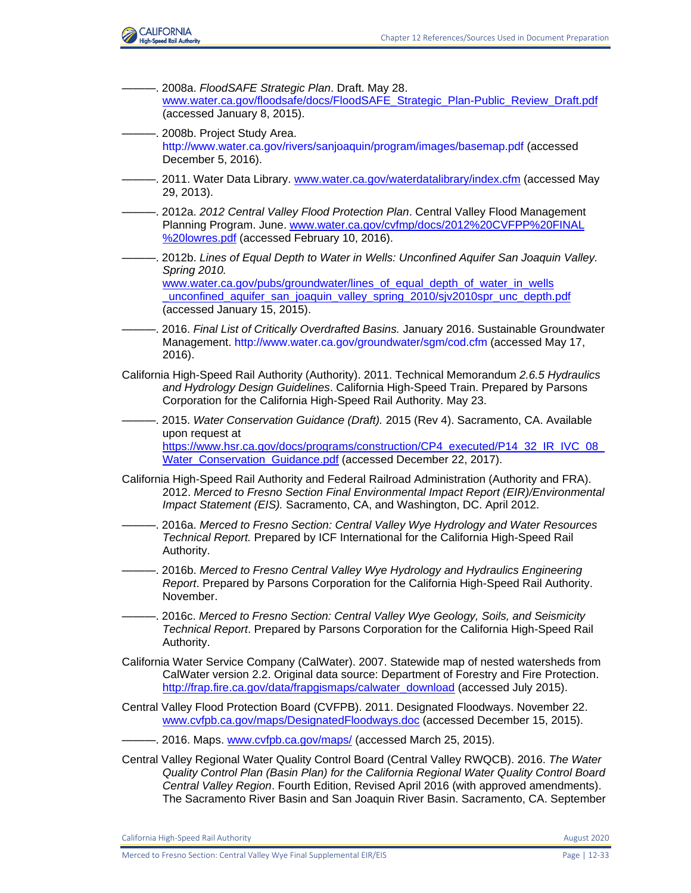

- ———. 2008a. *FloodSAFE Strategic Plan*. Draft. May 28. [www.water.ca.gov/floodsafe/docs/FloodSAFE\\_Strategic\\_Plan-Public\\_Review\\_Draft.pdf](http://www.water.ca.gov/floodsafe/docs/FloodSAFE_Strategic_Plan-Public_Review_Draft.pdf) (accessed January 8, 2015).
- ———. 2008b. Project Study Area. [http://www.water.ca.gov/rivers/sanjoaquin/program/images/basemap.pdf](https://icfonline.sharepoint.com/sites/EP_CAHSR_CVY/Shared%20Documents/00_BACK%20MATTER_Distribution-Preparers-Refs-Glossary-Index-Acros/12%20References/Coop%20Agency%20Review%20-%20Track%20Retained/V1-36_CVY_CH_12_References.docx) (accessed December 5, 2016).
- -. 2011. Water Data Library. [www.water.ca.gov/waterdatalibrary/index.cfm](http://www.water.ca.gov/waterdatalibrary/index.cfm) (accessed May 29, 2013).
- ———. 2012a. *2012 Central Valley Flood Protection Plan*. Central Valley Flood Management Planning Program. June. [www.water.ca.gov/cvfmp/docs/2012%20CVFPP%20FINAL](http://www.water.ca.gov/cvfmp/docs/2012%20CVFPP%20FINAL%20lowres.pdf) [%20lowres.pdf](http://www.water.ca.gov/cvfmp/docs/2012%20CVFPP%20FINAL%20lowres.pdf) (accessed February 10, 2016).
- ———. 2012b. *Lines of Equal Depth to Water in Wells: Unconfined Aquifer San Joaquin Valley. Spring 2010.* [www.water.ca.gov/pubs/groundwater/lines\\_of\\_equal\\_depth\\_of\\_water\\_in\\_wells](http://www.water.ca.gov/pubs/groundwater/lines_of_equal_depth_of_water_in_wells_unconfined_aquifer_san_joaquin_valley_spring_2010/sjv2010spr_unc_depth.pdf) unconfined aquifer san joaquin valley spring 2010/sjv2010spr unc depth.pdf (accessed January 15, 2015).
- ———. 2016. *Final List of Critically Overdrafted Basins.* January 2016. Sustainable Groundwater Management. [http://www.water.ca.gov/groundwater/sgm/cod.cfm](https://icfonline.sharepoint.com/sites/EP_CAHSR_CVY/Shared%20Documents/00_BACK%20MATTER_Distribution-Preparers-Refs-Glossary-Index-Acros/12%20References/Archive) (accessed May 17, 2016).
- California High-Speed Rail Authority (Authority). 2011. Technical Memorandum *2.6.5 Hydraulics and Hydrology Design Guidelines*. California High-Speed Train. Prepared by Parsons Corporation for the California High-Speed Rail Authority. May 23.
- ———. 2015. *Water Conservation Guidance (Draft).* 2015 (Rev 4). Sacramento, CA. Available upon request at [https://www.hsr.ca.gov/docs/programs/construction/CP4\\_executed/P14\\_32\\_IR\\_IVC\\_08\\_](https://www.hsr.ca.gov/docs/programs/construction/CP4_executed/P14_32_IR_IVC_08_Water_Conservation_Guidance.pdf) Water Conservation Guidance.pdf (accessed December 22, 2017).
- California High-Speed Rail Authority and Federal Railroad Administration (Authority and FRA). 2012. *Merced to Fresno Section Final Environmental Impact Report (EIR)/Environmental Impact Statement (EIS).* Sacramento, CA, and Washington, DC. April 2012.
- ———. 2016a. *Merced to Fresno Section: Central Valley Wye Hydrology and Water Resources Technical Report.* Prepared by ICF International for the California High-Speed Rail Authority.
- ———. 2016b. *Merced to Fresno Central Valley Wye Hydrology and Hydraulics Engineering Report*. Prepared by Parsons Corporation for the California High-Speed Rail Authority. November.
- ———. 2016c. *Merced to Fresno Section: Central Valley Wye Geology, Soils, and Seismicity Technical Report*. Prepared by Parsons Corporation for the California High-Speed Rail Authority.
- California Water Service Company (CalWater). 2007. Statewide map of nested watersheds from CalWater version 2.2. Original data source: Department of Forestry and Fire Protection. [http://frap.fire.ca.gov/data/frapgismaps/calwater\\_download](http://frap.fire.ca.gov/data/frapgismaps/calwater_download) (accessed July 2015).
- Central Valley Flood Protection Board (CVFPB). 2011. Designated Floodways. November 22. [www.cvfpb.ca.gov/maps/DesignatedFloodways.doc](http://www.cvfpb.ca.gov/maps/DesignatedFloodways.doc) (accessed December 15, 2015).
- -. 2016. Maps. [www.cvfpb.ca.gov/maps/](https://projectspace.icfi.com/bis/ep/CaHSRA/EnvProgram/00533.15/Shared%20Documents/3.8%20Hydrology%20and%20Water%20Resources/www.cvfpb.ca.gov/maps) (accessed March 25, 2015).
- Central Valley Regional Water Quality Control Board (Central Valley RWQCB). 2016. *The Water Quality Control Plan (Basin Plan) for the California Regional Water Quality Control Board Central Valley Region*. Fourth Edition, Revised April 2016 (with approved amendments). The Sacramento River Basin and San Joaquin River Basin. Sacramento, CA. September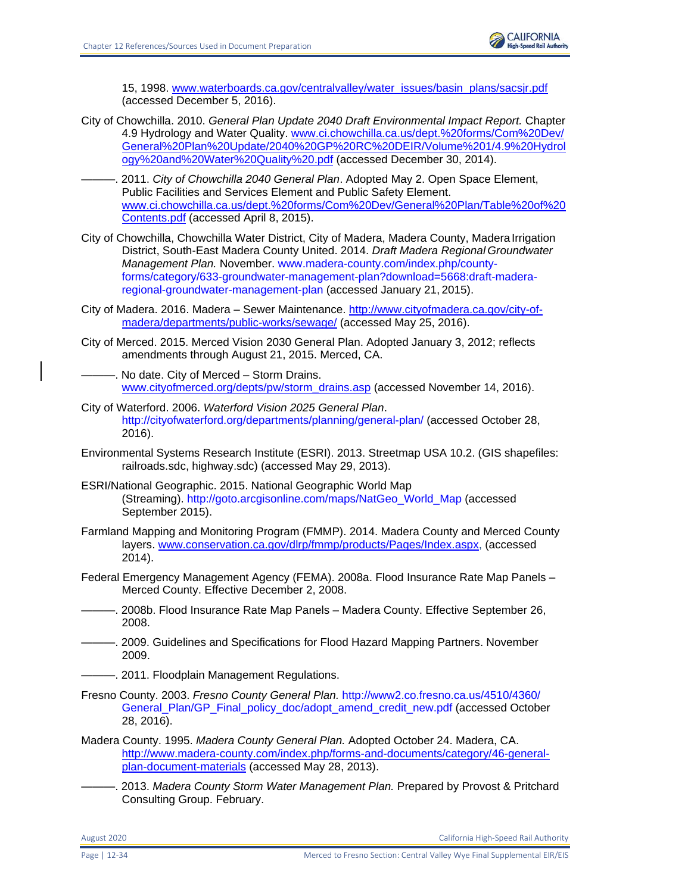

15, 1998. [www.waterboards.ca.gov/centralvalley/water\\_issues/basin\\_plans/sacsjr.pdf](http://www.waterboards.ca.gov/centralvalley/water_issues/basin_plans/sacsjr.pdf) (accessed December 5, 2016).

- City of Chowchilla. 2010. *General Plan Update 2040 Draft Environmental Impact Report.* Chapter 4.9 Hydrology and Water Quality. [www.ci.chowchilla.ca.us/dept.%20forms/Com%20Dev/](http://www.ci.chowchilla.ca.us/‌dept.%20forms/‌Com%20Dev/‌General%20Plan%20Update/2040%20GP%20RC%20DEIR/Volume%201/4.9%20Hydrology%20and%20Water%20Quality%20.pdf) [General%20Plan%20Update/2040%20GP%20RC%20DEIR/Volume%201/4.9%20Hydrol](http://www.ci.chowchilla.ca.us/‌dept.%20forms/‌Com%20Dev/‌General%20Plan%20Update/2040%20GP%20RC%20DEIR/Volume%201/4.9%20Hydrology%20and%20Water%20Quality%20.pdf) [ogy%20and%20Water%20Quality%20.pdf](http://www.ci.chowchilla.ca.us/‌dept.%20forms/‌Com%20Dev/‌General%20Plan%20Update/2040%20GP%20RC%20DEIR/Volume%201/4.9%20Hydrology%20and%20Water%20Quality%20.pdf) (accessed December 30, 2014).
- ———. 2011. *City of Chowchilla 2040 General Plan*. Adopted May 2. Open Space Element, Public Facilities and Services Element and Public Safety Element. [www.ci.chowchilla.ca.us/dept.%20forms/Com%20Dev/General%20Plan/Table%20of%20](http://www.ci.chowchilla.ca.us/dept.%20forms/Com%20Dev/General%20Plan/Table%20of%20Contents.pdf) [Contents.pdf](http://www.ci.chowchilla.ca.us/dept.%20forms/Com%20Dev/General%20Plan/Table%20of%20Contents.pdf) (accessed April 8, 2015).
- City of Chowchilla, Chowchilla Water District, City of Madera, Madera County, Madera Irrigation District, South-East Madera County United. 2014. *Draft Madera Regional Groundwater Management Plan.* November. [www.madera-county.com/index.php/county](http://www.madera-county.com/index.php/county-forms/category/633-groundwater-management-plan?download=5668%3Adraft-madera-regional-groundwater-management-plan)[forms/category/633-groundwater-management-plan?download=5668:draft-madera](http://www.madera-county.com/index.php/county-forms/category/633-groundwater-management-plan?download=5668%3Adraft-madera-regional-groundwater-management-plan)[regional-groundwater-management-plan](http://www.madera-county.com/index.php/county-forms/category/633-groundwater-management-plan?download=5668%3Adraft-madera-regional-groundwater-management-plan) (accessed January 21, 2015).
- City of Madera. 2016. Madera Sewer Maintenance. [http://www.cityofmadera.ca.gov/city-of](http://www.cityofmadera.ca.gov/city-of-madera/departments/public-works/sewage/)[madera/departments/public-works/sewage/](http://www.cityofmadera.ca.gov/city-of-madera/departments/public-works/sewage/) (accessed May 25, 2016).
- City of Merced. 2015. Merced Vision 2030 General Plan. Adopted January 3, 2012; reflects amendments through August 21, 2015. Merced, CA.
- $-$ . No date. City of Merced Storm Drains. [www.cityofmerced.org/depts/pw/storm\\_drains.asp](https://projectspace.icfi.com/bis/ep/CaHSRA/EnvProgram/00533.15/Shared%20Documents/3.8%20Hydrology%20and%20Water%20Resources/www.cityofmerced.org/depts/pw/storm_drains.asp) (accessed November 14, 2016).
- City of Waterford. 2006. *Waterford Vision 2025 General Plan*. <http://cityofwaterford.org/departments/planning/general-plan/> (accessed October 28, 2016).
- Environmental Systems Research Institute (ESRI). 2013. Streetmap USA 10.2. (GIS shapefiles: railroads.sdc, highway.sdc) (accessed May 29, 2013).
- ESRI/National Geographic. 2015. National Geographic World Map (Streaming). [http://goto.arcgisonline.com/maps/NatGeo\\_World\\_Map](http://goto.arcgisonline.com/maps/NatGeo_World_Map) (accessed September 2015).
- Farmland Mapping and Monitoring Program (FMMP). 2014. Madera County and Merced County layers. [www.conservation.ca.gov/dlrp/fmmp/products/Pages/Index.aspx,](http://www.conservation.ca.gov/dlrp/fmmp/products/Pages/Index.aspx) (accessed 2014).
- Federal Emergency Management Agency (FEMA). 2008a. Flood Insurance Rate Map Panels Merced County. Effective December 2, 2008.
- ———. 2008b. Flood Insurance Rate Map Panels Madera County. Effective September 26, 2008.
- -. 2009. Guidelines and Specifications for Flood Hazard Mapping Partners. November 2009.
- . 2011. Floodplain Management Regulations.
- Fresno County. 2003. *Fresno County General Plan.* [http://www2.co.fresno.ca.us/4510/4360/](http://www2.co.fresno.ca.us/4510/4360/%20General_Plan/GP_Final_policy_doc/adopt_amend_credit_new.pdf)  [General\\_Plan/GP\\_Final\\_policy\\_doc/adopt\\_amend\\_credit\\_new.pdf](http://www2.co.fresno.ca.us/4510/4360/%20General_Plan/GP_Final_policy_doc/adopt_amend_credit_new.pdf) (accessed October 28, 2016).
- Madera County. 1995. *Madera County General Plan.* Adopted October 24. Madera, CA. [http://www.madera-county.com/index.php/forms-and-documents/category/46-general](http://www.madera-county.com/index.php/forms-and-documents/category/46-general-plan-document-materials)[plan-document-materials](http://www.madera-county.com/index.php/forms-and-documents/category/46-general-plan-document-materials) (accessed May 28, 2013).
	- ———. 2013. *Madera County Storm Water Management Plan.* Prepared by Provost & Pritchard Consulting Group. February.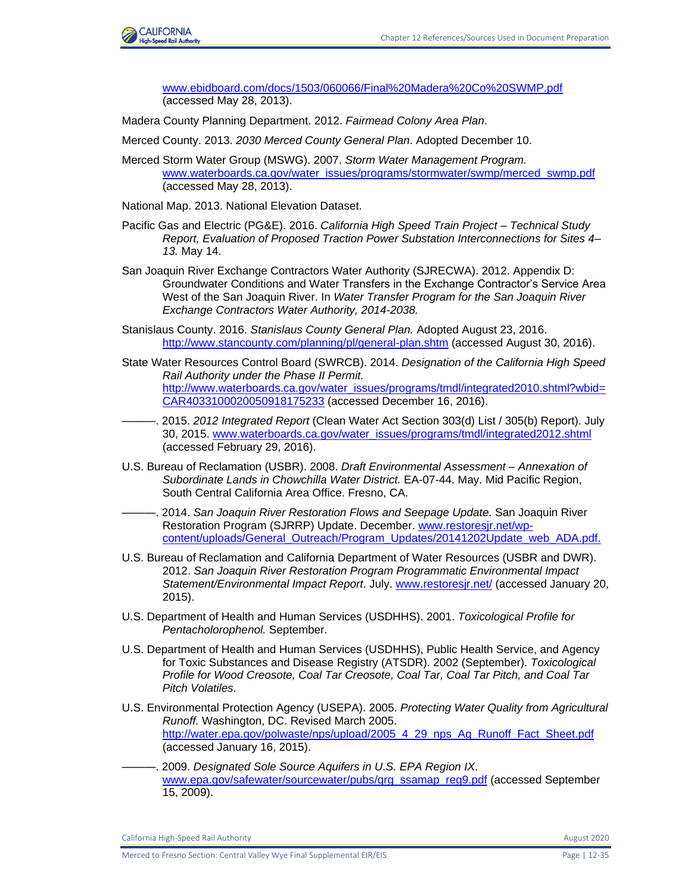

[www.ebidboard.com/docs/1503/060066/Final%20Madera%20Co%20SWMP.pdf](http://www.ebidboard.com/docs/1503/060066/Final%20Madera%20Co%20SWMP.pdf) (accessed May 28, 2013).

- Madera County Planning Department. 2012. *Fairmead Colony Area Plan*.
- Merced County. 2013. *2030 Merced County General Plan*. Adopted December 10.
- Merced Storm Water Group (MSWG). 2007. *Storm Water Management Program.*  [www.waterboards.ca.gov/water\\_issues/programs/stormwater/swmp/merced\\_swmp.pdf](http://www.waterboards.ca.gov/water_issues/programs/stormwater/swmp/merced_swmp.pdf) (accessed May 28, 2013).

National Map. 2013. National Elevation Dataset.

- Pacific Gas and Electric (PG&E). 2016. *California High Speed Train Project – Technical Study Report, Evaluation of Proposed Traction Power Substation Interconnections for Sites 4– 13.* May 14.
- San Joaquin River Exchange Contractors Water Authority (SJRECWA). 2012. Appendix D: Groundwater Conditions and Water Transfers in the Exchange Contractor's Service Area West of the San Joaquin River. In *Water Transfer Program for the San Joaquin River Exchange Contractors Water Authority, 2014-2038.*
- Stanislaus County. 2016. *Stanislaus County General Plan.* Adopted August 23, 2016. <http://www.stancounty.com/planning/pl/general-plan.shtm> (accessed August 30, 2016).
- State Water Resources Control Board (SWRCB). 2014. *Designation of the California High Speed Rail Authority under the Phase II Permit.*  [http://www.waterboards.ca.gov/water\\_issues/programs/tmdl/integrated2010.shtml?wbid=](http://www.waterboards.ca.gov/water_issues/programs/tmdl/integrated2010.shtml?wbid=CAR4033100020050918175233) [CAR4033100020050918175233](http://www.waterboards.ca.gov/water_issues/programs/tmdl/integrated2010.shtml?wbid=CAR4033100020050918175233) (accessed December 16, 2016).
- ———. 2015. *2012 Integrated Report* (Clean Water Act Section 303(d) List / 305(b) Report). July 30, 2015. [www.waterboards.ca.gov/water\\_issues/programs/tmdl/integrated2012.shtml](http://www.waterboards.ca.gov/water_issues/programs/tmdl/integrated2012.shtml) (accessed February 29, 2016).
- U.S. Bureau of Reclamation (USBR). 2008. *Draft Environmental Assessment – Annexation of Subordinate Lands in Chowchilla Water District.* EA-07-44. May. Mid Pacific Region, South Central California Area Office. Fresno, CA.
- ———. 2014. *San Joaquin River Restoration Flows and Seepage Update*. San Joaquin River Restoration Program (SJRRP) Update. December[. www.restoresjr.net/wp](http://www.restoresjr.net/wp-content/uploads/General_Outreach/Program_Updates/20141202Update_web_ADA.pdf)[content/uploads/General\\_Outreach/Program\\_Updates/20141202Update\\_web\\_ADA.pdf.](http://www.restoresjr.net/wp-content/uploads/General_Outreach/Program_Updates/20141202Update_web_ADA.pdf)
- U.S. Bureau of Reclamation and California Department of Water Resources (USBR and DWR). 2012. *San Joaquin River Restoration Program Programmatic Environmental Impact Statement/Environmental Impact Report*. July. [www.restoresjr.net/](http://www.restoresjr.net/) (accessed January 20, 2015).
- U.S. Department of Health and Human Services (USDHHS). 2001. *Toxicological Profile for Pentacholorophenol.* September.
- U.S. Department of Health and Human Services (USDHHS), Public Health Service, and Agency for Toxic Substances and Disease Registry (ATSDR). 2002 (September). *Toxicological Profile for Wood Creosote, Coal Tar Creosote, Coal Tar, Coal Tar Pitch, and Coal Tar Pitch Volatiles*.
- U.S. Environmental Protection Agency (USEPA). 2005. *Protecting Water Quality from Agricultural Runoff.* Washington, DC. Revised March 2005. [http://water.epa.gov/polwaste/nps/upload/2005\\_4\\_29\\_nps\\_Ag\\_Runoff\\_Fact\\_Sheet.pdf](http://water.epa.gov/polwaste/nps/upload/2005_4_29_nps_Ag_Runoff_Fact_Sheet.pdf) (accessed January 16, 2015).
- ———. 2009. *Designated Sole Source Aquifers in U.S. EPA Region IX*. [www.epa.gov/safewater/sourcewater/pubs/qrg\\_ssamap\\_reg9.pdf](http://www.epa.gov/safewater/sourcewater/pubs/qrg_ssamap_reg9.pdf) (accessed September 15, 2009).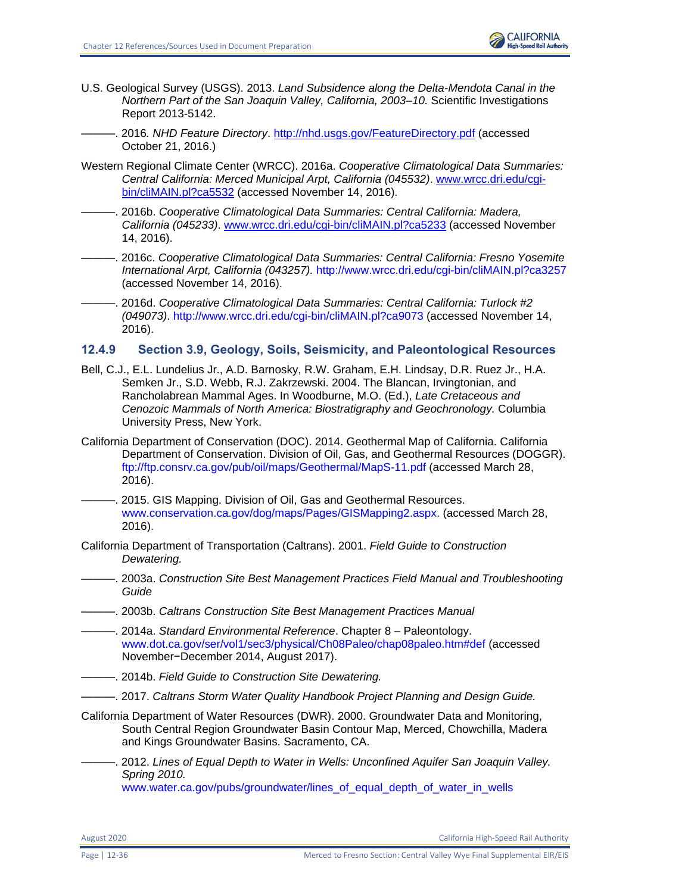

- U.S. Geological Survey (USGS). 2013. *Land Subsidence along the Delta-Mendota Canal in the Northern Part of the San Joaquin Valley, California, 2003–10.* Scientific Investigations Report 2013-5142.
- ———. 2016*. NHD Feature Directory*.<http://nhd.usgs.gov/FeatureDirectory.pdf> (accessed October 21, 2016.)
- Western Regional Climate Center (WRCC). 2016a. *Cooperative Climatological Data Summaries: Central California: Merced Municipal Arpt, California (045532)*. [www.wrcc.dri.edu/cgi](http://www.wrcc.dri.edu/cgi-bin/cliMAIN.pl?ca5532)[bin/cliMAIN.pl?ca5532](http://www.wrcc.dri.edu/cgi-bin/cliMAIN.pl?ca5532) (accessed November 14, 2016).
- ———. 2016b. *Cooperative Climatological Data Summaries: Central California: Madera, California (045233)*. [www.wrcc.dri.edu/cgi-bin/cliMAIN.pl?ca5233](http://www.wrcc.dri.edu/cgi-bin/cliMAIN.pl?ca5233) (accessed November 14, 2016).
- ———. 2016c. *Cooperative Climatological Data Summaries: Central California: Fresno Yosemite International Arpt, California (043257).* <http://www.wrcc.dri.edu/cgi-bin/cliMAIN.pl?ca3257> (accessed November 14, 2016).
- ———. 2016d. *Cooperative Climatological Data Summaries: Central California: Turlock #2 (049073)*. http://www.wrcc.dri.edu/cgi-bin/cliMAIN.pl?ca9073 (accessed November 14, 2016).

# **12.4.9 Section 3.9, Geology, Soils, Seismicity, and Paleontological Resources**

- Bell, C.J., E.L. Lundelius Jr., A.D. Barnosky, R.W. Graham, E.H. Lindsay, D.R. Ruez Jr., H.A. Semken Jr., S.D. Webb, R.J. Zakrzewski. 2004. The Blancan, Irvingtonian, and Rancholabrean Mammal Ages. In Woodburne, M.O. (Ed.), *Late Cretaceous and Cenozoic Mammals of North America: Biostratigraphy and Geochronology.* Columbia University Press, New York.
- California Department of Conservation (DOC). 2014. Geothermal Map of California. California Department of Conservation. Division of Oil, Gas, and Geothermal Resources (DOGGR). <ftp://ftp.consrv.ca.gov/pub/oil/maps/Geothermal/MapS-11.pdf> (accessed March 28, 2016).
- -. 2015. GIS Mapping. Division of Oil, Gas and Geothermal Resources. [www.conservation.ca.gov/dog/maps/Pages/GISMapping2.aspx.](http://www.conservation.ca.gov/dog/maps/Pages/GISMapping2.aspx) (accessed March 28, 2016).
- California Department of Transportation (Caltrans). 2001. *Field Guide to Construction Dewatering.*
- ———. 2003a. *Construction Site Best Management Practices Field Manual and Troubleshooting Guide*
- ———. 2003b. *Caltrans Construction Site Best Management Practices Manual*
- ———. 2014a. *Standard Environmental Reference*. Chapter 8 Paleontology. [www.dot.ca.gov/ser/vol1/sec3/physical/Ch08Paleo/chap08paleo.htm#def](http://www.dot.ca.gov/ser/vol1/sec3/physical/Ch08Paleo/chap08paleo.htm%23def) (accessed November−December 2014, August 2017).
- $-$ . 2014b. Field Guide to Construction Site Dewatering.
	- ———. 2017. *Caltrans Storm Water Quality Handbook Project Planning and Design Guide.*
- California Department of Water Resources (DWR). 2000. Groundwater Data and Monitoring, South Central Region Groundwater Basin Contour Map, Merced, Chowchilla, Madera and Kings Groundwater Basins. Sacramento, CA.
	- ———. 2012. *Lines of Equal Depth to Water in Wells: Unconfined Aquifer San Joaquin Valley. Spring 2010.*  [www.water.ca.gov/pubs/groundwater/lines\\_of\\_equal\\_depth\\_of\\_water\\_in\\_wells](http://www.water.ca.gov/pubs/groundwater/lines_of_equal_depth_of_water_in_wells_unconfined_aquifer_san_joaquin_valley_spring_2010/sjv2010spr_unc_depth.pdf)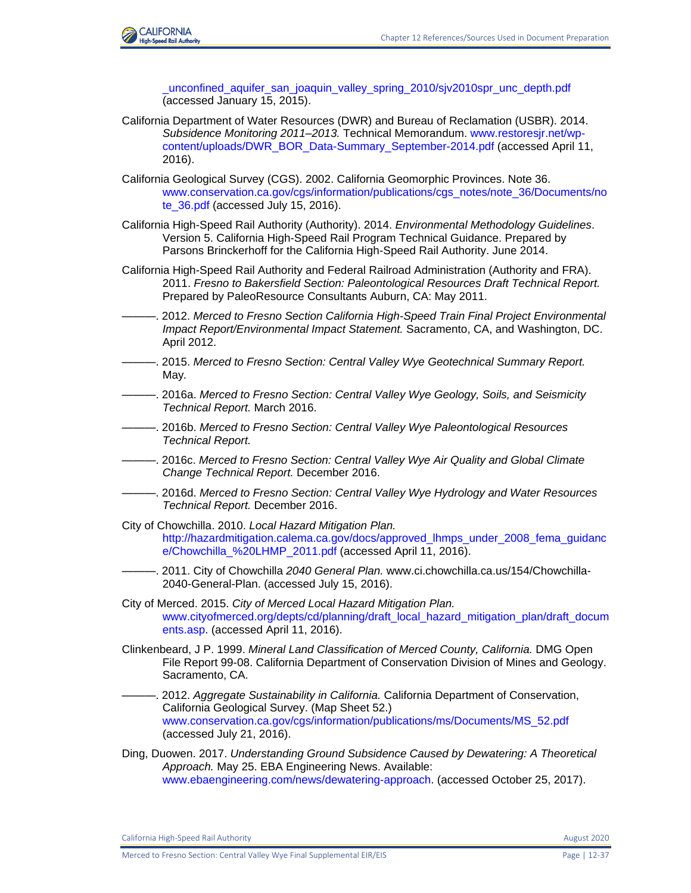

[\\_unconfined\\_aquifer\\_san\\_joaquin\\_valley\\_spring\\_2010/sjv2010spr\\_unc\\_depth.pdf](http://www.water.ca.gov/pubs/groundwater/lines_of_equal_depth_of_water_in_wells_unconfined_aquifer_san_joaquin_valley_spring_2010/sjv2010spr_unc_depth.pdf) (accessed January 15, 2015).

- California Department of Water Resources (DWR) and Bureau of Reclamation (USBR). 2014. *Subsidence Monitoring 2011–2013.* Technical Memorandum. [www.restoresjr.net/wp](http://www.restoresjr.net/wp-content/uploads/DWR_BOR_Data-Summary_September-2014.pdf)[content/uploads/DWR\\_BOR\\_Data-Summary\\_September-2014.pdf](http://www.restoresjr.net/wp-content/uploads/DWR_BOR_Data-Summary_September-2014.pdf) (accessed April 11, 2016).
- California Geological Survey (CGS). 2002. California Geomorphic Provinces. Note 36. [www.conservation.ca.gov/cgs/information/publications/cgs\\_notes/note\\_36/Documents/no](http://www.conservation.ca.gov/cgs/information/publications/cgs_notes/note_36/Documents/note_36.pdf) [te\\_36.pdf](http://www.conservation.ca.gov/cgs/information/publications/cgs_notes/note_36/Documents/note_36.pdf) (accessed July 15, 2016).
- California High-Speed Rail Authority (Authority). 2014. *Environmental Methodology Guidelines*. Version 5. California High-Speed Rail Program Technical Guidance. Prepared by Parsons Brinckerhoff for the California High-Speed Rail Authority. June 2014.
- California High-Speed Rail Authority and Federal Railroad Administration (Authority and FRA). 2011. *Fresno to Bakersfield Section: Paleontological Resources Draft Technical Report.*  Prepared by PaleoResource Consultants Auburn, CA: May 2011.
- ———. 2012. *Merced to Fresno Section California High-Speed Train Final Project Environmental Impact Report/Environmental Impact Statement.* Sacramento, CA, and Washington, DC. April 2012.
- ———. 2015. *Merced to Fresno Section: Central Valley Wye Geotechnical Summary Report.* May*.*
- ———. 2016a. *Merced to Fresno Section: Central Valley Wye Geology, Soils, and Seismicity Technical Report.* March 2016.
- ———. 2016b. *Merced to Fresno Section: Central Valley Wye Paleontological Resources Technical Report.*
- ———. 2016c. *Merced to Fresno Section: Central Valley Wye Air Quality and Global Climate Change Technical Report.* December 2016.
- ———. 2016d. *Merced to Fresno Section: Central Valley Wye Hydrology and Water Resources Technical Report.* December 2016.
- City of Chowchilla. 2010. *Local Hazard Mitigation Plan.* [http://hazardmitigation.calema.ca.gov/docs/approved\\_lhmps\\_under\\_2008\\_fema\\_guidanc](http://hazardmitigation.calema.ca.gov/docs/approved_lhmps_under_2008_fema_guidance/Chowchilla_%20LHMP_2011.pdf) [e/Chowchilla\\_%20LHMP\\_2011.pdf](http://hazardmitigation.calema.ca.gov/docs/approved_lhmps_under_2008_fema_guidance/Chowchilla_%20LHMP_2011.pdf) (accessed April 11, 2016).
- ———. 2011. City of Chowchilla *2040 General Plan.* www.ci.chowchilla.ca.us/154/Chowchilla-2040-General-Plan. (accessed July 15, 2016).
- City of Merced. 2015. *City of Merced Local Hazard Mitigation Plan.* [www.cityofmerced.org/depts/cd/planning/draft\\_local\\_hazard\\_mitigation\\_plan/draft\\_docum](https://www.cityofmerced.org/depts/cd/planning/draft_local_hazard_mitigation_plan/draft_documents.asp) [ents.asp.](https://www.cityofmerced.org/depts/cd/planning/draft_local_hazard_mitigation_plan/draft_documents.asp) (accessed April 11, 2016).
- Clinkenbeard, J P. 1999. *Mineral Land Classification of Merced County, California.* DMG Open File Report 99-08. California Department of Conservation Division of Mines and Geology. Sacramento, CA.
- ———. 2012. *Aggregate Sustainability in California.* California Department of Conservation, California Geological Survey. (Map Sheet 52.) [www.conservation.ca.gov/cgs/information/publications/ms/Documents/MS\\_52.pdf](http://www.conservation.ca.gov/cgs/information/publications/ms/Documents/MS_52.pdf) (accessed July 21, 2016).
- Ding, Duowen. 2017. *Understanding Ground Subsidence Caused by Dewatering: A Theoretical Approach.* May 25. EBA Engineering News. Available: [www.ebaengineering.com/news/dewatering-approach.](http://www.ebaengineering.com/news/dewatering-approach) (accessed October 25, 2017).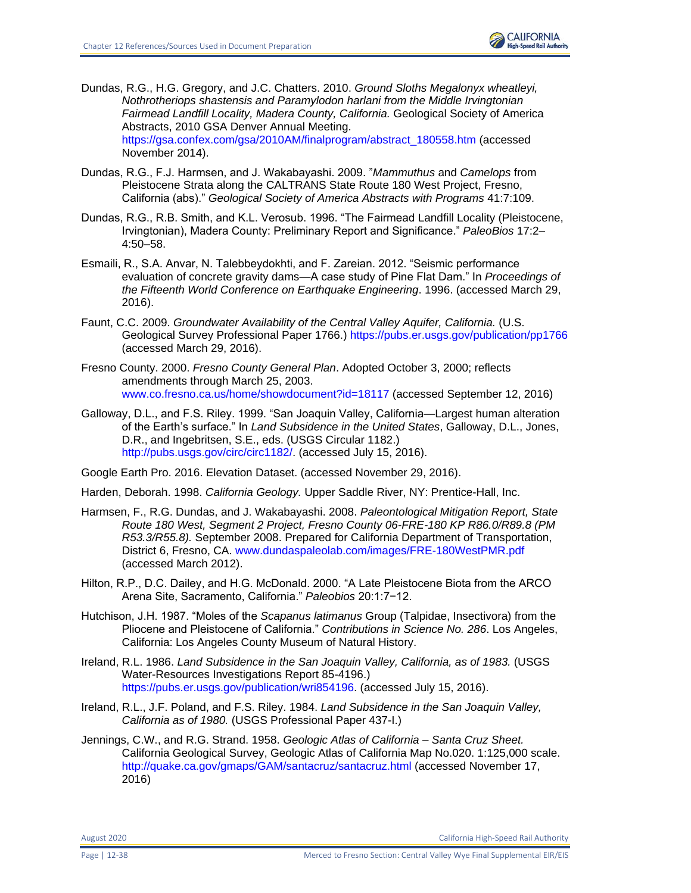

Dundas, R.G., H.G. Gregory, and J.C. Chatters. 2010. *Ground Sloths Megalonyx wheatleyi, Nothrotheriops shastensis and Paramylodon harlani from the Middle Irvingtonian Fairmead Landfill Locality, Madera County, California.* Geological Society of America Abstracts, 2010 GSA Denver Annual Meeting. [https://gsa.confex.com/gsa/2010AM/finalprogram/abstract\\_180558.htm](https://gsa.confex.com/gsa/2010AM/finalprogram/abstract_180558.htm) (accessed November 2014).

- Dundas, R.G., F.J. Harmsen, and J. Wakabayashi. 2009. "*Mammuthus* and *Camelops* from Pleistocene Strata along the CALTRANS State Route 180 West Project, Fresno, California (abs)." *Geological Society of America Abstracts with Programs* 41:7:109.
- Dundas, R.G., R.B. Smith, and K.L. Verosub. 1996. "The Fairmead Landfill Locality (Pleistocene, Irvingtonian), Madera County: Preliminary Report and Significance." *PaleoBios* 17:2– 4:50–58.
- Esmaili, R., S.A. Anvar, N. Talebbeydokhti, and F. Zareian. 2012. "Seismic performance evaluation of concrete gravity dams—A case study of Pine Flat Dam." In *Proceedings of the Fifteenth World Conference on Earthquake Engineering*. 1996. (accessed March 29, 2016).
- Faunt, C.C. 2009. *Groundwater Availability of the Central Valley Aquifer, California.* (U.S. Geological Survey Professional Paper 1766.)<https://pubs.er.usgs.gov/publication/pp1766> (accessed March 29, 2016).
- Fresno County. 2000. *Fresno County General Plan*. Adopted October 3, 2000; reflects amendments through March 25, 2003. www.co.fresno.ca.us/home/showdocument?id=18117 (accessed September 12, 2016)
- Galloway, D.L., and F.S. Riley. 1999. "San Joaquin Valley, California—Largest human alteration of the Earth's surface." In *Land Subsidence in the United States*, Galloway, D.L., Jones, D.R., and Ingebritsen, S.E., eds. (USGS Circular 1182.) [http://pubs.usgs.gov/circ/circ1182/.](http://pubs.usgs.gov/circ/circ1182/) (accessed July 15, 2016).

Google Earth Pro. 2016. Elevation Dataset. (accessed November 29, 2016).

Harden, Deborah. 1998. *California Geology.* Upper Saddle River, NY: Prentice-Hall, Inc.

- Harmsen, F., R.G. Dundas, and J. Wakabayashi. 2008. *Paleontological Mitigation Report, State Route 180 West, Segment 2 Project, Fresno County 06-FRE-180 KP R86.0/R89.8 (PM R53.3/R55.8).* September 2008. Prepared for California Department of Transportation, District 6, Fresno, CA. [www.dundaspaleolab.com/images/FRE-180WestPMR.pdf](file:///C:/Users/Reynolds/AppData/Local/Microsoft/Windows/Temporary%20Internet%20Files/IE/7P8Q5C3Q/www.dundaspaleolab.com/images/FRE-180WestPMR.pdf) (accessed March 2012).
- Hilton, R.P., D.C. Dailey, and H.G. McDonald. 2000. "A Late Pleistocene Biota from the ARCO Arena Site, Sacramento, California." *Paleobios* 20:1:7−12.
- Hutchison, J.H. 1987. "Moles of the *Scapanus latimanus* Group (Talpidae, Insectivora) from the Pliocene and Pleistocene of California." *Contributions in Science No. 286*. Los Angeles, California: Los Angeles County Museum of Natural History.
- Ireland, R.L. 1986. *Land Subsidence in the San Joaquin Valley, California, as of 1983.* (USGS Water-Resources Investigations Report 85-4196.) [https://pubs.er.usgs.gov/publication/wri854196.](https://pubs.er.usgs.gov/publication/wri854196) (accessed July 15, 2016).
- Ireland, R.L., J.F. Poland, and F.S. Riley. 1984. *Land Subsidence in the San Joaquin Valley, California as of 1980.* (USGS Professional Paper 437-I.)
- Jennings, C.W., and R.G. Strand. 1958. *Geologic Atlas of California – Santa Cruz Sheet.* California Geological Survey, Geologic Atlas of California Map No.020. 1:125,000 scale. <http://quake.ca.gov/gmaps/GAM/santacruz/santacruz.html> (accessed November 17, 2016)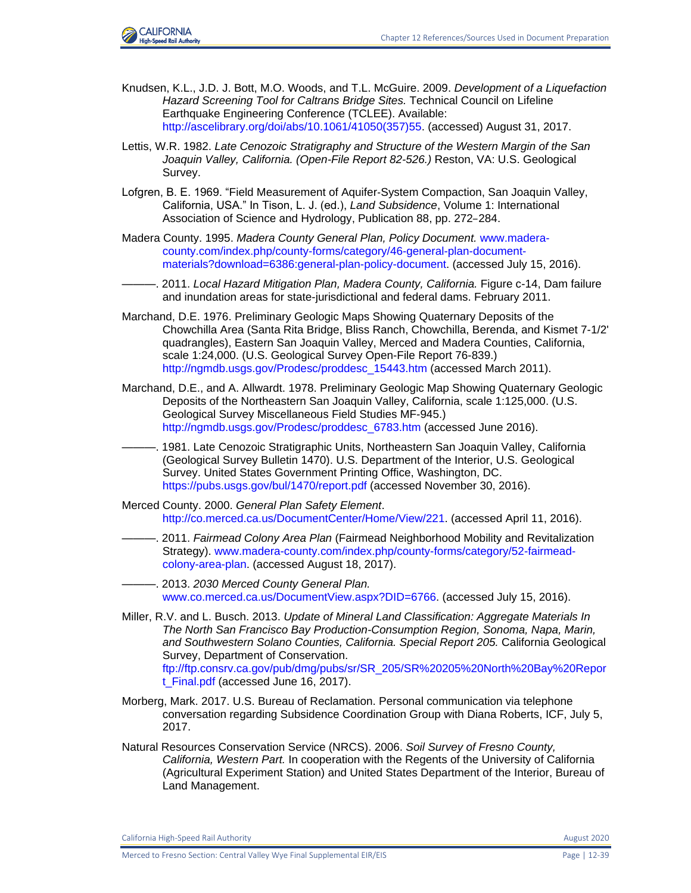

- Knudsen, K.L., J.D. J. Bott, M.O. Woods, and T.L. McGuire. 2009. *Development of a Liquefaction Hazard Screening Tool for Caltrans Bridge Sites.* Technical Council on Lifeline Earthquake Engineering Conference (TCLEE). Available: [http://ascelibrary.org/doi/abs/10.1061/41050\(357\)55.](http://ascelibrary.org/doi/abs/10.1061/41050(357)55) (accessed) August 31, 2017.
- Lettis, W.R. 1982. *Late Cenozoic Stratigraphy and Structure of the Western Margin of the San Joaquin Valley, California. (Open-File Report 82-526.)* Reston, VA: U.S. Geological Survey.
- Lofgren, B. E. 1969. "Field Measurement of Aquifer‐System Compaction, San Joaquin Valley, California, USA." In Tison, L. J. (ed.), *Land Subsidence*, Volume 1: International Association of Science and Hydrology, Publication 88, pp. 272–284.
- Madera County. 1995. *Madera County General Plan, Policy Document.* [www.madera](http://www.madera-county.com/index.php/county-forms/category/46-general-plan-document-materials?download=6386:general-plan-policy-document)[county.com/index.php/county-forms/category/46-general-plan-document](http://www.madera-county.com/index.php/county-forms/category/46-general-plan-document-materials?download=6386:general-plan-policy-document)[materials?download=6386:general-plan-policy-document.](http://www.madera-county.com/index.php/county-forms/category/46-general-plan-document-materials?download=6386:general-plan-policy-document) (accessed July 15, 2016).
- ———. 2011. *Local Hazard Mitigation Plan, Madera County, California.* Figure c-14, Dam failure and inundation areas for state-jurisdictional and federal dams. February 2011.
- Marchand, D.E. 1976. Preliminary Geologic Maps Showing Quaternary Deposits of the Chowchilla Area (Santa Rita Bridge, Bliss Ranch, Chowchilla, Berenda, and Kismet 7-1/2' quadrangles), Eastern San Joaquin Valley, Merced and Madera Counties, California, scale 1:24,000. (U.S. Geological Survey Open-File Report 76-839.) [http://ngmdb.usgs.gov/Prodesc/proddesc\\_15443.htm](http://ngmdb.usgs.gov/Prodesc/proddesc_15443.htm) (accessed March 2011).
- Marchand, D.E., and A. Allwardt. 1978. Preliminary Geologic Map Showing Quaternary Geologic Deposits of the Northeastern San Joaquin Valley, California, scale 1:125,000. (U.S. Geological Survey Miscellaneous Field Studies MF-945.) [http://ngmdb.usgs.gov/Prodesc/proddesc\\_6783.htm](http://ngmdb.usgs.gov/Prodesc/proddesc_6783.htm) (accessed June 2016).
- ———. 1981. Late Cenozoic Stratigraphic Units, Northeastern San Joaquin Valley, California (Geological Survey Bulletin 1470). U.S. Department of the Interior, U.S. Geological Survey. United States Government Printing Office, Washington, DC. <https://pubs.usgs.gov/bul/1470/report.pdf> (accessed November 30, 2016).
- Merced County. 2000. *General Plan Safety Element*. [http://co.merced.ca.us/DocumentCenter/Home/View/221.](http://co.merced.ca.us/DocumentCenter/Home/View/221) (accessed April 11, 2016).
	- ———. 2011. *Fairmead Colony Area Plan* (Fairmead Neighborhood Mobility and Revitalization Strategy). [www.madera-county.com/index.php/county-forms/category/52-fairmead](http://www.madera-county.com/index.php/county-forms/category/52-fairmead-colony-area-plan)[colony-area-plan.](http://www.madera-county.com/index.php/county-forms/category/52-fairmead-colony-area-plan) (accessed August 18, 2017).
- ———. 2013. *2030 Merced County General Plan.*  [www.co.merced.ca.us/DocumentView.aspx?DID=6766.](http://www.co.merced.ca.us/DocumentView.aspx?DID=6766) (accessed July 15, 2016).
- Miller, R.V. and L. Busch. 2013. *Update of Mineral Land Classification: Aggregate Materials In The North San Francisco Bay Production-Consumption Region, Sonoma, Napa, Marin, and Southwestern Solano Counties, California. Special Report 205.* California Geological Survey, Department of Conservation. [ftp://ftp.consrv.ca.gov/pub/dmg/pubs/sr/SR\\_205/SR%20205%20North%20Bay%20Repor](ftp://ftp.consrv.ca.gov/pub/dmg/pubs/sr/SR_205/SR 205 North Bay Report_Final.pdf) [t\\_Final.pdf](ftp://ftp.consrv.ca.gov/pub/dmg/pubs/sr/SR_205/SR 205 North Bay Report_Final.pdf) (accessed June 16, 2017).
- Morberg, Mark. 2017. U.S. Bureau of Reclamation. Personal communication via telephone conversation regarding Subsidence Coordination Group with Diana Roberts, ICF, July 5, 2017.
- Natural Resources Conservation Service (NRCS). 2006. *Soil Survey of Fresno County, California, Western Part.* In cooperation with the Regents of the University of California (Agricultural Experiment Station) and United States Department of the Interior, Bureau of Land Management.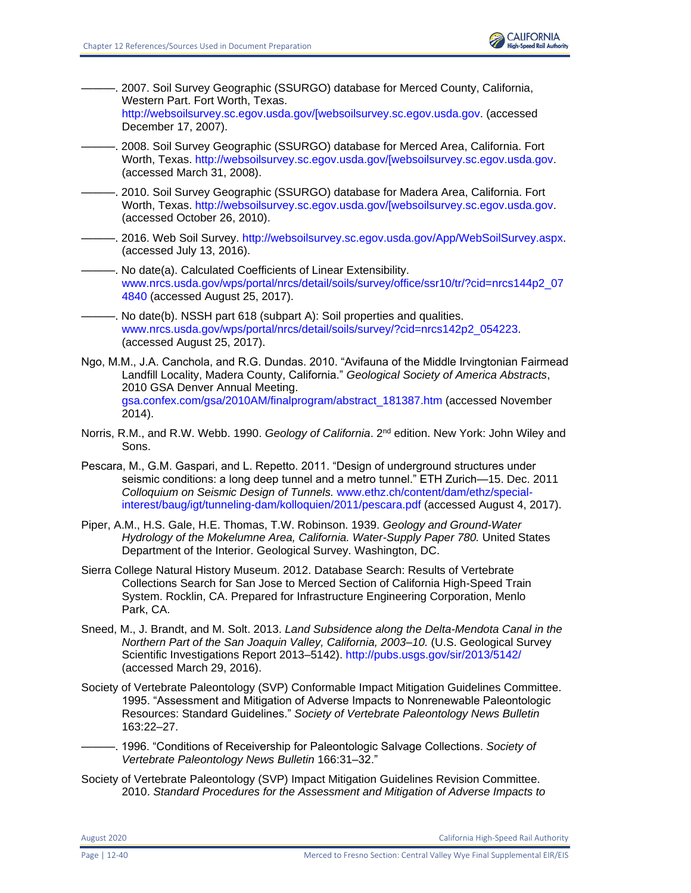

———. 2007. Soil Survey Geographic (SSURGO) database for Merced County, California, Western Part. Fort Worth, Texas. [http://websoilsurvey.sc.egov.usda.gov/\[websoilsurvey.sc.egov.usda.gov.](http://websoilsurvey.sc.egov.usda.gov/%5bwebsoilsurvey.sc.egov.usda.gov) (accessed

December 17, 2007).

- ———. 2008. Soil Survey Geographic (SSURGO) database for Merced Area, California. Fort Worth, Texas. [http://websoilsurvey.sc.egov.usda.gov/\[websoilsurvey.sc.egov.usda.gov.](http://websoilsurvey.sc.egov.usda.gov/%5bwebsoilsurvey.sc.egov.usda.gov) (accessed March 31, 2008).
- ———. 2010. Soil Survey Geographic (SSURGO) database for Madera Area, California. Fort Worth, Texas. [http://websoilsurvey.sc.egov.usda.gov/\[websoilsurvey.sc.egov.usda.gov.](http://websoilsurvey.sc.egov.usda.gov/%5bwebsoilsurvey.sc.egov.usda.gov) (accessed October 26, 2010).
- ———. 2016. Web Soil Survey. [http://websoilsurvey.sc.egov.usda.gov/App/WebSoilSurvey.aspx.](http://websoilsurvey.sc.egov.usda.gov/App/WebSoilSurvey.aspx) (accessed July 13, 2016).
- -. No date(a). Calculated Coefficients of Linear Extensibility. [www.nrcs.usda.gov/wps/portal/nrcs/detail/soils/survey/office/ssr10/tr/?cid=nrcs144p2\\_07](http://www.nrcs.usda.gov/wps/portal/nrcs/detail/soils/survey/office/ssr10/tr/?cid=nrcs144p2_074840) [4840](http://www.nrcs.usda.gov/wps/portal/nrcs/detail/soils/survey/office/ssr10/tr/?cid=nrcs144p2_074840) (accessed August 25, 2017).
- No date(b). NSSH part 618 (subpart A): Soil properties and qualities. [www.nrcs.usda.gov/wps/portal/nrcs/detail/soils/survey/?cid=nrcs142p2\\_054223.](http://www.nrcs.usda.gov/wps/portal/nrcs/detail/soils/survey/?cid=nrcs142p2_054223) (accessed August 25, 2017).
- Ngo, M.M., J.A. Canchola, and R.G. Dundas. 2010. "Avifauna of the Middle Irvingtonian Fairmead Landfill Locality, Madera County, California." *Geological Society of America Abstracts*, 2010 GSA Denver Annual Meeting. [gsa.confex.com/gsa/2010AM/finalprogram/abstract\\_181387.htm](https://gsa.confex.com/gsa/2010AM/finalprogram/abstract_181387.htm) (accessed November 2014).
- Norris, R.M., and R.W. Webb. 1990. *Geology of California*. 2<sup>nd</sup> edition. New York: John Wiley and Sons.
- Pescara, M., G.M. Gaspari, and L. Repetto. 2011. "Design of underground structures under seismic conditions: a long deep tunnel and a metro tunnel." ETH Zurich—15. Dec. 2011 *Colloquium on Seismic Design of Tunnels.* [www.ethz.ch/content/dam/ethz/special](https://www.ethz.ch/content/dam/ethz/special-interest/baug/igt/tunneling-dam/kolloquien/2011/pescara.pdf)[interest/baug/igt/tunneling-dam/kolloquien/2011/pescara.pdf](https://www.ethz.ch/content/dam/ethz/special-interest/baug/igt/tunneling-dam/kolloquien/2011/pescara.pdf) (accessed August 4, 2017).
- Piper, A.M., H.S. Gale, H.E. Thomas, T.W. Robinson. 1939. *Geology and Ground-Water Hydrology of the Mokelumne Area, California. Water-Supply Paper 780.* United States Department of the Interior. Geological Survey. Washington, DC.
- Sierra College Natural History Museum. 2012. Database Search: Results of Vertebrate Collections Search for San Jose to Merced Section of California High-Speed Train System. Rocklin, CA. Prepared for Infrastructure Engineering Corporation, Menlo Park, CA.
- Sneed, M., J. Brandt, and M. Solt. 2013. *Land Subsidence along the Delta-Mendota Canal in the Northern Part of the San Joaquin Valley, California, 2003–10.* (U.S. Geological Survey Scientific Investigations Report 2013–5142).<http://pubs.usgs.gov/sir/2013/5142/> (accessed March 29, 2016).
- Society of Vertebrate Paleontology (SVP) Conformable Impact Mitigation Guidelines Committee. 1995. "Assessment and Mitigation of Adverse Impacts to Nonrenewable Paleontologic Resources: Standard Guidelines." *Society of Vertebrate Paleontology News Bulletin* 163:22–27.
- ———. 1996. "Conditions of Receivership for Paleontologic Salvage Collections. *Society of Vertebrate Paleontology News Bulletin* 166:31–32."
- Society of Vertebrate Paleontology (SVP) Impact Mitigation Guidelines Revision Committee. 2010. *Standard Procedures for the Assessment and Mitigation of Adverse Impacts to*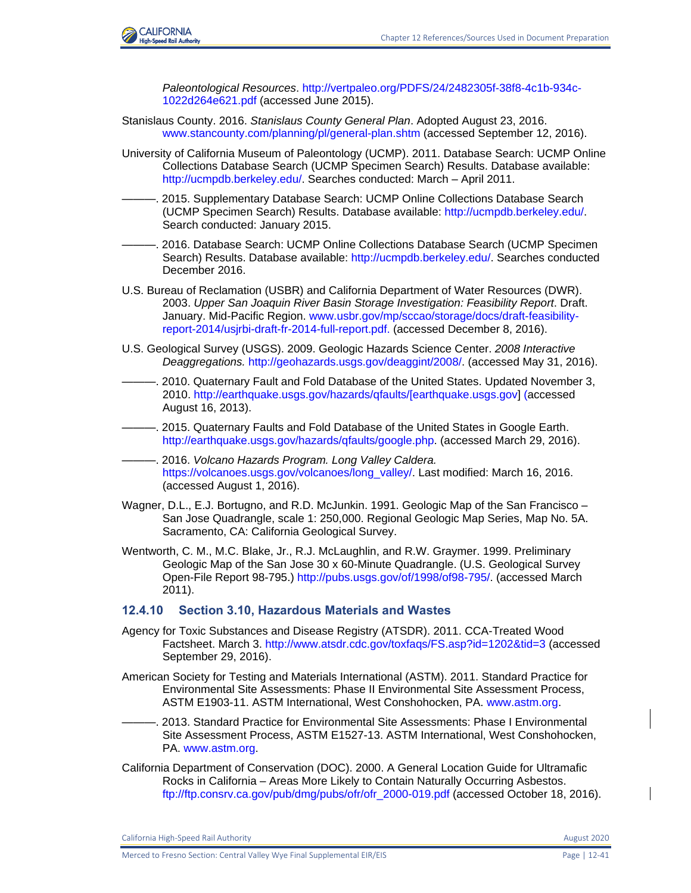

*Paleontological Resources*. [http://vertpaleo.org/PDFS/24/2482305f-38f8-4c1b-934c-](http://vertpaleo.org/PDFS/24/2482305f-38f8-4c1b-934c-1022d264e621.pdf)[1022d264e621.pdf](http://vertpaleo.org/PDFS/24/2482305f-38f8-4c1b-934c-1022d264e621.pdf) (accessed June 2015).

- Stanislaus County. 2016. *Stanislaus County General Plan*. Adopted August 23, 2016. [www.stancounty.com/planning/pl/general-plan.shtm](http://www.stancounty.com/planning/pl/general-plan.shtm) (accessed September 12, 2016).
- University of California Museum of Paleontology (UCMP). 2011. Database Search: UCMP Online Collections Database Search (UCMP Specimen Search) Results. Database available: [http://ucmpdb.berkeley.edu/.](http://ucmpdb.berkeley.edu/) Searches conducted: March – April 2011.
- ———. 2015. Supplementary Database Search: UCMP Online Collections Database Search (UCMP Specimen Search) Results. Database available: [http://ucmpdb.berkeley.edu/.](http://ucmpdb.berkeley.edu/) Search conducted: January 2015.
- -. 2016. Database Search: UCMP Online Collections Database Search (UCMP Specimen Search) Results. Database available: [http://ucmpdb.berkeley.edu/.](http://ucmpdb.berkeley.edu/) Searches conducted December 2016.
- U.S. Bureau of Reclamation (USBR) and California Department of Water Resources (DWR). 2003. *Upper San Joaquin River Basin Storage Investigation: Feasibility Report*. Draft. January. Mid-Pacific Region. [www.usbr.gov/mp/sccao/storage/docs/draft-feasibility](http://www.usbr.gov/mp/sccao/storage/docs/draft-feasibility-report-2014/usjrbi-draft-fr-2014-full-report.pdf)[report-2014/usjrbi-draft-fr-2014-full-report.pdf.](http://www.usbr.gov/mp/sccao/storage/docs/draft-feasibility-report-2014/usjrbi-draft-fr-2014-full-report.pdf) (accessed December 8, 2016).
- U.S. Geological Survey (USGS). 2009. Geologic Hazards Science Center. *2008 Interactive Deaggregations.* [http://geohazards.usgs.gov/deaggint/2008/.](http://geohazards.usgs.gov/deaggint/2008/) (accessed May 31, 2016).
- -. 2010. Quaternary Fault and Fold Database of the United States. Updated November 3, 2010. [http://earthquake.usgs.gov/hazards/qfaults/\[earthquake.usgs.gov\]](http://earthquake.usgs.gov/hazards/qfaults/%5bearthquake.usgs.gov) (accessed August 16, 2013).
- -. 2015. Quaternary Faults and Fold Database of the United States in Google Earth. [http://earthquake.usgs.gov/hazards/qfaults/google.php.](http://earthquake.usgs.gov/hazards/qfaults/google.php) (accessed March 29, 2016).
- ———. 2016. *Volcano Hazards Program. Long Valley Caldera.* [https://volcanoes.usgs.gov/volcanoes/long\\_valley/.](https://volcanoes.usgs.gov/volcanoes/long_valley/) Last modified: March 16, 2016. (accessed August 1, 2016).
- Wagner, D.L., E.J. Bortugno, and R.D. McJunkin. 1991. Geologic Map of the San Francisco San Jose Quadrangle, scale 1: 250,000. Regional Geologic Map Series, Map No. 5A. Sacramento, CA: California Geological Survey.
- Wentworth, C. M., M.C. Blake, Jr., R.J. McLaughlin, and R.W. Graymer. 1999. Preliminary Geologic Map of the San Jose 30 x 60-Minute Quadrangle. (U.S. Geological Survey Open-File Report 98-795.) [http://pubs.usgs.gov/of/1998/of98-795/.](http://pubs.usgs.gov/of/1998/of98-795/) (accessed March 2011).

#### **12.4.10 Section 3.10, Hazardous Materials and Wastes**

- Agency for Toxic Substances and Disease Registry (ATSDR). 2011. CCA-Treated Wood Factsheet. March 3.<http://www.atsdr.cdc.gov/toxfaqs/FS.asp?id=1202&tid=3> (accessed September 29, 2016).
- American Society for Testing and Materials International (ASTM). 2011. Standard Practice for Environmental Site Assessments: Phase II Environmental Site Assessment Process, ASTM E1903-11. ASTM International, West Conshohocken, PA. [www.astm.org.](file:///C:/Users/19339/Downloads/www.astm.org)
	- ———. 2013. Standard Practice for Environmental Site Assessments: Phase I Environmental Site Assessment Process, ASTM E1527-13. ASTM International, West Conshohocken, PA. [www.astm.org.](file:///C:/Users/19339/Downloads/www.astm.org)
- California Department of Conservation (DOC). 2000. A General Location Guide for Ultramafic Rocks in California – Areas More Likely to Contain Naturally Occurring Asbestos. [ftp://ftp.consrv.ca.gov/pub/dmg/pubs/ofr/ofr\\_2000-019.pdf](ftp://ftp.consrv.ca.gov/pub/dmg/pubs/ofr/ofr_2000-019.pdf) (accessed October 18, 2016).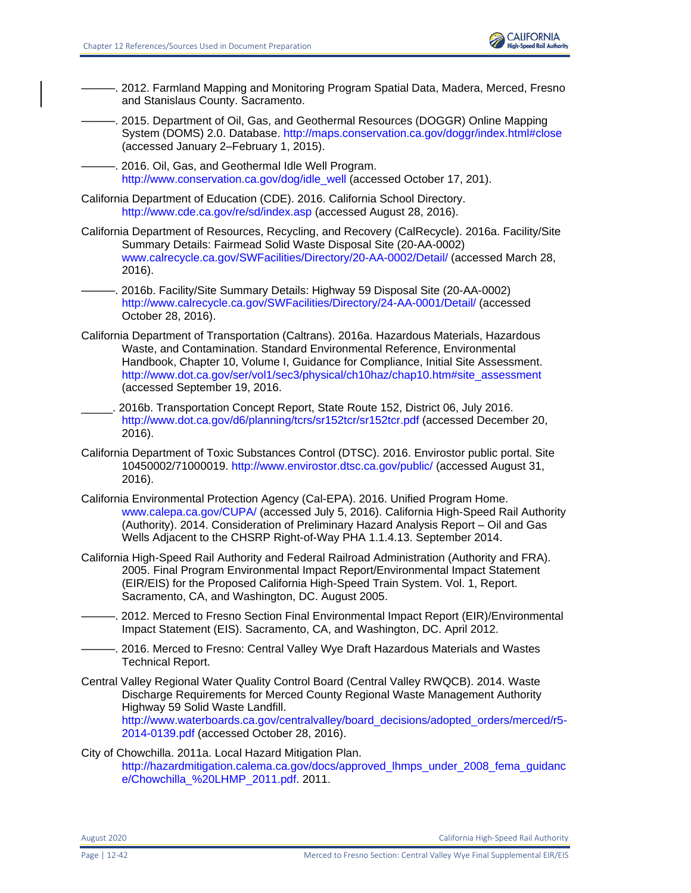

- ———. 2012. Farmland Mapping and Monitoring Program Spatial Data, Madera, Merced, Fresno and Stanislaus County. Sacramento.
- ———. 2015. Department of Oil, Gas, and Geothermal Resources (DOGGR) Online Mapping System (DOMS) 2.0. Database. [http://maps.conservation.ca.gov/doggr/index.html#close](http://maps.conservation.ca.gov/doggr/index.html%23close) (accessed January 2–February 1, 2015).

. 2016. Oil, Gas, and Geothermal Idle Well Program. [http://www.conservation.ca.gov/dog/idle\\_well](http://www.conservation.ca.gov/dog/idle_well) (accessed October 17, 201).

- California Department of Education (CDE). 2016. California School Directory. <http://www.cde.ca.gov/re/sd/index.asp> (accessed August 28, 2016).
- California Department of Resources, Recycling, and Recovery (CalRecycle). 2016a. Facility/Site Summary Details: Fairmead Solid Waste Disposal Site (20-AA-0002) [www.calrecycle.ca.gov/SWFacilities/Directory/20-AA-0002/Detail/](file:///C:/Users/19339/Downloads/www.calrecycle.ca.gov/SWFacilities/Directory/20-AA-0002/Detail) (accessed March 28, 2016).
- ———. 2016b. Facility/Site Summary Details: Highway 59 Disposal Site (20-AA-0002) <http://www.calrecycle.ca.gov/SWFacilities/Directory/24-AA-0001/Detail/> (accessed October 28, 2016).
- California Department of Transportation (Caltrans). 2016a. Hazardous Materials, Hazardous Waste, and Contamination. Standard Environmental Reference, Environmental Handbook, Chapter 10, Volume I, Guidance for Compliance, Initial Site Assessment. [http://www.dot.ca.gov/ser/vol1/sec3/physical/ch10haz/chap10.htm#site\\_assessment](http://www.dot.ca.gov/ser/vol1/sec3/physical/ch10haz/chap10.htm%23site_assessment) (accessed September 19, 2016.
- \_\_\_\_\_. 2016b. Transportation Concept Report, State Route 152, District 06, July 2016. <http://www.dot.ca.gov/d6/planning/tcrs/sr152tcr/sr152tcr.pdf> (accessed December 20, 2016).
- California Department of Toxic Substances Control (DTSC). 2016. Envirostor public portal. Site 10450002/71000019.<http://www.envirostor.dtsc.ca.gov/public/> (accessed August 31, 2016).
- California Environmental Protection Agency (Cal-EPA). 2016. Unified Program Home. [www.calepa.ca.gov/CUPA/](http://www.calepa.ca.gov/CUPA/) (accessed July 5, 2016). California High-Speed Rail Authority (Authority). 2014. Consideration of Preliminary Hazard Analysis Report – Oil and Gas Wells Adjacent to the CHSRP Right-of-Way PHA 1.1.4.13. September 2014.
- California High-Speed Rail Authority and Federal Railroad Administration (Authority and FRA). 2005. Final Program Environmental Impact Report/Environmental Impact Statement (EIR/EIS) for the Proposed California High-Speed Train System. Vol. 1, Report. Sacramento, CA, and Washington, DC. August 2005.
- -. 2012. Merced to Fresno Section Final Environmental Impact Report (EIR)/Environmental Impact Statement (EIS). Sacramento, CA, and Washington, DC. April 2012.
- -. 2016. Merced to Fresno: Central Valley Wye Draft Hazardous Materials and Wastes Technical Report.
- Central Valley Regional Water Quality Control Board (Central Valley RWQCB). 2014. Waste Discharge Requirements for Merced County Regional Waste Management Authority Highway 59 Solid Waste Landfill. [http://www.waterboards.ca.gov/centralvalley/board\\_decisions/adopted\\_orders/merced/r5-](http://www.waterboards.ca.gov/centralvalley/board_decisions/adopted_orders/merced/r5-2014-0139.pdf) [2014-0139.pdf](http://www.waterboards.ca.gov/centralvalley/board_decisions/adopted_orders/merced/r5-2014-0139.pdf) (accessed October 28, 2016).

#### City of Chowchilla. 2011a. Local Hazard Mitigation Plan. [http://hazardmitigation.calema.ca.gov/docs/approved\\_lhmps\\_under\\_2008\\_fema\\_guidanc](http://hazardmitigation.calema.ca.gov/docs/approved_lhmps_under_2008_fema_guidance/Chowchilla_%20LHMP_2011.pdf) [e/Chowchilla\\_%20LHMP\\_2011.pdf.](http://hazardmitigation.calema.ca.gov/docs/approved_lhmps_under_2008_fema_guidance/Chowchilla_%20LHMP_2011.pdf) 2011.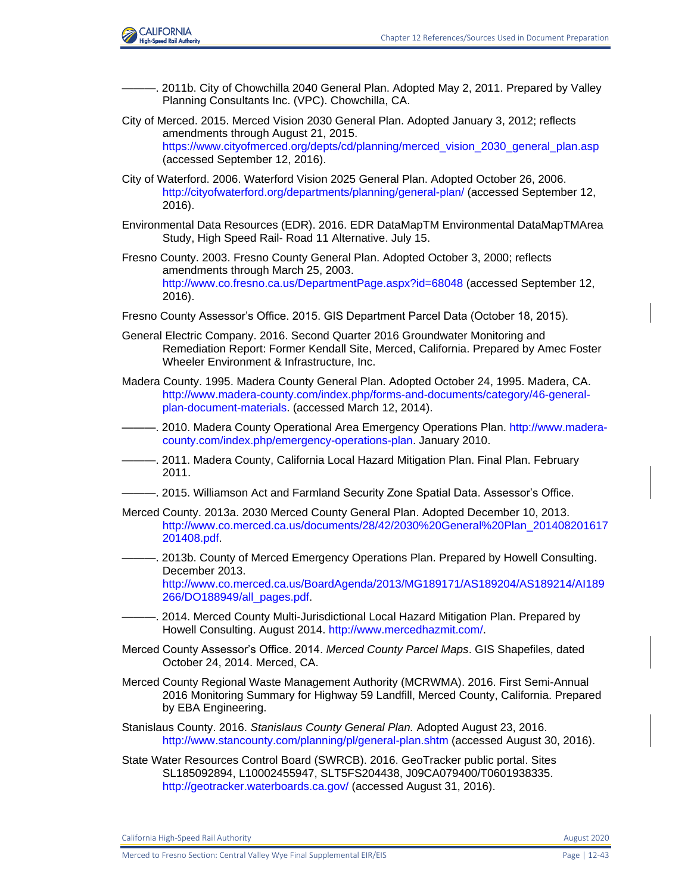

- -. 2011b. City of Chowchilla 2040 General Plan. Adopted May 2, 2011. Prepared by Valley Planning Consultants Inc. (VPC). Chowchilla, CA.
- City of Merced. 2015. Merced Vision 2030 General Plan. Adopted January 3, 2012; reflects amendments through August 21, 2015. [https://www.cityofmerced.org/depts/cd/planning/merced\\_vision\\_2030\\_general\\_plan.asp](https://www.cityofmerced.org/depts/cd/planning/merced_vision_2030_general_plan.asp) (accessed September 12, 2016).
- City of Waterford. 2006. Waterford Vision 2025 General Plan. Adopted October 26, 2006. <http://cityofwaterford.org/departments/planning/general-plan/> (accessed September 12, 2016).
- Environmental Data Resources (EDR). 2016. EDR DataMapTM Environmental DataMapTMArea Study, High Speed Rail- Road 11 Alternative. July 15.
- Fresno County. 2003. Fresno County General Plan. Adopted October 3, 2000; reflects amendments through March 25, 2003. <http://www.co.fresno.ca.us/DepartmentPage.aspx?id=68048> (accessed September 12, 2016).
- Fresno County Assessor's Office. 2015. GIS Department Parcel Data (October 18, 2015).
- General Electric Company. 2016. Second Quarter 2016 Groundwater Monitoring and Remediation Report: Former Kendall Site, Merced, California. Prepared by Amec Foster Wheeler Environment & Infrastructure, Inc.
- Madera County. 1995. Madera County General Plan. Adopted October 24, 1995. Madera, CA. [http://www.madera-county.com/index.php/forms-and-documents/category/46-general](http://www.madera-county.com/index.php/forms-and-documents/category/46-general-plan-document-materials)[plan-document-materials.](http://www.madera-county.com/index.php/forms-and-documents/category/46-general-plan-document-materials) (accessed March 12, 2014).
- -. 2010. Madera County Operational Area Emergency Operations Plan. [http://www.madera](http://www.madera-county.com/index.php/emergency-operations-plan)[county.com/index.php/emergency-operations-plan.](http://www.madera-county.com/index.php/emergency-operations-plan) January 2010.
- ———. 2011. Madera County, California Local Hazard Mitigation Plan. Final Plan. February 2011.
- ———. 2015. Williamson Act and Farmland Security Zone Spatial Data. Assessor's Office.
- Merced County. 2013a. 2030 Merced County General Plan. Adopted December 10, 2013. [http://www.co.merced.ca.us/documents/28/42/2030%20General%20Plan\\_201408201617](http://www.co.merced.ca.us/documents/28/42/2030%20General%20Plan_201408201617201408.pdf) [201408.pdf.](http://www.co.merced.ca.us/documents/28/42/2030%20General%20Plan_201408201617201408.pdf)
- 2013b. County of Merced Emergency Operations Plan. Prepared by Howell Consulting. December 2013. [http://www.co.merced.ca.us/BoardAgenda/2013/MG189171/AS189204/AS189214/AI189](http://www.co.merced.ca.us/BoardAgenda/2013/MG189171/AS189204/AS189214/AI189266/DO188949/all_pages.pdf) [266/DO188949/all\\_pages.pdf.](http://www.co.merced.ca.us/BoardAgenda/2013/MG189171/AS189204/AS189214/AI189266/DO188949/all_pages.pdf)
- 2014. Merced County Multi-Jurisdictional Local Hazard Mitigation Plan. Prepared by Howell Consulting. August 2014. [http://www.mercedhazmit.com/.](http://www.mercedhazmit.com/)
- Merced County Assessor's Office. 2014. *Merced County Parcel Maps*. GIS Shapefiles, dated October 24, 2014. Merced, CA.
- Merced County Regional Waste Management Authority (MCRWMA). 2016. First Semi-Annual 2016 Monitoring Summary for Highway 59 Landfill, Merced County, California. Prepared by EBA Engineering.
- Stanislaus County. 2016. *Stanislaus County General Plan.* Adopted August 23, 2016. <http://www.stancounty.com/planning/pl/general-plan.shtm> (accessed August 30, 2016).
- State Water Resources Control Board (SWRCB). 2016. GeoTracker public portal. Sites SL185092894, L10002455947, SLT5FS204438, J09CA079400/T0601938335. <http://geotracker.waterboards.ca.gov/> (accessed August 31, 2016).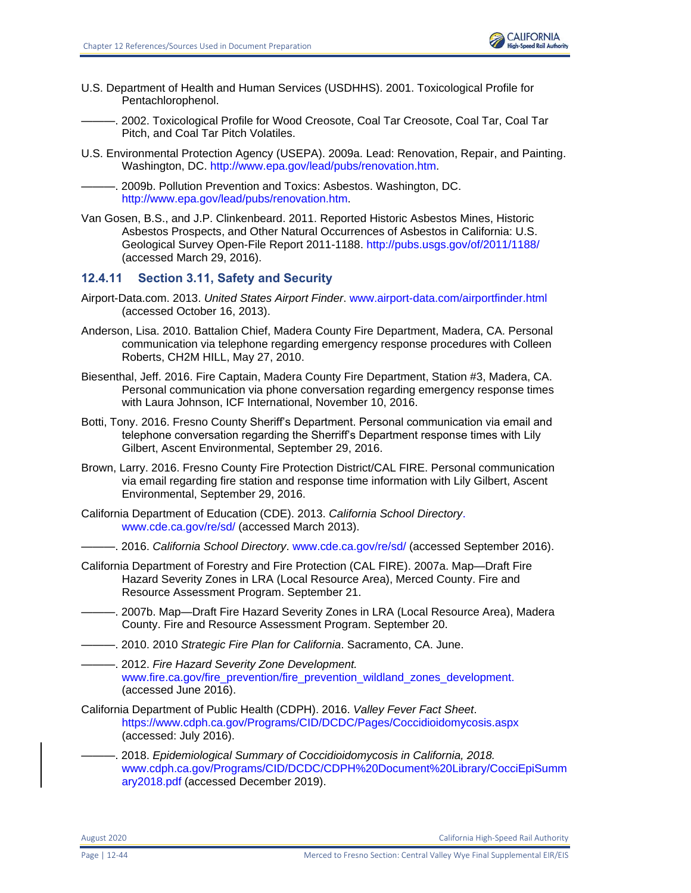

U.S. Department of Health and Human Services (USDHHS). 2001. Toxicological Profile for Pentachlorophenol.

———. 2002. Toxicological Profile for Wood Creosote, Coal Tar Creosote, Coal Tar, Coal Tar Pitch, and Coal Tar Pitch Volatiles.

U.S. Environmental Protection Agency (USEPA). 2009a. Lead: Renovation, Repair, and Painting. Washington, DC. [http://www.epa.gov/lead/pubs/renovation.htm.](http://www.epa.gov/lead/pubs/renovation.htm)

———. 2009b. Pollution Prevention and Toxics: Asbestos. Washington, DC. [http://www.epa.gov/lead/pubs/renovation.htm.](http://www.epa.gov/lead/pubs/renovation.htm)

Van Gosen, B.S., and J.P. Clinkenbeard. 2011. Reported Historic Asbestos Mines, Historic Asbestos Prospects, and Other Natural Occurrences of Asbestos in California: U.S. Geological Survey Open-File Report 2011-1188.<http://pubs.usgs.gov/of/2011/1188/> (accessed March 29, 2016).

## **12.4.11 Section 3.11, Safety and Security**

- Airport-Data.com. 2013. *United States Airport Finder*. [www.airport-data.com/airportfinder.html](http://www.airport-data.com/airportfinder.html) (accessed October 16, 2013).
- Anderson, Lisa. 2010. Battalion Chief, Madera County Fire Department, Madera, CA. Personal communication via telephone regarding emergency response procedures with Colleen Roberts, CH2M HILL, May 27, 2010.
- Biesenthal, Jeff. 2016. Fire Captain, Madera County Fire Department, Station #3, Madera, CA. Personal communication via phone conversation regarding emergency response times with Laura Johnson, ICF International, November 10, 2016.
- Botti, Tony. 2016. Fresno County Sheriff's Department. Personal communication via email and telephone conversation regarding the Sherriff's Department response times with Lily Gilbert, Ascent Environmental, September 29, 2016.
- Brown, Larry. 2016. Fresno County Fire Protection District/CAL FIRE. Personal communication via email regarding fire station and response time information with Lily Gilbert, Ascent Environmental, September 29, 2016.
- California Department of Education (CDE). 2013. *California School Directory*. [www.cde.ca.gov/re/sd/](http://www.cde.ca.gov/re/sd/) (accessed March 2013).
	- ———. 2016. *California School Directory*. [www.cde.ca.gov/re/sd/](http://www.cde.ca.gov/re/sd/) (accessed September 2016).
- California Department of Forestry and Fire Protection (CAL FIRE). 2007a. Map—Draft Fire Hazard Severity Zones in LRA (Local Resource Area), Merced County. Fire and Resource Assessment Program. September 21.
- ———. 2007b. Map—Draft Fire Hazard Severity Zones in LRA (Local Resource Area), Madera County. Fire and Resource Assessment Program. September 20.
- ———. 2010. 2010 *Strategic Fire Plan for California*. Sacramento, CA. June.
- ———. 2012. *Fire Hazard Severity Zone Development.*  [www.fire.ca.gov/fire\\_prevention/fire\\_prevention\\_wildland\\_zones\\_development.](https://chsra.pbid.com/rc/cv-y/lf/Administrative%20Draft%20EIR-EIS%20-%2020%20Review/3.11%20Safety%20and%20Security/www.fire.ca.gov/fire_prevention/fire_prevention_wildland_zones_development) (accessed June 2016).
- California Department of Public Health (CDPH). 2016. *Valley Fever Fact Sheet*. <https://www.cdph.ca.gov/Programs/CID/DCDC/Pages/Coccidioidomycosis.aspx> (accessed: July 2016).
	- ———. 2018. *Epidemiological Summary of Coccidioidomycosis in California, 2018.* [www.cdph.ca.gov/Programs/CID/DCDC/CDPH%20Document%20Library/CocciEpiSumm](file:///C:/Users/19339/Downloads/www.cdph.ca.gov/Programs/CID/DCDC/CDPH%20Document%20Library/CocciEpiSummary2018.pdf) [ary2018.pdf](file:///C:/Users/19339/Downloads/www.cdph.ca.gov/Programs/CID/DCDC/CDPH%20Document%20Library/CocciEpiSummary2018.pdf) (accessed December 2019).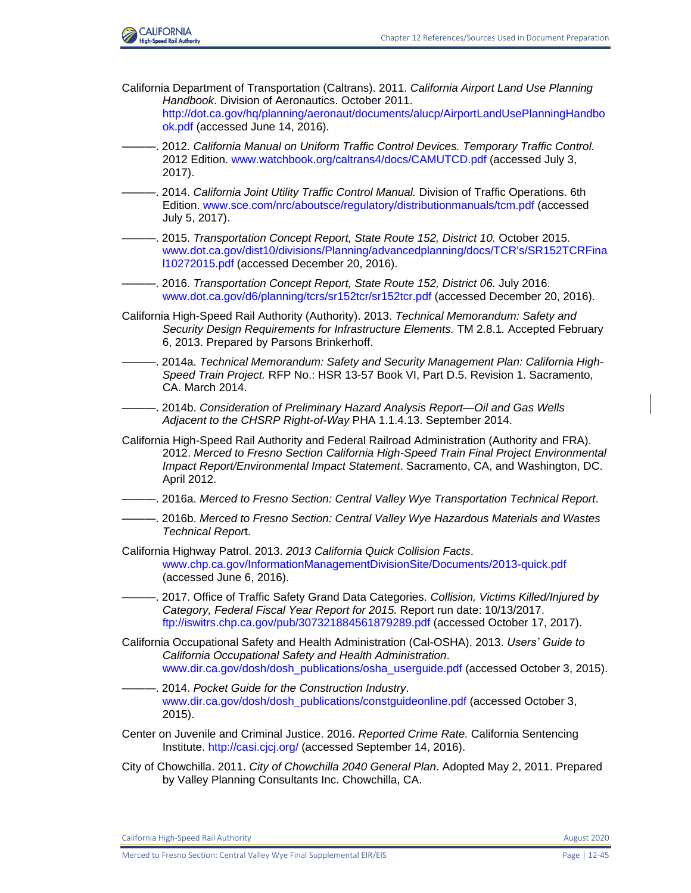

- California Department of Transportation (Caltrans). 2011. *California Airport Land Use Planning Handbook*. Division of Aeronautics. October 2011. [http://dot.ca.gov/hq/planning/aeronaut/documents/alucp/AirportLandUsePlanningHandbo](http://dot.ca.gov/hq/planning/aeronaut/documents/alucp/AirportLandUsePlanningHandbook.pdf) [ok.pdf](http://dot.ca.gov/hq/planning/aeronaut/documents/alucp/AirportLandUsePlanningHandbook.pdf) (accessed June 14, 2016).
- ———. 2012. *California Manual on Uniform Traffic Control Devices. Temporary Traffic Control.*  2012 Edition. [www.watchbook.org/caltrans4/docs/CAMUTCD.pdf](http://www.watchbook.org/caltrans4/docs/CAMUTCD.pdf) (accessed July 3, 2017).
- ———. 2014. *California Joint Utility Traffic Control Manual.* Division of Traffic Operations. 6th Edition. [www.sce.com/nrc/aboutsce/regulatory/distributionmanuals/tcm.pdf](https://www.sce.com/nrc/aboutsce/regulatory/distributionmanuals/tcm.pdf) (accessed July 5, 2017).
- ———. 2015. *Transportation Concept Report, State Route 152, District 10.* October 2015. [www.dot.ca.gov/dist10/divisions/Planning/advancedplanning/docs/TCR's/SR152TCRFina](http://www.dot.ca.gov/dist10/divisions/Planning/advancedplanning/docs/TCR) [l10272015.pdf](http://www.dot.ca.gov/dist10/divisions/Planning/advancedplanning/docs/TCR) (accessed December 20, 2016).
- ———. 2016. *Transportation Concept Report, State Route 152, District 06.* July 2016. [www.dot.ca.gov/d6/planning/tcrs/sr152tcr/sr152tcr.pdf](http://www.dot.ca.gov/d6/planning/tcrs/sr152tcr/sr152tcr.pdf) (accessed December 20, 2016).
- California High-Speed Rail Authority (Authority). 2013. *Technical Memorandum: Safety and Security Design Requirements for Infrastructure Elements.* TM 2.8.1*.* Accepted February 6, 2013. Prepared by Parsons Brinkerhoff.
- ———. 2014a. *Technical Memorandum: Safety and Security Management Plan: California High-Speed Train Project.* RFP No.: HSR 13-57 Book VI, Part D.5. Revision 1. Sacramento, CA. March 2014.
	- ———. 2014b. *Consideration of Preliminary Hazard Analysis Report—Oil and Gas Wells Adjacent to the CHSRP Right-of-Way* PHA 1.1.4.13. September 2014.
- California High-Speed Rail Authority and Federal Railroad Administration (Authority and FRA). 2012. *Merced to Fresno Section California High-Speed Train Final Project Environmental Impact Report/Environmental Impact Statement*. Sacramento, CA, and Washington, DC. April 2012.
- ———. 2016a. *Merced to Fresno Section: Central Valley Wye Transportation Technical Report*.
- ———. 2016b. *Merced to Fresno Section: Central Valley Wye Hazardous Materials and Wastes Technical Repor*t.
- California Highway Patrol. 2013. *2013 California Quick Collision Facts*. [www.chp.ca.gov/InformationManagementDivisionSite/Documents/2013-quick.pdf](https://www.chp.ca.gov/InformationManagementDivisionSite/Documents/2013-quick.pdf) (accessed June 6, 2016).
- ———. 2017. Office of Traffic Safety Grand Data Categories. *Collision, Victims Killed/Injured by Category, Federal Fiscal Year Report for 2015.* Report run date: 10/13/2017. <ftp://iswitrs.chp.ca.gov/pub/307321884561879289.pdf> (accessed October 17, 2017).
- California Occupational Safety and Health Administration (Cal-OSHA). 2013. *Users' Guide to California Occupational Safety and Health Administration*. [www.dir.ca.gov/dosh/dosh\\_publications/osha\\_userguide.pdf](https://chsra.pbid.com/rc/cv-y/lf/Administrative%20Draft%20EIR-EIS%20-%2020%20Review/3.11%20Safety%20and%20Security/www.dir.ca.gov/dosh/dosh_publications/osha_userguide.pdf) (accessed October 3, 2015).
- ———. 2014. *Pocket Guide for the Construction Industry*. [www.dir.ca.gov/dosh/dosh\\_publications/constguideonline.pdf](https://chsra.pbid.com/rc/cv-y/lf/Administrative%20Draft%20EIR-EIS%20-%2020%20Review/3.11%20Safety%20and%20Security/www.dir.ca.gov/dosh/dosh_publications/constguideonline.pdf) (accessed October 3, 2015).
- Center on Juvenile and Criminal Justice. 2016. *Reported Crime Rate.* California Sentencing Institute.<http://casi.cjcj.org/> (accessed September 14, 2016).
- City of Chowchilla. 2011. *City of Chowchilla 2040 General Plan*. Adopted May 2, 2011. Prepared by Valley Planning Consultants Inc. Chowchilla, CA.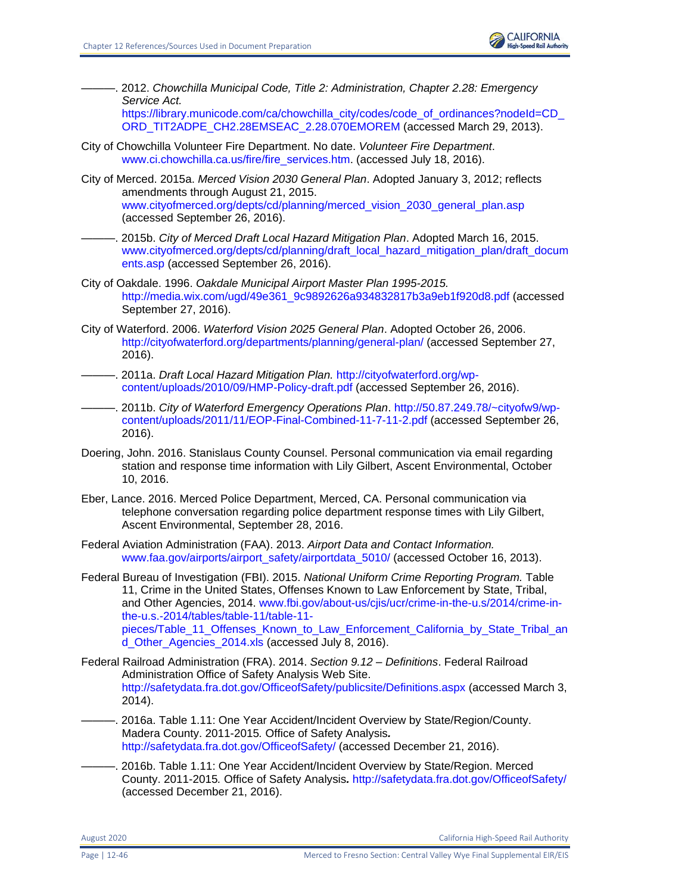- ———. 2012. *Chowchilla Municipal Code, Title 2: Administration, Chapter 2.28: Emergency Service Act.*  https://library.municode.com/ca/chowchilla\_city/codes/code\_of\_ordinances?nodeId=CD [ORD\\_TIT2ADPE\\_CH2.28EMSEAC\\_2.28.070EMOREM](https://library.municode.com/ca/chowchilla_city/codes/code_of_ordinances?nodeId=CD_ORD_TIT2ADPE_CH2.28EMSEAC_2.28.070EMOREM) (accessed March 29, 2013).
- City of Chowchilla Volunteer Fire Department. No date. *Volunteer Fire Department*. [www.ci.chowchilla.ca.us/fire/fire\\_services.htm.](http://www.ci.chowchilla.ca.us/fire/fire_services.htm) (accessed July 18, 2016).
- City of Merced. 2015a. *Merced Vision 2030 General Plan*. Adopted January 3, 2012; reflects amendments through August 21, 2015. [www.cityofmerced.org/depts/cd/planning/merced\\_vision\\_2030\\_general\\_plan.asp](https://www.cityofmerced.org/depts/cd/planning/merced_vision_2030_general_plan.asp) (accessed September 26, 2016).
	- ———. 2015b. *City of Merced Draft Local Hazard Mitigation Plan*. Adopted March 16, 2015. [www.cityofmerced.org/depts/cd/planning/draft\\_local\\_hazard\\_mitigation\\_plan/draft\\_docum](https://www.cityofmerced.org/depts/cd/planning/draft_local_hazard_mitigation_plan/draft_documents.asp) [ents.asp](https://www.cityofmerced.org/depts/cd/planning/draft_local_hazard_mitigation_plan/draft_documents.asp) (accessed September 26, 2016).
- City of Oakdale. 1996. *Oakdale Municipal Airport Master Plan 1995-2015.* [http://media.wix.com/ugd/49e361\\_9c9892626a934832817b3a9eb1f920d8.pdf](http://media.wix.com/ugd/49e361_9c9892626a934832817b3a9eb1f920d8.pdf) (accessed September 27, 2016).
- City of Waterford. 2006. *Waterford Vision 2025 General Plan*. Adopted October 26, 2006. <http://cityofwaterford.org/departments/planning/general-plan/> (accessed September 27, 2016).
- ———. 2011a. *Draft Local Hazard Mitigation Plan.* [http://cityofwaterford.org/wp](http://cityofwaterford.org/wp-content/uploads/2010/09/HMP-Policy-draft.pdf)[content/uploads/2010/09/HMP-Policy-draft.pdf](http://cityofwaterford.org/wp-content/uploads/2010/09/HMP-Policy-draft.pdf) (accessed September 26, 2016).
	- ———. 2011b. *City of Waterford Emergency Operations Plan*. [http://50.87.249.78/~cityofw9/wp](http://50.87.249.78/~cityofw9/wp-content/uploads/2011/11/EOP-Final-Combined-11-7-11-2.pdf)[content/uploads/2011/11/EOP-Final-Combined-11-7-11-2.pdf](http://50.87.249.78/~cityofw9/wp-content/uploads/2011/11/EOP-Final-Combined-11-7-11-2.pdf) (accessed September 26, 2016).
- Doering, John. 2016. Stanislaus County Counsel. Personal communication via email regarding station and response time information with Lily Gilbert, Ascent Environmental, October 10, 2016.
- Eber, Lance. 2016. Merced Police Department, Merced, CA. Personal communication via telephone conversation regarding police department response times with Lily Gilbert, Ascent Environmental, September 28, 2016.
- Federal Aviation Administration (FAA). 2013. *Airport Data and Contact Information.* [www.faa.gov/airports/airport\\_safety/airportdata\\_5010/](http://www.faa.gov/airports/airport_safety/airportdata_5010/) (accessed October 16, 2013).
- Federal Bureau of Investigation (FBI). 2015. *National Uniform Crime Reporting Program.* Table 11, Crime in the United States, Offenses Known to Law Enforcement by State, Tribal, and Other Agencies, 2014. [www.fbi.gov/about-us/cjis/ucr/crime-in-the-u.s/2014/crime-in](http://www.fbi.gov/about-us/cjis/ucr/crime-in-the-u.s/2014/crime-in-the-u.s.-2014/tables/table-11/table-11-pieces/Table_11_Offenses_Known_to_Law_Enforcement_California_by_State_Tribal_and_Other_Agencies_2014.xls)[the-u.s.-2014/tables/table-11/table-11](http://www.fbi.gov/about-us/cjis/ucr/crime-in-the-u.s/2014/crime-in-the-u.s.-2014/tables/table-11/table-11-pieces/Table_11_Offenses_Known_to_Law_Enforcement_California_by_State_Tribal_and_Other_Agencies_2014.xls) [pieces/Table\\_11\\_Offenses\\_Known\\_to\\_Law\\_Enforcement\\_California\\_by\\_State\\_Tribal\\_an](http://www.fbi.gov/about-us/cjis/ucr/crime-in-the-u.s/2014/crime-in-the-u.s.-2014/tables/table-11/table-11-pieces/Table_11_Offenses_Known_to_Law_Enforcement_California_by_State_Tribal_and_Other_Agencies_2014.xls) [d\\_Other\\_Agencies\\_2014.xls](http://www.fbi.gov/about-us/cjis/ucr/crime-in-the-u.s/2014/crime-in-the-u.s.-2014/tables/table-11/table-11-pieces/Table_11_Offenses_Known_to_Law_Enforcement_California_by_State_Tribal_and_Other_Agencies_2014.xls) (accessed July 8, 2016).
- Federal Railroad Administration (FRA). 2014. *Section 9.12 – Definitions*. Federal Railroad Administration Office of Safety Analysis Web Site. <http://safetydata.fra.dot.gov/OfficeofSafety/publicsite/Definitions.aspx> (accessed March 3, 2014).
- -. 2016a. Table 1.11: One Year Accident/Incident Overview by State/Region/County. Madera County. 2011-2015*.* Office of Safety Analysis*.* <http://safetydata.fra.dot.gov/OfficeofSafety/> (accessed December 21, 2016).
- -. 2016b. Table 1.11: One Year Accident/Incident Overview by State/Region. Merced County. 2011-2015*.* Office of Safety Analysis*.* <http://safetydata.fra.dot.gov/OfficeofSafety/> (accessed December 21, 2016).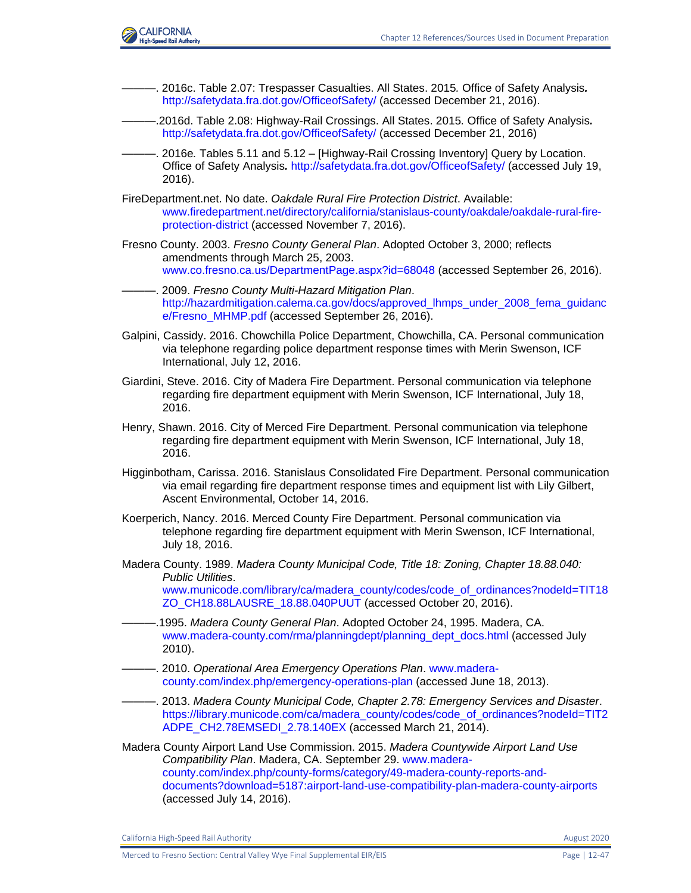

- ———. 2016c. Table 2.07: Trespasser Casualties. All States. 2015*.* Office of Safety Analysis*.* <http://safetydata.fra.dot.gov/OfficeofSafety/> (accessed December 21, 2016).
- ———.2016d. Table 2.08: Highway-Rail Crossings. All States. 2015*.* Office of Safety Analysis*.* <http://safetydata.fra.dot.gov/OfficeofSafety/> (accessed December 21, 2016)
- ———. 2016e*.* Tables 5.11 and 5.12 [Highway-Rail Crossing Inventory] Query by Location. Office of Safety Analysis*.* <http://safetydata.fra.dot.gov/OfficeofSafety/> (accessed July 19, 2016).
- FireDepartment.net. No date. *Oakdale Rural Fire Protection District*. Available: [www.firedepartment.net/directory/california/stanislaus-county/oakdale/oakdale-rural-fire](http://www.firedepartment.net/directory/california/stanislaus-county/oakdale/oakdale-rural-fire-protection-district)[protection-district](http://www.firedepartment.net/directory/california/stanislaus-county/oakdale/oakdale-rural-fire-protection-district) (accessed November 7, 2016).
- Fresno County. 2003. *Fresno County General Plan*. Adopted October 3, 2000; reflects amendments through March 25, 2003. [www.co.fresno.ca.us/DepartmentPage.aspx?id=68048](http://www.co.fresno.ca.us/DepartmentPage.aspx?id=68048) (accessed September 26, 2016).
- ———. 2009. *Fresno County Multi-Hazard Mitigation Plan*. [http://hazardmitigation.calema.ca.gov/docs/approved\\_lhmps\\_under\\_2008\\_fema\\_guidanc](http://hazardmitigation.calema.ca.gov/docs/approved_lhmps_under_2008_fema_guidance/Fresno_MHMP.pdf) [e/Fresno\\_MHMP.pdf](http://hazardmitigation.calema.ca.gov/docs/approved_lhmps_under_2008_fema_guidance/Fresno_MHMP.pdf) (accessed September 26, 2016).
- Galpini, Cassidy. 2016. Chowchilla Police Department, Chowchilla, CA. Personal communication via telephone regarding police department response times with Merin Swenson, ICF International, July 12, 2016.
- Giardini, Steve. 2016. City of Madera Fire Department. Personal communication via telephone regarding fire department equipment with Merin Swenson, ICF International, July 18, 2016.
- Henry, Shawn. 2016. City of Merced Fire Department. Personal communication via telephone regarding fire department equipment with Merin Swenson, ICF International, July 18, 2016.
- Higginbotham, Carissa. 2016. Stanislaus Consolidated Fire Department. Personal communication via email regarding fire department response times and equipment list with Lily Gilbert, Ascent Environmental, October 14, 2016.
- Koerperich, Nancy. 2016. Merced County Fire Department. Personal communication via telephone regarding fire department equipment with Merin Swenson, ICF International, July 18, 2016.
- Madera County. 1989. *Madera County Municipal Code, Title 18: Zoning, Chapter 18.88.040: Public Utilities*.

[www.municode.com/library/ca/madera\\_county/codes/code\\_of\\_ordinances?nodeId=TIT18](https://www.municode.com/library/ca/madera_county/codes/code_of_ordinances?nodeId=TIT18ZO_CH18.88LAUSRE_18.88.040PUUT) [ZO\\_CH18.88LAUSRE\\_18.88.040PUUT](https://www.municode.com/library/ca/madera_county/codes/code_of_ordinances?nodeId=TIT18ZO_CH18.88LAUSRE_18.88.040PUUT) (accessed October 20, 2016).

- ———.1995. *Madera County General Plan*. Adopted October 24, 1995. Madera, CA. [www.madera-county.com/rma/planningdept/planning\\_dept\\_docs.html](http://www.madera-county.com/rma/planningdept/planning_dept_docs.html) (accessed July 2010).
- ———. 2010. *Operational Area Emergency Operations Plan*. [www.madera](http://www.madera-county.com/index.php/emergency-operations-plan)[county.com/index.php/emergency-operations-plan](http://www.madera-county.com/index.php/emergency-operations-plan) (accessed June 18, 2013).
- ———. 2013. *Madera County Municipal Code, Chapter 2.78: Emergency Services and Disaster*. [https://library.municode.com/ca/madera\\_county/codes/code\\_of\\_ordinances?nodeId=TIT2](https://library.municode.com/ca/madera_county/codes/code_of_ordinances?nodeId=TIT2ADPE_CH2.78EMSEDI_2.78.140EX) [ADPE\\_CH2.78EMSEDI\\_2.78.140EX](https://library.municode.com/ca/madera_county/codes/code_of_ordinances?nodeId=TIT2ADPE_CH2.78EMSEDI_2.78.140EX) (accessed March 21, 2014).
- Madera County Airport Land Use Commission. 2015. *Madera Countywide Airport Land Use Compatibility Plan*. Madera, CA. September 29. [www.madera](https://chsra.pbid.com/rc/cv-y/lf/Administrative%20Draft%20EIR-EIS%20-%2020%20Review/3.11%20Safety%20and%20Security/www.madera-county.com/index.php/county-forms/category/49-madera-county-reports-and-documents?download=5187:airport-land-use-compatibility-plan-madera-county-airports)[county.com/index.php/county-forms/category/49-madera-county-reports-and](https://chsra.pbid.com/rc/cv-y/lf/Administrative%20Draft%20EIR-EIS%20-%2020%20Review/3.11%20Safety%20and%20Security/www.madera-county.com/index.php/county-forms/category/49-madera-county-reports-and-documents?download=5187:airport-land-use-compatibility-plan-madera-county-airports)[documents?download=5187:airport-land-use-compatibility-plan-madera-county-airports](https://chsra.pbid.com/rc/cv-y/lf/Administrative%20Draft%20EIR-EIS%20-%2020%20Review/3.11%20Safety%20and%20Security/www.madera-county.com/index.php/county-forms/category/49-madera-county-reports-and-documents?download=5187:airport-land-use-compatibility-plan-madera-county-airports) (accessed July 14, 2016).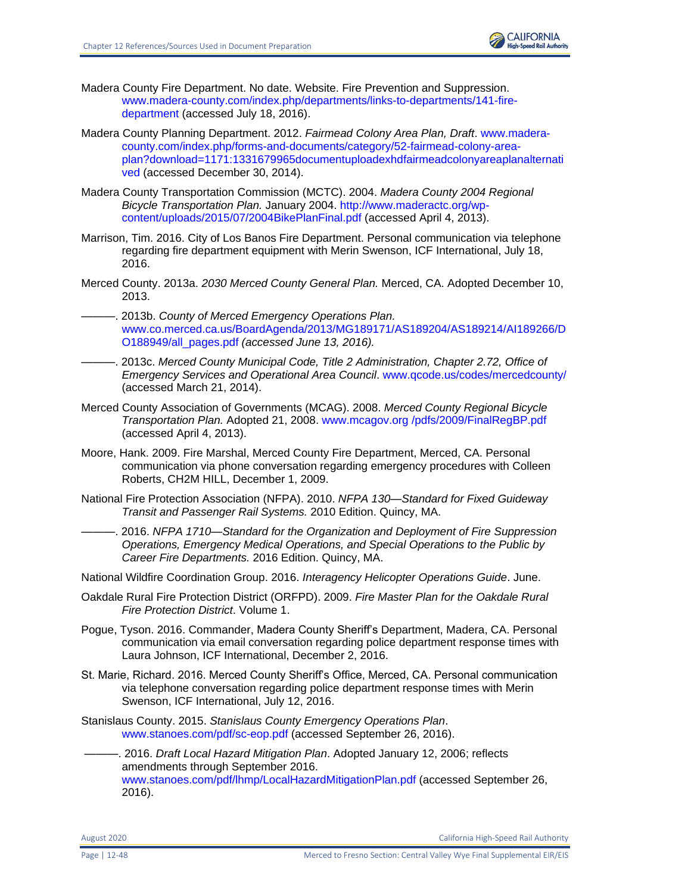

- Madera County Fire Department. No date. Website. Fire Prevention and Suppression. [www.madera-county.com/index.php/departments/links-to-departments/141-fire](file:///C:/Users/19339/Downloads/www.madera-county.com/index.php/departments/links-to-departments/141-fire-department)[department](file:///C:/Users/19339/Downloads/www.madera-county.com/index.php/departments/links-to-departments/141-fire-department) (accessed July 18, 2016).
- Madera County Planning Department. 2012. *Fairmead Colony Area Plan, Draft*. [www.madera](http://www.madera-county.com/index.php/forms-and-documents/category/52-fairmead-colony-area-plan?download=1171:1331679965documentuploadexhdfairmeadcolonyareaplanalternatived)[county.com/index.php/forms-and-documents/category/52-fairmead-colony-area](http://www.madera-county.com/index.php/forms-and-documents/category/52-fairmead-colony-area-plan?download=1171:1331679965documentuploadexhdfairmeadcolonyareaplanalternatived)[plan?download=1171:1331679965documentuploadexhdfairmeadcolonyareaplanalternati](http://www.madera-county.com/index.php/forms-and-documents/category/52-fairmead-colony-area-plan?download=1171:1331679965documentuploadexhdfairmeadcolonyareaplanalternatived) [ved](http://www.madera-county.com/index.php/forms-and-documents/category/52-fairmead-colony-area-plan?download=1171:1331679965documentuploadexhdfairmeadcolonyareaplanalternatived) (accessed December 30, 2014).
- Madera County Transportation Commission (MCTC). 2004. *Madera County 2004 Regional Bicycle Transportation Plan.* January 2004. [http://www.maderactc.org/wp](http://www.maderactc.org/wp-content/uploads/2015/07/2004BikePlanFinal.pdf)[content/uploads/2015/07/2004BikePlanFinal.pdf](http://www.maderactc.org/wp-content/uploads/2015/07/2004BikePlanFinal.pdf) (accessed April 4, 2013).
- Marrison, Tim. 2016. City of Los Banos Fire Department. Personal communication via telephone regarding fire department equipment with Merin Swenson, ICF International, July 18, 2016.
- Merced County. 2013a. *2030 Merced County General Plan.* Merced, CA. Adopted December 10, 2013.
- ———. 2013b. *County of Merced Emergency Operations Plan.*  [www.co.merced.ca.us/BoardAgenda/2013/MG189171/AS189204/AS189214/AI189266/D](https://chsra.pbid.com/rc/cv-y/lf/Administrative%20Draft%20EIR-EIS%20-%2020%20Review/3.11%20Safety%20and%20Security/www.co.merced.ca.us/BoardAgenda/2013/MG189171/AS189204/AS189214/AI189266/DO188949/all_pages.pdf) [O188949/all\\_pages.pdf](https://chsra.pbid.com/rc/cv-y/lf/Administrative%20Draft%20EIR-EIS%20-%2020%20Review/3.11%20Safety%20and%20Security/www.co.merced.ca.us/BoardAgenda/2013/MG189171/AS189204/AS189214/AI189266/DO188949/all_pages.pdf) *(accessed June 13, 2016).*
- ———. 2013c. *Merced County Municipal Code, Title 2 Administration, Chapter 2.72, Office of Emergency Services and Operational Area Council*. [www.qcode.us/codes/mercedcounty/](http://www.qcode.us/codes/mercedcounty/) (accessed March 21, 2014).
- Merced County Association of Governments (MCAG). 2008. *Merced County Regional Bicycle Transportation Plan.* Adopted 21, 2008. [www.mcagov.org /pdfs/2009/FinalRegBP.pdf](file:///C:/Users/19339/Downloads/www.mcagov.org%20/pdfs/2009/FinalRegBP.pdf) (accessed April 4, 2013).
- Moore, Hank. 2009. Fire Marshal, Merced County Fire Department, Merced, CA. Personal communication via phone conversation regarding emergency procedures with Colleen Roberts, CH2M HILL, December 1, 2009.
- National Fire Protection Association (NFPA). 2010. *NFPA 130—Standard for Fixed Guideway Transit and Passenger Rail Systems.* 2010 Edition. Quincy, MA.

———. 2016. *NFPA 1710—Standard for the Organization and Deployment of Fire Suppression Operations, Emergency Medical Operations, and Special Operations to the Public by Career Fire Departments.* 2016 Edition. Quincy, MA.

- National Wildfire Coordination Group. 2016. *Interagency Helicopter Operations Guide*. June.
- Oakdale Rural Fire Protection District (ORFPD). 2009. *Fire Master Plan for the Oakdale Rural Fire Protection District*. Volume 1.
- Pogue, Tyson. 2016. Commander, Madera County Sheriff's Department, Madera, CA. Personal communication via email conversation regarding police department response times with Laura Johnson, ICF International, December 2, 2016.
- St. Marie, Richard. 2016. Merced County Sheriff's Office, Merced, CA. Personal communication via telephone conversation regarding police department response times with Merin Swenson, ICF International, July 12, 2016.
- Stanislaus County. 2015. *Stanislaus County Emergency Operations Plan*. [www.stanoes.com/pdf/sc-eop.pdf](http://www.stanoes.com/pdf/sc-eop.pdf) (accessed September 26, 2016).
- ———. 2016. *Draft Local Hazard Mitigation Plan*. Adopted January 12, 2006; reflects amendments through September 2016. [www.stanoes.com/pdf/lhmp/LocalHazardMitigationPlan.pdf](http://www.stanoes.com/pdf/lhmp/LocalHazardMitigationPlan.pdf) (accessed September 26, 2016).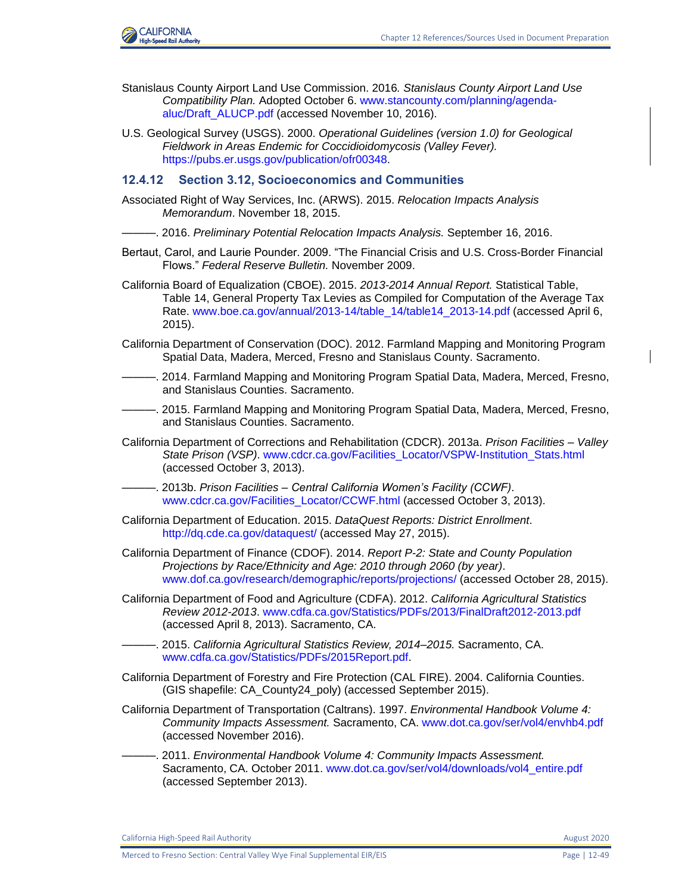

- Stanislaus County Airport Land Use Commission. 2016*. Stanislaus County Airport Land Use Compatibility Plan.* Adopted October 6. [www.stancounty.com/planning/agenda](https://www.stancounty.com/planning/agenda-aluc/Draft_ALUCP.pdf)[aluc/Draft\\_ALUCP.pdf](https://www.stancounty.com/planning/agenda-aluc/Draft_ALUCP.pdf) (accessed November 10, 2016).
- U.S. Geological Survey (USGS). 2000. *Operational Guidelines (version 1.0) for Geological Fieldwork in Areas Endemic for Coccidioidomycosis (Valley Fever).*  [https://pubs.er.usgs.gov/publication/ofr00348.](https://pubs.er.usgs.gov/publication/ofr00348)

#### **12.4.12 Section 3.12, Socioeconomics and Communities**

- Associated Right of Way Services, Inc. (ARWS). 2015. *Relocation Impacts Analysis Memorandum*. November 18, 2015.
- ———. 2016. *Preliminary Potential Relocation Impacts Analysis.* September 16, 2016.
- Bertaut, Carol, and Laurie Pounder. 2009. "The Financial Crisis and U.S. Cross-Border Financial Flows." *Federal Reserve Bulletin.* November 2009.
- California Board of Equalization (CBOE). 2015. *2013-2014 Annual Report.* Statistical Table, Table 14, General Property Tax Levies as Compiled for Computation of the Average Tax Rate. [www.boe.ca.gov/annual/2013-14/table\\_14/table14\\_2013-14.pdf](file:///C:/Users/Reynolds/AppData/Local/Microsoft/Windows/Temporary%20Internet%20Files/IE/7P8Q5C3Q/www.boe.ca.gov/annual/2013-14/table_14/table14_2013-14.pdf) (accessed April 6, 2015).
- California Department of Conservation (DOC). 2012. Farmland Mapping and Monitoring Program Spatial Data, Madera, Merced, Fresno and Stanislaus County. Sacramento.
- ———. 2014. Farmland Mapping and Monitoring Program Spatial Data, Madera, Merced, Fresno, and Stanislaus Counties. Sacramento.
- ———. 2015. Farmland Mapping and Monitoring Program Spatial Data, Madera, Merced, Fresno, and Stanislaus Counties. Sacramento.
- California Department of Corrections and Rehabilitation (CDCR). 2013a. *Prison Facilities – Valley State Prison (VSP)*. [www.cdcr.ca.gov/Facilities\\_Locator/VSPW-Institution\\_Stats.html](http://www.cdcr.ca.gov/Facilities_Locator/VSPW-Institution_Stats.html) (accessed October 3, 2013).
- ———. 2013b. *Prison Facilities – Central California Women's Facility (CCWF)*. [www.cdcr.ca.gov/Facilities\\_Locator/CCWF.html](http://www.cdcr.ca.gov/Facilities_Locator/CCWF.html) (accessed October 3, 2013).
- California Department of Education. 2015. *DataQuest Reports: District Enrollment*. <http://dq.cde.ca.gov/dataquest/> (accessed May 27, 2015).
- California Department of Finance (CDOF). 2014. *Report P-2: State and County Population Projections by Race/Ethnicity and Age: 2010 through 2060 (by year)*. [www.dof.ca.gov/research/demographic/reports/projections/ \(](http://www.dof.ca.gov/research/demographic/reports/projections/)accessed October 28, 2015).
- California Department of Food and Agriculture (CDFA). 2012. *California Agricultural Statistics Review 2012-2013*. [www.cdfa.ca.gov/Statistics/PDFs/2013/FinalDraft2012-2013.pdf](http://www.cdfa.ca.gov/Statistics/PDFs/2013/FinalDraft2012-2013.pdf) (accessed April 8, 2013). Sacramento, CA.
- ———. 2015. *California Agricultural Statistics Review, 2014–2015.* Sacramento, CA. [www.cdfa.ca.gov/Statistics/PDFs/2015Report.pdf.](https://www.cdfa.ca.gov/Statistics/PDFs/2015Report.pdf)
- California Department of Forestry and Fire Protection (CAL FIRE). 2004. California Counties. (GIS shapefile: CA\_County24\_poly) (accessed September 2015).
- California Department of Transportation (Caltrans). 1997. *Environmental Handbook Volume 4: Community Impacts Assessment.* Sacramento, CA. [www.dot.ca.gov/ser/vol4/envhb4.pdf](http://www.dot.ca.gov/ser/vol4/envhb4.pdf) (accessed November 2016).
- ———. 2011. *Environmental Handbook Volume 4: Community Impacts Assessment.*  Sacramento, CA. October 2011. [www.dot.ca.gov/ser/vol4/downloads/vol4\\_entire.pdf](http://www.dot.ca.gov/ser/vol4/downloads/vol4_entire.pdf) (accessed September 2013).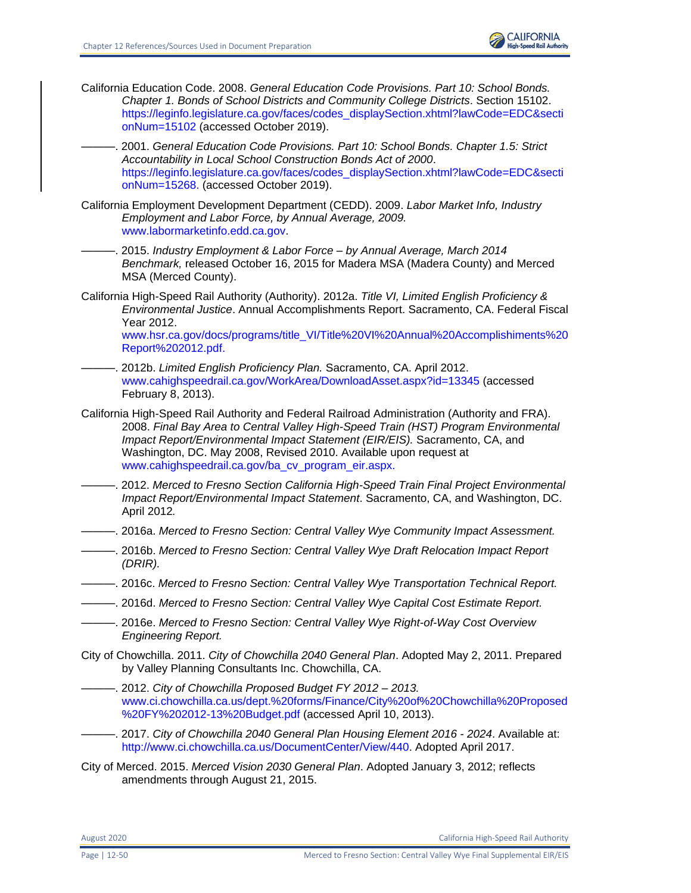

- California Education Code. 2008. *General Education Code Provisions. Part 10: School Bonds. Chapter 1. Bonds of School Districts and Community College Districts*. Section 15102. [https://leginfo.legislature.ca.gov/faces/codes\\_displaySection.xhtml?lawCode=EDC&secti](https://leginfo.legislature.ca.gov/faces/codes_displaySection.xhtml?lawCode=EDC§ionNum=15102%20(accessed%20October%202019).) [onNum=15102 \(accessed October 2019\).](https://leginfo.legislature.ca.gov/faces/codes_displaySection.xhtml?lawCode=EDC§ionNum=15102%20(accessed%20October%202019).)
	- ———. 2001. *General Education Code Provisions. Part 10: School Bonds. Chapter 1.5: Strict Accountability in Local School Construction Bonds Act of 2000*. [https://leginfo.legislature.ca.gov/faces/codes\\_displaySection.xhtml?lawCode=EDC&secti](https://leginfo.legislature.ca.gov/faces/codes_displaySection.xhtml?lawCode=EDC§ionNum=15268.) [onNum=15268.](https://leginfo.legislature.ca.gov/faces/codes_displaySection.xhtml?lawCode=EDC§ionNum=15268.) (accessed October 2019).
- California Employment Development Department (CEDD). 2009. *Labor Market Info, Industry Employment and Labor Force, by Annual Average, 2009.* [www.labormarketinfo.edd.ca.gov.](http://www.labormarketinfo.edd.ca.gov/)
	- ———. 2015. *Industry Employment & Labor Force – by Annual Average, March 2014 Benchmark,* released October 16, 2015 for Madera MSA (Madera County) and Merced MSA (Merced County).
- California High-Speed Rail Authority (Authority). 2012a. *Title VI, Limited English Proficiency & Environmental Justice*. Annual Accomplishments Report. Sacramento, CA. Federal Fiscal Year 2012. [www.hsr.ca.gov/docs/programs/title\\_VI/Title%20VI%20Annual%20Accomplishiments%20](http://www.hsr.ca.gov/docs/programs/title_VI/Title%20VI%20Annual%20Accomplishiments%20Report%202012.pdf) [Report%202012.pdf.](http://www.hsr.ca.gov/docs/programs/title_VI/Title%20VI%20Annual%20Accomplishiments%20Report%202012.pdf)
- ———. 2012b. *Limited English Proficiency Plan.* Sacramento, CA. April 2012. [www.cahighspeedrail.ca.gov/WorkArea/DownloadAsset.aspx?id=13345](http://www.cahighspeedrail.ca.gov/WorkArea/DownloadAsset.aspx?id=13345) (accessed February 8, 2013).
- California High-Speed Rail Authority and Federal Railroad Administration (Authority and FRA). 2008. *Final Bay Area to Central Valley High-Speed Train (HST) Program Environmental Impact Report/Environmental Impact Statement (EIR/EIS).* Sacramento, CA, and Washington, DC. May 2008, Revised 2010. Available upon request at [www.cahighspeedrail.ca.gov/ba\\_cv\\_program\\_eir.aspx.](http://www.cahighspeedrail.ca.gov/ba_cv_program_eir.aspx)
- ———. 2012. *Merced to Fresno Section California High-Speed Train Final Project Environmental Impact Report/Environmental Impact Statement*. Sacramento, CA, and Washington, DC. April 2012*.*
- ———. 2016a. *Merced to Fresno Section: Central Valley Wye Community Impact Assessment.*
- ———. 2016b. *Merced to Fresno Section: Central Valley Wye Draft Relocation Impact Report (DRIR).*
- ———. 2016c. *Merced to Fresno Section: Central Valley Wye Transportation Technical Report.*
- ———. 2016d. *Merced to Fresno Section: Central Valley Wye Capital Cost Estimate Report.*
- ———. 2016e. *Merced to Fresno Section: Central Valley Wye Right-of-Way Cost Overview Engineering Report.*
- City of Chowchilla. 2011. *City of Chowchilla 2040 General Plan*. Adopted May 2, 2011. Prepared by Valley Planning Consultants Inc. Chowchilla, CA.
- ———. 2012. *City of Chowchilla Proposed Budget FY 2012 – 2013.*  [www.ci.chowchilla.ca.us/dept.%20forms/Finance/City%20of%20Chowchilla%20Proposed](http://www.ci.chowchilla.ca.us/dept.%20forms/Finance/City%20of%20Chowchilla%20Proposed%20FY%202012-13%20Budget.pdf) [%20FY%202012-13%20Budget.pdf](http://www.ci.chowchilla.ca.us/dept.%20forms/Finance/City%20of%20Chowchilla%20Proposed%20FY%202012-13%20Budget.pdf) (accessed April 10, 2013).
- ———. 2017. *City of Chowchilla 2040 General Plan Housing Element 2016 - 2024*. Available at: [http://www.ci.chowchilla.ca.us/DocumentCenter/View/440.](http://www.ci.chowchilla.ca.us/DocumentCenter/View/440) Adopted April 2017.
- City of Merced. 2015. *Merced Vision 2030 General Plan*. Adopted January 3, 2012; reflects amendments through August 21, 2015.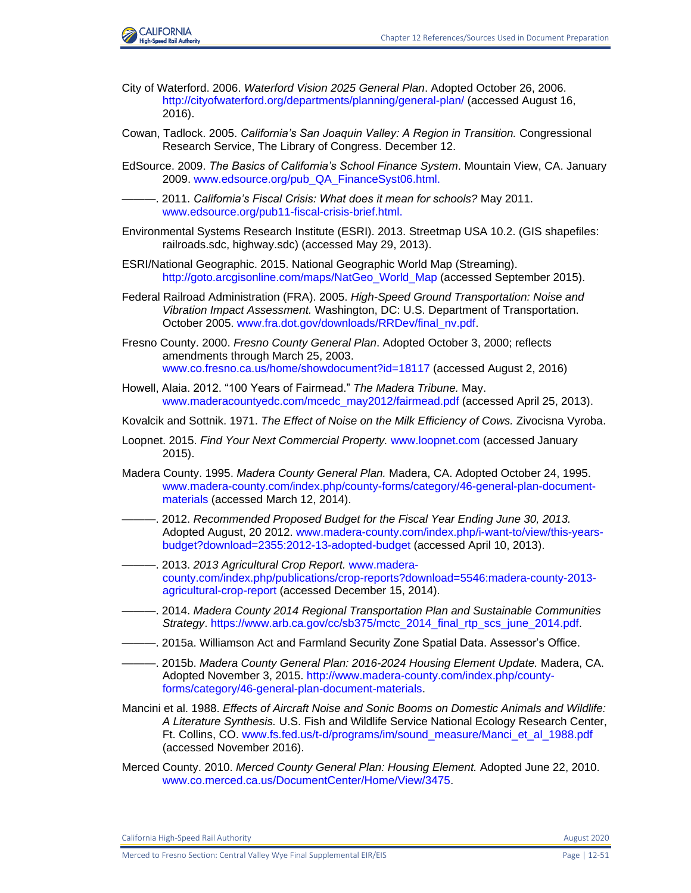

- City of Waterford. 2006. *Waterford Vision 2025 General Plan*. Adopted October 26, 2006. <http://cityofwaterford.org/departments/planning/general-plan/> (accessed August 16, 2016).
- Cowan, Tadlock. 2005. *California's San Joaquin Valley: A Region in Transition.* Congressional Research Service, The Library of Congress. December 12.
- EdSource. 2009. *The Basics of California's School Finance System*. Mountain View, CA. January 2009. [www.edsource.org/pub\\_QA\\_FinanceSyst06.html.](http://www.edsource.org/pub_QA_FinanceSyst06.html)
- ———. 2011. *California's Fiscal Crisis: What does it mean for schools?* May 2011. [www.edsource.org/pub11-fiscal-crisis-brief.html.](http://www.edsource.org/pub11-fiscal-crisis-brief.html.)
- Environmental Systems Research Institute (ESRI). 2013. Streetmap USA 10.2. (GIS shapefiles: railroads.sdc, highway.sdc) (accessed May 29, 2013).
- ESRI/National Geographic. 2015. National Geographic World Map (Streaming). [http://goto.arcgisonline.com/maps/NatGeo\\_World\\_Map](http://goto.arcgisonline.com/maps/NatGeo_World_Map) (accessed September 2015).
- Federal Railroad Administration (FRA). 2005. *High-Speed Ground Transportation: Noise and Vibration Impact Assessment.* Washington, DC: U.S. Department of Transportation. October 2005. [www.fra.dot.gov/downloads/RRDev/final\\_nv.pdf.](http://www.fra.dot.gov/downloads/RRDev/final_nv.pdf)
- Fresno County. 2000. *Fresno County General Plan*. Adopted October 3, 2000; reflects amendments through March 25, 2003. www.co.fresno.ca.us/home/showdocument?id=18117 (accessed August 2, 2016)
- Howell, Alaia. 2012. "100 Years of Fairmead." *The Madera Tribune.* May. [www.maderacountyedc.com/mcedc\\_may2012/fairmead.pdf](http://www.maderacountyedc.com/mcedc_may2012/fairmead.pdf) (accessed April 25, 2013).
- Kovalcik and Sottnik. 1971. *The Effect of Noise on the Milk Efficiency of Cows.* Zivocisna Vyroba.
- Loopnet. 2015. *Find Your Next Commercial Property.* [www.loopnet.com](http://www.loopnet.com/) (accessed January 2015).
- Madera County. 1995. *Madera County General Plan.* Madera, CA. Adopted October 24, 1995. [www.madera-county.com/index.php/county-forms/category/46-general-plan-document](file:///C:/Users/19339/Downloads/www.madera-county.com/index.php/county-forms/category/46-general-plan-document-materials)[materials](file:///C:/Users/19339/Downloads/www.madera-county.com/index.php/county-forms/category/46-general-plan-document-materials) (accessed March 12, 2014).
- ———. 2012. *Recommended Proposed Budget for the Fiscal Year Ending June 30, 2013.*  Adopted August, 20 2012. [www.madera-county.com/index.php/i-want-to/view/this-years](http://www.madera-county.com/index.php/i-want-to/view/this-years-budget?download=2355:2012-13-adopted-budget)[budget?download=2355:2012-13-adopted-budget](http://www.madera-county.com/index.php/i-want-to/view/this-years-budget?download=2355:2012-13-adopted-budget) (accessed April 10, 2013).
- ———. 2013. *2013 Agricultural Crop Report.* [www.madera](http://www.madera-county.com/index.php/publications/crop-reports?download=5546:madera-county-2013-agricultural-crop-report)[county.com/index.php/publications/crop-reports?download=5546:madera-county-2013](http://www.madera-county.com/index.php/publications/crop-reports?download=5546:madera-county-2013-agricultural-crop-report) [agricultural-crop-report](http://www.madera-county.com/index.php/publications/crop-reports?download=5546:madera-county-2013-agricultural-crop-report) (accessed December 15, 2014).
- ———. 2014. *Madera County 2014 Regional Transportation Plan and Sustainable Communities Strategy*. [https://www.arb.ca.gov/cc/sb375/mctc\\_2014\\_final\\_rtp\\_scs\\_june\\_2014.pdf.](https://www.arb.ca.gov/cc/sb375/mctc_2014_final_rtp_scs_june_2014.pdf)
- ———. 2015a. Williamson Act and Farmland Security Zone Spatial Data. Assessor's Office.
- ———. 2015b. *Madera County General Plan: 2016-2024 Housing Element Update.* Madera, CA. Adopted November 3, 2015. [http://www.madera-county.com/index.php/county](http://www.madera-county.com/index.php/county-forms/category/46-general-plan-document-materials)[forms/category/46-general-plan-document-materials.](http://www.madera-county.com/index.php/county-forms/category/46-general-plan-document-materials)
- Mancini et al. 1988. *Effects of Aircraft Noise and Sonic Booms on Domestic Animals and Wildlife: A Literature Synthesis.* U.S. Fish and Wildlife Service National Ecology Research Center, Ft. Collins, CO. [www.fs.fed.us/t-d/programs/im/sound\\_measure/Manci\\_et\\_al\\_1988.pdf](http://www.fs.fed.us/t-d/programs/im/sound_measure/Manci_et_al_1988.pdf) (accessed November 2016).
- Merced County. 2010. *Merced County General Plan: Housing Element.* Adopted June 22, 2010. [www.co.merced.ca.us/DocumentCenter/Home/View/3475.](http://www.co.merced.ca.us/DocumentCenter/Home/View/3475)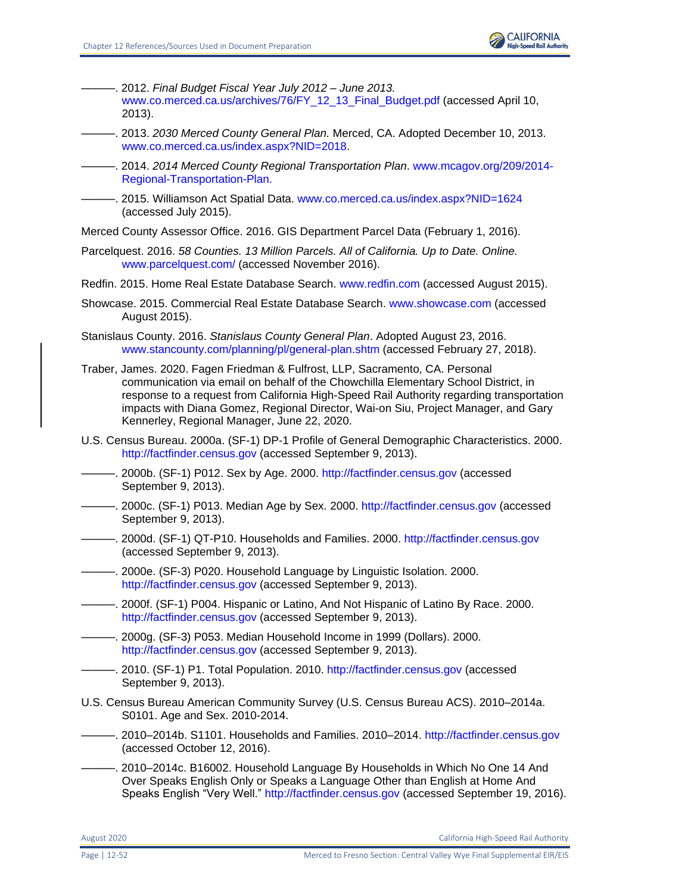

- ———. 2012. *Final Budget Fiscal Year July 2012 – June 2013.*  [www.co.merced.ca.us/archives/76/FY\\_12\\_13\\_Final\\_Budget.pdf](http://www.co.merced.ca.us/archives/76/FY_12_13_Final_Budget.pdf) (accessed April 10, 2013).
- ———. 2013. *2030 Merced County General Plan.* Merced, CA. Adopted December 10, 2013. [www.co.merced.ca.us/index.aspx?NID=2018.](http://www.co.merced.ca.us/index.aspx?NID=2018)
- ———. 2014. *2014 Merced County Regional Transportation Plan*. [www.mcagov.org/209/2014-](http://www.mcagov.org/209/2014-Regional-Transportation-Plan) [Regional-Transportation-Plan.](http://www.mcagov.org/209/2014-Regional-Transportation-Plan)
- -. 2015. Williamson Act Spatial Data. [www.co.merced.ca.us/index.aspx?NID=1624](http://www.co.merced.ca.us/index.aspx?NID=1624) (accessed July 2015).
- Merced County Assessor Office. 2016. GIS Department Parcel Data (February 1, 2016).
- Parcelquest. 2016. *58 Counties. 13 Million Parcels. All of California. Up to Date. Online.*  [www.parcelquest.com/](http://www.parcelquest.com/) (accessed November 2016).
- Redfin. 2015. Home Real Estate Database Search. [www.redfin.com](http://www.redfin.com/) (accessed August 2015).
- Showcase. 2015. Commercial Real Estate Database Search. [www.showcase.com](http://www.showcase.com/) (accessed August 2015).
- Stanislaus County. 2016. *Stanislaus County General Plan*. Adopted August 23, 2016. [www.stancounty.com/planning/pl/general-plan.shtm](http://www.stancounty.com/planning/pl/general-plan.shtm) (accessed February 27, 2018).
- Traber, James. 2020. Fagen Friedman & Fulfrost, LLP, Sacramento, CA. Personal communication via email on behalf of the Chowchilla Elementary School District, in response to a request from California High-Speed Rail Authority regarding transportation impacts with Diana Gomez, Regional Director, Wai-on Siu, Project Manager, and Gary Kennerley, Regional Manager, June 22, 2020.
- U.S. Census Bureau. 2000a. (SF-1) DP-1 Profile of General Demographic Characteristics. 2000. [http://factfinder.census.gov](http://factfinder.census.gov/) (accessed September 9, 2013).
- -. 2000b. (SF-1) P012. Sex by Age. 2000. [http://factfinder.census.gov](http://factfinder.census.gov/) (accessed September 9, 2013).
- ———. 2000c. (SF-1) P013. Median Age by Sex. 2000. [http://factfinder.census.gov](http://factfinder.census.gov/) (accessed September 9, 2013).
- ———. 2000d. (SF-1) QT-P10. Households and Families. 2000. [http://factfinder.census.gov](http://factfinder.census.gov/) (accessed September 9, 2013).
- -. 2000e. (SF-3) P020. Household Language by Linguistic Isolation. 2000. [http://factfinder.census.gov](http://factfinder.census.gov/) (accessed September 9, 2013).
- ———. 2000f. (SF-1) P004. Hispanic or Latino, And Not Hispanic of Latino By Race. 2000. [http://factfinder.census.gov](http://factfinder.census.gov/) (accessed September 9, 2013).
- ———. 2000g. (SF-3) P053. Median Household Income in 1999 (Dollars). 2000. [http://factfinder.census.gov](http://factfinder.census.gov/) (accessed September 9, 2013).
- -. 2010. (SF-1) P1. Total Population. 2010. [http://factfinder.census.gov](http://factfinder.census.gov/) (accessed September 9, 2013).
- U.S. Census Bureau American Community Survey (U.S. Census Bureau ACS). 2010–2014a. S0101. Age and Sex. 2010-2014.
- –. 2010–2014b. S1101. Households and Families. 2010–2014. [http://factfinder.census.gov](http://factfinder.census.gov/) (accessed October 12, 2016).
- -. 2010–2014c. B16002. Household Language By Households in Which No One 14 And Over Speaks English Only or Speaks a Language Other than English at Home And Speaks English "Very Well." [http://factfinder.census.gov](http://factfinder.census.gov/) (accessed September 19, 2016).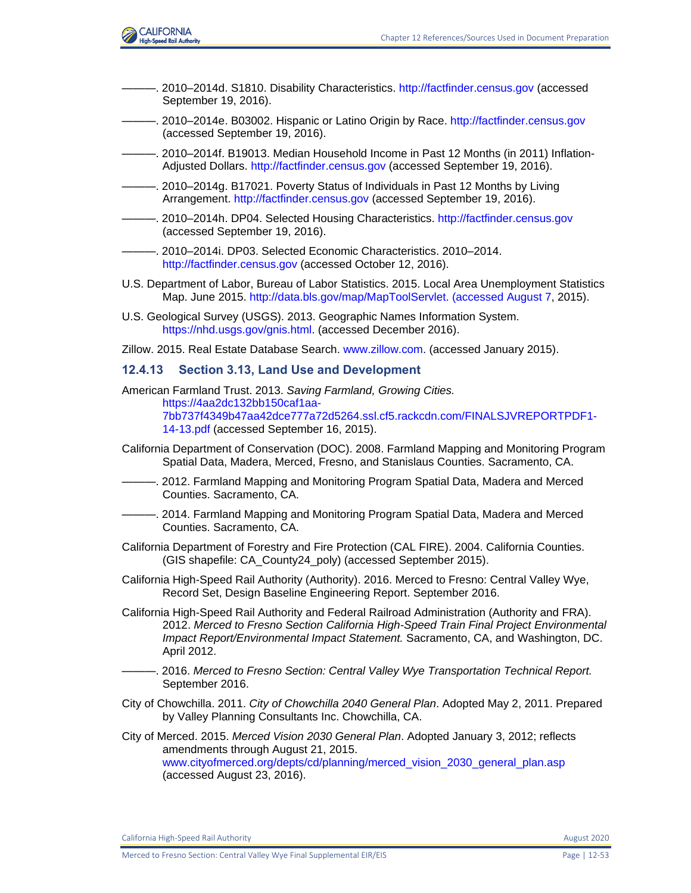

- -. 2010–2014d. S1810. Disability Characteristics. [http://factfinder.census.gov](http://factfinder.census.gov/) (accessed September 19, 2016).
- ———. 2010–2014e. B03002. Hispanic or Latino Origin by Race. [http://factfinder.census.gov](http://factfinder.census.gov/) (accessed September 19, 2016).
- ———. 2010–2014f. B19013. Median Household Income in Past 12 Months (in 2011) Inflation-Adjusted Dollars. [http://factfinder.census.gov](http://factfinder.census.gov/) (accessed September 19, 2016).
- ———. 2010–2014g. B17021. Poverty Status of Individuals in Past 12 Months by Living Arrangement. [http://factfinder.census.gov](http://factfinder.census.gov/) (accessed September 19, 2016).
- ———. 2010–2014h. DP04. Selected Housing Characteristics. [http://factfinder.census.gov](http://factfinder.census.gov/) (accessed September 19, 2016).
- ———. 2010–2014i. DP03. Selected Economic Characteristics. 2010–2014. [http://factfinder.census.gov](http://factfinder.census.gov/) (accessed October 12, 2016).
- U.S. Department of Labor, Bureau of Labor Statistics. 2015. Local Area Unemployment Statistics Map. June 2015. [http://data.bls.gov/map/MapToolServlet. \(accessed August 7,](http://data.bls.gov/map/MapToolServlet.%20(accessed%20August%207) 2015).
- U.S. Geological Survey (USGS). 2013. Geographic Names Information System. [https://nhd.usgs.gov/gnis.html.](https://nhd.usgs.gov/gnis.html) (accessed December 2016).
- Zillow. 2015. Real Estate Database Search. [www.zillow.com.](http://www.zillow.com/) (accessed January 2015).

#### **12.4.13 Section 3.13, Land Use and Development**

- American Farmland Trust. 2013. *Saving Farmland, Growing Cities.* [https://4aa2dc132bb150caf1aa-](https://4aa2dc132bb150caf1aa-7bb737f4349b47aa42dce777a72d5264.ssl.cf5.rackcdn.com/FINALSJVREPORTPDF1-14-13.pdf)[7bb737f4349b47aa42dce777a72d5264.ssl.cf5.rackcdn.com/FINALSJVREPORTPDF1-](https://4aa2dc132bb150caf1aa-7bb737f4349b47aa42dce777a72d5264.ssl.cf5.rackcdn.com/FINALSJVREPORTPDF1-14-13.pdf) [14-13.pdf](https://4aa2dc132bb150caf1aa-7bb737f4349b47aa42dce777a72d5264.ssl.cf5.rackcdn.com/FINALSJVREPORTPDF1-14-13.pdf) (accessed September 16, 2015).
- California Department of Conservation (DOC). 2008. Farmland Mapping and Monitoring Program Spatial Data, Madera, Merced, Fresno, and Stanislaus Counties. Sacramento, CA.
- -, 2012. Farmland Mapping and Monitoring Program Spatial Data, Madera and Merced Counties. Sacramento, CA.
- -. 2014. Farmland Mapping and Monitoring Program Spatial Data, Madera and Merced Counties. Sacramento, CA.
- California Department of Forestry and Fire Protection (CAL FIRE). 2004. California Counties. (GIS shapefile: CA\_County24\_poly) (accessed September 2015).
- California High-Speed Rail Authority (Authority). 2016. Merced to Fresno: Central Valley Wye, Record Set, Design Baseline Engineering Report. September 2016.
- California High-Speed Rail Authority and Federal Railroad Administration (Authority and FRA). 2012. *Merced to Fresno Section California High-Speed Train Final Project Environmental Impact Report/Environmental Impact Statement.* Sacramento, CA, and Washington, DC. April 2012.
- ———. 2016. *Merced to Fresno Section: Central Valley Wye Transportation Technical Report.*  September 2016.
- City of Chowchilla. 2011. *City of Chowchilla 2040 General Plan*. Adopted May 2, 2011. Prepared by Valley Planning Consultants Inc. Chowchilla, CA.

City of Merced. 2015. *Merced Vision 2030 General Plan*. Adopted January 3, 2012; reflects amendments through August 21, 2015. [www.cityofmerced.org/depts/cd/planning/merced\\_vision\\_2030\\_general\\_plan.asp](https://www.cityofmerced.org/depts/cd/planning/merced_vision_2030_general_plan.asp) (accessed August 23, 2016).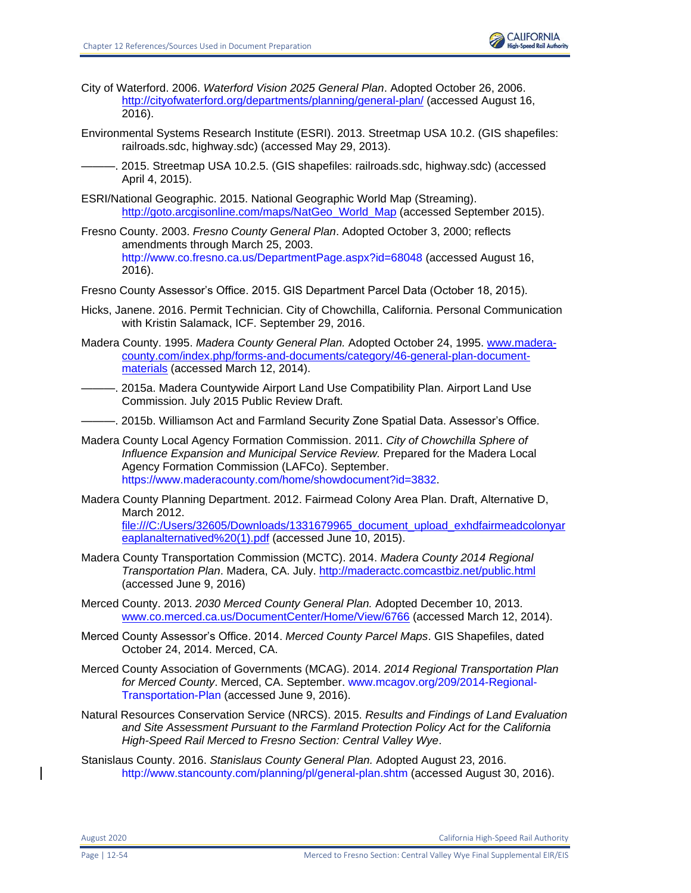

- City of Waterford. 2006. *Waterford Vision 2025 General Plan*. Adopted October 26, 2006. <http://cityofwaterford.org/departments/planning/general-plan/> (accessed August 16, 2016).
- Environmental Systems Research Institute (ESRI). 2013. Streetmap USA 10.2. (GIS shapefiles: railroads.sdc, highway.sdc) (accessed May 29, 2013).
	- ———. 2015. Streetmap USA 10.2.5. (GIS shapefiles: railroads.sdc, highway.sdc) (accessed April 4, 2015).
- ESRI/National Geographic. 2015. National Geographic World Map (Streaming). [http://goto.arcgisonline.com/maps/NatGeo\\_World\\_Map](http://goto.arcgisonline.com/maps/NatGeo_World_Map) (accessed September 2015).
- Fresno County. 2003. *Fresno County General Plan*. Adopted October 3, 2000; reflects amendments through March 25, 2003. <http://www.co.fresno.ca.us/DepartmentPage.aspx?id=68048> (accessed August 16, 2016).
- Fresno County Assessor's Office. 2015. GIS Department Parcel Data (October 18, 2015).
- Hicks, Janene. 2016. Permit Technician. City of Chowchilla, California. Personal Communication with Kristin Salamack, ICF. September 29, 2016.
- Madera County. 1995. *Madera County General Plan.* Adopted October 24, 1995. [www.madera](http://www.madera-county.com/index.php/forms-and-documents/category/46-general-plan-document-materials)[county.com/index.php/forms-and-documents/category/46-general-plan-document](http://www.madera-county.com/index.php/forms-and-documents/category/46-general-plan-document-materials)[materials](http://www.madera-county.com/index.php/forms-and-documents/category/46-general-plan-document-materials) (accessed March 12, 2014).
- ———. 2015a. Madera Countywide Airport Land Use Compatibility Plan. Airport Land Use Commission. July 2015 Public Review Draft.
- ———. 2015b. Williamson Act and Farmland Security Zone Spatial Data. Assessor's Office.
- Madera County Local Agency Formation Commission. 2011. *City of Chowchilla Sphere of Influence Expansion and Municipal Service Review.* Prepared for the Madera Local Agency Formation Commission (LAFCo). September. [https://www.maderacounty.com/home/showdocument?id=3832.](https://www.maderacounty.com/home/showdocument?id=3832)
- Madera County Planning Department. 2012. Fairmead Colony Area Plan. Draft, Alternative D, March 2012. [file:///C:/Users/32605/Downloads/1331679965\\_document\\_upload\\_exhdfairmeadcolonyar](file:///C:/Users/32605/Downloads/1331679965_document_upload_exhdfairmeadcolonyareaplanalternatived%20(1).pdf)

[eaplanalternatived%20\(1\).pdf](file:///C:/Users/32605/Downloads/1331679965_document_upload_exhdfairmeadcolonyareaplanalternatived%20(1).pdf) (accessed June 10, 2015).

- Madera County Transportation Commission (MCTC). 2014. *Madera County 2014 Regional Transportation Plan*. Madera, CA. July.<http://maderactc.comcastbiz.net/public.html> (accessed June 9, 2016)
- Merced County. 2013. *2030 Merced County General Plan.* Adopted December 10, 2013. [www.co.merced.ca.us/DocumentCenter/Home/View/6766](http://www.co.merced.ca.us/DocumentCenter/Home/View/6766) (accessed March 12, 2014).
- Merced County Assessor's Office. 2014. *Merced County Parcel Maps*. GIS Shapefiles, dated October 24, 2014. Merced, CA.
- Merced County Association of Governments (MCAG). 2014. *2014 Regional Transportation Plan for Merced County*. Merced, CA. September. [www.mcagov.org/209/2014-Regional-](http://www.mcagov.org/209/2014-Regional-Transportation-Plan)[Transportation-Plan](http://www.mcagov.org/209/2014-Regional-Transportation-Plan) (accessed June 9, 2016).
- Natural Resources Conservation Service (NRCS). 2015. *Results and Findings of Land Evaluation and Site Assessment Pursuant to the Farmland Protection Policy Act for the California High-Speed Rail Merced to Fresno Section: Central Valley Wye*.
- Stanislaus County. 2016. *Stanislaus County General Plan.* Adopted August 23, 2016. <http://www.stancounty.com/planning/pl/general-plan.shtm> (accessed August 30, 2016).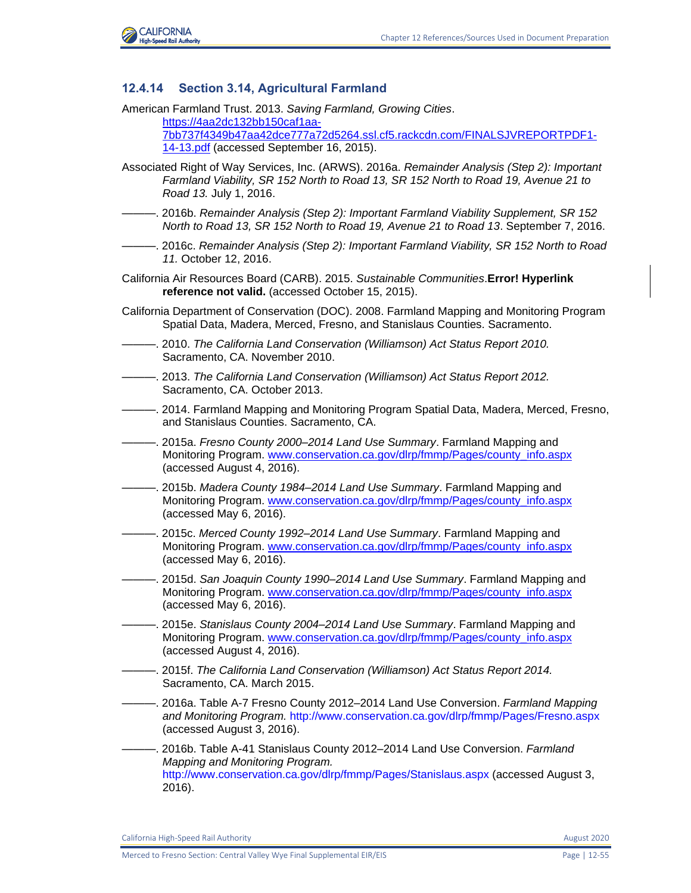

## **12.4.14 Section 3.14, Agricultural Farmland**

American Farmland Trust. 2013. *Saving Farmland, Growing Cities*. [https://4aa2dc132bb150caf1aa-](https://4aa2dc132bb150caf1aa-7bb737f4349b47aa42dce777a72d5264.ssl.cf5.rackcdn.com/FINALSJVREPORTPDF1-14-13.pdf)[7bb737f4349b47aa42dce777a72d5264.ssl.cf5.rackcdn.com/FINALSJVREPORTPDF1-](https://4aa2dc132bb150caf1aa-7bb737f4349b47aa42dce777a72d5264.ssl.cf5.rackcdn.com/FINALSJVREPORTPDF1-14-13.pdf) [14-13.pdf](https://4aa2dc132bb150caf1aa-7bb737f4349b47aa42dce777a72d5264.ssl.cf5.rackcdn.com/FINALSJVREPORTPDF1-14-13.pdf) (accessed September 16, 2015).

- Associated Right of Way Services, Inc. (ARWS). 2016a. *Remainder Analysis (Step 2): Important Farmland Viability, SR 152 North to Road 13, SR 152 North to Road 19, Avenue 21 to Road 13.* July 1, 2016.
- ———. 2016b. *Remainder Analysis (Step 2): Important Farmland Viability Supplement, SR 152 North to Road 13, SR 152 North to Road 19, Avenue 21 to Road 13*. September 7, 2016.
- ———. 2016c. *Remainder Analysis (Step 2): Important Farmland Viability, SR 152 North to Road 11.* October 12, 2016.
- California Air Resources Board (CARB). 2015. *Sustainable Communities*.**Error! Hyperlink reference not valid.** (accessed October 15, 2015).
- California Department of Conservation (DOC). 2008. Farmland Mapping and Monitoring Program Spatial Data, Madera, Merced, Fresno, and Stanislaus Counties. Sacramento.
- ———. 2010. *The California Land Conservation (Williamson) Act Status Report 2010.* Sacramento, CA. November 2010.
- ———. 2013. *The California Land Conservation (Williamson) Act Status Report 2012.* Sacramento, CA. October 2013.
- ———. 2014. Farmland Mapping and Monitoring Program Spatial Data, Madera, Merced, Fresno, and Stanislaus Counties. Sacramento, CA.
- ———. 2015a. *Fresno County 2000–2014 Land Use Summary*. Farmland Mapping and Monitoring Program. [www.conservation.ca.gov/dlrp/fmmp/Pages/county\\_info.aspx](http://www.conservation.ca.gov/dlrp/fmmp/Pages/county_info.aspx) (accessed August 4, 2016).
- ———. 2015b. *Madera County 1984–2014 Land Use Summary*. Farmland Mapping and Monitoring Program. [www.conservation.ca.gov/dlrp/fmmp/Pages/county\\_info.aspx](http://www.conservation.ca.gov/dlrp/fmmp/Pages/county_info.aspx) (accessed May 6, 2016).
- -. 2015c. Merced County 1992–2014 Land Use Summary. Farmland Mapping and Monitoring Program. [www.conservation.ca.gov/dlrp/fmmp/Pages/county\\_info.aspx](http://www.conservation.ca.gov/dlrp/fmmp/Pages/county_info.aspx) (accessed May 6, 2016).
- ———. 2015d. *San Joaquin County 1990–2014 Land Use Summary*. Farmland Mapping and Monitoring Program. [www.conservation.ca.gov/dlrp/fmmp/Pages/county\\_info.aspx](http://www.conservation.ca.gov/dlrp/fmmp/Pages/county_info.aspx) (accessed May 6, 2016).
- ———. 2015e. *Stanislaus County 2004–2014 Land Use Summary*. Farmland Mapping and Monitoring Program. [www.conservation.ca.gov/dlrp/fmmp/Pages/county\\_info.aspx](http://www.conservation.ca.gov/dlrp/fmmp/Pages/county_info.aspx) (accessed August 4, 2016).
- ———. 2015f. *The California Land Conservation (Williamson) Act Status Report 2014.* Sacramento, CA. March 2015.
- ———. 2016a. Table A-7 Fresno County 2012–2014 Land Use Conversion. *Farmland Mapping and Monitoring Program.* <http://www.conservation.ca.gov/dlrp/fmmp/Pages/Fresno.aspx> (accessed August 3, 2016).
- ———. 2016b. Table A-41 Stanislaus County 2012–2014 Land Use Conversion. *Farmland Mapping and Monitoring Program.* <http://www.conservation.ca.gov/dlrp/fmmp/Pages/Stanislaus.aspx> (accessed August 3, 2016).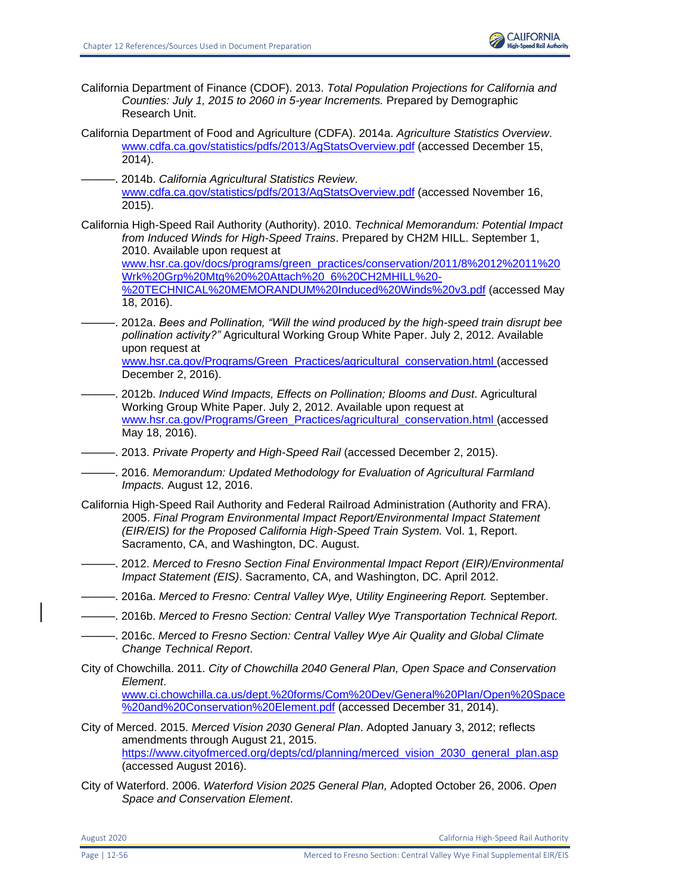- California Department of Finance (CDOF). 2013. *Total Population Projections for California and Counties: July 1, 2015 to 2060 in 5-year Increments.* Prepared by Demographic Research Unit.
- California Department of Food and Agriculture (CDFA). 2014a. *Agriculture Statistics Overview*. [www.cdfa.ca.gov/statistics/pdfs/2013/AgStatsOverview.pdf](http://www.cdfa.ca.gov/statistics/pdfs/2013/AgStatsOverview.pdf) (accessed December 15, 2014).
- ———. 2014b. *California Agricultural Statistics Review*. [www.cdfa.ca.gov/statistics/pdfs/2013/AgStatsOverview.pdf](http://www.cdfa.ca.gov/statistics/pdfs/2013/AgStatsOverview.pdf) (accessed November 16, 2015).
- California High-Speed Rail Authority (Authority). 2010. *Technical Memorandum: Potential Impact from Induced Winds for High-Speed Trains*. Prepared by CH2M HILL. September 1, 2010. Available upon request at

[www.hsr.ca.gov/docs/programs/green\\_practices/conservation/2011/8%2012%2011%20](http://www.hsr.ca.gov/docs/programs/green_practices/conservation/2011/8%2012%2011%20Wrk%20Grp%20Mtg%20%20Attach%20_6%20CH2MHILL%20-%20TECHNICAL%20MEMORANDUM%20Induced%20Winds%20v3.pdf) [Wrk%20Grp%20Mtg%20%20Attach%20\\_6%20CH2MHILL%20-](http://www.hsr.ca.gov/docs/programs/green_practices/conservation/2011/8%2012%2011%20Wrk%20Grp%20Mtg%20%20Attach%20_6%20CH2MHILL%20-%20TECHNICAL%20MEMORANDUM%20Induced%20Winds%20v3.pdf)

[%20TECHNICAL%20MEMORANDUM%20Induced%20Winds%20v3.pdf](http://www.hsr.ca.gov/docs/programs/green_practices/conservation/2011/8%2012%2011%20Wrk%20Grp%20Mtg%20%20Attach%20_6%20CH2MHILL%20-%20TECHNICAL%20MEMORANDUM%20Induced%20Winds%20v3.pdf) (accessed May 18, 2016).

- ———. 2012a. *Bees and Pollination, "Will the wind produced by the high-speed train disrupt bee pollination activity?"* Agricultural Working Group White Paper. July 2, 2012. Available upon request at [www.hsr.ca.gov/Programs/Green\\_Practices/agricultural\\_conservation.html \(](http://www.hsr.ca.gov/Programs/Green_Practices/agricultural_conservation.html)accessed December 2, 2016).
- ———. 2012b. *Induced Wind Impacts, Effects on Pollination; Blooms and Dust*. Agricultural Working Group White Paper. July 2, 2012. Available upon request at [www.hsr.ca.gov/Programs/Green\\_Practices/agricultural\\_conservation.html \(](http://www.hsr.ca.gov/Programs/Green_Practices/agricultural_conservation.html)accessed May 18, 2016).
- ———. 2013. *Private Property and High-Speed Rail* (accessed December 2, 2015).
- ———. 2016. *Memorandum: Updated Methodology for Evaluation of Agricultural Farmland Impacts.* August 12, 2016.
- California High-Speed Rail Authority and Federal Railroad Administration (Authority and FRA). 2005. *Final Program Environmental Impact Report/Environmental Impact Statement (EIR/EIS) for the Proposed California High-Speed Train System.* Vol. 1, Report. Sacramento, CA, and Washington, DC. August.
- ———. 2012. *Merced to Fresno Section Final Environmental Impact Report (EIR)/Environmental Impact Statement (EIS)*. Sacramento, CA, and Washington, DC. April 2012.
- ———. 2016a. *Merced to Fresno: Central Valley Wye, Utility Engineering Report.* September.
- ———. 2016b. *Merced to Fresno Section: Central Valley Wye Transportation Technical Report.*
- ———. 2016c. *Merced to Fresno Section: Central Valley Wye Air Quality and Global Climate Change Technical Report*.
- City of Chowchilla. 2011. *City of Chowchilla 2040 General Plan, Open Space and Conservation Element*.

[www.ci.chowchilla.ca.us/dept.%20forms/Com%20Dev/General%20Plan/Open%20Space](http://www.ci.chowchilla.ca.us/dept.%20forms/Com%20Dev/General%20Plan/Open%20Space%20and%20Conservation%20Element.pdf) [%20and%20Conservation%20Element.pdf](http://www.ci.chowchilla.ca.us/dept.%20forms/Com%20Dev/General%20Plan/Open%20Space%20and%20Conservation%20Element.pdf) (accessed December 31, 2014).

- City of Merced. 2015. *Merced Vision 2030 General Plan*. Adopted January 3, 2012; reflects amendments through August 21, 2015. [https://www.cityofmerced.org/depts/cd/planning/merced\\_vision\\_2030\\_general\\_plan.asp](https://www.cityofmerced.org/depts/cd/planning/merced_vision_2030_general_plan.asp) (accessed August 2016).
- City of Waterford. 2006. *Waterford Vision 2025 General Plan,* Adopted October 26, 2006. *Open Space and Conservation Element*.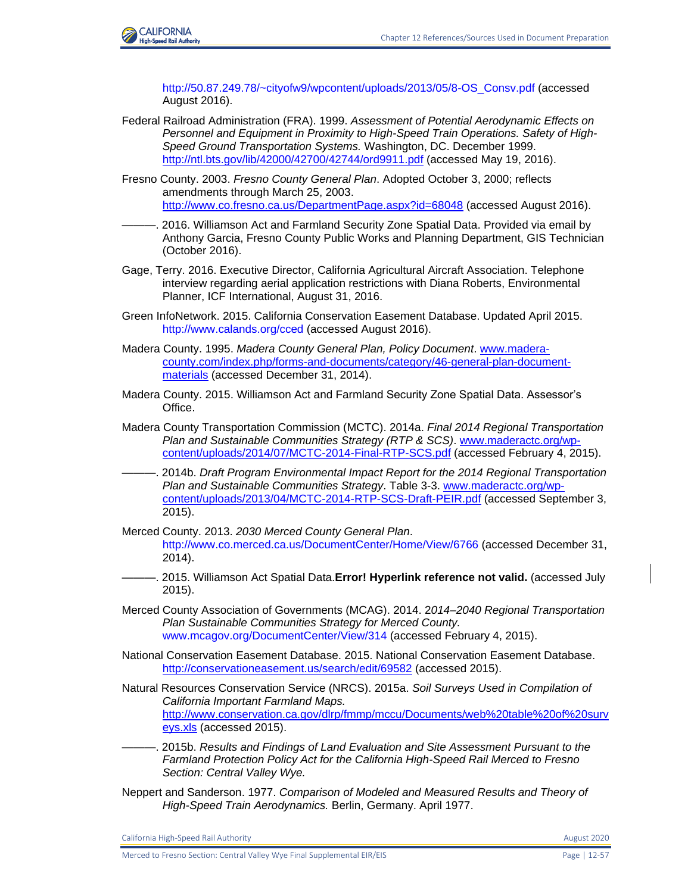

[http://50.87.249.78/~cityofw9/wpcontent/uploads/2013/05/8-OS\\_Consv.pdf](http://50.87.249.78/~cityofw9/wpcontent/uploads/2013/05/8-OS_Consv.pdf) (accessed August 2016).

- Federal Railroad Administration (FRA). 1999. *Assessment of Potential Aerodynamic Effects on Personnel and Equipment in Proximity to High-Speed Train Operations. Safety of High-Speed Ground Transportation Systems.* Washington, DC. December 1999. <http://ntl.bts.gov/lib/42000/42700/42744/ord9911.pdf> (accessed May 19, 2016).
- Fresno County. 2003. *Fresno County General Plan*. Adopted October 3, 2000; reflects amendments through March 25, 2003. <http://www.co.fresno.ca.us/DepartmentPage.aspx?id=68048> (accessed August 2016).
- ———. 2016. Williamson Act and Farmland Security Zone Spatial Data. Provided via email by Anthony Garcia, Fresno County Public Works and Planning Department, GIS Technician (October 2016).
- Gage, Terry. 2016. Executive Director, California Agricultural Aircraft Association. Telephone interview regarding aerial application restrictions with Diana Roberts, Environmental Planner, ICF International, August 31, 2016.
- Green InfoNetwork. 2015. California Conservation Easement Database. Updated April 2015. <http://www.calands.org/cced> (accessed August 2016).
- Madera County. 1995. *Madera County General Plan, Policy Document*. [www.madera](http://www.madera-county.com/index.php/forms-and-documents/category/46-general-plan-document-materials)[county.com/index.php/forms-and-documents/category/46-general-plan-document](http://www.madera-county.com/index.php/forms-and-documents/category/46-general-plan-document-materials)[materials](http://www.madera-county.com/index.php/forms-and-documents/category/46-general-plan-document-materials) (accessed December 31, 2014).
- Madera County. 2015. Williamson Act and Farmland Security Zone Spatial Data. Assessor's Office.
- Madera County Transportation Commission (MCTC). 2014a. *Final 2014 Regional Transportation Plan and Sustainable Communities Strategy (RTP & SCS)*. [www.maderactc.org/wp](http://www.maderactc.org/wp-content/uploads/‌2014/07/MCTC-2014-Final-RTP-SCS.pdf)[content/uploads/2014/07/MCTC-2014-Final-RTP-SCS.pdf](http://www.maderactc.org/wp-content/uploads/‌2014/07/MCTC-2014-Final-RTP-SCS.pdf) (accessed February 4, 2015).
- ———. 2014b. *Draft Program Environmental Impact Report for the 2014 Regional Transportation Plan and Sustainable Communities Strategy*. Table 3-3. [www.maderactc.org/wp](http://www.maderactc.org/wp-content/uploads/2013/04/MCTC-2014-RTP-SCS-Draft-PEIR.pdf)[content/uploads/2013/04/MCTC-2014-RTP-SCS-Draft-PEIR.pdf](http://www.maderactc.org/wp-content/uploads/2013/04/MCTC-2014-RTP-SCS-Draft-PEIR.pdf) (accessed September 3, 2015).
- Merced County. 2013. *2030 Merced County General Plan*. <http://www.co.merced.ca.us/DocumentCenter/Home/View/6766> (accessed December 31, 2014).
- ———. 2015. Williamson Act Spatial Data.**Error! Hyperlink reference not valid.** (accessed July 2015).
- Merced County Association of Governments (MCAG). 2014. 2*014–2040 Regional Transportation Plan Sustainable Communities Strategy for Merced County.* [www.mcagov.org/DocumentCenter/View/314](http://www.mcagov.org/DocumentCenter/View/314) (accessed February 4, 2015).
- National Conservation Easement Database. 2015. National Conservation Easement Database. <http://conservationeasement.us/search/edit/69582> (accessed 2015).
- Natural Resources Conservation Service (NRCS). 2015a. *Soil Surveys Used in Compilation of California Important Farmland Maps.*  [http://www.conservation.ca.gov/dlrp/fmmp/mccu/Documents/web%20table%20of%20surv](http://www.conservation.ca.gov/dlrp/fmmp/mccu/Documents/web%20table%20of%20surveys.xls) [eys.xls](http://www.conservation.ca.gov/dlrp/fmmp/mccu/Documents/web%20table%20of%20surveys.xls) (accessed 2015).
- ———. 2015b. *Results and Findings of Land Evaluation and Site Assessment Pursuant to the Farmland Protection Policy Act for the California High-Speed Rail Merced to Fresno Section: Central Valley Wye.*
- Neppert and Sanderson. 1977. *Comparison of Modeled and Measured Results and Theory of High-Speed Train Aerodynamics.* Berlin, Germany. April 1977.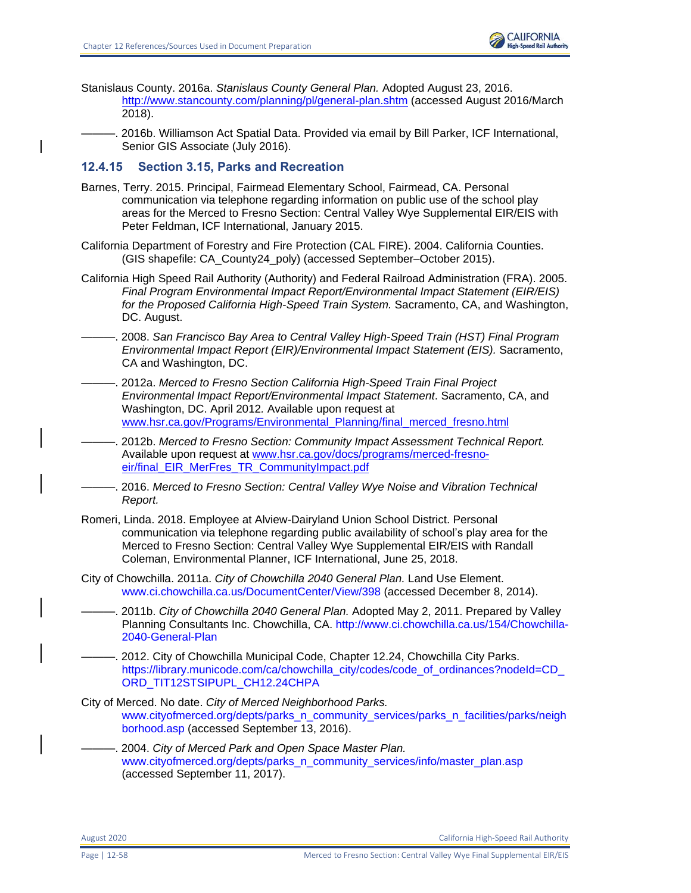

- Stanislaus County. 2016a. *Stanislaus County General Plan.* Adopted August 23, 2016. http://www.stancounty.com/planning/pl/general-plan.shtm (accessed August 2016/March 2018).
- ———. 2016b. Williamson Act Spatial Data. Provided via email by Bill Parker, ICF International, Senior GIS Associate (July 2016).

#### **12.4.15 Section 3.15, Parks and Recreation**

- Barnes, Terry. 2015. Principal, Fairmead Elementary School, Fairmead, CA. Personal communication via telephone regarding information on public use of the school play areas for the Merced to Fresno Section: Central Valley Wye Supplemental EIR/EIS with Peter Feldman, ICF International, January 2015.
- California Department of Forestry and Fire Protection (CAL FIRE). 2004. California Counties. (GIS shapefile: CA\_County24\_poly) (accessed September–October 2015).
- California High Speed Rail Authority (Authority) and Federal Railroad Administration (FRA). 2005. *Final Program Environmental Impact Report/Environmental Impact Statement (EIR/EIS) for the Proposed California High-Speed Train System.* Sacramento, CA, and Washington, DC. August.
- ———. 2008. *San Francisco Bay Area to Central Valley High-Speed Train (HST) Final Program Environmental Impact Report (EIR)/Environmental Impact Statement (EIS).* Sacramento, CA and Washington, DC.
- ———. 2012a. *Merced to Fresno Section California High-Speed Train Final Project Environmental Impact Report/Environmental Impact Statement*. Sacramento, CA, and Washington, DC. April 2012*.* Available upon request at [www.hsr.ca.gov/Programs/Environmental\\_Planning/final\\_merced\\_fresno.html](file:///C:/Users/19339/Downloads/www.hsr.ca.gov/Programs/Environmental_Planning/final_merced_fresno.html)
- ———. 2012b. *Merced to Fresno Section: Community Impact Assessment Technical Report.* Available upon request at [www.hsr.ca.gov/docs/programs/merced-fresno](file:///C:/Users/19339/Downloads/www.hsr.ca.gov/docs/programs/merced-fresno-eir/final_EIR_MerFres_TR_CommunityImpact.pdf)[eir/final\\_EIR\\_MerFres\\_TR\\_CommunityImpact.pdf](file:///C:/Users/19339/Downloads/www.hsr.ca.gov/docs/programs/merced-fresno-eir/final_EIR_MerFres_TR_CommunityImpact.pdf)
- ———. 2016. *Merced to Fresno Section: Central Valley Wye Noise and Vibration Technical Report.*
- Romeri, Linda. 2018. Employee at Alview-Dairyland Union School District. Personal communication via telephone regarding public availability of school's play area for the Merced to Fresno Section: Central Valley Wye Supplemental EIR/EIS with Randall Coleman, Environmental Planner, ICF International, June 25, 2018.
- City of Chowchilla. 2011a. *City of Chowchilla 2040 General Plan.* Land Use Element. [www.ci.chowchilla.ca.us/DocumentCenter/View/398](file:///C:/Users/19339/Downloads/www.ci.chowchilla.ca.us/DocumentCenter/View/398) (accessed December 8, 2014).
	- ———. 2011b. *City of Chowchilla 2040 General Plan.* Adopted May 2, 2011. Prepared by Valley Planning Consultants Inc. Chowchilla, CA. [http://www.ci.chowchilla.ca.us/154/Chowchilla-](file:///C:/Users/Reynolds/AppData/Local/Microsoft/Windows/Temporary%20Internet%20Files/Content.Outlook/HQKEVLAF/www.ci.chowchilla.ca.us/154/Chowchilla-2040-General-Plan)[2040-General-Plan](file:///C:/Users/Reynolds/AppData/Local/Microsoft/Windows/Temporary%20Internet%20Files/Content.Outlook/HQKEVLAF/www.ci.chowchilla.ca.us/154/Chowchilla-2040-General-Plan)
- -. 2012. City of Chowchilla Municipal Code, Chapter 12.24, Chowchilla City Parks. [https://library.municode.com/ca/chowchilla\\_city/codes/code\\_of\\_ordinances?nodeId=CD\\_](https://library.municode.com/ca/chowchilla_city/codes/code_of_ordinances?nodeId=CD_ORD_TIT12STSIPUPL_CH12.24CHPA) [ORD\\_TIT12STSIPUPL\\_CH12.24CHPA](https://library.municode.com/ca/chowchilla_city/codes/code_of_ordinances?nodeId=CD_ORD_TIT12STSIPUPL_CH12.24CHPA)
- City of Merced. No date. *City of Merced Neighborhood Parks.*  [www.cityofmerced.org/depts/parks\\_n\\_community\\_services/parks\\_n\\_facilities/parks/neigh](https://www.cityofmerced.org/depts/parks_n_community_services/parks_n_facilities/parks/neighborhood.asp) [borhood.asp](https://www.cityofmerced.org/depts/parks_n_community_services/parks_n_facilities/parks/neighborhood.asp) (accessed September 13, 2016).
- ———. 2004. *City of Merced Park and Open Space Master Plan.* [www.cityofmerced.org/depts/parks\\_n\\_community\\_services/info/master\\_plan.asp](https://www.cityofmerced.org/depts/parks_n_community_services/info/master_plan.asp) (accessed September 11, 2017).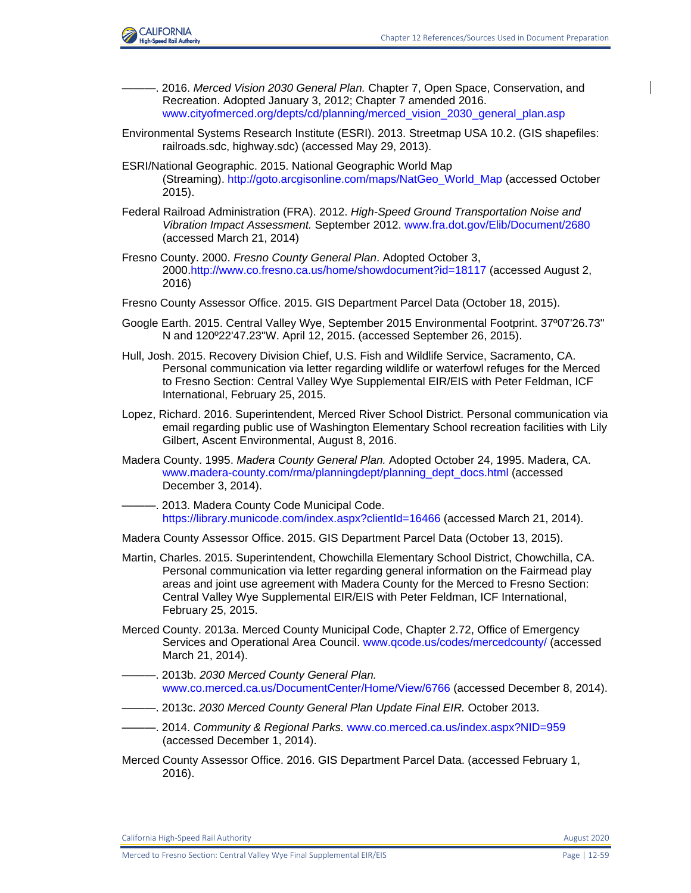

- ———. 2016. *Merced Vision 2030 General Plan.* Chapter 7, Open Space, Conservation, and Recreation. Adopted January 3, 2012; Chapter 7 amended 2016. [www.cityofmerced.org/depts/cd/planning/merced\\_vision\\_2030\\_general\\_plan.asp](file:///C:/Users/19339/Downloads/www.cityofmerced.org/depts/cd/planning/merced_vision_2030_general_plan.asp)
- Environmental Systems Research Institute (ESRI). 2013. Streetmap USA 10.2. (GIS shapefiles: railroads.sdc, highway.sdc) (accessed May 29, 2013).
- ESRI/National Geographic. 2015. National Geographic World Map (Streaming). [http://goto.arcgisonline.com/maps/NatGeo\\_World\\_Map](http://goto.arcgisonline.com/maps/NatGeo_World_Map) (accessed October 2015).
- Federal Railroad Administration (FRA). 2012. *High-Speed Ground Transportation Noise and Vibration Impact Assessment.* September 2012. [www.fra.dot.gov/Elib/Document/2680](https://www.fra.dot.gov/Elib/Document/2680) (accessed March 21, 2014)
- Fresno County. 2000. *Fresno County General Plan*. Adopted October 3, 2000.http://www.co.fresno.ca.us/home/showdocument?id=18117 (accessed August 2, 2016)
- Fresno County Assessor Office. 2015. GIS Department Parcel Data (October 18, 2015).
- Google Earth. 2015. Central Valley Wye, September 2015 Environmental Footprint. 37º07'26.73" N and 120º22'47.23"W. April 12, 2015. (accessed September 26, 2015).
- Hull, Josh. 2015. Recovery Division Chief, U.S. Fish and Wildlife Service, Sacramento, CA. Personal communication via letter regarding wildlife or waterfowl refuges for the Merced to Fresno Section: Central Valley Wye Supplemental EIR/EIS with Peter Feldman, ICF International, February 25, 2015.
- Lopez, Richard. 2016. Superintendent, Merced River School District. Personal communication via email regarding public use of Washington Elementary School recreation facilities with Lily Gilbert, Ascent Environmental, August 8, 2016.
- Madera County. 1995. *Madera County General Plan.* Adopted October 24, 1995. Madera, CA. [www.madera-county.com/rma/planningdept/planning\\_dept\\_docs.html](http://www.madera-county.com/rma/planningdept/planning_dept_docs.html) (accessed December 3, 2014).
- -. 2013. Madera County Code Municipal Code. <https://library.municode.com/index.aspx?clientId=16466> (accessed March 21, 2014).
- Madera County Assessor Office. 2015. GIS Department Parcel Data (October 13, 2015).
- Martin, Charles. 2015. Superintendent, Chowchilla Elementary School District, Chowchilla, CA. Personal communication via letter regarding general information on the Fairmead play areas and joint use agreement with Madera County for the Merced to Fresno Section: Central Valley Wye Supplemental EIR/EIS with Peter Feldman, ICF International, February 25, 2015.
- Merced County. 2013a. Merced County Municipal Code, Chapter 2.72, Office of Emergency Services and Operational Area Council. [www.qcode.us/codes/mercedcounty/](http://www.qcode.us/codes/mercedcounty/) (accessed March 21, 2014).
- ———. 2013b. *2030 Merced County General Plan.* [www.co.merced.ca.us/DocumentCenter/Home/View/6766](file:///C:/Users/19339/Downloads/www.co.merced.ca.us/DocumentCenter/Home/View/6766) (accessed December 8, 2014).
- ———. 2013c. *2030 Merced County General Plan Update Final EIR.* October 2013.
- ———. 2014. *Community & Regional Parks.* [www.co.merced.ca.us/index.aspx?NID=959](http://www.co.merced.ca.us/index.aspx?NID=959) (accessed December 1, 2014).
- Merced County Assessor Office. 2016. GIS Department Parcel Data. (accessed February 1, 2016).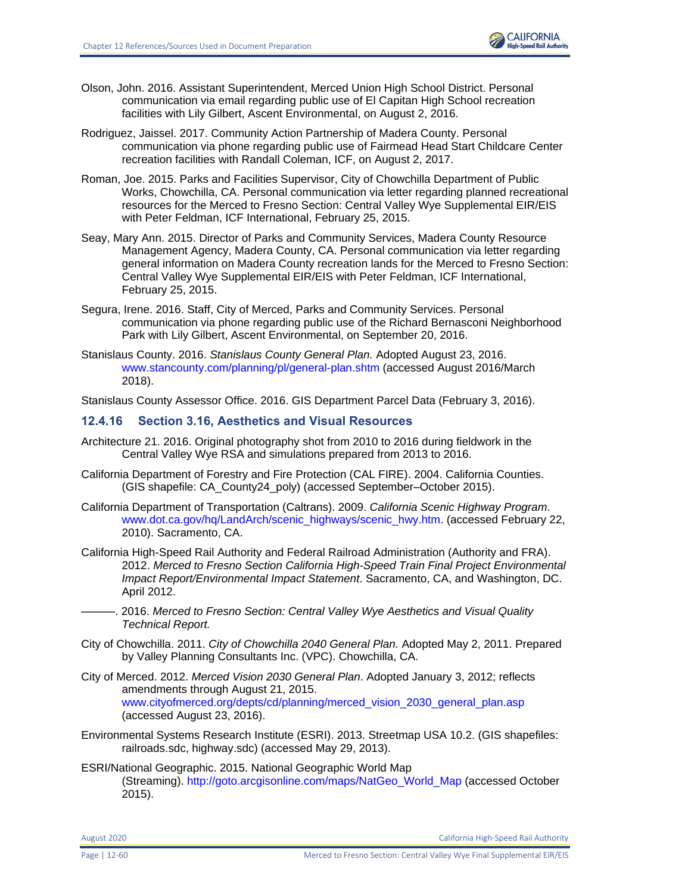

- Olson, John. 2016. Assistant Superintendent, Merced Union High School District. Personal communication via email regarding public use of El Capitan High School recreation facilities with Lily Gilbert, Ascent Environmental, on August 2, 2016.
- Rodriguez, Jaissel. 2017. Community Action Partnership of Madera County. Personal communication via phone regarding public use of Fairmead Head Start Childcare Center recreation facilities with Randall Coleman, ICF, on August 2, 2017.
- Roman, Joe. 2015. Parks and Facilities Supervisor, City of Chowchilla Department of Public Works, Chowchilla, CA. Personal communication via letter regarding planned recreational resources for the Merced to Fresno Section: Central Valley Wye Supplemental EIR/EIS with Peter Feldman, ICF International, February 25, 2015.
- Seay, Mary Ann. 2015. Director of Parks and Community Services, Madera County Resource Management Agency, Madera County, CA. Personal communication via letter regarding general information on Madera County recreation lands for the Merced to Fresno Section: Central Valley Wye Supplemental EIR/EIS with Peter Feldman, ICF International, February 25, 2015.
- Segura, Irene. 2016. Staff, City of Merced, Parks and Community Services. Personal communication via phone regarding public use of the Richard Bernasconi Neighborhood Park with Lily Gilbert, Ascent Environmental, on September 20, 2016.
- Stanislaus County. 2016. *Stanislaus County General Plan.* Adopted August 23, 2016. [www.stancounty.com/planning/pl/general-plan.shtm](http://www.stancounty.com/planning/pl/general-plan.shtm) (accessed August 2016/March 2018).

Stanislaus County Assessor Office. 2016. GIS Department Parcel Data (February 3, 2016).

## **12.4.16 Section 3.16, Aesthetics and Visual Resources**

- Architecture 21. 2016. Original photography shot from 2010 to 2016 during fieldwork in the Central Valley Wye RSA and simulations prepared from 2013 to 2016.
- California Department of Forestry and Fire Protection (CAL FIRE). 2004. California Counties. (GIS shapefile: CA\_County24\_poly) (accessed September–October 2015).
- California Department of Transportation (Caltrans). 2009. *California Scenic Highway Program*. [www.dot.ca.gov/hq/LandArch/scenic\\_highways/scenic\\_hwy.htm.](http://www.dot.ca.gov/hq/LandArch/scenic_highways/scenic_hwy.htm) (accessed February 22, 2010). Sacramento, CA.
- California High-Speed Rail Authority and Federal Railroad Administration (Authority and FRA). 2012. *Merced to Fresno Section California High-Speed Train Final Project Environmental Impact Report/Environmental Impact Statement*. Sacramento, CA, and Washington, DC. April 2012.
	- ———. 2016. *Merced to Fresno Section: Central Valley Wye Aesthetics and Visual Quality Technical Report.*
- City of Chowchilla. 2011. *City of Chowchilla 2040 General Plan.* Adopted May 2, 2011. Prepared by Valley Planning Consultants Inc. (VPC). Chowchilla, CA.
- City of Merced. 2012. *Merced Vision 2030 General Plan*. Adopted January 3, 2012; reflects amendments through August 21, 2015. [www.cityofmerced.org/depts/cd/planning/merced\\_vision\\_2030\\_general\\_plan.asp](https://www.cityofmerced.org/depts/cd/planning/merced_vision_2030_general_plan.asp) (accessed August 23, 2016).
- Environmental Systems Research Institute (ESRI). 2013. Streetmap USA 10.2. (GIS shapefiles: railroads.sdc, highway.sdc) (accessed May 29, 2013).
- ESRI/National Geographic. 2015. National Geographic World Map (Streaming). [http://goto.arcgisonline.com/maps/NatGeo\\_World\\_Map](http://goto.arcgisonline.com/maps/NatGeo_World_Map) (accessed October 2015).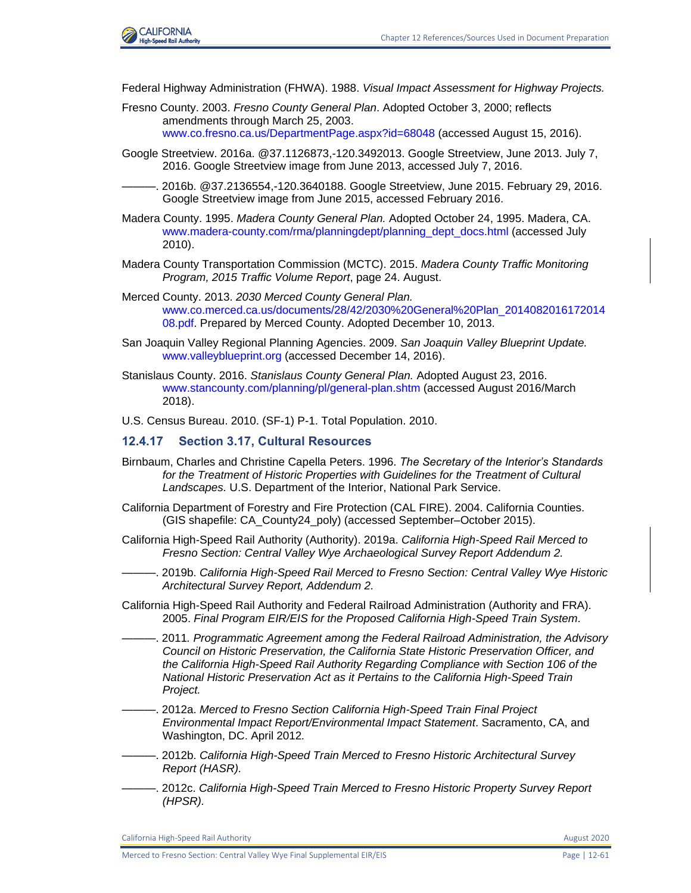

Federal Highway Administration (FHWA). 1988. *Visual Impact Assessment for Highway Projects.*

- Fresno County. 2003. *Fresno County General Plan*. Adopted October 3, 2000; reflects amendments through March 25, 2003. [www.co.fresno.ca.us/DepartmentPage.aspx?id=68048](http://www.co.fresno.ca.us/DepartmentPage.aspx?id=68048) (accessed August 15, 2016).
- Google Streetview. 2016a. @37.1126873,-120.3492013. Google Streetview, June 2013. July 7, 2016. Google Streetview image from June 2013, accessed July 7, 2016.
- ———. 2016b. @37.2136554,-120.3640188. Google Streetview, June 2015. February 29, 2016. Google Streetview image from June 2015, accessed February 2016.
- Madera County. 1995. *Madera County General Plan.* Adopted October 24, 1995. Madera, CA. [www.madera-county.com/rma/planningdept/planning\\_dept\\_docs.html](http://www.madera-county.com/rma/planningdept/planning_dept_docs.html) (accessed July 2010).
- Madera County Transportation Commission (MCTC). 2015. *Madera County Traffic Monitoring Program, 2015 Traffic Volume Report*, page 24. August.
- Merced County. 2013. *2030 Merced County General Plan.*  [www.co.merced.ca.us/documents/28/42/2030%20General%20Plan\\_2014082016172014](http://www.co.merced.ca.us/documents/28/42/2030%20General%20Plan_201408201617201408) [08.pdf.](http://www.co.merced.ca.us/documents/28/42/2030%20General%20Plan_201408201617201408) Prepared by Merced County. Adopted December 10, 2013.
- San Joaquin Valley Regional Planning Agencies. 2009. *San Joaquin Valley Blueprint Update.*  [www.valleyblueprint.org](http://www.valleyblueprint.org/) (accessed December 14, 2016).
- Stanislaus County. 2016. *Stanislaus County General Plan.* Adopted August 23, 2016. [www.stancounty.com/planning/pl/general-plan.shtm](http://www.stancounty.com/planning/pl/general-plan.shtm) (accessed August 2016/March 2018).

U.S. Census Bureau. 2010. (SF-1) P-1. Total Population. 2010.

#### **12.4.17 Section 3.17, Cultural Resources**

- Birnbaum, Charles and Christine Capella Peters. 1996. *The Secretary of the Interior's Standards*  for the Treatment of Historic Properties with Guidelines for the Treatment of Cultural *Landscapes.* U.S. Department of the Interior, National Park Service.
- California Department of Forestry and Fire Protection (CAL FIRE). 2004. California Counties. (GIS shapefile: CA\_County24\_poly) (accessed September–October 2015).
- California High-Speed Rail Authority (Authority). 2019a. *California High-Speed Rail Merced to Fresno Section: Central Valley Wye Archaeological Survey Report Addendum 2.*
- ———. 2019b. *California High-Speed Rail Merced to Fresno Section: Central Valley Wye Historic Architectural Survey Report, Addendum 2.*
- California High-Speed Rail Authority and Federal Railroad Administration (Authority and FRA). 2005. *Final Program EIR/EIS for the Proposed California High-Speed Train System*.
- ———. 2011*. Programmatic Agreement among the Federal Railroad Administration, the Advisory Council on Historic Preservation, the California State Historic Preservation Officer, and the California High-Speed Rail Authority Regarding Compliance with Section 106 of the National Historic Preservation Act as it Pertains to the California High-Speed Train Project.*
- ———. 2012a. *Merced to Fresno Section California High-Speed Train Final Project Environmental Impact Report/Environmental Impact Statement*. Sacramento, CA, and Washington, DC. April 2012*.*
- ———. 2012b. *California High-Speed Train Merced to Fresno Historic Architectural Survey Report (HASR).*
- ———. 2012c. *California High-Speed Train Merced to Fresno Historic Property Survey Report (HPSR).*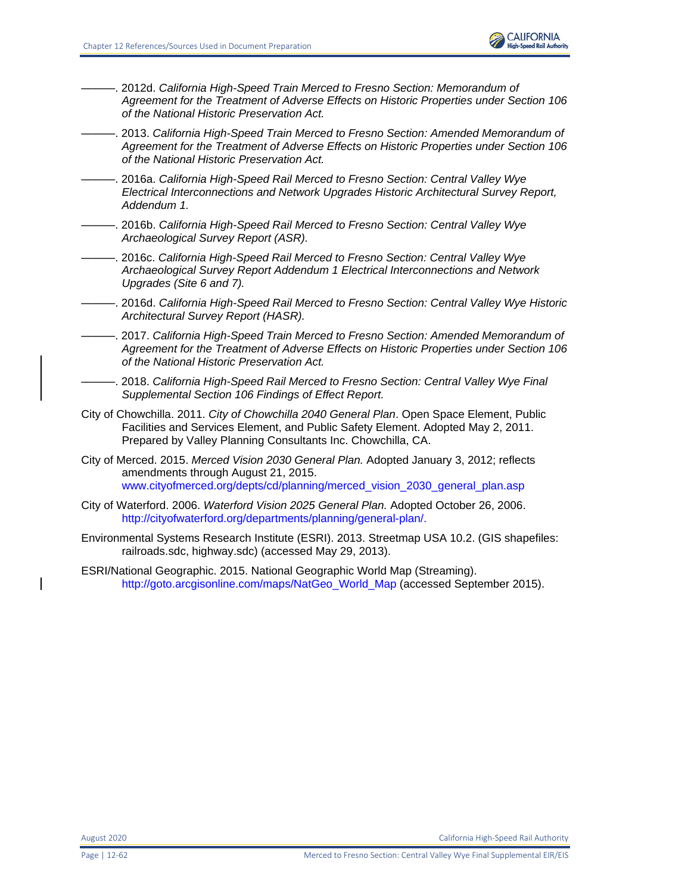

- ———. 2012d. *California High-Speed Train Merced to Fresno Section: Memorandum of Agreement for the Treatment of Adverse Effects on Historic Properties under Section 106 of the National Historic Preservation Act.*
- ———. 2013. *California High-Speed Train Merced to Fresno Section: Amended Memorandum of Agreement for the Treatment of Adverse Effects on Historic Properties under Section 106 of the National Historic Preservation Act.*
- ———. 2016a. *California High-Speed Rail Merced to Fresno Section: Central Valley Wye Electrical Interconnections and Network Upgrades Historic Architectural Survey Report, Addendum 1.*
- ———. 2016b. *California High-Speed Rail Merced to Fresno Section: Central Valley Wye Archaeological Survey Report (ASR).*
- ———. 2016c. *California High-Speed Rail Merced to Fresno Section: Central Valley Wye Archaeological Survey Report Addendum 1 Electrical Interconnections and Network Upgrades (Site 6 and 7).*
- ———. 2016d. *California High-Speed Rail Merced to Fresno Section: Central Valley Wye Historic Architectural Survey Report (HASR).*
- ———. 2017. *California High-Speed Train Merced to Fresno Section: Amended Memorandum of Agreement for the Treatment of Adverse Effects on Historic Properties under Section 106 of the National Historic Preservation Act.*
- ———. 2018. *California High-Speed Rail Merced to Fresno Section: Central Valley Wye Final Supplemental Section 106 Findings of Effect Report.*
- City of Chowchilla. 2011. *City of Chowchilla 2040 General Plan*. Open Space Element, Public Facilities and Services Element, and Public Safety Element. Adopted May 2, 2011. Prepared by Valley Planning Consultants Inc. Chowchilla, CA.
- City of Merced. 2015. *Merced Vision 2030 General Plan.* Adopted January 3, 2012; reflects amendments through August 21, 2015. [www.cityofmerced.org/depts/cd/planning/merced\\_vision\\_2030\\_general\\_plan.asp](https://www.cityofmerced.org/depts/cd/planning/merced_vision_2030_general_plan.asp)
- City of Waterford. 2006. *Waterford Vision 2025 General Plan.* Adopted October 26, 2006. [http://cityofwaterford.org/departments/planning/general-plan/.](http://cityofwaterford.org/departments/planning/general-plan/)
- Environmental Systems Research Institute (ESRI). 2013. Streetmap USA 10.2. (GIS shapefiles: railroads.sdc, highway.sdc) (accessed May 29, 2013).
- ESRI/National Geographic. 2015. National Geographic World Map (Streaming). [http://goto.arcgisonline.com/maps/NatGeo\\_World\\_Map](http://goto.arcgisonline.com/maps/NatGeo_World_Map) (accessed September 2015).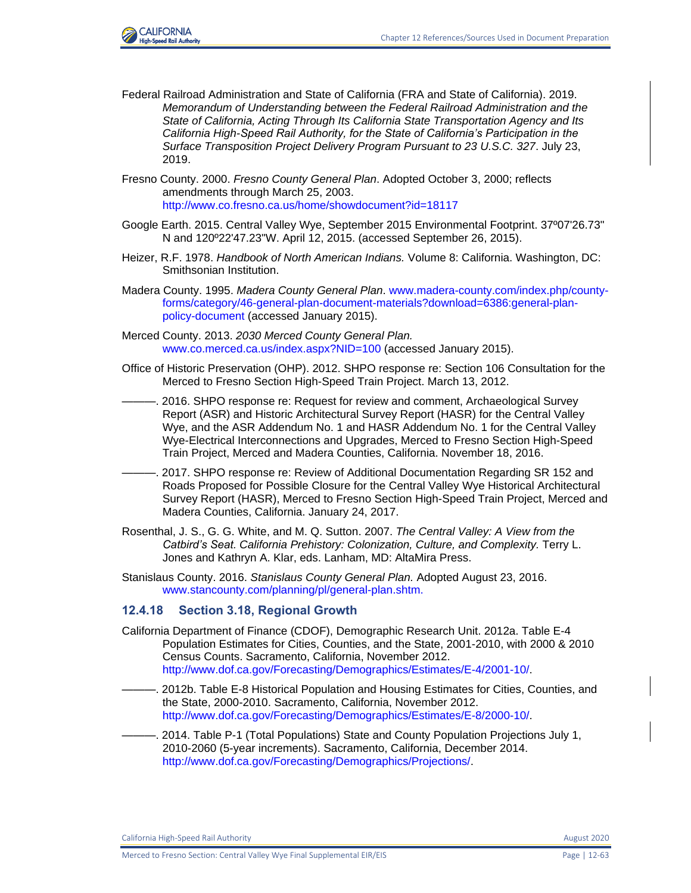

- Federal Railroad Administration and State of California (FRA and State of California). 2019. *Memorandum of Understanding between the Federal Railroad Administration and the State of California, Acting Through Its California State Transportation Agency and Its California High-Speed Rail Authority, for the State of California's Participation in the Surface Transposition Project Delivery Program Pursuant to 23 U.S.C. 327*. July 23, 2019.
- Fresno County. 2000. *Fresno County General Plan*. Adopted October 3, 2000; reflects amendments through March 25, 2003. <http://www.co.fresno.ca.us/home/showdocument?id=18117>
- Google Earth. 2015. Central Valley Wye, September 2015 Environmental Footprint. 37º07'26.73" N and 120º22'47.23"W. April 12, 2015. (accessed September 26, 2015).
- Heizer, R.F. 1978. *Handbook of North American Indians.* Volume 8: California. Washington, DC: Smithsonian Institution.
- Madera County. 1995. *Madera County General Plan*. [www.madera-county.com/index.php/county](http://www.madera-county.com/index.php/county-forms/category/46-general-plan-document-materials?download=6386:general-plan-policy-document)[forms/category/46-general-plan-document-materials?download=6386:general-plan](http://www.madera-county.com/index.php/county-forms/category/46-general-plan-document-materials?download=6386:general-plan-policy-document)[policy-document](http://www.madera-county.com/index.php/county-forms/category/46-general-plan-document-materials?download=6386:general-plan-policy-document) (accessed January 2015).
- Merced County. 2013. *2030 Merced County General Plan.*  [www.co.merced.ca.us/index.aspx?NID=100](http://www.co.merced.ca.us/index.aspx?NID=100) (accessed January 2015).
- Office of Historic Preservation (OHP). 2012. SHPO response re: Section 106 Consultation for the Merced to Fresno Section High-Speed Train Project. March 13, 2012.
	- ———. 2016. SHPO response re: Request for review and comment, Archaeological Survey Report (ASR) and Historic Architectural Survey Report (HASR) for the Central Valley Wye, and the ASR Addendum No. 1 and HASR Addendum No. 1 for the Central Valley Wye-Electrical Interconnections and Upgrades, Merced to Fresno Section High-Speed Train Project, Merced and Madera Counties, California. November 18, 2016.
- ———. 2017. SHPO response re: Review of Additional Documentation Regarding SR 152 and Roads Proposed for Possible Closure for the Central Valley Wye Historical Architectural Survey Report (HASR), Merced to Fresno Section High-Speed Train Project, Merced and Madera Counties, California. January 24, 2017.
- Rosenthal, J. S., G. G. White, and M. Q. Sutton. 2007. *The Central Valley: A View from the Catbird's Seat. California Prehistory: Colonization, Culture, and Complexity.* Terry L. Jones and Kathryn A. Klar, eds. Lanham, MD: AltaMira Press.
- Stanislaus County. 2016. *Stanislaus County General Plan.* Adopted August 23, 2016. [www.stancounty.com/planning/pl/general-plan.shtm.](http://www.stancounty.com/planning/pl/general-plan.shtm)

## **12.4.18 Section 3.18, Regional Growth**

- California Department of Finance (CDOF), Demographic Research Unit. 2012a. Table E-4 Population Estimates for Cities, Counties, and the State, 2001-2010, with 2000 & 2010 Census Counts. Sacramento, California, November 2012. [http://www.dof.ca.gov/Forecasting/Demographics/Estimates/E-4/2001-10/.](http://www.dof.ca.gov/Forecasting/Demographics/Estimates/E-4/2001-10/)
- ———. 2012b. Table E-8 Historical Population and Housing Estimates for Cities, Counties, and the State, 2000-2010. Sacramento, California, November 2012. [http://www.dof.ca.gov/Forecasting/Demographics/Estimates/E-8/2000-10/.](http://www.dof.ca.gov/Forecasting/Demographics/Estimates/E-8/2000-10/)
- ———. 2014. Table P-1 (Total Populations) State and County Population Projections July 1, 2010-2060 (5-year increments). Sacramento, California, December 2014. [http://www.dof.ca.gov/Forecasting/Demographics/Projections/.](http://www.dof.ca.gov/Forecasting/Demographics/Projections/)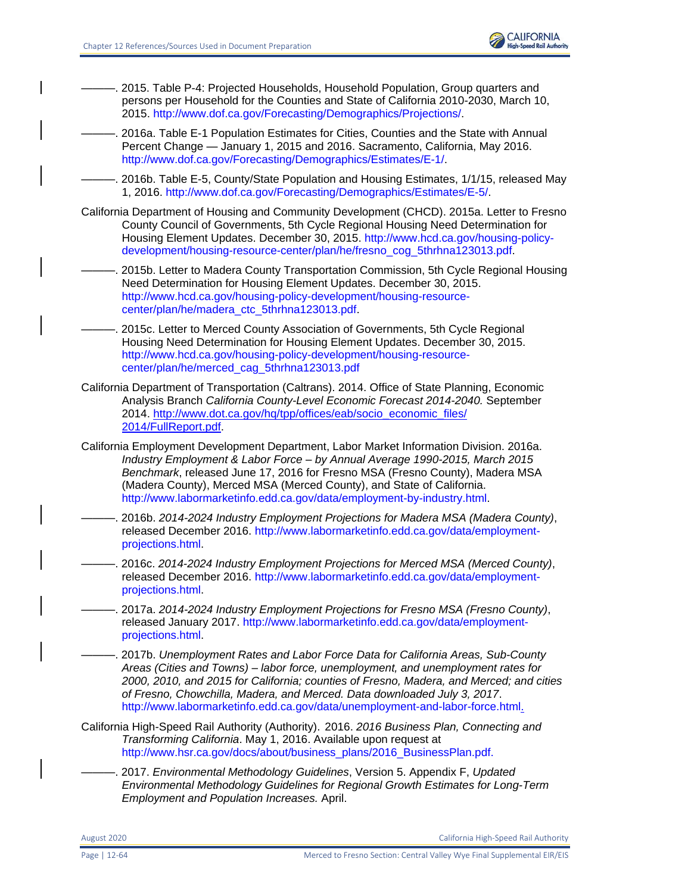

- ———. 2015. Table P-4: Projected Households, Household Population, Group quarters and persons per Household for the Counties and State of California 2010-2030, March 10, 2015. [http://www.dof.ca.gov/Forecasting/Demographics/Projections/.](http://www.dof.ca.gov/Forecasting/Demographics/Projections/)
- ———. 2016a. Table E-1 Population Estimates for Cities, Counties and the State with Annual Percent Change — January 1, 2015 and 2016. Sacramento, California, May 2016. [http://www.dof.ca.gov/Forecasting/Demographics/Estimates/E-1/.](http://www.dof.ca.gov/Forecasting/Demographics/Estimates/E-1/)
- 2016b. Table E-5, County/State Population and Housing Estimates, 1/1/15, released May 1, 2016. [http://www.dof.ca.gov/Forecasting/Demographics/Estimates/E-5/.](http://www.dof.ca.gov/Forecasting/Demographics/Estimates/E-5/)
- California Department of Housing and Community Development (CHCD). 2015a. Letter to Fresno County Council of Governments, 5th Cycle Regional Housing Need Determination for Housing Element Updates. December 30, 2015. [http://www.hcd.ca.gov/housing-policy](http://www.hcd.ca.gov/housing-policy-development/housing-resource-center/plan/he/fresno_cog_5thrhna123013.pdf)[development/housing-resource-center/plan/he/fresno\\_cog\\_5thrhna123013.pdf.](http://www.hcd.ca.gov/housing-policy-development/housing-resource-center/plan/he/fresno_cog_5thrhna123013.pdf)
	- ———. 2015b. Letter to Madera County Transportation Commission, 5th Cycle Regional Housing Need Determination for Housing Element Updates. December 30, 2015. [http://www.hcd.ca.gov/housing-policy-development/housing-resource](http://www.hcd.ca.gov/housing-policy-development/housing-resource-center/plan/he/madera_ctc_5thrhna123013.pdf)[center/plan/he/madera\\_ctc\\_5thrhna123013.pdf.](http://www.hcd.ca.gov/housing-policy-development/housing-resource-center/plan/he/madera_ctc_5thrhna123013.pdf)
- 2015c. Letter to Merced County Association of Governments, 5th Cycle Regional Housing Need Determination for Housing Element Updates. December 30, 2015. [http://www.hcd.ca.gov/housing-policy-development/housing-resource](http://www.hcd.ca.gov/housing-policy-development/housing-resource-center/plan/he/merced_cag_5thrhna123013.pdf)[center/plan/he/merced\\_cag\\_5thrhna123013.pdf](http://www.hcd.ca.gov/housing-policy-development/housing-resource-center/plan/he/merced_cag_5thrhna123013.pdf)
- California Department of Transportation (Caltrans). 2014. Office of State Planning, Economic Analysis Branch *California County-Level Economic Forecast 2014-2040.* September 2014. http://www.dot.ca.gov/hq/tpp/offices/eab/socio\_economic\_files/ 2014/FullReport.pdf.
- California Employment Development Department, Labor Market Information Division. 2016a. *Industry Employment & Labor Force – by Annual Average 1990-2015, March 2015 Benchmark*, released June 17, 2016 for Fresno MSA (Fresno County), Madera MSA (Madera County), Merced MSA (Merced County), and State of California. [http://www.labormarketinfo.edd.ca.gov/data/employment-by-industry.html.](http://www.labormarketinfo.edd.ca.gov/data/employment-by-industry.html)
	- ———. 2016b. *2014-2024 Industry Employment Projections for Madera MSA (Madera County)*, released December 2016. [http://www.labormarketinfo.edd.ca.gov/data/employment](http://www.labormarketinfo.edd.ca.gov/data/employment-projections.html)[projections.html.](http://www.labormarketinfo.edd.ca.gov/data/employment-projections.html)
	- ———. 2016c. *2014-2024 Industry Employment Projections for Merced MSA (Merced County)*, released December 2016. [http://www.labormarketinfo.edd.ca.gov/data/employment](http://www.labormarketinfo.edd.ca.gov/data/employment-projections.html)[projections.html.](http://www.labormarketinfo.edd.ca.gov/data/employment-projections.html)
	- ———. 2017a. *2014-2024 Industry Employment Projections for Fresno MSA (Fresno County)*, released January 2017. [http://www.labormarketinfo.edd.ca.gov/data/employment](http://www.labormarketinfo.edd.ca.gov/data/employment-projections.html)[projections.html.](http://www.labormarketinfo.edd.ca.gov/data/employment-projections.html)
- ———. 2017b. *Unemployment Rates and Labor Force Data for California Areas, Sub-County Areas (Cities and Towns) – labor force, unemployment, and unemployment rates for 2000, 2010, and 2015 for California; counties of Fresno, Madera, and Merced; and cities of Fresno, Chowchilla, Madera, and Merced. Data downloaded July 3, 2017*. [http://www.labormarketinfo.edd.ca.gov/data/unemployment-and-labor-force.html.](http://www.labormarketinfo.edd.ca.gov/data/unemployment-and-labor-force.html)
- California High-Speed Rail Authority (Authority). 2016. *2016 Business Plan, Connecting and Transforming California*. May 1, 2016. Available upon request at [http://www.hsr.ca.gov/docs/about/business\\_plans/2016\\_BusinessPlan.pdf.](http://www.hsr.ca.gov/docs/about/business_plans/2016_BusinessPlan.pdf)
	- ———. 2017. *Environmental Methodology Guidelines*, Version 5. Appendix F, *Updated Environmental Methodology Guidelines for Regional Growth Estimates for Long-Term Employment and Population Increases.* April.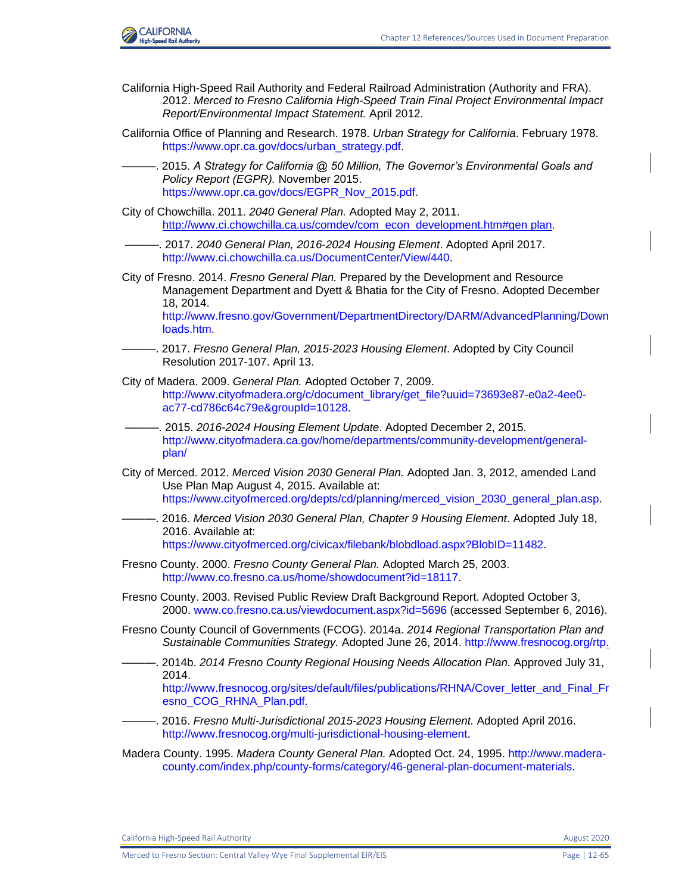



- California High-Speed Rail Authority and Federal Railroad Administration (Authority and FRA). 2012. *Merced to Fresno California High-Speed Train Final Project Environmental Impact Report/Environmental Impact Statement.* April 2012.
- California Office of Planning and Research. 1978. *Urban Strategy for California*. February 1978. [https://www.opr.ca.gov/docs/urban\\_strategy.pdf.](https://www.opr.ca.gov/docs/urban_strategy.pdf)
	- ———. 2015. *A Strategy for California @ 50 Million, The Governor's Environmental Goals and Policy Report (EGPR).* November 2015. [https://www.opr.ca.gov/docs/EGPR\\_Nov\\_2015.pdf.](https://www.opr.ca.gov/docs/EGPR_Nov_2015.pdf)
- City of Chowchilla. 2011. *2040 General Plan.* Adopted May 2, 2011. http://www.ci.chowchilla.ca.us/comdev/com\_econ\_development.htm#gen plan.
- ———. 2017. *2040 General Plan, 2016-2024 Housing Element*. Adopted April 2017. [http://www.ci.chowchilla.ca.us/DocumentCenter/View/440.](http://www.ci.chowchilla.ca.us/DocumentCenter/View/440)
- City of Fresno. 2014. *Fresno General Plan.* Prepared by the Development and Resource Management Department and Dyett & Bhatia for the City of Fresno. Adopted December 18, 2014.

[http://www.fresno.gov/Government/DepartmentDirectory/DARM/AdvancedPlanning/Down](http://www.fresno.gov/Government/DepartmentDirectory/DARM/AdvancedPlanning/Downloads.htm) [loads.htm.](http://www.fresno.gov/Government/DepartmentDirectory/DARM/AdvancedPlanning/Downloads.htm)

- ———. 2017. *Fresno General Plan, 2015-2023 Housing Element*. Adopted by City Council Resolution 2017-107. April 13.
- City of Madera. 2009. *General Plan.* Adopted October 7, 2009. [http://www.cityofmadera.org/c/document\\_library/get\\_file?uuid=73693e87-e0a2-4ee0](http://www.cityofmadera.org/c/document_library/get_file?uuid=73693e87-e0a2-4ee0-ac77-cd786c64c79e&groupId=10128) [ac77-cd786c64c79e&groupId=10128.](http://www.cityofmadera.org/c/document_library/get_file?uuid=73693e87-e0a2-4ee0-ac77-cd786c64c79e&groupId=10128)
- ———. 2015. *2016-2024 Housing Element Update*. Adopted December 2, 2015. [http://www.cityofmadera.ca.gov/home/departments/community-development/general](http://www.cityofmadera.ca.gov/home/departments/community-development/general-plan/)[plan/](http://www.cityofmadera.ca.gov/home/departments/community-development/general-plan/)
- City of Merced. 2012. *Merced Vision 2030 General Plan.* Adopted Jan. 3, 2012, amended Land Use Plan Map August 4, 2015. Available at: [https://www.cityofmerced.org/depts/cd/planning/merced\\_vision\\_2030\\_general\\_plan.asp.](https://www.cityofmerced.org/depts/cd/planning/merced_vision_2030_general_plan.asp)
- ———. 2016. *Merced Vision 2030 General Plan, Chapter 9 Housing Element*. Adopted July 18, 2016. Available at: [https://www.cityofmerced.org/civicax/filebank/blobdload.aspx?BlobID=11482.](https://www.cityofmerced.org/civicax/filebank/blobdload.aspx?BlobID=11482)
- Fresno County. 2000. *Fresno County General Plan.* Adopted March 25, 2003. [http://www.co.fresno.ca.us/home/showdocument?id=18117.](http://www.co.fresno.ca.us/home/showdocument?id=18117)
- Fresno County. 2003. Revised Public Review Draft Background Report. Adopted October 3, 2000. [www.co.fresno.ca.us/viewdocument.aspx?id=5696](http://www.co.fresno.ca.us/viewdocument.aspx?id=5696) (accessed September 6, 2016).
- Fresno County Council of Governments (FCOG). 2014a. *2014 Regional Transportation Plan and Sustainable Communities Strategy.* Adopted June 26, 2014. [http://www.fresnocog.org/rtp.](http://www.fresnocog.org/rtp)
- ———. 2014b. *2014 Fresno County Regional Housing Needs Allocation Plan.* Approved July 31, 2014.

[http://www.fresnocog.org/sites/default/files/publications/RHNA/Cover\\_letter\\_and\\_Final\\_Fr](http://www.fresnocog.org/sites/default/files/publications/RHNA/Cover_letter_and_Final_Fresno_COG_RHNA_Plan.pdf) [esno\\_COG\\_RHNA\\_Plan.pdf.](http://www.fresnocog.org/sites/default/files/publications/RHNA/Cover_letter_and_Final_Fresno_COG_RHNA_Plan.pdf)

- ———. 2016. *Fresno Multi-Jurisdictional 2015-2023 Housing Element.* Adopted April 2016. [http://www.fresnocog.org/multi-jurisdictional-housing-element.](http://www.fresnocog.org/multi-jurisdictional-housing-element)
- Madera County. 1995. *Madera County General Plan.* Adopted Oct. 24, 1995. [http://www.madera](http://www.madera-county.com/index.php/county-forms/category/46-general-plan-document-materials)[county.com/index.php/county-forms/category/46-general-plan-document-materials.](http://www.madera-county.com/index.php/county-forms/category/46-general-plan-document-materials)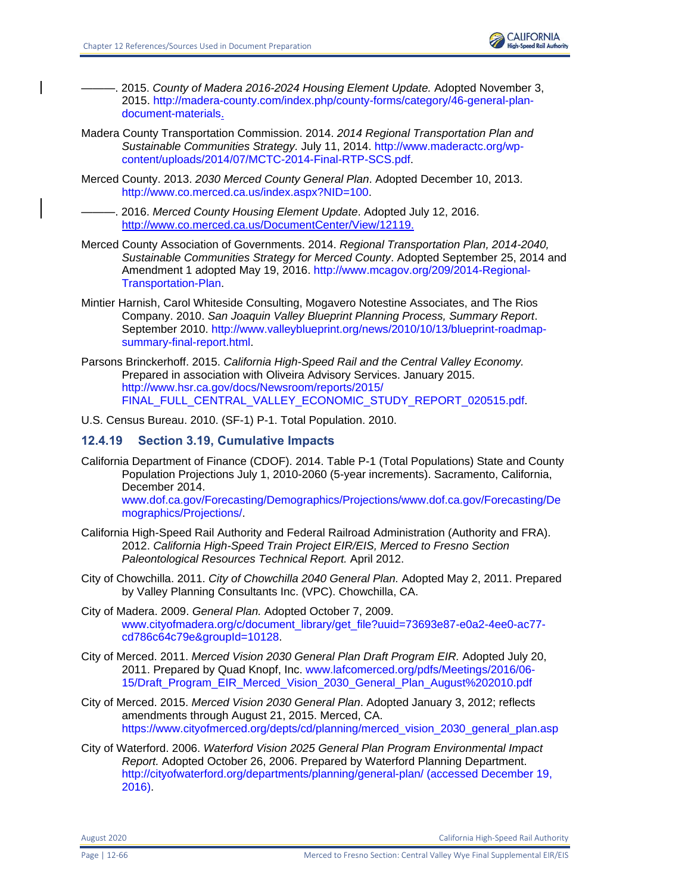

- ———. 2015. *County of Madera 2016-2024 Housing Element Update.* Adopted November 3, 2015. [http://madera-county.com/index.php/county-forms/category/46-general-plan](http://madera-county.com/index.php/county-forms/category/46-general-plan-document-materials)[document-materials.](http://madera-county.com/index.php/county-forms/category/46-general-plan-document-materials)
- Madera County Transportation Commission. 2014. *2014 Regional Transportation Plan and Sustainable Communities Strategy.* July 11, 2014. [http://www.maderactc.org/wp](http://www.maderactc.org/wp-content/uploads/2014/07/MCTC-2014-Final-RTP-SCS.pdf)[content/uploads/2014/07/MCTC-2014-Final-RTP-SCS.pdf.](http://www.maderactc.org/wp-content/uploads/2014/07/MCTC-2014-Final-RTP-SCS.pdf)
- Merced County. 2013. *2030 Merced County General Plan*. Adopted December 10, 2013. [http://www.co.merced.ca.us/index.aspx?NID=100.](http://www.co.merced.ca.us/index.aspx?NID=100)
- ———. 2016. *Merced County Housing Element Update*. Adopted July 12, 2016. http://www.co.merced.ca.us/DocumentCenter/View/12119.
- Merced County Association of Governments. 2014. *Regional Transportation Plan, 2014-2040, Sustainable Communities Strategy for Merced County*. Adopted September 25, 2014 and Amendment 1 adopted May 19, 2016. [http://www.mcagov.org/209/2014-Regional-](http://www.mcagov.org/209/2014-Regional-Transportation-Plan)[Transportation-Plan.](http://www.mcagov.org/209/2014-Regional-Transportation-Plan)
- Mintier Harnish, Carol Whiteside Consulting, Mogavero Notestine Associates, and The Rios Company. 2010. *San Joaquin Valley Blueprint Planning Process, Summary Report*. September 2010. [http://www.valleyblueprint.org/news/2010/10/13/blueprint-roadmap](http://www.valleyblueprint.org/news/2010/10/13/blueprint-roadmap-summary-final-report.html)[summary-final-report.html.](http://www.valleyblueprint.org/news/2010/10/13/blueprint-roadmap-summary-final-report.html)
- Parsons Brinckerhoff. 2015. *California High-Speed Rail and the Central Valley Economy.* Prepared in association with Oliveira Advisory Services. January 2015. [http://www.hsr.ca.gov/docs/Newsroom/reports/2015/](http://www.hsr.ca.gov/docs/Newsroom/reports/2015/FINAL_FULL_CENTRAL_VALLEY_ECONOMIC_STUDY_REPORT_020515.pdf) [FINAL\\_FULL\\_CENTRAL\\_VALLEY\\_ECONOMIC\\_STUDY\\_REPORT\\_020515.pdf.](http://www.hsr.ca.gov/docs/Newsroom/reports/2015/FINAL_FULL_CENTRAL_VALLEY_ECONOMIC_STUDY_REPORT_020515.pdf)

U.S. Census Bureau. 2010. (SF-1) P-1. Total Population. 2010.

## **12.4.19 Section 3.19, Cumulative Impacts**

- California Department of Finance (CDOF). 2014. Table P-1 (Total Populations) State and County Population Projections July 1, 2010-2060 (5-year increments). Sacramento, California, December 2014. [www.dof.ca.gov/Forecasting/Demographics/Projections/www.dof.ca.gov/Forecasting/De](file:///C:/Users/19339/Downloads/www.dof.ca.gov/Forecasting/Demographics/Projections/www.dof.ca.gov/Forecasting/Demographics/Projections) [mographics/Projections/.](file:///C:/Users/19339/Downloads/www.dof.ca.gov/Forecasting/Demographics/Projections/www.dof.ca.gov/Forecasting/Demographics/Projections)
- California High-Speed Rail Authority and Federal Railroad Administration (Authority and FRA). 2012. *California High-Speed Train Project EIR/EIS, Merced to Fresno Section Paleontological Resources Technical Report.* April 2012.
- City of Chowchilla. 2011. *City of Chowchilla 2040 General Plan.* Adopted May 2, 2011. Prepared by Valley Planning Consultants Inc. (VPC). Chowchilla, CA.
- City of Madera. 2009. *General Plan.* Adopted October 7, 2009. [www.cityofmadera.org/c/document\\_library/get\\_file?uuid=73693e87-e0a2-4ee0-ac77](http://www.cityofmadera.org/c/document_library/get_file?uuid=73693e87-e0a2-4ee0-ac77-cd786c64c79e&groupId=10128) [cd786c64c79e&groupId=10128.](http://www.cityofmadera.org/c/document_library/get_file?uuid=73693e87-e0a2-4ee0-ac77-cd786c64c79e&groupId=10128)
- City of Merced. 2011. *Merced Vision 2030 General Plan Draft Program EIR.* Adopted July 20, 2011. Prepared by Quad Knopf, Inc. [www.lafcomerced.org/pdfs/Meetings/2016/06-](http://www.lafcomerced.org/pdfs/Meetings/2016/06-15/Draft_Program_EIR_Merced_Vision_2030_General_Plan_August%202010.pdf) [15/Draft\\_Program\\_EIR\\_Merced\\_Vision\\_2030\\_General\\_Plan\\_August%202010.pdf](http://www.lafcomerced.org/pdfs/Meetings/2016/06-15/Draft_Program_EIR_Merced_Vision_2030_General_Plan_August%202010.pdf)
- City of Merced. 2015. *Merced Vision 2030 General Plan*. Adopted January 3, 2012; reflects amendments through August 21, 2015. Merced, CA. https://www.cityofmerced.org/depts/cd/planning/merced\_vision\_2030\_general\_plan.asp
- City of Waterford. 2006. *Waterford Vision 2025 General Plan Program Environmental Impact Report.* Adopted October 26, 2006. Prepared by Waterford Planning Department. [http://cityofwaterford.org/departments/planning/general-plan/ \(accessed December 19,](http://cityofwaterford.org/departments/planning/general-plan/%20(accessed%20December%2019,%202016))  [2016\).](http://cityofwaterford.org/departments/planning/general-plan/%20(accessed%20December%2019,%202016))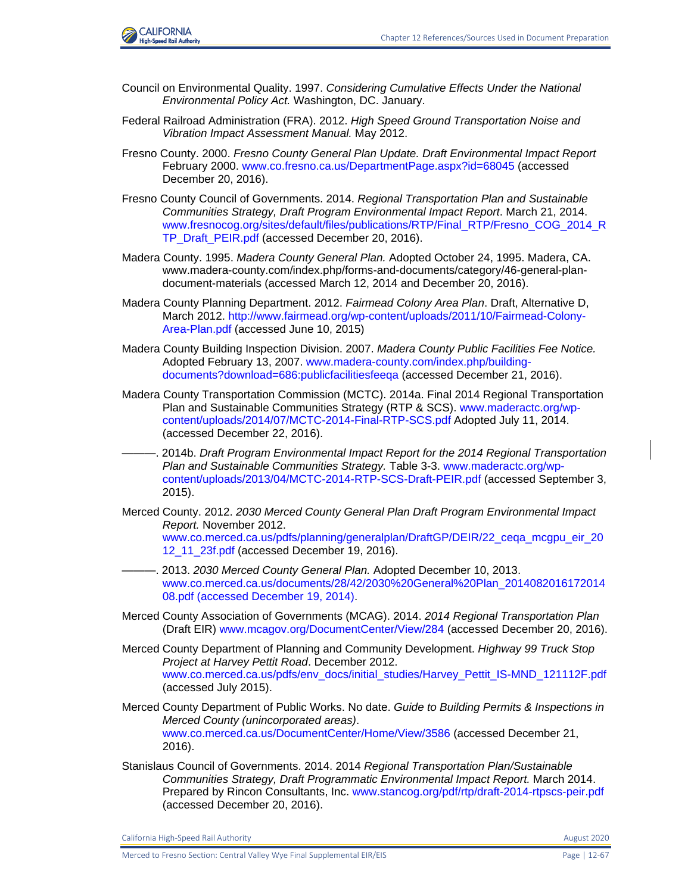

- Council on Environmental Quality. 1997. *Considering Cumulative Effects Under the National Environmental Policy Act.* Washington, DC. January.
- Federal Railroad Administration (FRA). 2012. *High Speed Ground Transportation Noise and Vibration Impact Assessment Manual.* May 2012.
- Fresno County. 2000. *Fresno County General Plan Update. Draft Environmental Impact Report* February 2000. [www.co.fresno.ca.us/DepartmentPage.aspx?id=68045](http://www.co.fresno.ca.us/DepartmentPage.aspx?id=68045) (accessed December 20, 2016).
- Fresno County Council of Governments. 2014. *Regional Transportation Plan and Sustainable Communities Strategy, Draft Program Environmental Impact Report*. March 21, 2014. [www.fresnocog.org/sites/default/files/publications/RTP/Final\\_RTP/Fresno\\_COG\\_2014\\_R](http://www.fresnocog.org/sites/default/files/publications/RTP/Final_RTP/Fresno_COG_2014_RTP_Draft_PEIR.pdf) [TP\\_Draft\\_PEIR.pdf](http://www.fresnocog.org/sites/default/files/publications/RTP/Final_RTP/Fresno_COG_2014_RTP_Draft_PEIR.pdf) (accessed December 20, 2016).
- Madera County. 1995. *Madera County General Plan.* Adopted October 24, 1995. Madera, CA. [www.madera-county.com/index.php/forms-and-documents/category/46-general-plan](http://www.madera-county.com/index.php/forms-and-documents/category/46-general-plan-document-materials)[document-materials](http://www.madera-county.com/index.php/forms-and-documents/category/46-general-plan-document-materials) (accessed March 12, 2014 and December 20, 2016).
- Madera County Planning Department. 2012. *Fairmead Colony Area Plan*. Draft, Alternative D, March 2012. [http://www.fairmead.org/wp-content/uploads/2011/10/Fairmead-Colony-](http://www.fairmead.org/wp-content/uploads/2011/10/Fairmead-Colony-Area-Plan.pdf)[Area-Plan.pdf](http://www.fairmead.org/wp-content/uploads/2011/10/Fairmead-Colony-Area-Plan.pdf) (accessed June 10, 2015)
- Madera County Building Inspection Division. 2007. *Madera County Public Facilities Fee Notice.* Adopted February 13, 2007. [www.madera-county.com/index.php/building](http://www.madera-county.com/index.php/building-documents?download=686:publicfacilitiesfeeqa)[documents?download=686:publicfacilitiesfeeqa](http://www.madera-county.com/index.php/building-documents?download=686:publicfacilitiesfeeqa) (accessed December 21, 2016).
- Madera County Transportation Commission (MCTC). 2014a. Final 2014 Regional Transportation Plan and Sustainable Communities Strategy (RTP & SCS). [www.maderactc.org/wp](file:///C:/Users/19339/Downloads/www.maderactc.org/wp-content/uploads/2014/07/MCTC-2014-Final-RTP-SCS.pdf)[content/uploads/2014/07/MCTC-2014-Final-RTP-SCS.pdf](file:///C:/Users/19339/Downloads/www.maderactc.org/wp-content/uploads/2014/07/MCTC-2014-Final-RTP-SCS.pdf) Adopted July 11, 2014. (accessed December 22, 2016).
- ———. 2014b. *Draft Program Environmental Impact Report for the 2014 Regional Transportation Plan and Sustainable Communities Strategy.* Table 3-3. [www.maderactc.org/wp](http://www.maderactc.org/wp-content/uploads/2013/04/MCTC-2014-RTP-SCS-Draft-PEIR.pdf)[content/uploads/2013/04/MCTC-2014-RTP-SCS-Draft-PEIR.pdf](http://www.maderactc.org/wp-content/uploads/2013/04/MCTC-2014-RTP-SCS-Draft-PEIR.pdf) (accessed September 3, 2015).
- Merced County. 2012. *2030 Merced County General Plan Draft Program Environmental Impact Report.* November 2012. [www.co.merced.ca.us/pdfs/planning/generalplan/DraftGP/DEIR/22\\_ceqa\\_mcgpu\\_eir\\_20](http://www.co.merced.ca.us/pdfs/planning/generalplan/DraftGP/DEIR/22_ceqa_mcgpu_eir_2012_11_23f.pdf) [12\\_11\\_23f.pdf](http://www.co.merced.ca.us/pdfs/planning/generalplan/DraftGP/DEIR/22_ceqa_mcgpu_eir_2012_11_23f.pdf) (accessed December 19, 2016).
- ———. 2013. *2030 Merced County General Plan.* Adopted December 10, 2013. [www.co.merced.ca.us/documents/28/42/2030%20General%20Plan\\_2014082016172014](file:///C:/Users/33673/AppData/Roaming/Microsoft/Word/www.co.merced.ca.us/documents/28/42/2030%20General%20Plan_201408201617201408.pdf) [08.pdf \(accessed December 19, 2014\).](file:///C:/Users/33673/AppData/Roaming/Microsoft/Word/www.co.merced.ca.us/documents/28/42/2030%20General%20Plan_201408201617201408.pdf)
- Merced County Association of Governments (MCAG). 2014. *2014 Regional Transportation Plan* (Draft EIR) [www.mcagov.org/DocumentCenter/View/284](http://www.mcagov.org/DocumentCenter/View/284) (accessed December 20, 2016).
- Merced County Department of Planning and Community Development. *Highway 99 Truck Stop Project at Harvey Pettit Road*. December 2012. [www.co.merced.ca.us/pdfs/env\\_docs/initial\\_studies/Harvey\\_Pettit\\_IS-MND\\_121112F.pdf](http://www.co.merced.ca.us/pdfs/env_docs/initial_studies/Harvey_Pettit_IS-MND_121112F.pdf) (accessed July 2015).
- Merced County Department of Public Works. No date. *Guide to Building Permits & Inspections in Merced County (unincorporated areas)*. [www.co.merced.ca.us/DocumentCenter/Home/View/3586](http://www.co.merced.ca.us/DocumentCenter/Home/View/3586) (accessed December 21, 2016).
- Stanislaus Council of Governments. 2014. 2014 *Regional Transportation Plan/Sustainable Communities Strategy, Draft Programmatic Environmental Impact Report.* March 2014. Prepared by Rincon Consultants, Inc. [www.stancog.org/pdf/rtp/draft-2014-rtpscs-peir.pdf](http://www.stancog.org/pdf/rtp/draft-2014-rtpscs-peir.pdf) (accessed December 20, 2016).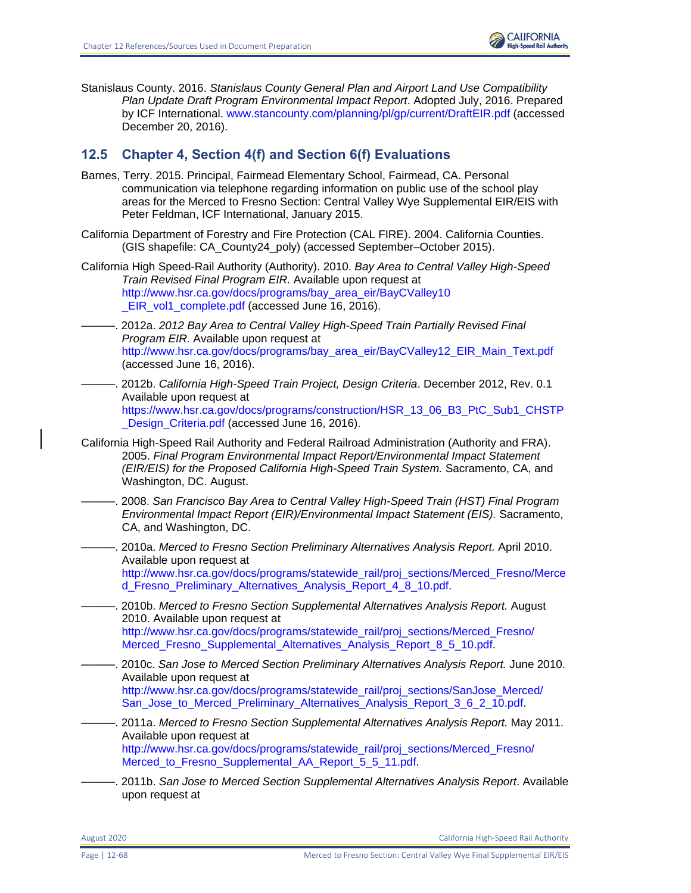Stanislaus County. 2016. *Stanislaus County General Plan and Airport Land Use Compatibility Plan Update Draft Program Environmental Impact Report*. Adopted July, 2016. Prepared by ICF International. [www.stancounty.com/planning/pl/gp/current/DraftEIR.pdf](http://www.stancounty.com/planning/pl/gp/current/DraftEIR.pdf) (accessed December 20, 2016).

# **12.5 Chapter 4, Section 4(f) and Section 6(f) Evaluations**

- Barnes, Terry. 2015. Principal, Fairmead Elementary School, Fairmead, CA. Personal communication via telephone regarding information on public use of the school play areas for the Merced to Fresno Section: Central Valley Wye Supplemental EIR/EIS with Peter Feldman, ICF International, January 2015.
- California Department of Forestry and Fire Protection (CAL FIRE). 2004. California Counties. (GIS shapefile: CA\_County24\_poly) (accessed September–October 2015).
- California High Speed-Rail Authority (Authority). 2010. *Bay Area to Central Valley High-Speed Train Revised Final Program EIR.* Available upon request at [http://www.hsr.ca.gov/docs/programs/bay\\_area\\_eir/BayCValley10](http://www.hsr.ca.gov/docs/programs/bay_area_eir/BayCValley10_EIR_vol1_complete.pdf) EIR\_vol1\_complete.pdf (accessed June 16, 2016).
- -. 2012a. *2012 Bay Area to Central Valley High-Speed Train Partially Revised Final Program EIR.* Available upon request at [http://www.hsr.ca.gov/docs/programs/bay\\_area\\_eir/BayCValley12\\_EIR\\_Main\\_Text.pdf](http://www.hsr.ca.gov/docs/programs/bay_area_eir/BayCValley12_EIR_‌Main_Text.pdf) (accessed June 16, 2016).
- ———. 2012b. *California High-Speed Train Project, Design Criteria*. December 2012, Rev. 0.1 Available upon request at [https://www.hsr.ca.gov/docs/programs/construction/HSR\\_13\\_06\\_B3\\_PtC\\_Sub1\\_CHSTP](https://www.hsr.ca.gov/docs/programs/construction/HSR_13_06_B3_PtC_Sub1_CHSTP_Design_Criteria.pdf) Design\_Criteria.pdf (accessed June 16, 2016).
- California High-Speed Rail Authority and Federal Railroad Administration (Authority and FRA). 2005. *Final Program Environmental Impact Report/Environmental Impact Statement (EIR/EIS) for the Proposed California High-Speed Train System.* Sacramento, CA, and Washington, DC. August.
	- ———. 2008. *San Francisco Bay Area to Central Valley High-Speed Train (HST) Final Program Environmental Impact Report (EIR)/Environmental Impact Statement (EIS).* Sacramento, CA, and Washington, DC.
	- ———. 2010a. *Merced to Fresno Section Preliminary Alternatives Analysis Report.* April 2010. Available upon request at [http://www.hsr.ca.gov/docs/programs/statewide\\_rail/proj\\_sections/Merced\\_Fresno/Merce](http://www.hsr.ca.gov/docs/programs/statewide_rail/proj_sections/Merced_Fresno/Merced_Fresno_Preliminary_Alternatives_Analysis_Report_4_8_10.pdf) [d\\_Fresno\\_Preliminary\\_Alternatives\\_Analysis\\_Report\\_4\\_8\\_10.pdf.](http://www.hsr.ca.gov/docs/programs/statewide_rail/proj_sections/Merced_Fresno/Merced_Fresno_Preliminary_Alternatives_Analysis_Report_4_8_10.pdf)
- ———. 2010b. *Merced to Fresno Section Supplemental Alternatives Analysis Report.* August 2010. Available upon request at [http://www.hsr.ca.gov/docs/programs/statewide\\_rail/proj\\_sections/Merced\\_Fresno/](http://www.hsr.ca.gov/docs/programs/statewide_rail/proj_sections/Merced_Fresno/‌Merced_Fresno_Supplemental_Alternatives_Analysis_Report_8_5_10.pdf) [Merced\\_Fresno\\_Supplemental\\_Alternatives\\_Analysis\\_Report\\_8\\_5\\_10.pdf.](http://www.hsr.ca.gov/docs/programs/statewide_rail/proj_sections/Merced_Fresno/‌Merced_Fresno_Supplemental_Alternatives_Analysis_Report_8_5_10.pdf)
- ———. 2010c. *San Jose to Merced Section Preliminary Alternatives Analysis Report.* June 2010. Available upon request at [http://www.hsr.ca.gov/docs/programs/statewide\\_rail/proj\\_sections/SanJose\\_Merced/](http://www.hsr.ca.gov/docs/programs/statewide_rail/proj_sections/SanJose_Merced/San_Jose_to_Merced_Preliminary_Alternatives_Analysis_Report_3_6_2_10.pdf) [San\\_Jose\\_to\\_Merced\\_Preliminary\\_Alternatives\\_Analysis\\_Report\\_3\\_6\\_2\\_10.pdf.](http://www.hsr.ca.gov/docs/programs/statewide_rail/proj_sections/SanJose_Merced/San_Jose_to_Merced_Preliminary_Alternatives_Analysis_Report_3_6_2_10.pdf)
- ———. 2011a. *Merced to Fresno Section Supplemental Alternatives Analysis Report.* May 2011. Available upon request at [http://www.hsr.ca.gov/docs/programs/statewide\\_rail/proj\\_sections/Merced\\_Fresno/](http://www.hsr.ca.gov/docs/programs/statewide_rail/proj_sections/Merced_Fresno/Merced_to_Fresno_Supplemental_AA_Report_5_5_11.pdf) [Merced\\_to\\_Fresno\\_Supplemental\\_AA\\_Report\\_5\\_5\\_11.pdf.](http://www.hsr.ca.gov/docs/programs/statewide_rail/proj_sections/Merced_Fresno/Merced_to_Fresno_Supplemental_AA_Report_5_5_11.pdf)
- ———. 2011b. *San Jose to Merced Section Supplemental Alternatives Analysis Report*. Available upon request at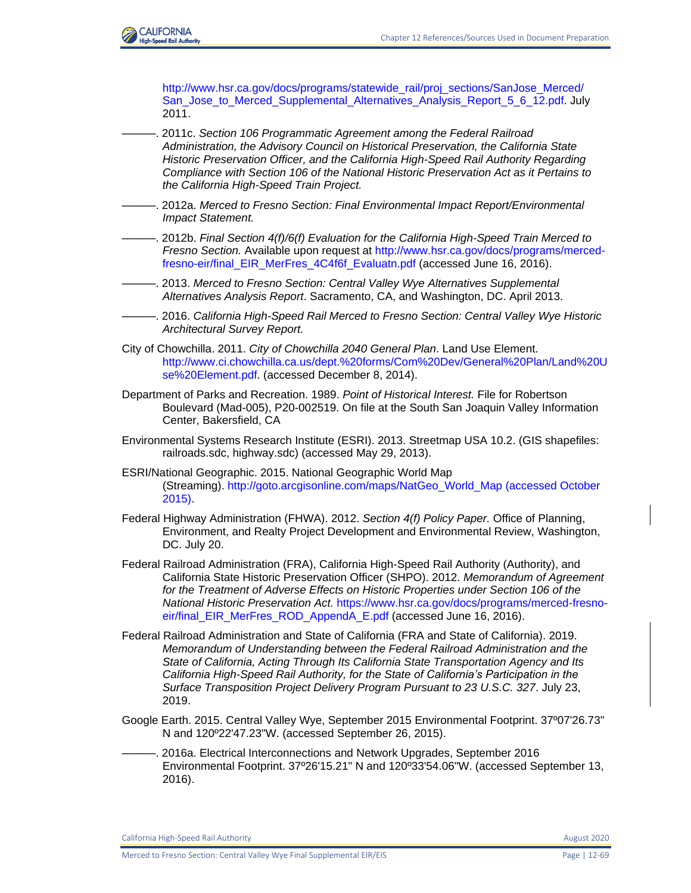

[http://www.hsr.ca.gov/docs/programs/statewide\\_rail/proj\\_sections/SanJose\\_Merced/](http://www.hsr.ca.gov/docs/programs/statewide_rail/proj_sections/SanJose_Merced/San_Jose_to_Merced_Supplemental_Alternatives_Analysis_Report_5_6_12.pdf) San Jose to Merced Supplemental Alternatives Analysis Report 5 6 12.pdf. July 2011.

———. 2011c. *Section 106 Programmatic Agreement among the Federal Railroad Administration, the Advisory Council on Historical Preservation, the California State Historic Preservation Officer, and the California High-Speed Rail Authority Regarding Compliance with Section 106 of the National Historic Preservation Act as it Pertains to the California High-Speed Train Project.*

- ———. 2012a. *Merced to Fresno Section: Final Environmental Impact Report/Environmental Impact Statement.*
- ———. 2012b. *Final Section 4(f)/6(f) Evaluation for the California High-Speed Train Merced to Fresno Section.* Available upon request at [http://www.hsr.ca.gov/docs/programs/merced](http://www.hsr.ca.gov/docs/programs/merced-fresno-eir/final_EIR_MerFres_4C4f6f_Evaluatn.pdf)[fresno-eir/final\\_EIR\\_MerFres\\_4C4f6f\\_Evaluatn.pdf](http://www.hsr.ca.gov/docs/programs/merced-fresno-eir/final_EIR_MerFres_4C4f6f_Evaluatn.pdf) (accessed June 16, 2016).
- ———. 2013. *Merced to Fresno Section: Central Valley Wye Alternatives Supplemental Alternatives Analysis Report*. Sacramento, CA, and Washington, DC. April 2013.
- ———. 2016. *California High-Speed Rail Merced to Fresno Section: Central Valley Wye Historic Architectural Survey Report.*
- City of Chowchilla. 2011. *City of Chowchilla 2040 General Plan*. Land Use Element. [http://www.ci.chowchilla.ca.us/dept.%20forms/Com%20Dev/General%20Plan/Land%20U](http://www.ci.chowchilla.ca.us/dept.%20forms/Com%20Dev/General%20Plan/Land%20Use%20Element.pdf) [se%20Element.pdf.](http://www.ci.chowchilla.ca.us/dept.%20forms/Com%20Dev/General%20Plan/Land%20Use%20Element.pdf) (accessed December 8, 2014).
- Department of Parks and Recreation. 1989. *Point of Historical Interest.* File for Robertson Boulevard (Mad-005), P20-002519. On file at the South San Joaquin Valley Information Center, Bakersfield, CA
- Environmental Systems Research Institute (ESRI). 2013. Streetmap USA 10.2. (GIS shapefiles: railroads.sdc, highway.sdc) (accessed May 29, 2013).
- ESRI/National Geographic. 2015. National Geographic World Map (Streaming). [http://goto.arcgisonline.com/maps/NatGeo\\_World\\_Map \(accessed October](http://goto.arcgisonline.com/maps/NatGeo_World_Map%20(accessed%20October%202015))  [2015\).](http://goto.arcgisonline.com/maps/NatGeo_World_Map%20(accessed%20October%202015))
- Federal Highway Administration (FHWA). 2012. *Section 4(f) Policy Paper.* Office of Planning, Environment, and Realty Project Development and Environmental Review, Washington, DC. July 20.
- Federal Railroad Administration (FRA), California High-Speed Rail Authority (Authority), and California State Historic Preservation Officer (SHPO). 2012. *Memorandum of Agreement for the Treatment of Adverse Effects on Historic Properties under Section 106 of the National Historic Preservation Act.* [https://www.hsr.ca.gov/docs/programs/merced-fresno](https://www.hsr.ca.gov/docs/programs/merced-fresno-eir/final_EIR_MerFres_ROD_AppendA_E.pdf)[eir/final\\_EIR\\_MerFres\\_ROD\\_AppendA\\_E.pdf](https://www.hsr.ca.gov/docs/programs/merced-fresno-eir/final_EIR_MerFres_ROD_AppendA_E.pdf) (accessed June 16, 2016).
- Federal Railroad Administration and State of California (FRA and State of California). 2019. *Memorandum of Understanding between the Federal Railroad Administration and the State of California, Acting Through Its California State Transportation Agency and Its California High-Speed Rail Authority, for the State of California's Participation in the Surface Transposition Project Delivery Program Pursuant to 23 U.S.C. 327*. July 23, 2019.
- Google Earth. 2015. Central Valley Wye, September 2015 Environmental Footprint. 37º07'26.73" N and 120º22'47.23"W. (accessed September 26, 2015).
- ———. 2016a. Electrical Interconnections and Network Upgrades, September 2016 Environmental Footprint. 37º26'15.21" N and 120º33'54.06"W. (accessed September 13, 2016).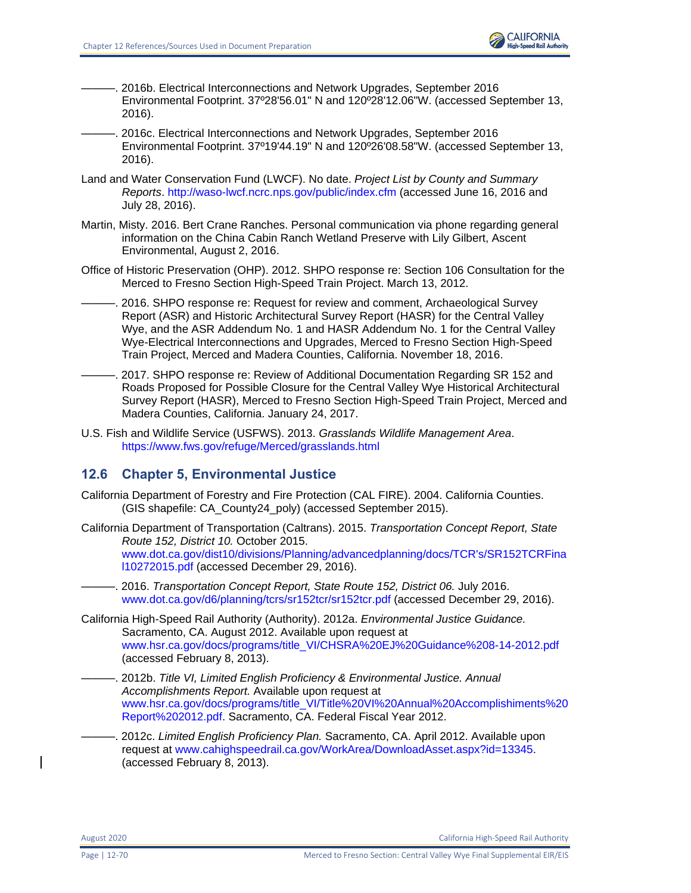

- ———. 2016b. Electrical Interconnections and Network Upgrades, September 2016 Environmental Footprint. 37º28'56.01" N and 120º28'12.06"W. (accessed September 13, 2016).
- ———. 2016c. Electrical Interconnections and Network Upgrades, September 2016 Environmental Footprint. 37º19'44.19" N and 120º26'08.58"W. (accessed September 13, 2016).
- Land and Water Conservation Fund (LWCF). No date. *Project List by County and Summary Reports*.<http://waso-lwcf.ncrc.nps.gov/public/index.cfm> (accessed June 16, 2016 and July 28, 2016).
- Martin, Misty. 2016. Bert Crane Ranches. Personal communication via phone regarding general information on the China Cabin Ranch Wetland Preserve with Lily Gilbert, Ascent Environmental, August 2, 2016.
- Office of Historic Preservation (OHP). 2012. SHPO response re: Section 106 Consultation for the Merced to Fresno Section High-Speed Train Project. March 13, 2012.
- . 2016. SHPO response re: Request for review and comment, Archaeological Survey Report (ASR) and Historic Architectural Survey Report (HASR) for the Central Valley Wye, and the ASR Addendum No. 1 and HASR Addendum No. 1 for the Central Valley Wye-Electrical Interconnections and Upgrades, Merced to Fresno Section High-Speed Train Project, Merced and Madera Counties, California. November 18, 2016.
- . 2017. SHPO response re: Review of Additional Documentation Regarding SR 152 and Roads Proposed for Possible Closure for the Central Valley Wye Historical Architectural Survey Report (HASR), Merced to Fresno Section High-Speed Train Project, Merced and Madera Counties, California. January 24, 2017.
- U.S. Fish and Wildlife Service (USFWS). 2013. *Grasslands Wildlife Management Area*. <https://www.fws.gov/refuge/Merced/grasslands.html>

# **12.6 Chapter 5, Environmental Justice**

- California Department of Forestry and Fire Protection (CAL FIRE). 2004. California Counties. (GIS shapefile: CA\_County24\_poly) (accessed September 2015).
- California Department of Transportation (Caltrans). 2015. *Transportation Concept Report, State Route 152, District 10.* October 2015. [www.dot.ca.gov/dist10/divisions/Planning/advancedplanning/docs/TCR's/SR152TCRFina](http://www.dot.ca.gov/dist10/divisions/Planning/advancedplanning/docs/TCR) [l10272015.pdf](http://www.dot.ca.gov/dist10/divisions/Planning/advancedplanning/docs/TCR) (accessed December 29, 2016).
	- ———. 2016. *Transportation Concept Report, State Route 152, District 06.* July 2016. [www.dot.ca.gov/d6/planning/tcrs/sr152tcr/sr152tcr.pdf](http://www.dot.ca.gov/d6/planning/tcrs/sr152tcr/sr152tcr.pdf) (accessed December 29, 2016).
- California High-Speed Rail Authority (Authority). 2012a. *Environmental Justice Guidance.* Sacramento, CA. August 2012. Available upon request at [www.hsr.ca.gov/docs/programs/title\\_VI/CHSRA%20EJ%20Guidance%208-14-2012.pdf](file:///C:/Users/19339/Downloads/www.hsr.ca.gov/docs/programs/title_VI/CHSRA%20EJ%20Guidance%208-14-2012.pdf) (accessed February 8, 2013).
	- ———. 2012b. *Title VI, Limited English Proficiency & Environmental Justice. Annual Accomplishments Report.* Available upon request at [www.hsr.ca.gov/docs/programs/title\\_VI/Title%20VI%20Annual%20Accomplishiments%20](http://www.hsr.ca.gov/docs/programs/title_VI/Title%20VI%20Annual%20Accomplishiments%20Report%202012.pdf) [Report%202012.pdf.](http://www.hsr.ca.gov/docs/programs/title_VI/Title%20VI%20Annual%20Accomplishiments%20Report%202012.pdf) Sacramento, CA. Federal Fiscal Year 2012.
	- ———. 2012c. *Limited English Proficiency Plan.* Sacramento, CA. April 2012. Available upon request at [www.cahighspeedrail.ca.gov/WorkArea/DownloadAsset.aspx?id=13345.](http://www.cahighspeedrail.ca.gov/WorkArea/DownloadAsset.aspx?id=13345) (accessed February 8, 2013).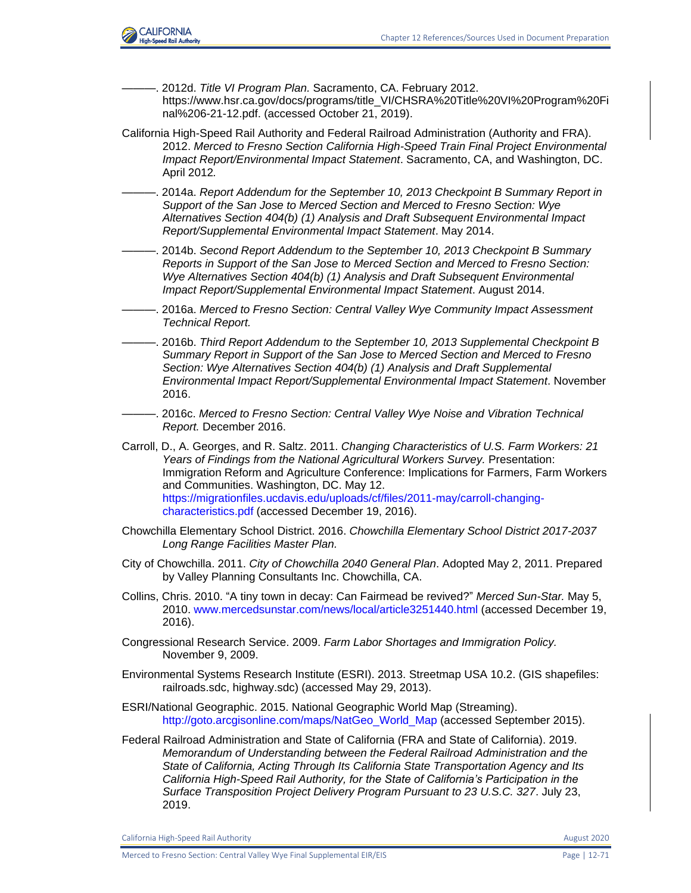

- ———. 2012d. *Title VI Program Plan.* Sacramento, CA. February 2012. https://www.hsr.ca.gov/docs/programs/title\_VI/CHSRA%20Title%20VI%20Program%20Fi nal%206-21-12.pdf. (accessed October 21, 2019).
- California High-Speed Rail Authority and Federal Railroad Administration (Authority and FRA). 2012. *Merced to Fresno Section California High-Speed Train Final Project Environmental Impact Report/Environmental Impact Statement*. Sacramento, CA, and Washington, DC. April 2012*.*
- ———. 2014a. *Report Addendum for the September 10, 2013 Checkpoint B Summary Report in Support of the San Jose to Merced Section and Merced to Fresno Section: Wye Alternatives Section 404(b) (1) Analysis and Draft Subsequent Environmental Impact Report/Supplemental Environmental Impact Statement*. May 2014.
- ———. 2014b. *Second Report Addendum to the September 10, 2013 Checkpoint B Summary Reports in Support of the San Jose to Merced Section and Merced to Fresno Section: Wye Alternatives Section 404(b) (1) Analysis and Draft Subsequent Environmental Impact Report/Supplemental Environmental Impact Statement*. August 2014.
- ———. 2016a. *Merced to Fresno Section: Central Valley Wye Community Impact Assessment Technical Report.*
- ———. 2016b. *Third Report Addendum to the September 10, 2013 Supplemental Checkpoint B Summary Report in Support of the San Jose to Merced Section and Merced to Fresno Section: Wye Alternatives Section 404(b) (1) Analysis and Draft Supplemental Environmental Impact Report/Supplemental Environmental Impact Statement*. November 2016.
- ———. 2016c. *Merced to Fresno Section: Central Valley Wye Noise and Vibration Technical Report.* December 2016.
- Carroll, D., A. Georges, and R. Saltz. 2011. *Changing Characteristics of U.S. Farm Workers: 21 Years of Findings from the National Agricultural Workers Survey.* Presentation: Immigration Reform and Agriculture Conference: Implications for Farmers, Farm Workers and Communities. Washington, DC. May 12. [https://migrationfiles.ucdavis.edu/uploads/cf/files/2011-may/carroll-changing](https://migrationfiles.ucdavis.edu/uploads/cf/files/2011-may/carroll-changing-characteristics.pdf)[characteristics.pdf](https://migrationfiles.ucdavis.edu/uploads/cf/files/2011-may/carroll-changing-characteristics.pdf) (accessed December 19, 2016).
- Chowchilla Elementary School District. 2016. *Chowchilla Elementary School District 2017-2037 Long Range Facilities Master Plan.*
- City of Chowchilla. 2011. *City of Chowchilla 2040 General Plan*. Adopted May 2, 2011. Prepared by Valley Planning Consultants Inc. Chowchilla, CA.
- Collins, Chris. 2010. "A tiny town in decay: Can Fairmead be revived?" *Merced Sun-Star.* May 5, 2010. [www.mercedsunstar.com/news/local/article3251440.html](http://www.mercedsunstar.com/news/local/article3251440.html) (accessed December 19, 2016).
- Congressional Research Service. 2009. *Farm Labor Shortages and Immigration Policy.* November 9, 2009.
- Environmental Systems Research Institute (ESRI). 2013. Streetmap USA 10.2. (GIS shapefiles: railroads.sdc, highway.sdc) (accessed May 29, 2013).
- ESRI/National Geographic. 2015. National Geographic World Map (Streaming). [http://goto.arcgisonline.com/maps/NatGeo\\_World\\_Map](http://goto.arcgisonline.com/maps/NatGeo_World_Map) (accessed September 2015).
- Federal Railroad Administration and State of California (FRA and State of California). 2019. *Memorandum of Understanding between the Federal Railroad Administration and the State of California, Acting Through Its California State Transportation Agency and Its California High-Speed Rail Authority, for the State of California's Participation in the Surface Transposition Project Delivery Program Pursuant to 23 U.S.C. 327*. July 23, 2019.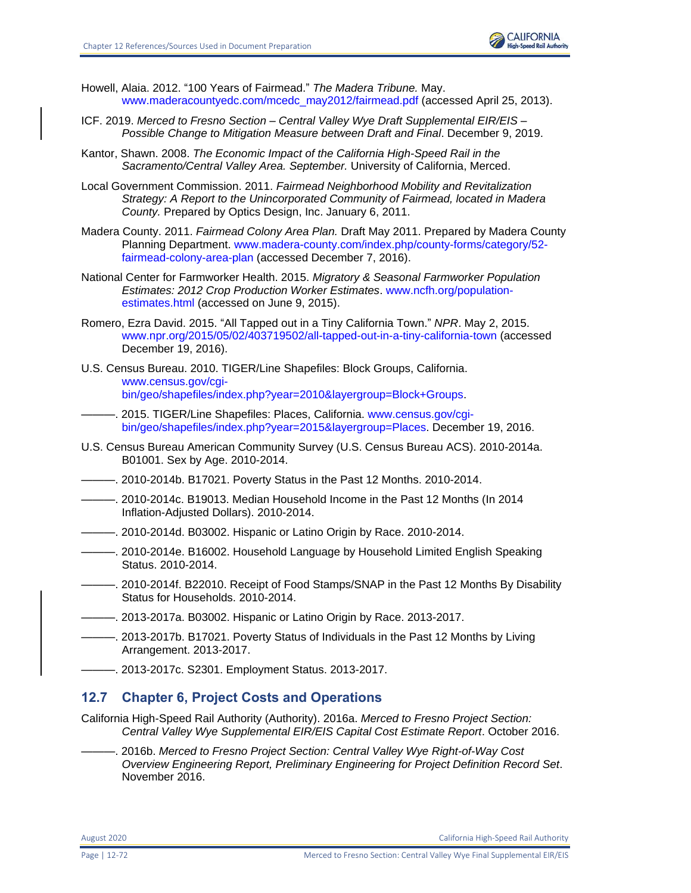

- Howell, Alaia. 2012. "100 Years of Fairmead." *The Madera Tribune.* May. [www.maderacountyedc.com/mcedc\\_may2012/fairmead.pdf](http://www.maderacountyedc.com/mcedc_may2012/fairmead.pdf) (accessed April 25, 2013).
- ICF. 2019. *Merced to Fresno Section – Central Valley Wye Draft Supplemental EIR/EIS – Possible Change to Mitigation Measure between Draft and Final*. December 9, 2019.
- Kantor, Shawn. 2008. *The Economic Impact of the California High-Speed Rail in the Sacramento/Central Valley Area. September.* University of California, Merced.
- Local Government Commission. 2011. *Fairmead Neighborhood Mobility and Revitalization Strategy: A Report to the Unincorporated Community of Fairmead, located in Madera County.* Prepared by Optics Design, Inc. January 6, 2011.
- Madera County. 2011. *Fairmead Colony Area Plan.* Draft May 2011. Prepared by Madera County Planning Department. [www.madera-county.com/index.php/county-forms/category/52](http://www.madera-county.com/index.php/county-forms/category/52-fairmead-colony-area-plan) [fairmead-colony-area-plan](http://www.madera-county.com/index.php/county-forms/category/52-fairmead-colony-area-plan) (accessed December 7, 2016).
- National Center for Farmworker Health. 2015. *Migratory & Seasonal Farmworker Population Estimates: 2012 Crop Production Worker Estimates*. [www.ncfh.org/population](http://www.ncfh.org/population-estimates.html.%20Accessed%20on%20June%209)[estimates.html](http://www.ncfh.org/population-estimates.html.%20Accessed%20on%20June%209) (accessed on June 9, 2015).
- Romero, Ezra David. 2015. "All Tapped out in a Tiny California Town." *NPR*. May 2, 2015. [www.npr.org/2015/05/02/403719502/all-tapped-out-in-a-tiny-california-town](http://www.npr.org/2015/05/02/403719502/all-tapped-out-in-a-tiny-california-town) (accessed December 19, 2016).
- U.S. Census Bureau. 2010. TIGER/Line Shapefiles: Block Groups, California. [www.census.gov/cgi](https://www.census.gov/cgi-bin/geo/shapefiles/index.php?year=2010&layergroup=Block+Groups)[bin/geo/shapefiles/index.php?year=2010&layergroup=Block+Groups.](https://www.census.gov/cgi-bin/geo/shapefiles/index.php?year=2010&layergroup=Block+Groups)
- 2015. TIGER/Line Shapefiles: Places, California. [www.census.gov/cgi](https://www.census.gov/cgi-bin/geo/shapefiles/index.php?year=2015&layergroup=Places)[bin/geo/shapefiles/index.php?year=2015&layergroup=Places.](https://www.census.gov/cgi-bin/geo/shapefiles/index.php?year=2015&layergroup=Places) December 19, 2016.
- U.S. Census Bureau American Community Survey (U.S. Census Bureau ACS). 2010-2014a. B01001. Sex by Age. 2010-2014.
- ———. 2010-2014b. B17021. Poverty Status in the Past 12 Months. 2010-2014.
- ———. 2010-2014c. B19013. Median Household Income in the Past 12 Months (In 2014 Inflation-Adjusted Dollars). 2010-2014.
- ———. 2010-2014d. B03002. Hispanic or Latino Origin by Race. 2010-2014.
- ———. 2010-2014e. B16002. Household Language by Household Limited English Speaking Status. 2010-2014.
- ———. 2010-2014f. B22010. Receipt of Food Stamps/SNAP in the Past 12 Months By Disability Status for Households. 2010-2014.
- ———. 2013-2017a. B03002. Hispanic or Latino Origin by Race. 2013-2017.
- ———. 2013-2017b. B17021. Poverty Status of Individuals in the Past 12 Months by Living Arrangement. 2013-2017.
- ———. 2013-2017c. S2301. Employment Status. 2013-2017.

# **12.7 Chapter 6, Project Costs and Operations**

- California High-Speed Rail Authority (Authority). 2016a. *Merced to Fresno Project Section: Central Valley Wye Supplemental EIR/EIS Capital Cost Estimate Report*. October 2016.
	- ———. 2016b. *Merced to Fresno Project Section: Central Valley Wye Right-of-Way Cost Overview Engineering Report, Preliminary Engineering for Project Definition Record Set*. November 2016.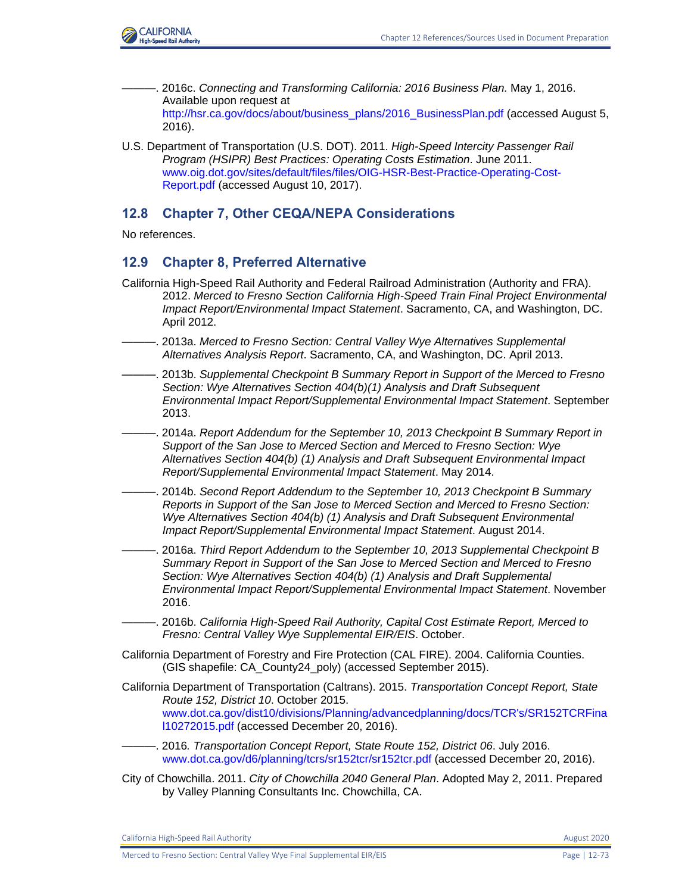

- ———. 2016c. *Connecting and Transforming California: 2016 Business Plan.* May 1, 2016. Available upon request at [http://hsr.ca.gov/docs/about/business\\_plans/2016\\_BusinessPlan.pdf](http://hsr.ca.gov/docs/about/business_plans/2016_BusinessPlan.pdf) (accessed August 5, 2016).
- U.S. Department of Transportation (U.S. DOT). 2011. *High-Speed Intercity Passenger Rail Program (HSIPR) Best Practices: Operating Costs Estimation*. June 2011. [www.oig.dot.gov/sites/default/files/files/OIG-HSR-Best-Practice-Operating-Cost-](https://www.oig.dot.gov/sites/default/files/files/OIG-HSR-Best-Practice-Operating-Cost-Report.pdf)[Report.pdf](https://www.oig.dot.gov/sites/default/files/files/OIG-HSR-Best-Practice-Operating-Cost-Report.pdf) (accessed August 10, 2017).

# **12.8 Chapter 7, Other CEQA/NEPA Considerations**

No references.

## **12.9 Chapter 8, Preferred Alternative**

- California High-Speed Rail Authority and Federal Railroad Administration (Authority and FRA). 2012. *Merced to Fresno Section California High-Speed Train Final Project Environmental Impact Report/Environmental Impact Statement*. Sacramento, CA, and Washington, DC. April 2012.
- ———. 2013a. *Merced to Fresno Section: Central Valley Wye Alternatives Supplemental Alternatives Analysis Report*. Sacramento, CA, and Washington, DC. April 2013.
- ———. 2013b. *Supplemental Checkpoint B Summary Report in Support of the Merced to Fresno Section: Wye Alternatives Section 404(b)(1) Analysis and Draft Subsequent Environmental Impact Report/Supplemental Environmental Impact Statement*. September 2013.
- ———. 2014a. *Report Addendum for the September 10, 2013 Checkpoint B Summary Report in Support of the San Jose to Merced Section and Merced to Fresno Section: Wye Alternatives Section 404(b) (1) Analysis and Draft Subsequent Environmental Impact Report/Supplemental Environmental Impact Statement*. May 2014.
- ———. 2014b. *Second Report Addendum to the September 10, 2013 Checkpoint B Summary Reports in Support of the San Jose to Merced Section and Merced to Fresno Section: Wye Alternatives Section 404(b) (1) Analysis and Draft Subsequent Environmental Impact Report/Supplemental Environmental Impact Statement*. August 2014.
- ———. 2016a. *Third Report Addendum to the September 10, 2013 Supplemental Checkpoint B Summary Report in Support of the San Jose to Merced Section and Merced to Fresno Section: Wye Alternatives Section 404(b) (1) Analysis and Draft Supplemental Environmental Impact Report/Supplemental Environmental Impact Statement*. November 2016.
- ———. 2016b. *California High-Speed Rail Authority, Capital Cost Estimate Report, Merced to Fresno: Central Valley Wye Supplemental EIR/EIS*. October.
- California Department of Forestry and Fire Protection (CAL FIRE). 2004. California Counties. (GIS shapefile: CA\_County24\_poly) (accessed September 2015).
- California Department of Transportation (Caltrans). 2015. *Transportation Concept Report, State Route 152, District 10*. October 2015. [www.dot.ca.gov/dist10/divisions/Planning/advancedplanning/docs/TCR's/SR152TCRFina](http://www.dot.ca.gov/dist10/divisions/Planning/advancedplanning/docs/TCR) [l10272015.pdf](http://www.dot.ca.gov/dist10/divisions/Planning/advancedplanning/docs/TCR) (accessed December 20, 2016).
- ———. 2016*. Transportation Concept Report, State Route 152, District 06*. July 2016. [www.dot.ca.gov/d6/planning/tcrs/sr152tcr/sr152tcr.pdf](http://www.dot.ca.gov/d6/planning/tcrs/sr152tcr/sr152tcr.pdf) (accessed December 20, 2016).
- City of Chowchilla. 2011. *City of Chowchilla 2040 General Plan*. Adopted May 2, 2011. Prepared by Valley Planning Consultants Inc. Chowchilla, CA.

California High-Speed Rail Authority **August 2020** 2020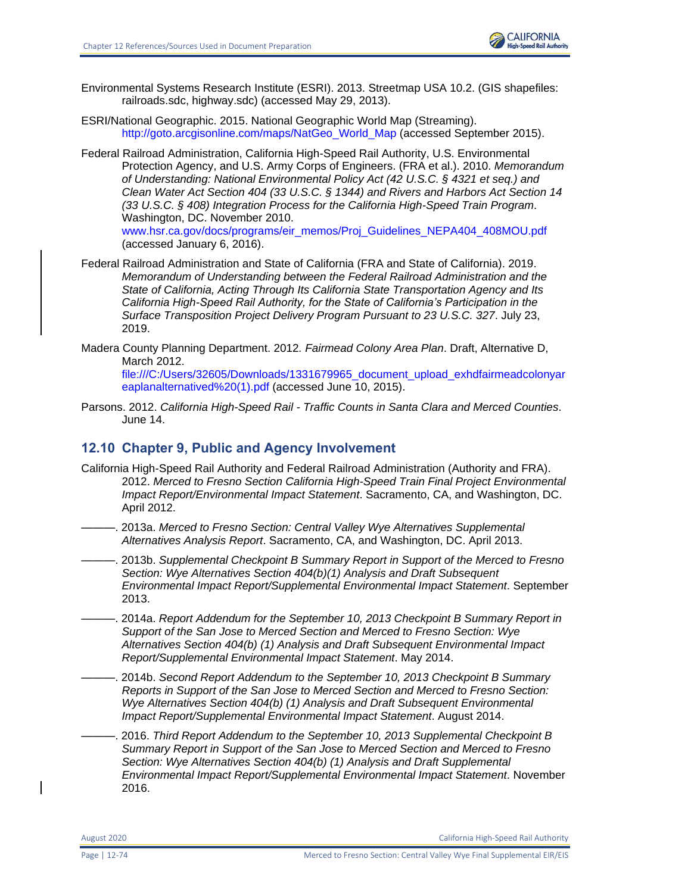

- Environmental Systems Research Institute (ESRI). 2013. Streetmap USA 10.2. (GIS shapefiles: railroads.sdc, highway.sdc) (accessed May 29, 2013).
- ESRI/National Geographic. 2015. National Geographic World Map (Streaming). [http://goto.arcgisonline.com/maps/NatGeo\\_World\\_Map](http://goto.arcgisonline.com/maps/NatGeo_World_Map) (accessed September 2015).
- Federal Railroad Administration, California High-Speed Rail Authority, U.S. Environmental Protection Agency, and U.S. Army Corps of Engineers. (FRA et al.). 2010. *Memorandum of Understanding: National Environmental Policy Act (42 U.S.C. § 4321 et seq.) and Clean Water Act Section 404 (33 U.S.C. § 1344) and Rivers and Harbors Act Section 14 (33 U.S.C. § 408) Integration Process for the California High-Speed Train Program*. Washington, DC. November 2010. [www.hsr.ca.gov/docs/programs/eir\\_memos/Proj\\_Guidelines\\_NEPA404\\_408MOU.pdf](file:///C:/Users/19339/Downloads/www.hsr.ca.gov/docs/programs/eir_memos/Proj_Guidelines_NEPA404_408MOU.pdf) (accessed January 6, 2016).
- Federal Railroad Administration and State of California (FRA and State of California). 2019. *Memorandum of Understanding between the Federal Railroad Administration and the State of California, Acting Through Its California State Transportation Agency and Its California High-Speed Rail Authority, for the State of California's Participation in the Surface Transposition Project Delivery Program Pursuant to 23 U.S.C. 327*. July 23, 2019.
- Madera County Planning Department. 2012*. Fairmead Colony Area Plan*. Draft, Alternative D, March 2012.

[file:///C:/Users/32605/Downloads/1331679965\\_document\\_upload\\_exhdfairmeadcolonyar](file:///C:/Users/32605/Downloads/1331679965_document_upload_exhdfairmeadcolonyareaplanalternatived%20(1).pdf) [eaplanalternatived%20\(1\).pdf](file:///C:/Users/32605/Downloads/1331679965_document_upload_exhdfairmeadcolonyareaplanalternatived%20(1).pdf) (accessed June 10, 2015).

Parsons. 2012. *California High-Speed Rail - Traffic Counts in Santa Clara and Merced Counties*. June 14.

#### **12.10 Chapter 9, Public and Agency Involvement**

- California High-Speed Rail Authority and Federal Railroad Administration (Authority and FRA). 2012. *Merced to Fresno Section California High-Speed Train Final Project Environmental Impact Report/Environmental Impact Statement*. Sacramento, CA, and Washington, DC. April 2012.
	- -. 2013a. Merced to Fresno Section: Central Valley Wye Alternatives Supplemental *Alternatives Analysis Report*. Sacramento, CA, and Washington, DC. April 2013.
- ———. 2013b. *Supplemental Checkpoint B Summary Report in Support of the Merced to Fresno Section: Wye Alternatives Section 404(b)(1) Analysis and Draft Subsequent Environmental Impact Report/Supplemental Environmental Impact Statement*. September 2013.
- ———. 2014a. *Report Addendum for the September 10, 2013 Checkpoint B Summary Report in Support of the San Jose to Merced Section and Merced to Fresno Section: Wye Alternatives Section 404(b) (1) Analysis and Draft Subsequent Environmental Impact Report/Supplemental Environmental Impact Statement*. May 2014.
	- ———. 2014b. *Second Report Addendum to the September 10, 2013 Checkpoint B Summary Reports in Support of the San Jose to Merced Section and Merced to Fresno Section: Wye Alternatives Section 404(b) (1) Analysis and Draft Subsequent Environmental Impact Report/Supplemental Environmental Impact Statement*. August 2014.
- ———. 2016. *Third Report Addendum to the September 10, 2013 Supplemental Checkpoint B Summary Report in Support of the San Jose to Merced Section and Merced to Fresno Section: Wye Alternatives Section 404(b) (1) Analysis and Draft Supplemental Environmental Impact Report/Supplemental Environmental Impact Statement*. November 2016.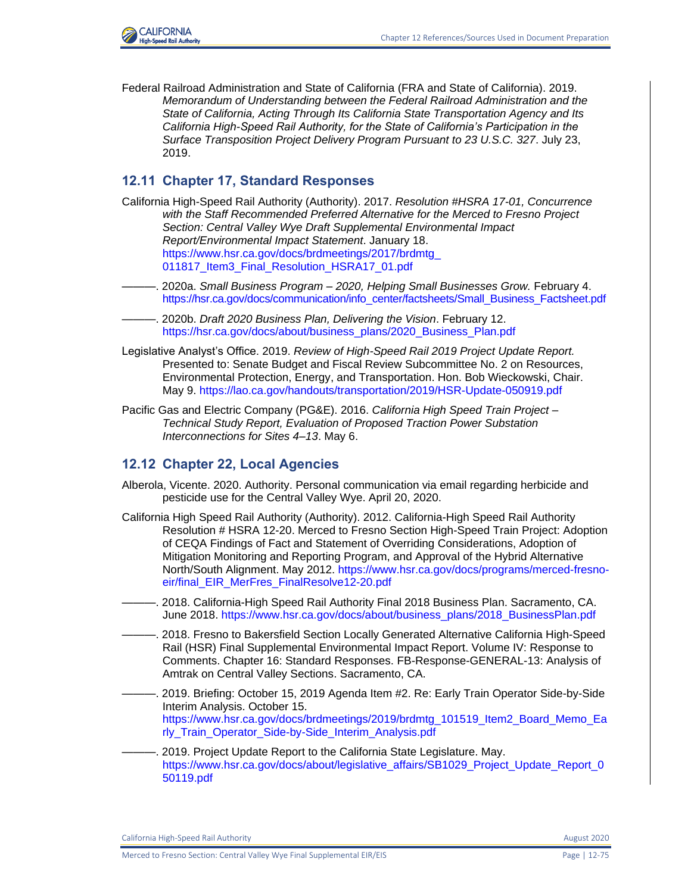

Federal Railroad Administration and State of California (FRA and State of California). 2019. *Memorandum of Understanding between the Federal Railroad Administration and the State of California, Acting Through Its California State Transportation Agency and Its California High-Speed Rail Authority, for the State of California's Participation in the Surface Transposition Project Delivery Program Pursuant to 23 U.S.C. 327*. July 23, 2019.

#### **12.11 Chapter 17, Standard Responses**

- California High-Speed Rail Authority (Authority). 2017. *Resolution #HSRA 17-01, Concurrence with the Staff Recommended Preferred Alternative for the Merced to Fresno Project Section: Central Valley Wye Draft Supplemental Environmental Impact Report/Environmental Impact Statement*. January 18. [https://www.hsr.ca.gov/docs/brdmeetings/2017/brdmtg\\_](https://www.hsr.ca.gov/docs/brdmeetings/2017/brdmtg_%20011817_Item3_Final_Resolution_HSRA17_01.pdf) [011817\\_Item3\\_Final\\_Resolution\\_HSRA17\\_01.pdf](https://www.hsr.ca.gov/docs/brdmeetings/2017/brdmtg_%20011817_Item3_Final_Resolution_HSRA17_01.pdf)
- ———. 2020a. *Small Business Program – 2020, Helping Small Businesses Grow.* February 4. [https://hsr.ca.gov/docs/communication/info\\_center/factsheets/Small\\_Business\\_Factsheet.pdf](https://hsr.ca.gov/docs/communication/info_center/factsheets/Small_Business_Factsheet.pdf)
- ———. 2020b. *Draft 2020 Business Plan, Delivering the Vision*. February 12. [https://hsr.ca.gov/docs/about/business\\_plans/2020\\_Business\\_Plan.pdf](https://hsr.ca.gov/docs/about/business_plans/2020_Business_Plan.pdf)
- Legislative Analyst's Office. 2019. *Review of High-Speed Rail 2019 Project Update Report.*  Presented to: Senate Budget and Fiscal Review Subcommittee No. 2 on Resources, Environmental Protection, Energy, and Transportation. Hon. Bob Wieckowski, Chair. May 9.<https://lao.ca.gov/handouts/transportation/2019/HSR-Update-050919.pdf>
- Pacific Gas and Electric Company (PG&E). 2016. *California High Speed Train Project – Technical Study Report, Evaluation of Proposed Traction Power Substation Interconnections for Sites 4–13*. May 6.

#### **12.12 Chapter 22, Local Agencies**

- Alberola, Vicente. 2020. Authority. Personal communication via email regarding herbicide and pesticide use for the Central Valley Wye. April 20, 2020.
- California High Speed Rail Authority (Authority). 2012. California-High Speed Rail Authority Resolution # HSRA 12-20. Merced to Fresno Section High-Speed Train Project: Adoption of CEQA Findings of Fact and Statement of Overriding Considerations, Adoption of Mitigation Monitoring and Reporting Program, and Approval of the Hybrid Alternative North/South Alignment. May 2012. [https://www.hsr.ca.gov/docs/programs/merced-fresno](https://www.hsr.ca.gov/docs/programs/merced-fresno-eir/final_EIR_MerFres_FinalResolve12-20.pdf)[eir/final\\_EIR\\_MerFres\\_FinalResolve12-20.pdf](https://www.hsr.ca.gov/docs/programs/merced-fresno-eir/final_EIR_MerFres_FinalResolve12-20.pdf)
- ———. 2018. California-High Speed Rail Authority Final 2018 Business Plan. Sacramento, CA. June 2018. [https://www.hsr.ca.gov/docs/about/business\\_plans/2018\\_BusinessPlan.pdf](https://www.hsr.ca.gov/docs/about/business_plans/2018_BusinessPlan.pdf)
- -. 2018. Fresno to Bakersfield Section Locally Generated Alternative California High-Speed Rail (HSR) Final Supplemental Environmental Impact Report. Volume IV: Response to Comments. Chapter 16: Standard Responses. FB-Response-GENERAL-13: Analysis of Amtrak on Central Valley Sections. Sacramento, CA.
- ———. 2019. Briefing: October 15, 2019 Agenda Item #2. Re: Early Train Operator Side-by-Side Interim Analysis. October 15. [https://www.hsr.ca.gov/docs/brdmeetings/2019/brdmtg\\_101519\\_Item2\\_Board\\_Memo\\_Ea](https://www.hsr.ca.gov/docs/brdmeetings/2019/brdmtg_101519_Item2_Board_Memo_Early_Train_Operator_Side-by-Side_Interim_Analysis.pdf) [rly\\_Train\\_Operator\\_Side-by-Side\\_Interim\\_Analysis.pdf](https://www.hsr.ca.gov/docs/brdmeetings/2019/brdmtg_101519_Item2_Board_Memo_Early_Train_Operator_Side-by-Side_Interim_Analysis.pdf)
- 2019. Project Update Report to the California State Legislature. May. [https://www.hsr.ca.gov/docs/about/legislative\\_affairs/SB1029\\_Project\\_Update\\_Report\\_0](https://www.hsr.ca.gov/docs/about/legislative_affairs/SB1029_Project_Update_Report_050119.pdf) [50119.pdf](https://www.hsr.ca.gov/docs/about/legislative_affairs/SB1029_Project_Update_Report_050119.pdf)

California High-Speed Rail Authority **August 2020 August 2020**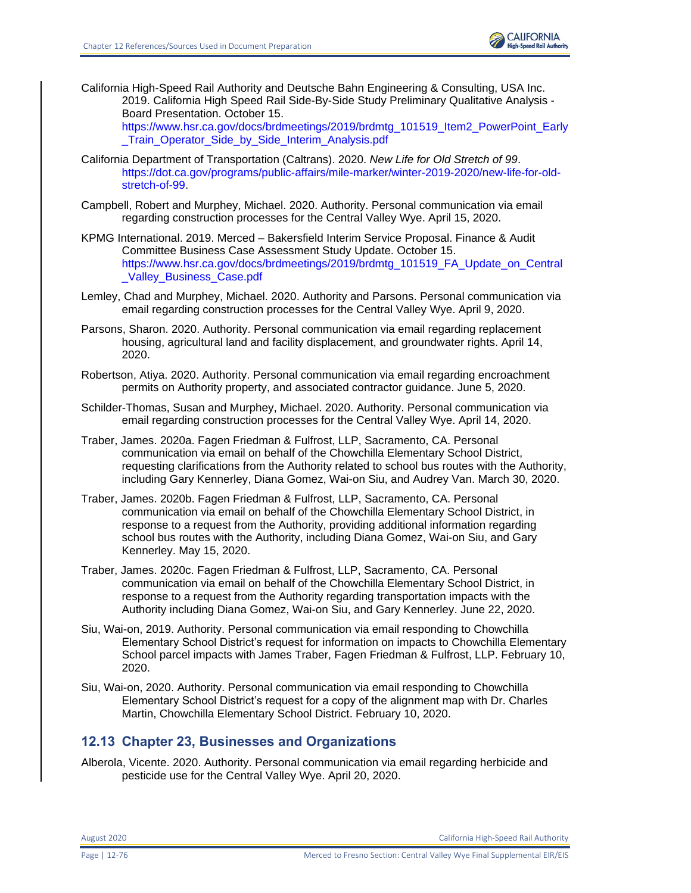

California High-Speed Rail Authority and Deutsche Bahn Engineering & Consulting, USA Inc. 2019. California High Speed Rail Side-By-Side Study Preliminary Qualitative Analysis - Board Presentation. October 15.

[https://www.hsr.ca.gov/docs/brdmeetings/2019/brdmtg\\_101519\\_Item2\\_PowerPoint\\_Early](https://www.hsr.ca.gov/docs/brdmeetings/2019/brdmtg_101519_Item2_PowerPoint_Early_Train_Operator_Side_by_Side_Interim_Analysis.pdf) Train Operator Side by Side Interim Analysis.pdf

- California Department of Transportation (Caltrans). 2020. *New Life for Old Stretch of 99*. [https://dot.ca.gov/programs/public-affairs/mile-marker/winter-2019-2020/new-life-for-old](https://dot.ca.gov/programs/public-affairs/mile-marker/winter-2019-2020/new-life-for-old-stretch-of-99)[stretch-of-99.](https://dot.ca.gov/programs/public-affairs/mile-marker/winter-2019-2020/new-life-for-old-stretch-of-99)
- Campbell, Robert and Murphey, Michael. 2020. Authority. Personal communication via email regarding construction processes for the Central Valley Wye. April 15, 2020.
- KPMG International. 2019. Merced Bakersfield Interim Service Proposal. Finance & Audit Committee Business Case Assessment Study Update. October 15. [https://www.hsr.ca.gov/docs/brdmeetings/2019/brdmtg\\_101519\\_FA\\_Update\\_on\\_Central](https://www.hsr.ca.gov/docs/brdmeetings/2019/brdmtg_101519_FA_Update_on_Central_Valley_Business_Case.pdf) Valley Business Case.pdf
- Lemley, Chad and Murphey, Michael. 2020. Authority and Parsons. Personal communication via email regarding construction processes for the Central Valley Wye. April 9, 2020.
- Parsons, Sharon. 2020. Authority. Personal communication via email regarding replacement housing, agricultural land and facility displacement, and groundwater rights. April 14, 2020.
- Robertson, Atiya. 2020. Authority. Personal communication via email regarding encroachment permits on Authority property, and associated contractor guidance. June 5, 2020.
- Schilder-Thomas, Susan and Murphey, Michael. 2020. Authority. Personal communication via email regarding construction processes for the Central Valley Wye. April 14, 2020.
- Traber, James. 2020a. Fagen Friedman & Fulfrost, LLP, Sacramento, CA. Personal communication via email on behalf of the Chowchilla Elementary School District, requesting clarifications from the Authority related to school bus routes with the Authority, including Gary Kennerley, Diana Gomez, Wai-on Siu, and Audrey Van. March 30, 2020.
- Traber, James. 2020b. Fagen Friedman & Fulfrost, LLP, Sacramento, CA. Personal communication via email on behalf of the Chowchilla Elementary School District, in response to a request from the Authority, providing additional information regarding school bus routes with the Authority, including Diana Gomez, Wai-on Siu, and Gary Kennerley. May 15, 2020.
- Traber, James. 2020c. Fagen Friedman & Fulfrost, LLP, Sacramento, CA. Personal communication via email on behalf of the Chowchilla Elementary School District, in response to a request from the Authority regarding transportation impacts with the Authority including Diana Gomez, Wai-on Siu, and Gary Kennerley. June 22, 2020.
- Siu, Wai-on, 2019. Authority. Personal communication via email responding to Chowchilla Elementary School District's request for information on impacts to Chowchilla Elementary School parcel impacts with James Traber, Fagen Friedman & Fulfrost, LLP. February 10, 2020.
- Siu, Wai-on, 2020. Authority. Personal communication via email responding to Chowchilla Elementary School District's request for a copy of the alignment map with Dr. Charles Martin, Chowchilla Elementary School District. February 10, 2020.

## **12.13 Chapter 23, Businesses and Organizations**

Alberola, Vicente. 2020. Authority. Personal communication via email regarding herbicide and pesticide use for the Central Valley Wye. April 20, 2020.